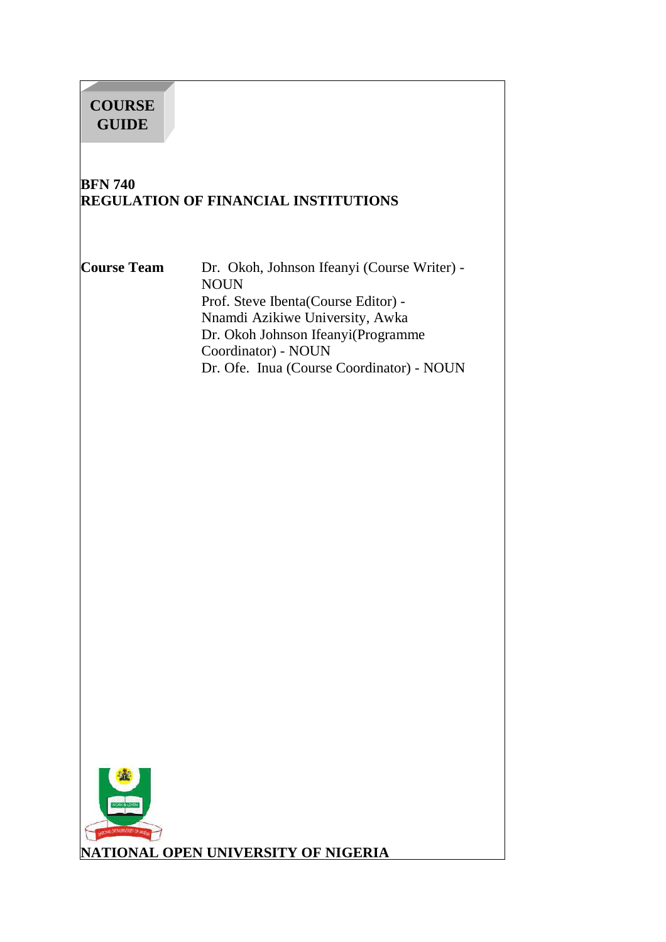# **COURSE GUIDE**

## **BFN 740 REGULATION OF FINANCIAL INSTITUTIONS**

**Course Team** Dr. Okoh, Johnson Ifeanyi (Course Writer) - NOUN Prof. Steve Ibenta(Course Editor) - Nnamdi Azikiwe University, Awka Dr. Okoh Johnson Ifeanyi(Programme Coordinator) - NOUN Dr. Ofe. Inua (Course Coordinator) - NOUN

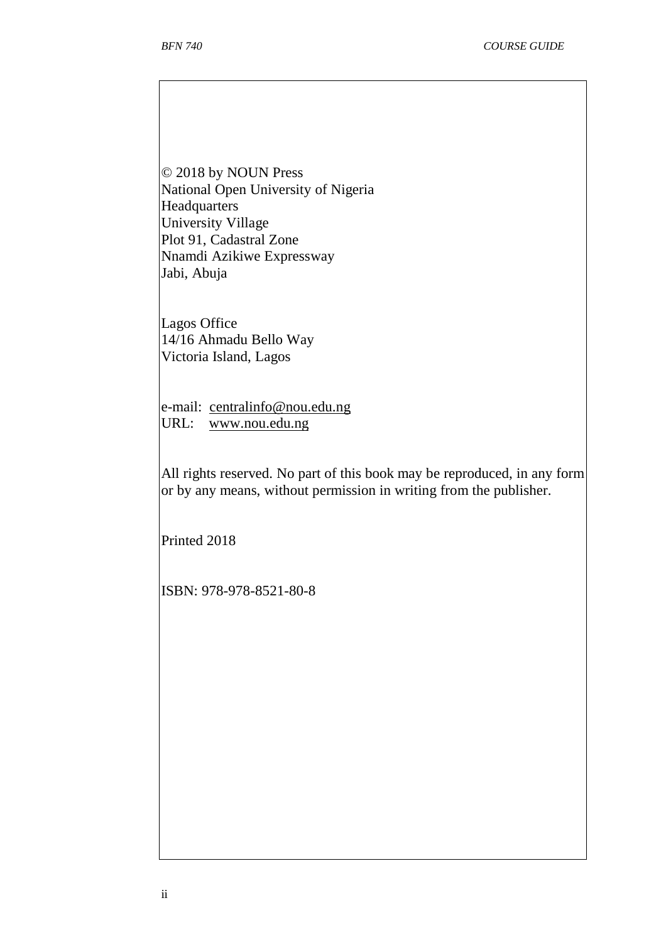© 2018 by NOUN Press National Open University of Nigeria Headquarters University Village Plot 91, Cadastral Zone Nnamdi Azikiwe Expressway Jabi, Abuja

Lagos Office 14/16 Ahmadu Bello Way Victoria Island, Lagos

e-mail: centralinfo@nou.edu.ng URL: www.nou.edu.ng

All rights reserved. No part of this book may be reproduced, in any form or by any means, without permission in writing from the publisher.

Printed 2018

ISBN: 978-978-8521-80-8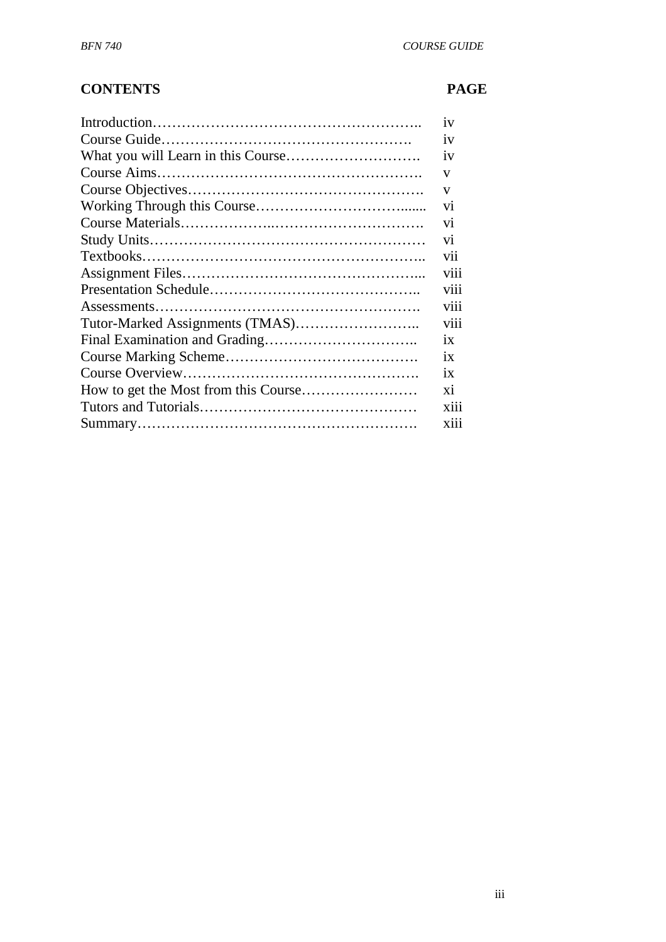# **CONTENTS PAGE**

| 1V                      |
|-------------------------|
| 1V                      |
| 1V                      |
| V                       |
| V                       |
| V <sub>1</sub>          |
| V1                      |
| $\overline{\mathbf{v}}$ |
| vii                     |
| viii                    |
| viii                    |
| viii                    |
| viii                    |
| 1X                      |
| 1X                      |
| $\overline{1}x$         |
| xi                      |
| xiii                    |
| X111                    |
|                         |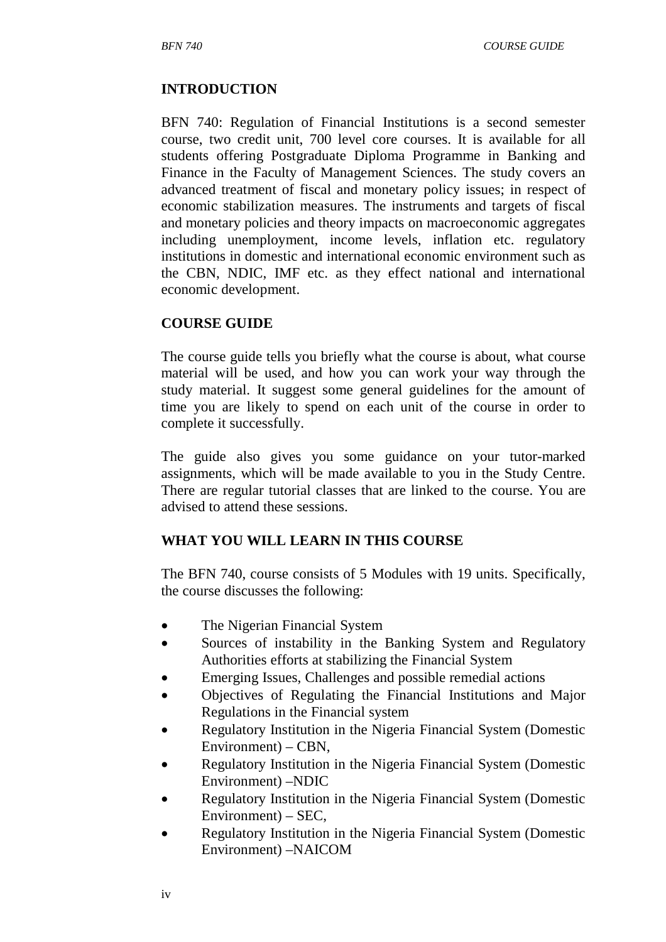#### **INTRODUCTION**

BFN 740: Regulation of Financial Institutions is a second semester course, two credit unit, 700 level core courses. It is available for all students offering Postgraduate Diploma Programme in Banking and Finance in the Faculty of Management Sciences. The study covers an advanced treatment of fiscal and monetary policy issues; in respect of economic stabilization measures. The instruments and targets of fiscal and monetary policies and theory impacts on macroeconomic aggregates including unemployment, income levels, inflation etc. regulatory institutions in domestic and international economic environment such as the CBN, NDIC, IMF etc. as they effect national and international economic development.

#### **COURSE GUIDE**

The course guide tells you briefly what the course is about, what course material will be used, and how you can work your way through the study material. It suggest some general guidelines for the amount of time you are likely to spend on each unit of the course in order to complete it successfully.

The guide also gives you some guidance on your tutor-marked assignments, which will be made available to you in the Study Centre. There are regular tutorial classes that are linked to the course. You are advised to attend these sessions.

#### **WHAT YOU WILL LEARN IN THIS COURSE**

The BFN 740, course consists of 5 Modules with 19 units. Specifically, the course discusses the following:

- The Nigerian Financial System
- Sources of instability in the Banking System and Regulatory Authorities efforts at stabilizing the Financial System
- Emerging Issues, Challenges and possible remedial actions
- Objectives of Regulating the Financial Institutions and Major Regulations in the Financial system
- Regulatory Institution in the Nigeria Financial System (Domestic Environment) – CBN,
- Regulatory Institution in the Nigeria Financial System (Domestic Environment) –NDIC
- Regulatory Institution in the Nigeria Financial System (Domestic Environment) – SEC,
- Regulatory Institution in the Nigeria Financial System (Domestic Environment) –NAICOM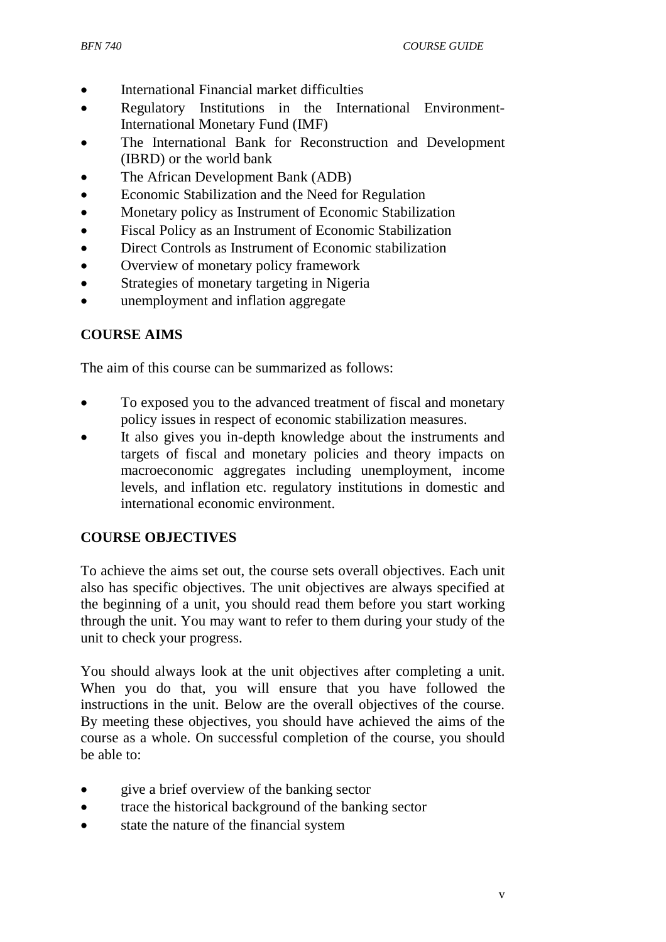- International Financial market difficulties
- Regulatory Institutions in the International Environment-International Monetary Fund (IMF)
- The International Bank for Reconstruction and Development (IBRD) or the world bank
- The African Development Bank (ADB)
- Economic Stabilization and the Need for Regulation
- Monetary policy as Instrument of Economic Stabilization
- Fiscal Policy as an Instrument of Economic Stabilization
- Direct Controls as Instrument of Economic stabilization
- Overview of monetary policy framework
- Strategies of monetary targeting in Nigeria
- unemployment and inflation aggregate

## **COURSE AIMS**

The aim of this course can be summarized as follows:

- To exposed you to the advanced treatment of fiscal and monetary policy issues in respect of economic stabilization measures.
- It also gives you in-depth knowledge about the instruments and targets of fiscal and monetary policies and theory impacts on macroeconomic aggregates including unemployment, income levels, and inflation etc. regulatory institutions in domestic and international economic environment.

## **COURSE OBJECTIVES**

To achieve the aims set out, the course sets overall objectives. Each unit also has specific objectives. The unit objectives are always specified at the beginning of a unit, you should read them before you start working through the unit. You may want to refer to them during your study of the unit to check your progress.

You should always look at the unit objectives after completing a unit. When you do that, you will ensure that you have followed the instructions in the unit. Below are the overall objectives of the course. By meeting these objectives, you should have achieved the aims of the course as a whole. On successful completion of the course, you should be able to:

- give a brief overview of the banking sector
- trace the historical background of the banking sector
- state the nature of the financial system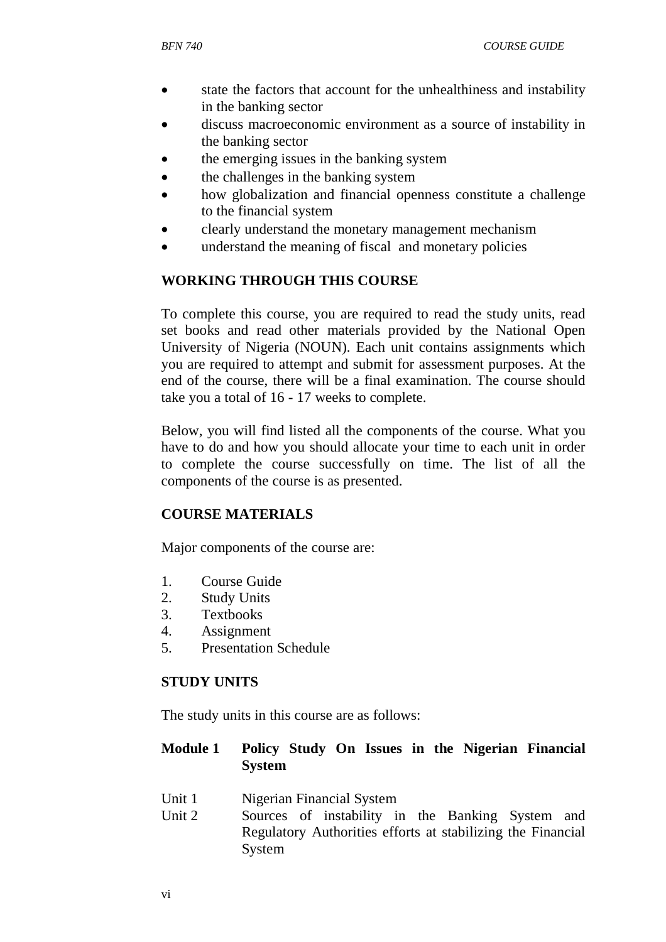- state the factors that account for the unhealthiness and instability in the banking sector
- discuss macroeconomic environment as a source of instability in the banking sector
- the emerging issues in the banking system
- the challenges in the banking system
- how globalization and financial openness constitute a challenge to the financial system
- clearly understand the monetary management mechanism
- understand the meaning of fiscal and monetary policies

# **WORKING THROUGH THIS COURSE**

To complete this course, you are required to read the study units, read set books and read other materials provided by the National Open University of Nigeria (NOUN). Each unit contains assignments which you are required to attempt and submit for assessment purposes. At the end of the course, there will be a final examination. The course should take you a total of 16 - 17 weeks to complete.

Below, you will find listed all the components of the course. What you have to do and how you should allocate your time to each unit in order to complete the course successfully on time. The list of all the components of the course is as presented.

#### **COURSE MATERIALS**

Major components of the course are:

- 1. Course Guide
- 2. Study Units
- 3. Textbooks
- 4. Assignment
- 5. Presentation Schedule

## **STUDY UNITS**

The study units in this course are as follows:

## **Module 1 Policy Study On Issues in the Nigerian Financial System**

- Unit 1 Nigerian Financial System
- Unit 2 Sources of instability in the Banking System and Regulatory Authorities efforts at stabilizing the Financial System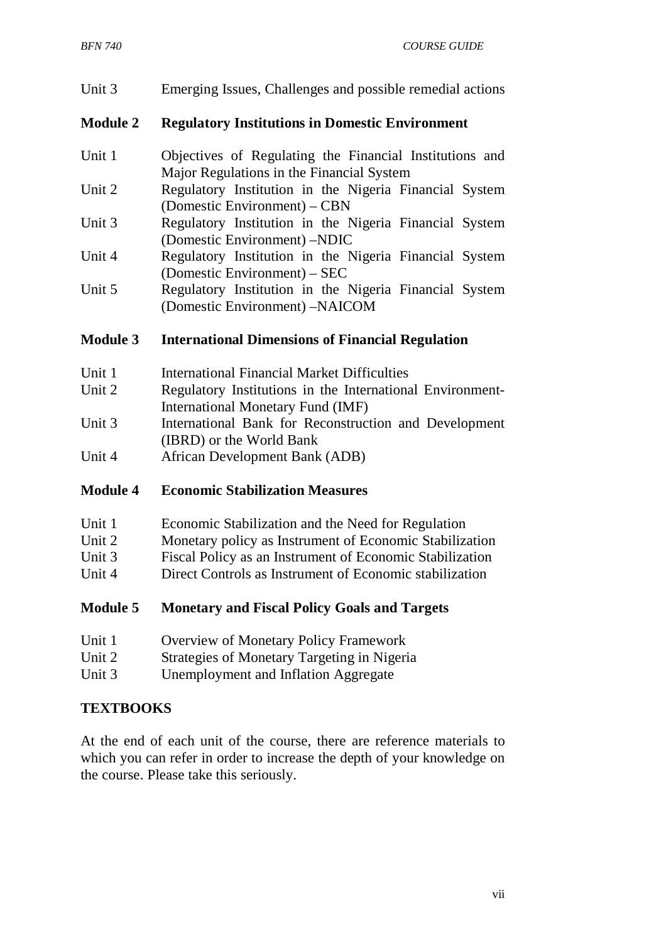| Unit 3          | Emerging Issues, Challenges and possible remedial actions                                                  |
|-----------------|------------------------------------------------------------------------------------------------------------|
| <b>Module 2</b> | <b>Regulatory Institutions in Domestic Environment</b>                                                     |
| Unit 1          | Objectives of Regulating the Financial Institutions and<br>Major Regulations in the Financial System       |
| Unit 2          | Regulatory Institution in the Nigeria Financial System<br>(Domestic Environment) – CBN                     |
| Unit 3          | Regulatory Institution in the Nigeria Financial System<br>(Domestic Environment) – NDIC                    |
| Unit 4          | Regulatory Institution in the Nigeria Financial System<br>(Domestic Environment) – SEC                     |
| TT ' <i>. F</i> | $\mathbf{D}$ and $\mathbf{I}$ are $\mathbf{I}$ and $\mathbf{I}$ are $\mathbf{I}$ . The set of $\mathbf{I}$ |

Unit 5 Regulatory Institution in the Nigeria Financial System (Domestic Environment) –NAICOM

#### **Module 3 International Dimensions of Financial Regulation**

| Unit 1 | <b>International Financial Market Difficulties</b>        |
|--------|-----------------------------------------------------------|
| Unit 2 | Regulatory Institutions in the International Environment- |
|        | International Monetary Fund (IMF)                         |
| Unit 3 | International Bank for Reconstruction and Development     |
|        | (IBRD) or the World Bank                                  |
| Unit 4 | African Development Bank (ADB)                            |

#### **Module 4 Economic Stabilization Measures**

| Unit 1 | Economic Stabilization and the Need for Regulation       |
|--------|----------------------------------------------------------|
| Unit 2 | Monetary policy as Instrument of Economic Stabilization  |
| Unit 3 | Fiscal Policy as an Instrument of Economic Stabilization |
| Unit 4 | Direct Controls as Instrument of Economic stabilization  |

#### **Module 5 Monetary and Fiscal Policy Goals and Targets**

- Unit 1 Overview of Monetary Policy Framework Unit 2 Strategies of Monetary Targeting in Nigeria
- Unit 3 Unemployment and Inflation Aggregate

#### **TEXTBOOKS**

At the end of each unit of the course, there are reference materials to which you can refer in order to increase the depth of your knowledge on the course. Please take this seriously.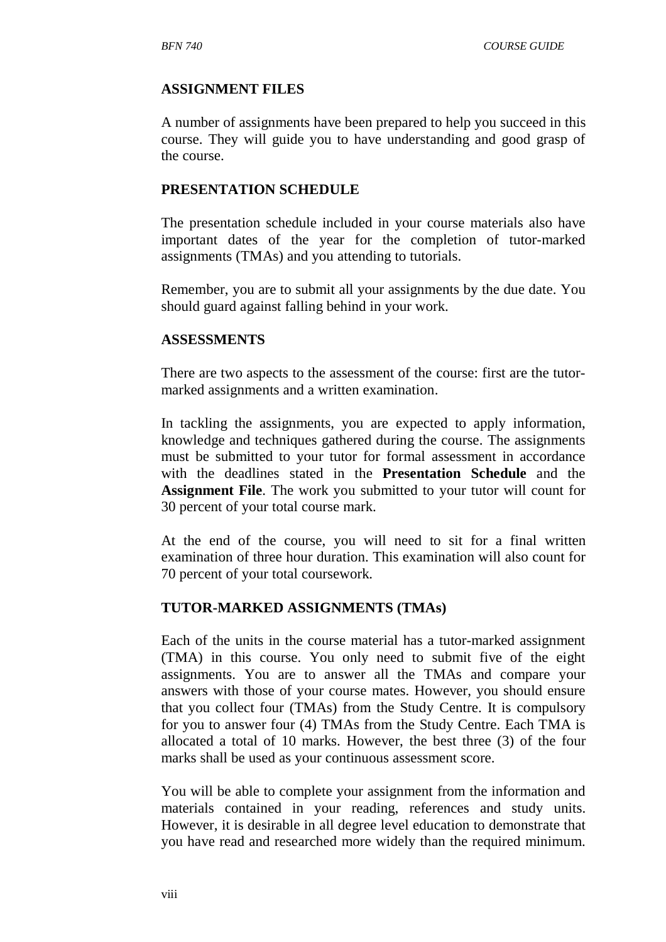#### **ASSIGNMENT FILES**

A number of assignments have been prepared to help you succeed in this course. They will guide you to have understanding and good grasp of the course.

#### **PRESENTATION SCHEDULE**

The presentation schedule included in your course materials also have important dates of the year for the completion of tutor-marked assignments (TMAs) and you attending to tutorials.

Remember, you are to submit all your assignments by the due date. You should guard against falling behind in your work.

#### **ASSESSMENTS**

There are two aspects to the assessment of the course: first are the tutormarked assignments and a written examination.

In tackling the assignments, you are expected to apply information, knowledge and techniques gathered during the course. The assignments must be submitted to your tutor for formal assessment in accordance with the deadlines stated in the **Presentation Schedule** and the **Assignment File**. The work you submitted to your tutor will count for 30 percent of your total course mark.

At the end of the course, you will need to sit for a final written examination of three hour duration. This examination will also count for 70 percent of your total coursework.

#### **TUTOR-MARKED ASSIGNMENTS (TMAs)**

Each of the units in the course material has a tutor-marked assignment (TMA) in this course. You only need to submit five of the eight assignments. You are to answer all the TMAs and compare your answers with those of your course mates. However, you should ensure that you collect four (TMAs) from the Study Centre. It is compulsory for you to answer four (4) TMAs from the Study Centre. Each TMA is allocated a total of 10 marks. However, the best three (3) of the four marks shall be used as your continuous assessment score.

You will be able to complete your assignment from the information and materials contained in your reading, references and study units. However, it is desirable in all degree level education to demonstrate that you have read and researched more widely than the required minimum.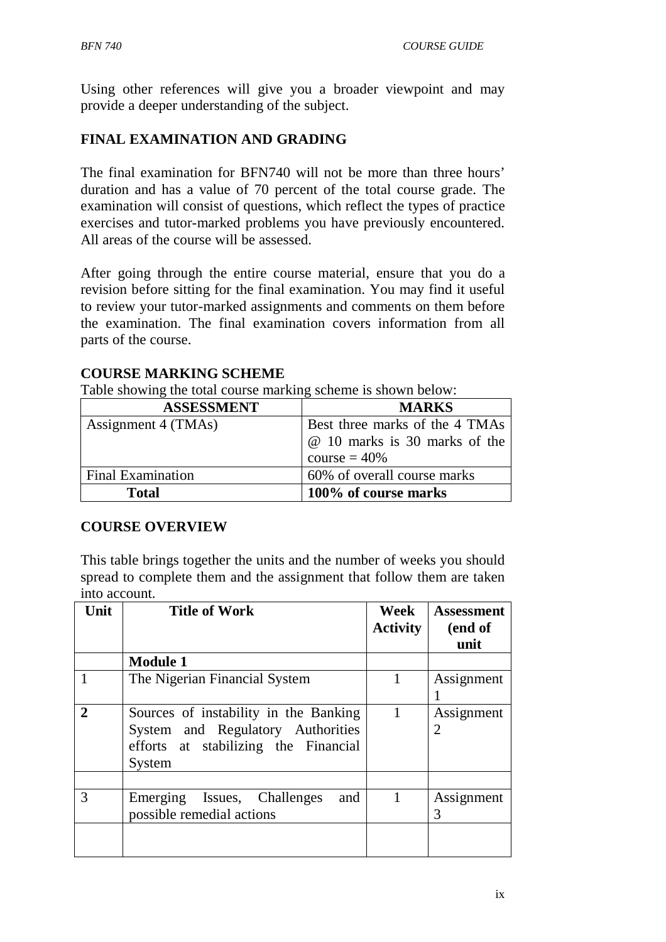Using other references will give you a broader viewpoint and may provide a deeper understanding of the subject.

# **FINAL EXAMINATION AND GRADING**

The final examination for BFN740 will not be more than three hours' duration and has a value of 70 percent of the total course grade. The examination will consist of questions, which reflect the types of practice exercises and tutor-marked problems you have previously encountered. All areas of the course will be assessed.

After going through the entire course material, ensure that you do a revision before sitting for the final examination. You may find it useful to review your tutor-marked assignments and comments on them before the examination. The final examination covers information from all parts of the course.

## **COURSE MARKING SCHEME**

Table showing the total course marking scheme is shown below:

| <b>ASSESSMENT</b>        | <b>MARKS</b>                   |
|--------------------------|--------------------------------|
| Assignment 4 (TMAs)      | Best three marks of the 4 TMAs |
|                          | @ 10 marks is 30 marks of the  |
|                          | $course = 40%$                 |
| <b>Final Examination</b> | 60% of overall course marks    |
| Total                    | 100% of course marks           |

#### **COURSE OVERVIEW**

This table brings together the units and the number of weeks you should spread to complete them and the assignment that follow them are taken into account.

| Unit                  | <b>Title of Work</b>                                                                                                         | Week<br><b>Activity</b> | <b>Assessment</b><br>(end of<br>unit |
|-----------------------|------------------------------------------------------------------------------------------------------------------------------|-------------------------|--------------------------------------|
|                       | <b>Module 1</b>                                                                                                              |                         |                                      |
|                       | The Nigerian Financial System                                                                                                |                         | Assignment                           |
| $\mathcal{D}_{\cdot}$ | Sources of instability in the Banking<br>System and Regulatory Authorities<br>efforts at stabilizing the Financial<br>System | $\mathbf{1}$            | Assignment<br>$\overline{2}$         |
| 3                     | Emerging Issues, Challenges<br>and<br>possible remedial actions                                                              |                         | Assignment<br>3                      |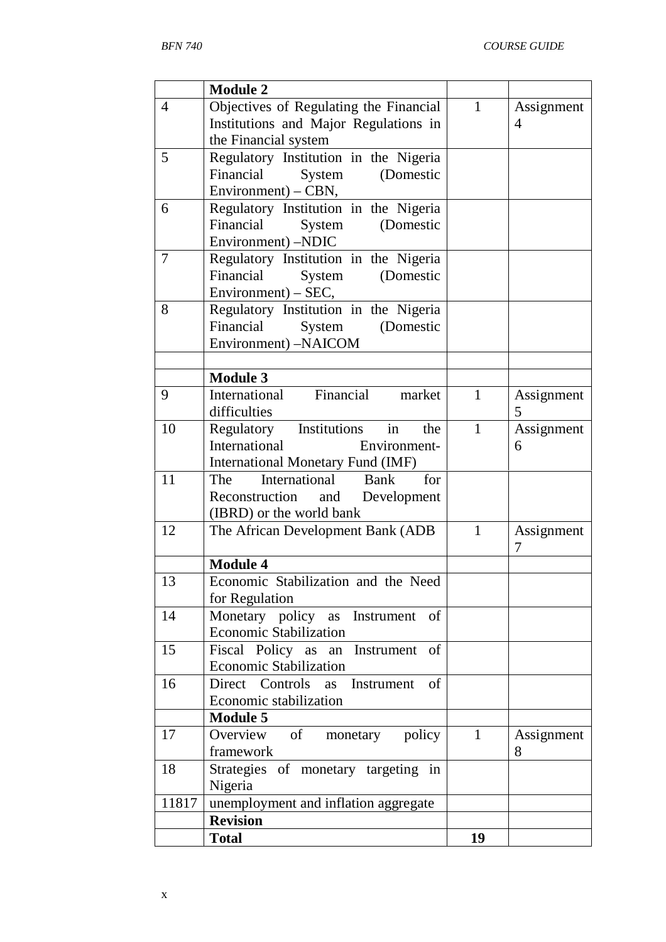|                | <b>Module 2</b>                                                                 |              |                 |
|----------------|---------------------------------------------------------------------------------|--------------|-----------------|
| $\overline{4}$ | Objectives of Regulating the Financial                                          | $\mathbf{1}$ | Assignment      |
|                | Institutions and Major Regulations in                                           |              | 4               |
|                | the Financial system                                                            |              |                 |
| 5              | Regulatory Institution in the Nigeria                                           |              |                 |
|                | Financial<br>System<br>(Domestic                                                |              |                 |
|                | Environment) – CBN,                                                             |              |                 |
| 6              | Regulatory Institution in the Nigeria                                           |              |                 |
|                | System<br>Financial<br>(Domestic                                                |              |                 |
|                | Environment) -NDIC                                                              |              |                 |
| $\tau$         | Regulatory Institution in the Nigeria                                           |              |                 |
|                | Financial<br>System<br>(Domestic                                                |              |                 |
|                | Environment) – SEC,                                                             |              |                 |
| 8              | Regulatory Institution in the Nigeria                                           |              |                 |
|                | Financial<br>System<br>(Domestic                                                |              |                 |
|                | Environment) -NAICOM                                                            |              |                 |
|                |                                                                                 |              |                 |
|                | <b>Module 3</b>                                                                 |              |                 |
| 9              | Financial<br>International<br>market                                            | 1            | Assignment      |
|                | difficulties                                                                    |              | 5               |
| 10             | Regulatory Institutions<br>in<br>the<br>International                           | $\mathbf{1}$ | Assignment<br>6 |
|                | Environment-                                                                    |              |                 |
| 11             | <b>International Monetary Fund (IMF)</b><br>International<br>Bank<br>for<br>The |              |                 |
|                | Reconstruction<br>Development<br>and                                            |              |                 |
|                | (IBRD) or the world bank                                                        |              |                 |
| 12             | The African Development Bank (ADB                                               | $\mathbf{1}$ | Assignment      |
|                |                                                                                 |              | 7               |
|                | <b>Module 4</b>                                                                 |              |                 |
| 13             | Economic Stabilization and the Need                                             |              |                 |
|                | for Regulation                                                                  |              |                 |
| 14             | Monetary policy as Instrument<br>of                                             |              |                 |
|                | <b>Economic Stabilization</b>                                                   |              |                 |
| 15             | Fiscal Policy as an Instrument of                                               |              |                 |
|                | <b>Economic Stabilization</b>                                                   |              |                 |
| 16             | Direct Controls as<br>Instrument<br>of                                          |              |                 |
|                | Economic stabilization                                                          |              |                 |
|                | <b>Module 5</b>                                                                 |              |                 |
| 17             | of<br>Overview<br>policy<br>monetary                                            | $\mathbf{1}$ | Assignment      |
|                | framework                                                                       |              | 8               |
| 18             | Strategies of monetary targeting in                                             |              |                 |
|                | Nigeria                                                                         |              |                 |
| 11817          | unemployment and inflation aggregate                                            |              |                 |
|                | <b>Revision</b>                                                                 |              |                 |
|                | <b>Total</b>                                                                    | 19           |                 |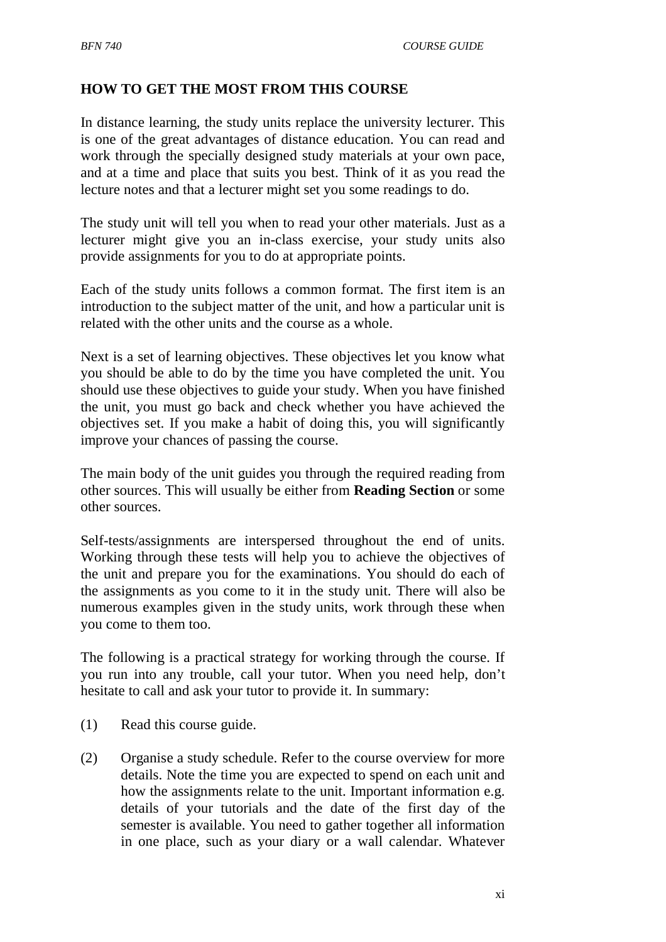#### **HOW TO GET THE MOST FROM THIS COURSE**

In distance learning, the study units replace the university lecturer. This is one of the great advantages of distance education. You can read and work through the specially designed study materials at your own pace, and at a time and place that suits you best. Think of it as you read the lecture notes and that a lecturer might set you some readings to do.

The study unit will tell you when to read your other materials. Just as a lecturer might give you an in-class exercise, your study units also provide assignments for you to do at appropriate points.

Each of the study units follows a common format. The first item is an introduction to the subject matter of the unit, and how a particular unit is related with the other units and the course as a whole.

Next is a set of learning objectives. These objectives let you know what you should be able to do by the time you have completed the unit. You should use these objectives to guide your study. When you have finished the unit, you must go back and check whether you have achieved the objectives set. If you make a habit of doing this, you will significantly improve your chances of passing the course.

The main body of the unit guides you through the required reading from other sources. This will usually be either from **Reading Section** or some other sources.

Self-tests/assignments are interspersed throughout the end of units. Working through these tests will help you to achieve the objectives of the unit and prepare you for the examinations. You should do each of the assignments as you come to it in the study unit. There will also be numerous examples given in the study units, work through these when you come to them too.

The following is a practical strategy for working through the course. If you run into any trouble, call your tutor. When you need help, don't hesitate to call and ask your tutor to provide it. In summary:

- (1) Read this course guide.
- (2) Organise a study schedule. Refer to the course overview for more details. Note the time you are expected to spend on each unit and how the assignments relate to the unit. Important information e.g. details of your tutorials and the date of the first day of the semester is available. You need to gather together all information in one place, such as your diary or a wall calendar. Whatever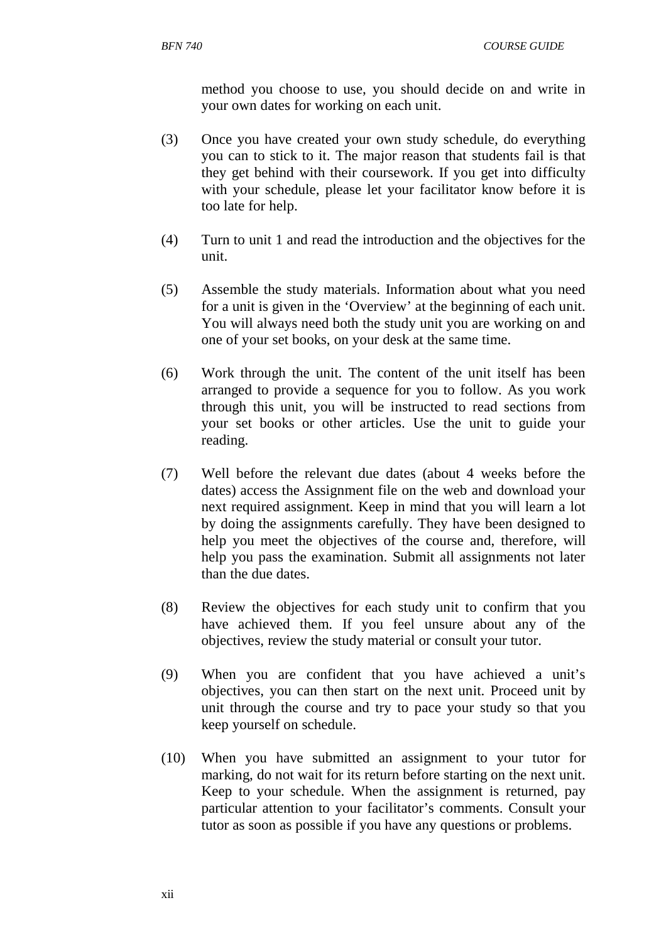method you choose to use, you should decide on and write in your own dates for working on each unit.

- (3) Once you have created your own study schedule, do everything you can to stick to it. The major reason that students fail is that they get behind with their coursework. If you get into difficulty with your schedule, please let your facilitator know before it is too late for help.
- (4) Turn to unit 1 and read the introduction and the objectives for the unit.
- (5) Assemble the study materials. Information about what you need for a unit is given in the 'Overview' at the beginning of each unit. You will always need both the study unit you are working on and one of your set books, on your desk at the same time.
- (6) Work through the unit. The content of the unit itself has been arranged to provide a sequence for you to follow. As you work through this unit, you will be instructed to read sections from your set books or other articles. Use the unit to guide your reading.
- (7) Well before the relevant due dates (about 4 weeks before the dates) access the Assignment file on the web and download your next required assignment. Keep in mind that you will learn a lot by doing the assignments carefully. They have been designed to help you meet the objectives of the course and, therefore, will help you pass the examination. Submit all assignments not later than the due dates.
- (8) Review the objectives for each study unit to confirm that you have achieved them. If you feel unsure about any of the objectives, review the study material or consult your tutor.
- (9) When you are confident that you have achieved a unit's objectives, you can then start on the next unit. Proceed unit by unit through the course and try to pace your study so that you keep yourself on schedule.
- (10) When you have submitted an assignment to your tutor for marking, do not wait for its return before starting on the next unit. Keep to your schedule. When the assignment is returned, pay particular attention to your facilitator's comments. Consult your tutor as soon as possible if you have any questions or problems.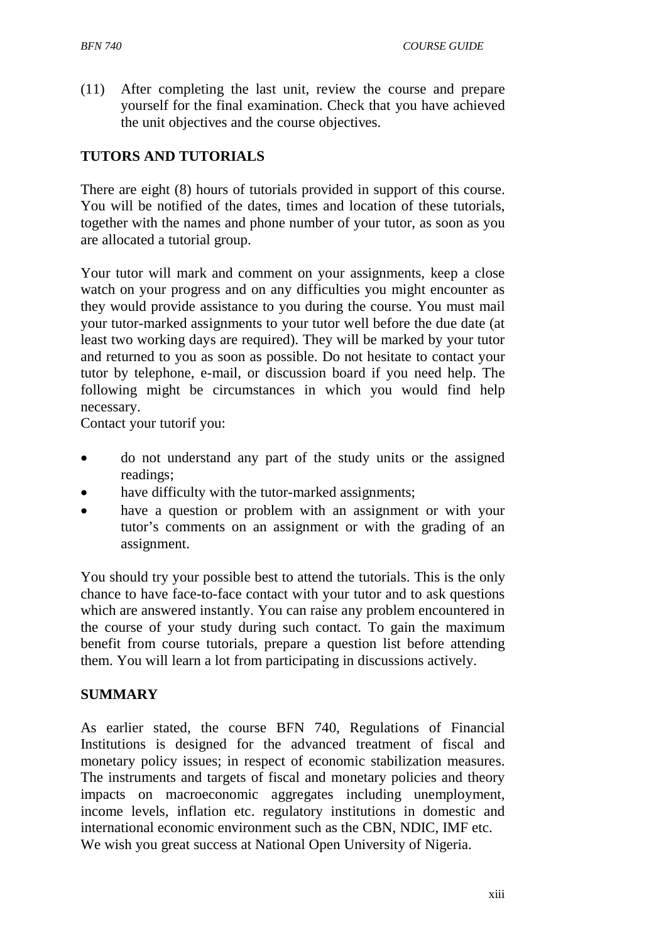(11) After completing the last unit, review the course and prepare yourself for the final examination. Check that you have achieved the unit objectives and the course objectives.

#### **TUTORS AND TUTORIALS**

There are eight (8) hours of tutorials provided in support of this course. You will be notified of the dates, times and location of these tutorials, together with the names and phone number of your tutor, as soon as you are allocated a tutorial group.

Your tutor will mark and comment on your assignments, keep a close watch on your progress and on any difficulties you might encounter as they would provide assistance to you during the course. You must mail your tutor-marked assignments to your tutor well before the due date (at least two working days are required). They will be marked by your tutor and returned to you as soon as possible. Do not hesitate to contact your tutor by telephone, e-mail, or discussion board if you need help. The following might be circumstances in which you would find help necessary.

Contact your tutorif you:

- do not understand any part of the study units or the assigned readings;
- have difficulty with the tutor-marked assignments;
- have a question or problem with an assignment or with your tutor's comments on an assignment or with the grading of an assignment.

You should try your possible best to attend the tutorials. This is the only chance to have face-to-face contact with your tutor and to ask questions which are answered instantly. You can raise any problem encountered in the course of your study during such contact. To gain the maximum benefit from course tutorials, prepare a question list before attending them. You will learn a lot from participating in discussions actively.

#### **SUMMARY**

As earlier stated, the course BFN 740, Regulations of Financial Institutions is designed for the advanced treatment of fiscal and monetary policy issues; in respect of economic stabilization measures. The instruments and targets of fiscal and monetary policies and theory impacts on macroeconomic aggregates including unemployment, income levels, inflation etc. regulatory institutions in domestic and international economic environment such as the CBN, NDIC, IMF etc. We wish you great success at National Open University of Nigeria.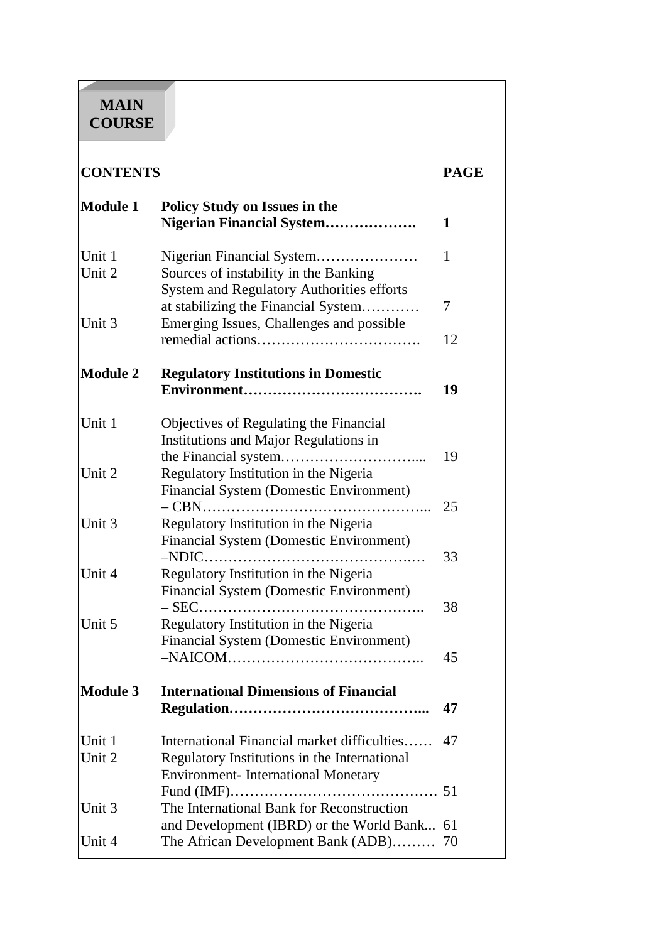# **MAIN COURSE**

# **CONTENTS PAGE**

| <b>Module 1</b>  | <b>Policy Study on Issues in the</b><br>Nigerian Financial System                                                                        | 1  |
|------------------|------------------------------------------------------------------------------------------------------------------------------------------|----|
| Unit 1<br>Unit 2 | Nigerian Financial System<br>Sources of instability in the Banking<br>System and Regulatory Authorities efforts                          | 1  |
| Unit 3           | at stabilizing the Financial System<br>Emerging Issues, Challenges and possible                                                          | 7  |
|                  |                                                                                                                                          | 12 |
| Module 2         | <b>Regulatory Institutions in Domestic</b>                                                                                               | 19 |
| Unit 1           | Objectives of Regulating the Financial<br>Institutions and Major Regulations in                                                          |    |
| Unit 2           | Regulatory Institution in the Nigeria<br>Financial System (Domestic Environment)                                                         | 19 |
| Unit 3           | Regulatory Institution in the Nigeria<br>Financial System (Domestic Environment)                                                         | 25 |
| Unit 4           | Regulatory Institution in the Nigeria<br>Financial System (Domestic Environment)                                                         | 33 |
| Unit 5           | Regulatory Institution in the Nigeria<br>Financial System (Domestic Environment)                                                         | 38 |
|                  |                                                                                                                                          | 45 |
| <b>Module 3</b>  | <b>International Dimensions of Financial</b>                                                                                             | 47 |
| Unit 1<br>Unit 2 | International Financial market difficulties<br>Regulatory Institutions in the International<br><b>Environment-International Monetary</b> | 47 |
| Unit 3           | The International Bank for Reconstruction                                                                                                |    |
| Unit 4           | and Development (IBRD) or the World Bank 61<br>The African Development Bank (ADB) 70                                                     |    |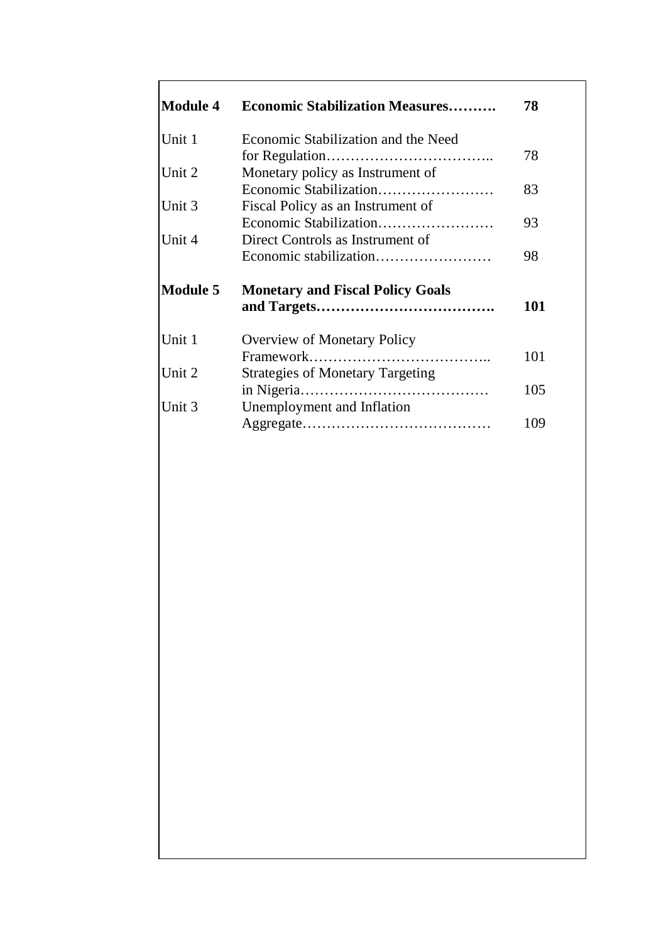| <b>Module 4</b> | <b>Economic Stabilization Measures</b>  | 78  |
|-----------------|-----------------------------------------|-----|
| Unit 1          | Economic Stabilization and the Need     |     |
|                 |                                         | 78  |
| Unit 2          | Monetary policy as Instrument of        |     |
|                 | Economic Stabilization                  | 83  |
| Unit 3          | Fiscal Policy as an Instrument of       |     |
|                 |                                         | 93  |
| Unit 4          | Direct Controls as Instrument of        |     |
|                 |                                         | 98  |
| <b>Module 5</b> | <b>Monetary and Fiscal Policy Goals</b> |     |
|                 |                                         | 101 |
| Unit 1          | <b>Overview of Monetary Policy</b>      |     |
|                 |                                         | 101 |
| Unit 2          | <b>Strategies of Monetary Targeting</b> |     |
|                 |                                         | 105 |
| Unit 3          | Unemployment and Inflation              |     |
|                 |                                         | 109 |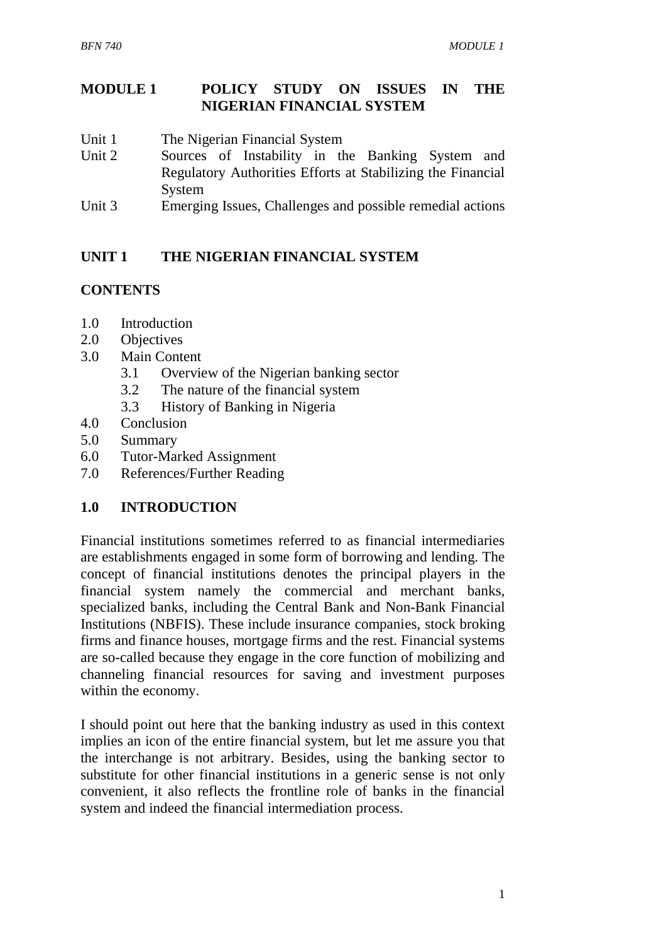#### **MODULE 1 POLICY STUDY ON ISSUES IN THE NIGERIAN FINANCIAL SYSTEM**

- Unit 1 The Nigerian Financial System
- Unit 2 Sources of Instability in the Banking System and Regulatory Authorities Efforts at Stabilizing the Financial System
- Unit 3 Emerging Issues, Challenges and possible remedial actions

## **UNIT 1 THE NIGERIAN FINANCIAL SYSTEM**

#### **CONTENTS**

- 1.0 Introduction
- 2.0 Objectives
- 3.0 Main Content
	- 3.1 Overview of the Nigerian banking sector
	- 3.2 The nature of the financial system
	- 3.3 History of Banking in Nigeria
- 4.0 Conclusion
- 5.0 Summary
- 6.0 Tutor-Marked Assignment
- 7.0 References/Further Reading

#### **1.0 INTRODUCTION**

Financial institutions sometimes referred to as financial intermediaries are establishments engaged in some form of borrowing and lending. The concept of financial institutions denotes the principal players in the financial system namely the commercial and merchant banks, specialized banks, including the Central Bank and Non-Bank Financial Institutions (NBFIS). These include insurance companies, stock broking firms and finance houses, mortgage firms and the rest. Financial systems are so-called because they engage in the core function of mobilizing and channeling financial resources for saving and investment purposes within the economy.

I should point out here that the banking industry as used in this context implies an icon of the entire financial system, but let me assure you that the interchange is not arbitrary. Besides, using the banking sector to substitute for other financial institutions in a generic sense is not only convenient, it also reflects the frontline role of banks in the financial system and indeed the financial intermediation process.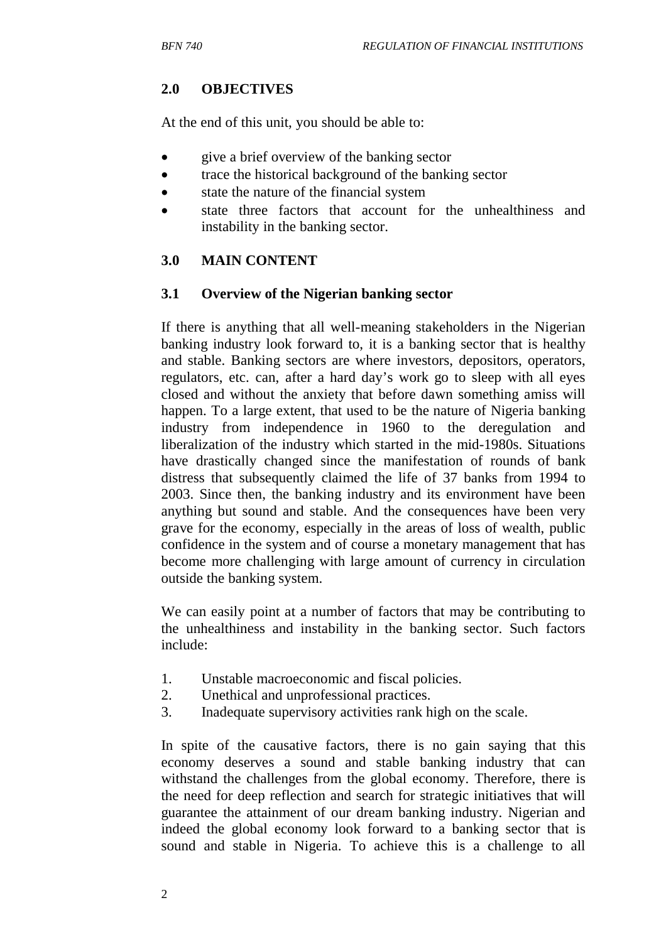# **2.0 OBJECTIVES**

At the end of this unit, you should be able to:

- give a brief overview of the banking sector
- trace the historical background of the banking sector
- state the nature of the financial system
- state three factors that account for the unhealthiness and instability in the banking sector.

## **3.0 MAIN CONTENT**

## **3.1 Overview of the Nigerian banking sector**

If there is anything that all well-meaning stakeholders in the Nigerian banking industry look forward to, it is a banking sector that is healthy and stable. Banking sectors are where investors, depositors, operators, regulators, etc. can, after a hard day's work go to sleep with all eyes closed and without the anxiety that before dawn something amiss will happen. To a large extent, that used to be the nature of Nigeria banking industry from independence in 1960 to the deregulation and liberalization of the industry which started in the mid-1980s. Situations have drastically changed since the manifestation of rounds of bank distress that subsequently claimed the life of 37 banks from 1994 to 2003. Since then, the banking industry and its environment have been anything but sound and stable. And the consequences have been very grave for the economy, especially in the areas of loss of wealth, public confidence in the system and of course a monetary management that has become more challenging with large amount of currency in circulation outside the banking system.

We can easily point at a number of factors that may be contributing to the unhealthiness and instability in the banking sector. Such factors include:

- 1. Unstable macroeconomic and fiscal policies.
- 2. Unethical and unprofessional practices.
- 3. Inadequate supervisory activities rank high on the scale.

In spite of the causative factors, there is no gain saying that this economy deserves a sound and stable banking industry that can withstand the challenges from the global economy. Therefore, there is the need for deep reflection and search for strategic initiatives that will guarantee the attainment of our dream banking industry. Nigerian and indeed the global economy look forward to a banking sector that is sound and stable in Nigeria. To achieve this is a challenge to all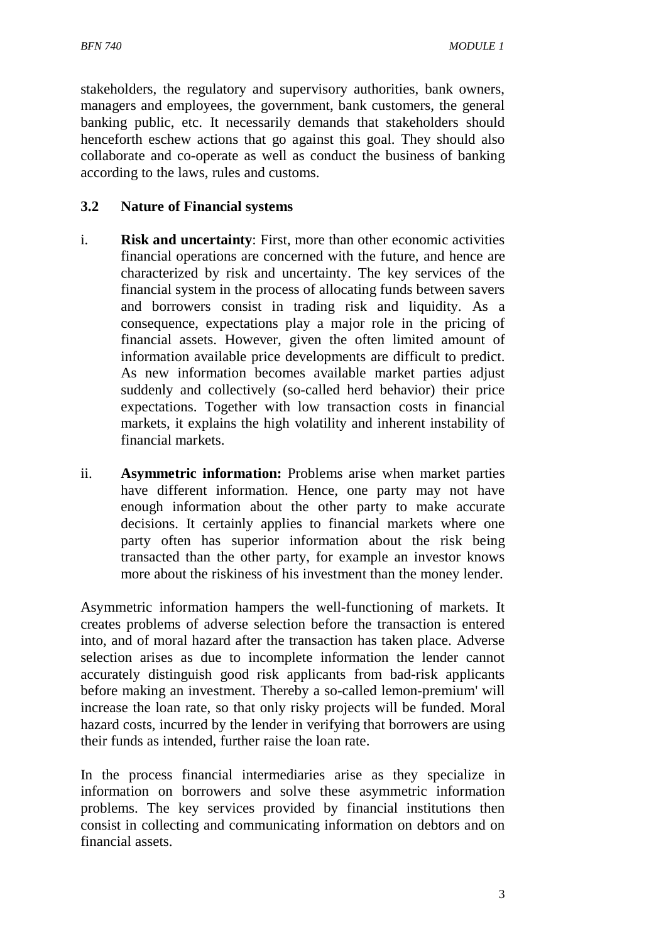stakeholders, the regulatory and supervisory authorities, bank owners, managers and employees, the government, bank customers, the general banking public, etc. It necessarily demands that stakeholders should henceforth eschew actions that go against this goal. They should also collaborate and co-operate as well as conduct the business of banking according to the laws, rules and customs.

## **3.2 Nature of Financial systems**

- i. **Risk and uncertainty**: First, more than other economic activities financial operations are concerned with the future, and hence are characterized by risk and uncertainty. The key services of the financial system in the process of allocating funds between savers and borrowers consist in trading risk and liquidity. As a consequence, expectations play a major role in the pricing of financial assets. However, given the often limited amount of information available price developments are difficult to predict. As new information becomes available market parties adjust suddenly and collectively (so-called herd behavior) their price expectations. Together with low transaction costs in financial markets, it explains the high volatility and inherent instability of financial markets.
- ii. **Asymmetric information:** Problems arise when market parties have different information. Hence, one party may not have enough information about the other party to make accurate decisions. It certainly applies to financial markets where one party often has superior information about the risk being transacted than the other party, for example an investor knows more about the riskiness of his investment than the money lender.

Asymmetric information hampers the well-functioning of markets. It creates problems of adverse selection before the transaction is entered into, and of moral hazard after the transaction has taken place. Adverse selection arises as due to incomplete information the lender cannot accurately distinguish good risk applicants from bad-risk applicants before making an investment. Thereby a so-called lemon-premium' will increase the loan rate, so that only risky projects will be funded. Moral hazard costs, incurred by the lender in verifying that borrowers are using their funds as intended, further raise the loan rate.

In the process financial intermediaries arise as they specialize in information on borrowers and solve these asymmetric information problems. The key services provided by financial institutions then consist in collecting and communicating information on debtors and on financial assets.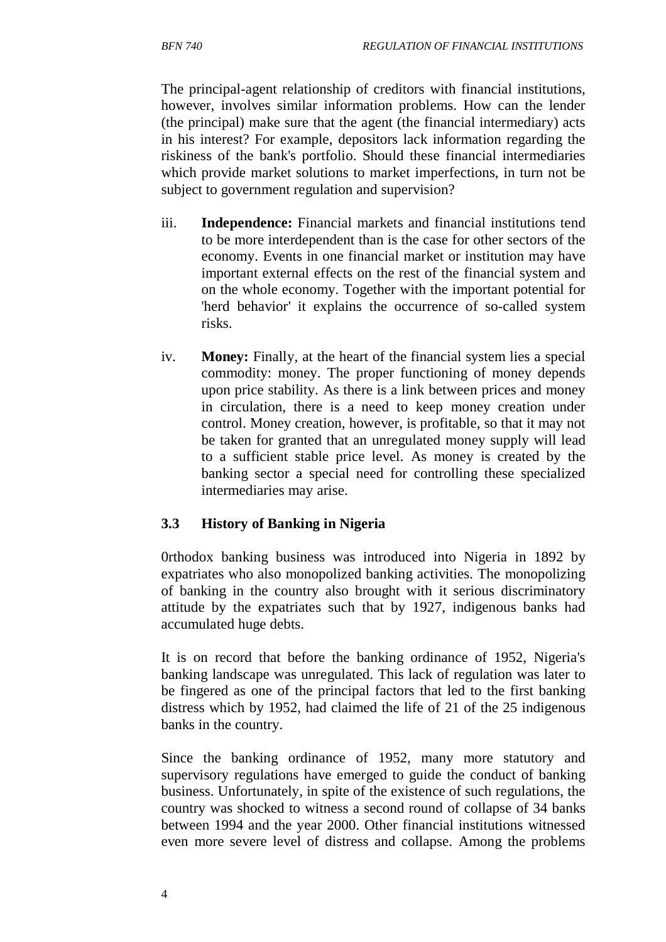The principal-agent relationship of creditors with financial institutions, however, involves similar information problems. How can the lender (the principal) make sure that the agent (the financial intermediary) acts in his interest? For example, depositors lack information regarding the riskiness of the bank's portfolio. Should these financial intermediaries which provide market solutions to market imperfections, in turn not be subject to government regulation and supervision?

- iii. **Independence:** Financial markets and financial institutions tend to be more interdependent than is the case for other sectors of the economy. Events in one financial market or institution may have important external effects on the rest of the financial system and on the whole economy. Together with the important potential for 'herd behavior' it explains the occurrence of so-called system risks.
- iv. **Money:** Finally, at the heart of the financial system lies a special commodity: money. The proper functioning of money depends upon price stability. As there is a link between prices and money in circulation, there is a need to keep money creation under control. Money creation, however, is profitable, so that it may not be taken for granted that an unregulated money supply will lead to a sufficient stable price level. As money is created by the banking sector a special need for controlling these specialized intermediaries may arise.

# **3.3 History of Banking in Nigeria**

0rthodox banking business was introduced into Nigeria in 1892 by expatriates who also monopolized banking activities. The monopolizing of banking in the country also brought with it serious discriminatory attitude by the expatriates such that by 1927, indigenous banks had accumulated huge debts.

It is on record that before the banking ordinance of 1952, Nigeria's banking landscape was unregulated. This lack of regulation was later to be fingered as one of the principal factors that led to the first banking distress which by 1952, had claimed the life of 21 of the 25 indigenous banks in the country.

Since the banking ordinance of 1952, many more statutory and supervisory regulations have emerged to guide the conduct of banking business. Unfortunately, in spite of the existence of such regulations, the country was shocked to witness a second round of collapse of 34 banks between 1994 and the year 2000. Other financial institutions witnessed even more severe level of distress and collapse. Among the problems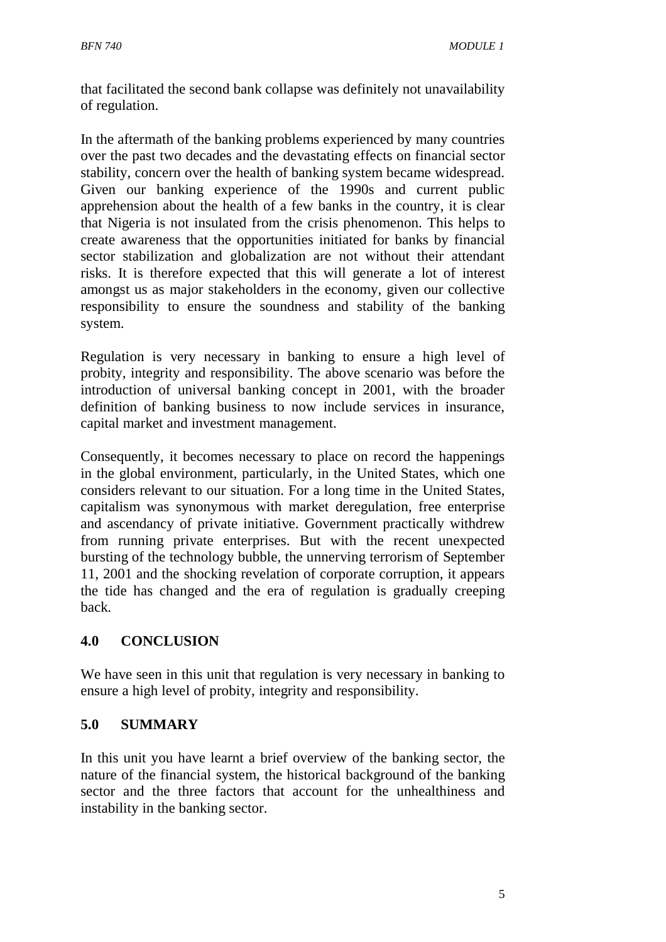that facilitated the second bank collapse was definitely not unavailability of regulation.

In the aftermath of the banking problems experienced by many countries over the past two decades and the devastating effects on financial sector stability, concern over the health of banking system became widespread. Given our banking experience of the 1990s and current public apprehension about the health of a few banks in the country, it is clear that Nigeria is not insulated from the crisis phenomenon. This helps to create awareness that the opportunities initiated for banks by financial sector stabilization and globalization are not without their attendant risks. It is therefore expected that this will generate a lot of interest amongst us as major stakeholders in the economy, given our collective responsibility to ensure the soundness and stability of the banking system.

Regulation is very necessary in banking to ensure a high level of probity, integrity and responsibility. The above scenario was before the introduction of universal banking concept in 2001, with the broader definition of banking business to now include services in insurance, capital market and investment management.

Consequently, it becomes necessary to place on record the happenings in the global environment, particularly, in the United States, which one considers relevant to our situation. For a long time in the United States, capitalism was synonymous with market deregulation, free enterprise and ascendancy of private initiative. Government practically withdrew from running private enterprises. But with the recent unexpected bursting of the technology bubble, the unnerving terrorism of September 11, 2001 and the shocking revelation of corporate corruption, it appears the tide has changed and the era of regulation is gradually creeping back.

#### **4.0 CONCLUSION**

We have seen in this unit that regulation is very necessary in banking to ensure a high level of probity, integrity and responsibility.

#### **5.0 SUMMARY**

In this unit you have learnt a brief overview of the banking sector, the nature of the financial system, the historical background of the banking sector and the three factors that account for the unhealthiness and instability in the banking sector.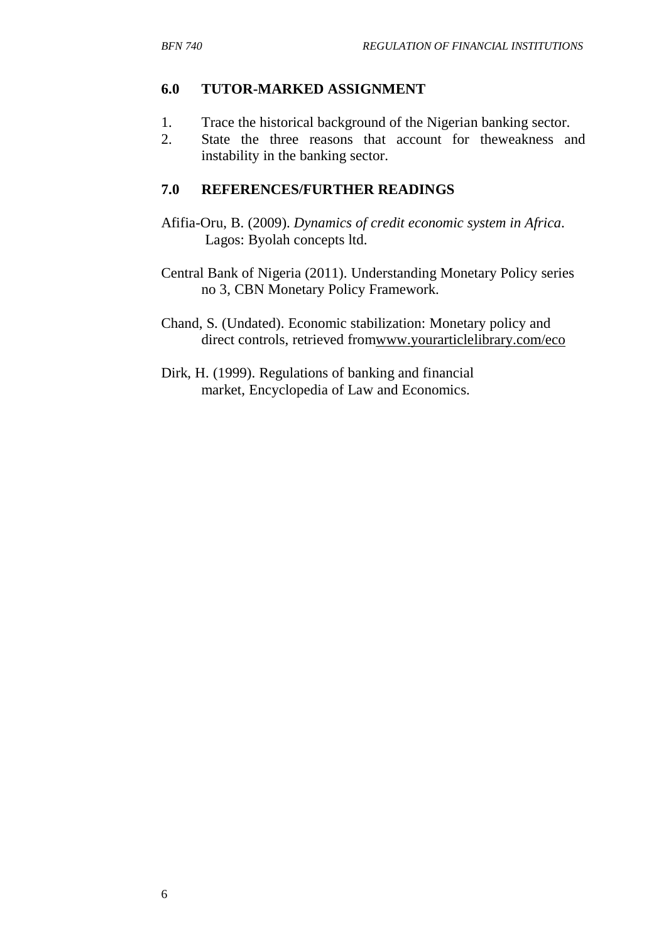## **6.0 TUTOR-MARKED ASSIGNMENT**

- 1. Trace the historical background of the Nigerian banking sector.
- 2. State the three reasons that account for theweakness and instability in the banking sector.

## **7.0 REFERENCES/FURTHER READINGS**

- Afifia-Oru, B. (2009). *Dynamics of credit economic system in Africa*. Lagos: Byolah concepts ltd.
- Central Bank of Nigeria (2011). Understanding Monetary Policy series no 3, CBN Monetary Policy Framework.

Chand, S. (Undated). Economic stabilization: Monetary policy and direct controls, retrieved fromwww.yourarticlelibrary.com/eco

Dirk, H. (1999). Regulations of banking and financial market, Encyclopedia of Law and Economics.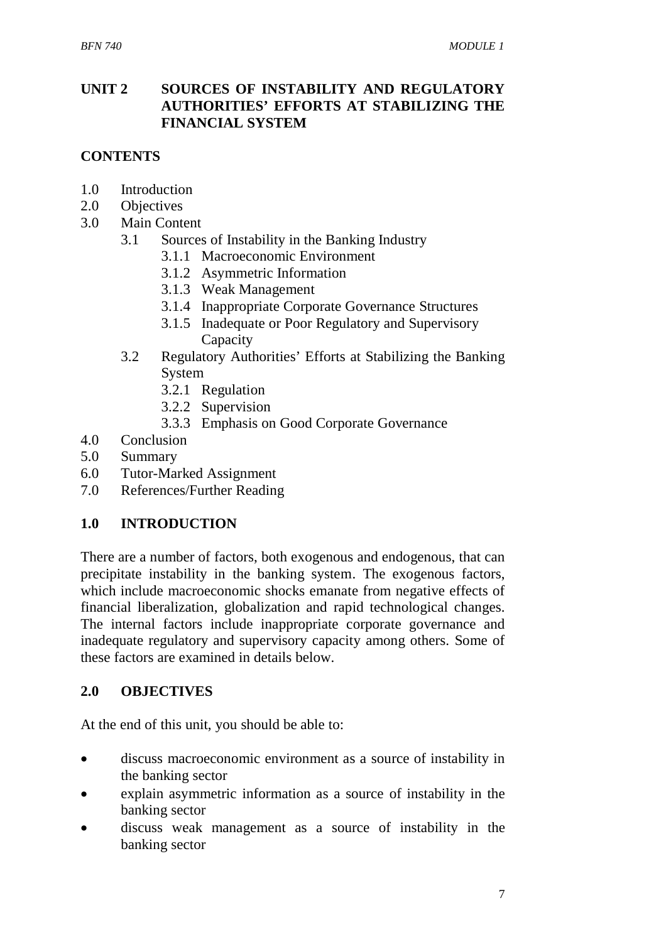#### **UNIT 2 SOURCES OF INSTABILITY AND REGULATORY AUTHORITIES' EFFORTS AT STABILIZING THE FINANCIAL SYSTEM**

## **CONTENTS**

- 1.0 Introduction
- 2.0 Objectives
- 3.0 Main Content
	- 3.1 Sources of Instability in the Banking Industry
		- 3.1.1 Macroeconomic Environment
		- 3.1.2 Asymmetric Information
		- 3.1.3 Weak Management
		- 3.1.4 Inappropriate Corporate Governance Structures
		- 3.1.5 Inadequate or Poor Regulatory and Supervisory Capacity
	- 3.2 Regulatory Authorities' Efforts at Stabilizing the Banking System
		- 3.2.1 Regulation
		- 3.2.2 Supervision
		- 3.3.3 Emphasis on Good Corporate Governance
- 4.0 Conclusion
- 5.0 Summary
- 6.0 Tutor-Marked Assignment
- 7.0 References/Further Reading

## **1.0 INTRODUCTION**

There are a number of factors, both exogenous and endogenous, that can precipitate instability in the banking system. The exogenous factors, which include macroeconomic shocks emanate from negative effects of financial liberalization, globalization and rapid technological changes. The internal factors include inappropriate corporate governance and inadequate regulatory and supervisory capacity among others. Some of these factors are examined in details below.

## **2.0 OBJECTIVES**

At the end of this unit, you should be able to:

- discuss macroeconomic environment as a source of instability in the banking sector
- explain asymmetric information as a source of instability in the banking sector
- discuss weak management as a source of instability in the banking sector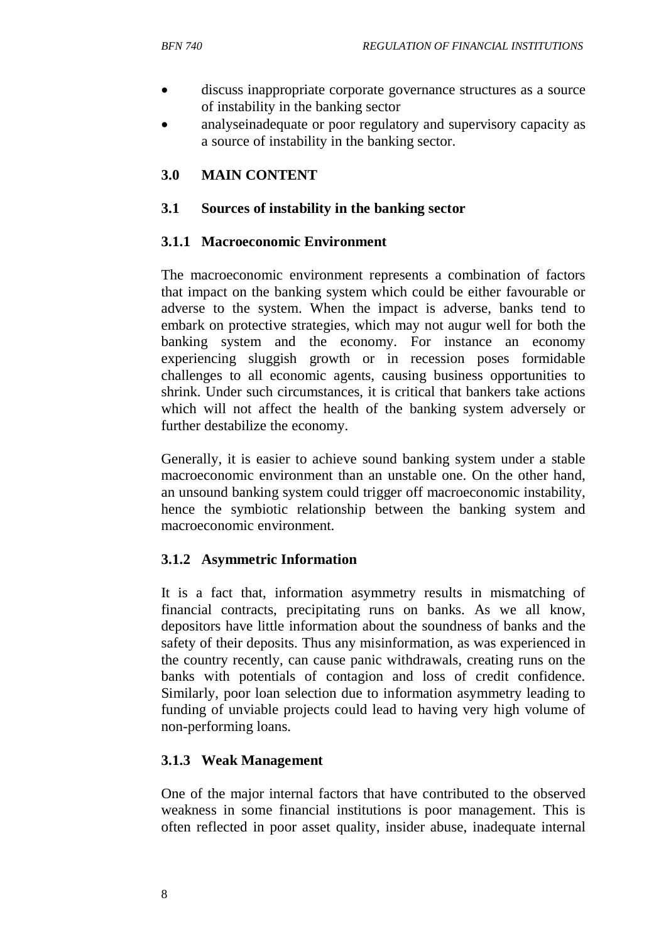- discuss inappropriate corporate governance structures as a source of instability in the banking sector
- analyseinadequate or poor regulatory and supervisory capacity as a source of instability in the banking sector.

## **3.0 MAIN CONTENT**

#### **3.1 Sources of instability in the banking sector**

#### **3.1.1 Macroeconomic Environment**

The macroeconomic environment represents a combination of factors that impact on the banking system which could be either favourable or adverse to the system. When the impact is adverse, banks tend to embark on protective strategies, which may not augur well for both the banking system and the economy. For instance an economy experiencing sluggish growth or in recession poses formidable challenges to all economic agents, causing business opportunities to shrink. Under such circumstances, it is critical that bankers take actions which will not affect the health of the banking system adversely or further destabilize the economy.

Generally, it is easier to achieve sound banking system under a stable macroeconomic environment than an unstable one. On the other hand, an unsound banking system could trigger off macroeconomic instability, hence the symbiotic relationship between the banking system and macroeconomic environment.

## **3.1.2 Asymmetric Information**

It is a fact that, information asymmetry results in mismatching of financial contracts, precipitating runs on banks. As we all know, depositors have little information about the soundness of banks and the safety of their deposits. Thus any misinformation, as was experienced in the country recently, can cause panic withdrawals, creating runs on the banks with potentials of contagion and loss of credit confidence. Similarly, poor loan selection due to information asymmetry leading to funding of unviable projects could lead to having very high volume of non-performing loans.

#### **3.1.3 Weak Management**

One of the major internal factors that have contributed to the observed weakness in some financial institutions is poor management. This is often reflected in poor asset quality, insider abuse, inadequate internal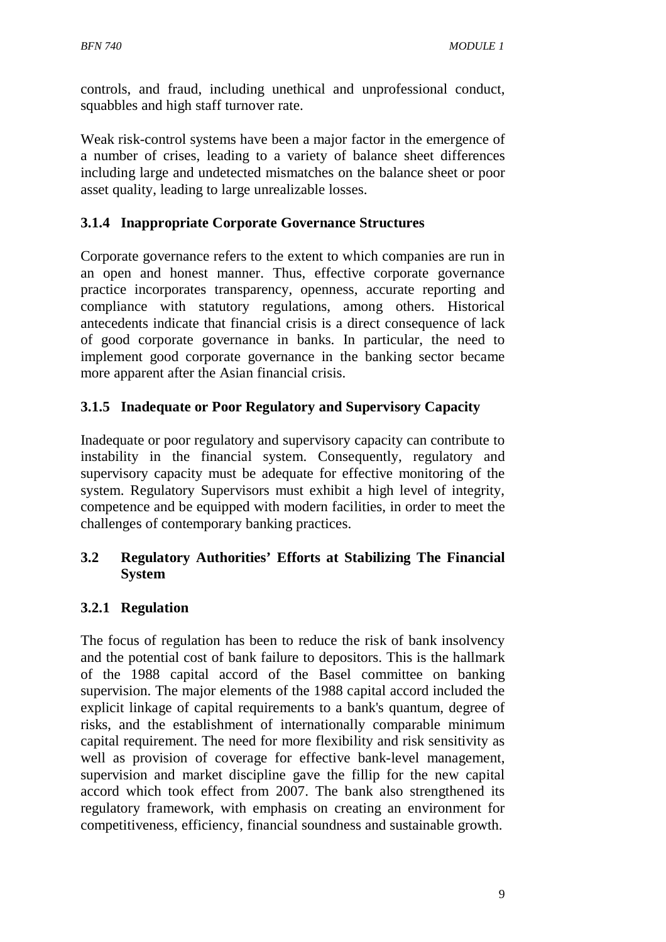controls, and fraud, including unethical and unprofessional conduct, squabbles and high staff turnover rate.

Weak risk-control systems have been a major factor in the emergence of a number of crises, leading to a variety of balance sheet differences including large and undetected mismatches on the balance sheet or poor asset quality, leading to large unrealizable losses.

#### **3.1.4 Inappropriate Corporate Governance Structures**

Corporate governance refers to the extent to which companies are run in an open and honest manner. Thus, effective corporate governance practice incorporates transparency, openness, accurate reporting and compliance with statutory regulations, among others. Historical antecedents indicate that financial crisis is a direct consequence of lack of good corporate governance in banks. In particular, the need to implement good corporate governance in the banking sector became more apparent after the Asian financial crisis.

## **3.1.5 Inadequate or Poor Regulatory and Supervisory Capacity**

Inadequate or poor regulatory and supervisory capacity can contribute to instability in the financial system. Consequently, regulatory and supervisory capacity must be adequate for effective monitoring of the system. Regulatory Supervisors must exhibit a high level of integrity, competence and be equipped with modern facilities, in order to meet the challenges of contemporary banking practices.

#### **3.2 Regulatory Authorities' Efforts at Stabilizing The Financial System**

#### **3.2.1 Regulation**

The focus of regulation has been to reduce the risk of bank insolvency and the potential cost of bank failure to depositors. This is the hallmark of the 1988 capital accord of the Basel committee on banking supervision. The major elements of the 1988 capital accord included the explicit linkage of capital requirements to a bank's quantum, degree of risks, and the establishment of internationally comparable minimum capital requirement. The need for more flexibility and risk sensitivity as well as provision of coverage for effective bank-level management, supervision and market discipline gave the fillip for the new capital accord which took effect from 2007. The bank also strengthened its regulatory framework, with emphasis on creating an environment for competitiveness, efficiency, financial soundness and sustainable growth.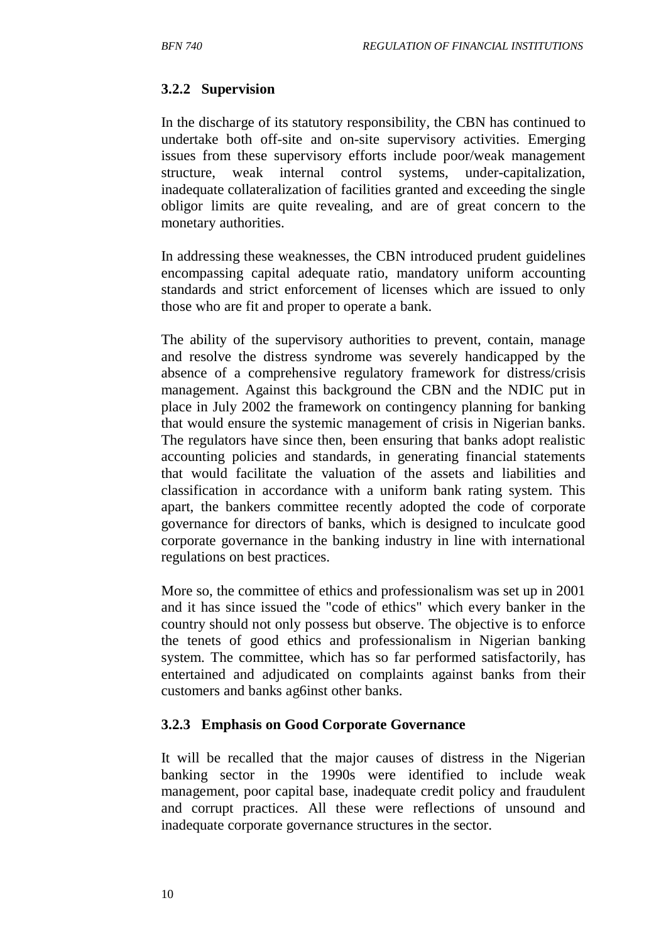## **3.2.2 Supervision**

In the discharge of its statutory responsibility, the CBN has continued to undertake both off-site and on-site supervisory activities. Emerging issues from these supervisory efforts include poor/weak management structure, weak internal control systems, under-capitalization, inadequate collateralization of facilities granted and exceeding the single obligor limits are quite revealing, and are of great concern to the monetary authorities.

In addressing these weaknesses, the CBN introduced prudent guidelines encompassing capital adequate ratio, mandatory uniform accounting standards and strict enforcement of licenses which are issued to only those who are fit and proper to operate a bank.

The ability of the supervisory authorities to prevent, contain, manage and resolve the distress syndrome was severely handicapped by the absence of a comprehensive regulatory framework for distress/crisis management. Against this background the CBN and the NDIC put in place in July 2002 the framework on contingency planning for banking that would ensure the systemic management of crisis in Nigerian banks. The regulators have since then, been ensuring that banks adopt realistic accounting policies and standards, in generating financial statements that would facilitate the valuation of the assets and liabilities and classification in accordance with a uniform bank rating system. This apart, the bankers committee recently adopted the code of corporate governance for directors of banks, which is designed to inculcate good corporate governance in the banking industry in line with international regulations on best practices.

More so, the committee of ethics and professionalism was set up in 2001 and it has since issued the "code of ethics" which every banker in the country should not only possess but observe. The objective is to enforce the tenets of good ethics and professionalism in Nigerian banking system. The committee, which has so far performed satisfactorily, has entertained and adjudicated on complaints against banks from their customers and banks ag6inst other banks.

#### **3.2.3 Emphasis on Good Corporate Governance**

It will be recalled that the major causes of distress in the Nigerian banking sector in the 1990s were identified to include weak management, poor capital base, inadequate credit policy and fraudulent and corrupt practices. All these were reflections of unsound and inadequate corporate governance structures in the sector.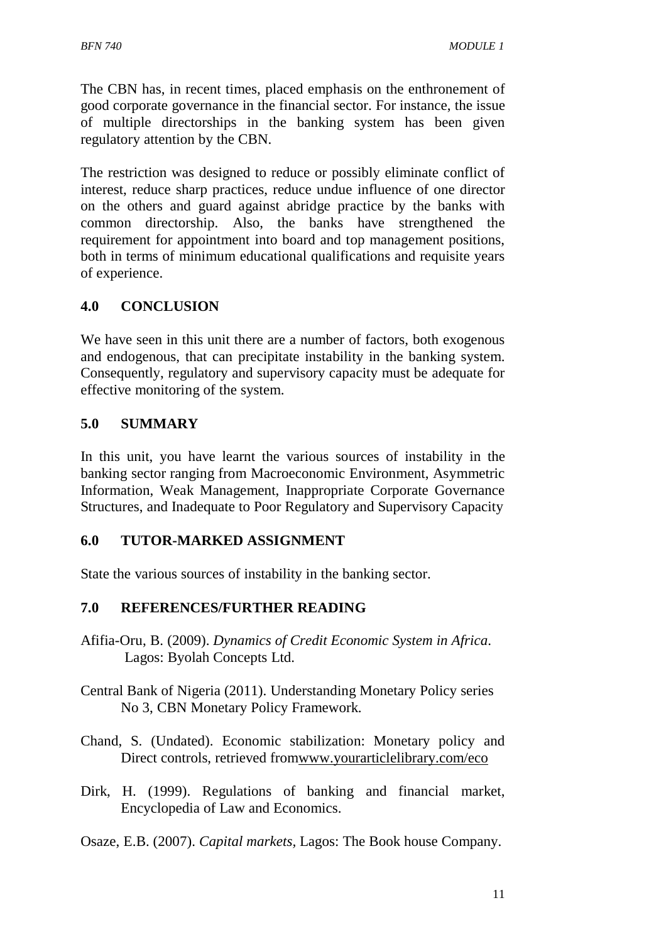The CBN has, in recent times, placed emphasis on the enthronement of good corporate governance in the financial sector. For instance, the issue of multiple directorships in the banking system has been given regulatory attention by the CBN.

The restriction was designed to reduce or possibly eliminate conflict of interest, reduce sharp practices, reduce undue influence of one director on the others and guard against abridge practice by the banks with common directorship. Also, the banks have strengthened the requirement for appointment into board and top management positions, both in terms of minimum educational qualifications and requisite years of experience.

## **4.0 CONCLUSION**

We have seen in this unit there are a number of factors, both exogenous and endogenous, that can precipitate instability in the banking system. Consequently, regulatory and supervisory capacity must be adequate for effective monitoring of the system.

## **5.0 SUMMARY**

In this unit, you have learnt the various sources of instability in the banking sector ranging from Macroeconomic Environment, Asymmetric Information, Weak Management, Inappropriate Corporate Governance Structures, and Inadequate to Poor Regulatory and Supervisory Capacity

#### **6.0 TUTOR-MARKED ASSIGNMENT**

State the various sources of instability in the banking sector.

#### **7.0 REFERENCES/FURTHER READING**

- Afifia-Oru, B. (2009). *Dynamics of Credit Economic System in Africa*. Lagos: Byolah Concepts Ltd.
- Central Bank of Nigeria (2011). Understanding Monetary Policy series No 3, CBN Monetary Policy Framework.
- Chand, S. (Undated). Economic stabilization: Monetary policy and Direct controls, retrieved fromwww.yourarticlelibrary.com/eco
- Dirk, H. (1999). Regulations of banking and financial market, Encyclopedia of Law and Economics.

Osaze, E.B. (2007). *Capital markets,* Lagos: The Book house Company.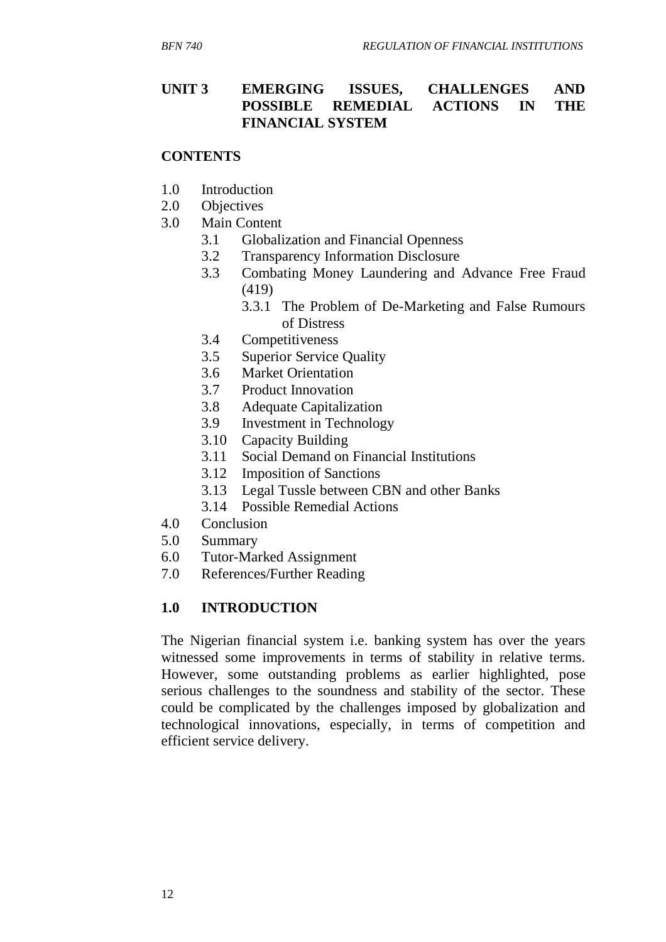#### **UNIT 3 EMERGING ISSUES, CHALLENGES AND POSSIBLE REMEDIAL ACTIONS IN THE FINANCIAL SYSTEM**

#### **CONTENTS**

- 1.0 Introduction
- 2.0 Objectives
- 3.0 Main Content
	- 3.1 Globalization and Financial Openness
	- 3.2 Transparency Information Disclosure
	- 3.3 Combating Money Laundering and Advance Free Fraud (419)
		- 3.3.1 The Problem of De-Marketing and False Rumours of Distress
	- 3.4 Competitiveness
	- 3.5 Superior Service Quality
	- 3.6 Market Orientation
	- 3.7 Product Innovation
	- 3.8 Adequate Capitalization
	- 3.9 Investment in Technology
	- 3.10 Capacity Building
	- 3.11 Social Demand on Financial Institutions
	- 3.12 Imposition of Sanctions
	- 3.13 Legal Tussle between CBN and other Banks
	- 3.14 Possible Remedial Actions
- 4.0 Conclusion
- 5.0 Summary
- 6.0 Tutor-Marked Assignment
- 7.0 References/Further Reading

#### **1.0 INTRODUCTION**

The Nigerian financial system i.e. banking system has over the years witnessed some improvements in terms of stability in relative terms. However, some outstanding problems as earlier highlighted, pose serious challenges to the soundness and stability of the sector. These could be complicated by the challenges imposed by globalization and technological innovations, especially, in terms of competition and efficient service delivery.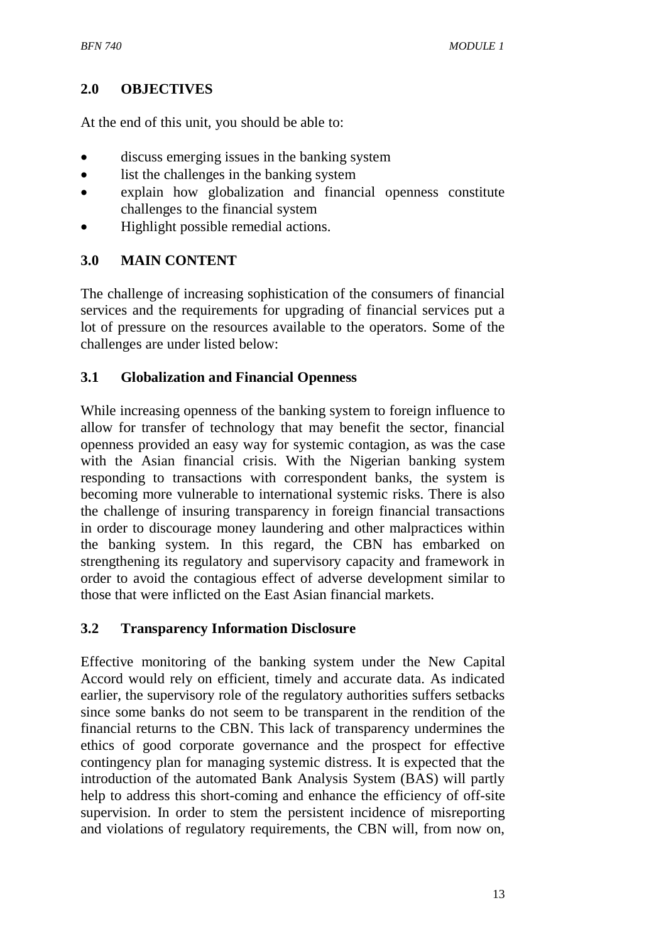## **2.0 OBJECTIVES**

At the end of this unit, you should be able to:

- discuss emerging issues in the banking system
- list the challenges in the banking system
- explain how globalization and financial openness constitute challenges to the financial system
- Highlight possible remedial actions.

## **3.0 MAIN CONTENT**

The challenge of increasing sophistication of the consumers of financial services and the requirements for upgrading of financial services put a lot of pressure on the resources available to the operators. Some of the challenges are under listed below:

## **3.1 Globalization and Financial Openness**

While increasing openness of the banking system to foreign influence to allow for transfer of technology that may benefit the sector, financial openness provided an easy way for systemic contagion, as was the case with the Asian financial crisis. With the Nigerian banking system responding to transactions with correspondent banks, the system is becoming more vulnerable to international systemic risks. There is also the challenge of insuring transparency in foreign financial transactions in order to discourage money laundering and other malpractices within the banking system. In this regard, the CBN has embarked on strengthening its regulatory and supervisory capacity and framework in order to avoid the contagious effect of adverse development similar to those that were inflicted on the East Asian financial markets.

#### **3.2 Transparency Information Disclosure**

Effective monitoring of the banking system under the New Capital Accord would rely on efficient, timely and accurate data. As indicated earlier, the supervisory role of the regulatory authorities suffers setbacks since some banks do not seem to be transparent in the rendition of the financial returns to the CBN. This lack of transparency undermines the ethics of good corporate governance and the prospect for effective contingency plan for managing systemic distress. It is expected that the introduction of the automated Bank Analysis System (BAS) will partly help to address this short-coming and enhance the efficiency of off-site supervision. In order to stem the persistent incidence of misreporting and violations of regulatory requirements, the CBN will, from now on,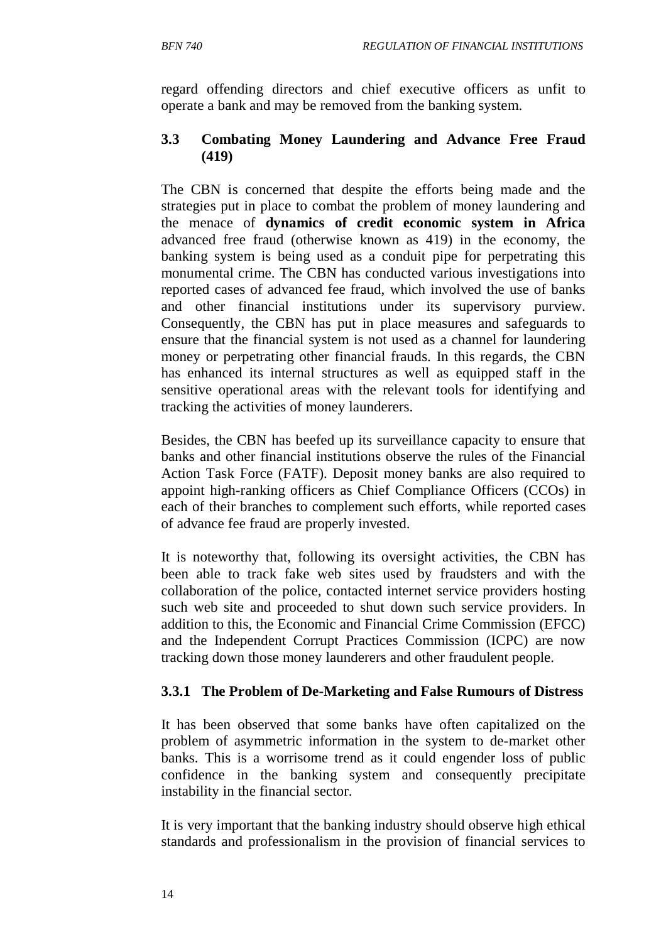regard offending directors and chief executive officers as unfit to operate a bank and may be removed from the banking system.

## **3.3 Combating Money Laundering and Advance Free Fraud (419)**

The CBN is concerned that despite the efforts being made and the strategies put in place to combat the problem of money laundering and the menace of **dynamics of credit economic system in Africa**  advanced free fraud (otherwise known as 419) in the economy, the banking system is being used as a conduit pipe for perpetrating this monumental crime. The CBN has conducted various investigations into reported cases of advanced fee fraud, which involved the use of banks and other financial institutions under its supervisory purview. Consequently, the CBN has put in place measures and safeguards to ensure that the financial system is not used as a channel for laundering money or perpetrating other financial frauds. In this regards, the CBN has enhanced its internal structures as well as equipped staff in the sensitive operational areas with the relevant tools for identifying and tracking the activities of money launderers.

Besides, the CBN has beefed up its surveillance capacity to ensure that banks and other financial institutions observe the rules of the Financial Action Task Force (FATF). Deposit money banks are also required to appoint high-ranking officers as Chief Compliance Officers (CCOs) in each of their branches to complement such efforts, while reported cases of advance fee fraud are properly invested.

It is noteworthy that, following its oversight activities, the CBN has been able to track fake web sites used by fraudsters and with the collaboration of the police, contacted internet service providers hosting such web site and proceeded to shut down such service providers. In addition to this, the Economic and Financial Crime Commission (EFCC) and the Independent Corrupt Practices Commission (ICPC) are now tracking down those money launderers and other fraudulent people.

## **3.3.1 The Problem of De-Marketing and False Rumours of Distress**

It has been observed that some banks have often capitalized on the problem of asymmetric information in the system to de-market other banks. This is a worrisome trend as it could engender loss of public confidence in the banking system and consequently precipitate instability in the financial sector.

It is very important that the banking industry should observe high ethical standards and professionalism in the provision of financial services to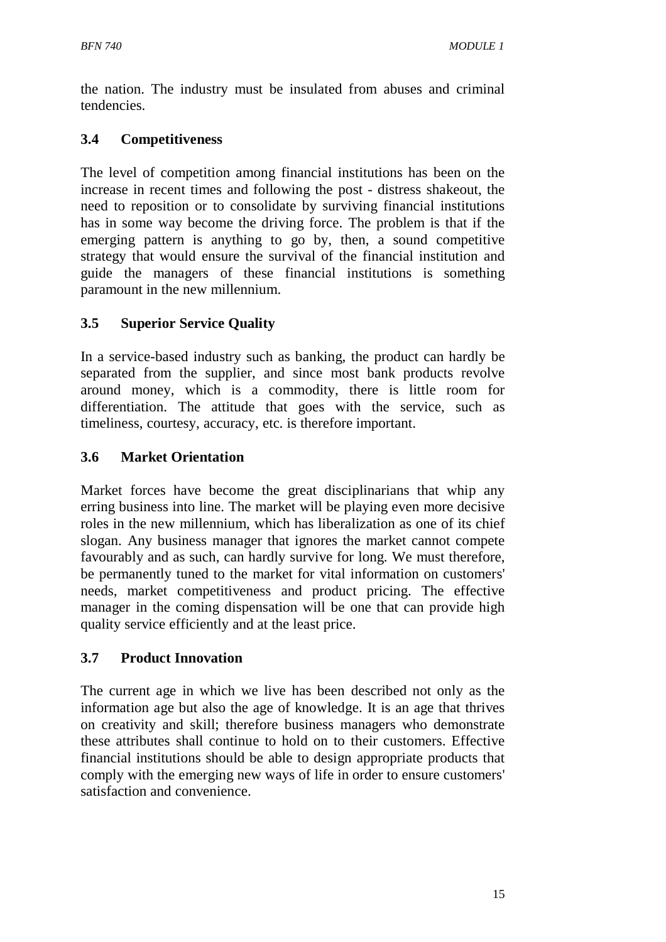the nation. The industry must be insulated from abuses and criminal tendencies.

## **3.4 Competitiveness**

The level of competition among financial institutions has been on the increase in recent times and following the post - distress shakeout, the need to reposition or to consolidate by surviving financial institutions has in some way become the driving force. The problem is that if the emerging pattern is anything to go by, then, a sound competitive strategy that would ensure the survival of the financial institution and guide the managers of these financial institutions is something paramount in the new millennium.

# **3.5 Superior Service Quality**

In a service-based industry such as banking, the product can hardly be separated from the supplier, and since most bank products revolve around money, which is a commodity, there is little room for differentiation. The attitude that goes with the service, such as timeliness, courtesy, accuracy, etc. is therefore important.

# **3.6 Market Orientation**

Market forces have become the great disciplinarians that whip any erring business into line. The market will be playing even more decisive roles in the new millennium, which has liberalization as one of its chief slogan. Any business manager that ignores the market cannot compete favourably and as such, can hardly survive for long. We must therefore, be permanently tuned to the market for vital information on customers' needs, market competitiveness and product pricing. The effective manager in the coming dispensation will be one that can provide high quality service efficiently and at the least price.

## **3.7 Product Innovation**

The current age in which we live has been described not only as the information age but also the age of knowledge. It is an age that thrives on creativity and skill; therefore business managers who demonstrate these attributes shall continue to hold on to their customers. Effective financial institutions should be able to design appropriate products that comply with the emerging new ways of life in order to ensure customers' satisfaction and convenience.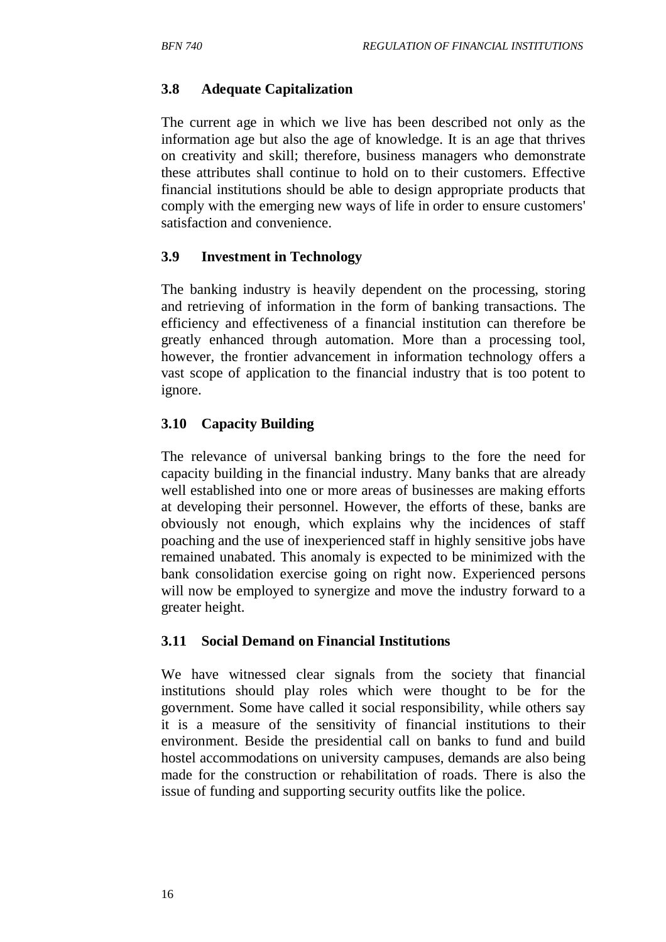## **3.8 Adequate Capitalization**

The current age in which we live has been described not only as the information age but also the age of knowledge. It is an age that thrives on creativity and skill; therefore, business managers who demonstrate these attributes shall continue to hold on to their customers. Effective financial institutions should be able to design appropriate products that comply with the emerging new ways of life in order to ensure customers' satisfaction and convenience.

## **3.9 Investment in Technology**

The banking industry is heavily dependent on the processing, storing and retrieving of information in the form of banking transactions. The efficiency and effectiveness of a financial institution can therefore be greatly enhanced through automation. More than a processing tool, however, the frontier advancement in information technology offers a vast scope of application to the financial industry that is too potent to ignore.

## **3.10 Capacity Building**

The relevance of universal banking brings to the fore the need for capacity building in the financial industry. Many banks that are already well established into one or more areas of businesses are making efforts at developing their personnel. However, the efforts of these, banks are obviously not enough, which explains why the incidences of staff poaching and the use of inexperienced staff in highly sensitive jobs have remained unabated. This anomaly is expected to be minimized with the bank consolidation exercise going on right now. Experienced persons will now be employed to synergize and move the industry forward to a greater height.

## **3.11 Social Demand on Financial Institutions**

We have witnessed clear signals from the society that financial institutions should play roles which were thought to be for the government. Some have called it social responsibility, while others say it is a measure of the sensitivity of financial institutions to their environment. Beside the presidential call on banks to fund and build hostel accommodations on university campuses, demands are also being made for the construction or rehabilitation of roads. There is also the issue of funding and supporting security outfits like the police.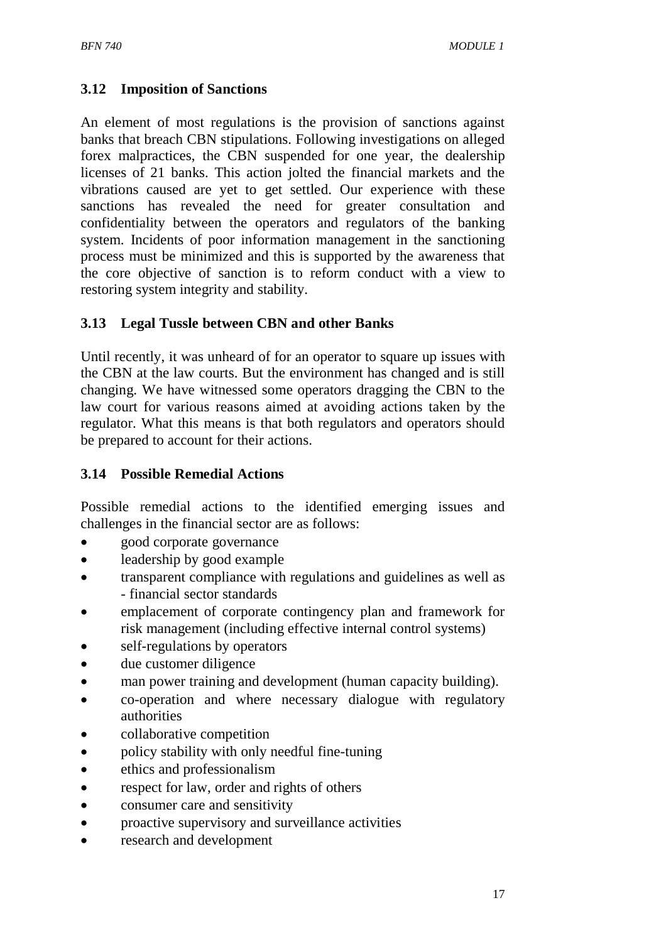## **3.12 Imposition of Sanctions**

An element of most regulations is the provision of sanctions against banks that breach CBN stipulations. Following investigations on alleged forex malpractices, the CBN suspended for one year, the dealership licenses of 21 banks. This action jolted the financial markets and the vibrations caused are yet to get settled. Our experience with these sanctions has revealed the need for greater consultation and confidentiality between the operators and regulators of the banking system. Incidents of poor information management in the sanctioning process must be minimized and this is supported by the awareness that the core objective of sanction is to reform conduct with a view to restoring system integrity and stability.

## **3.13 Legal Tussle between CBN and other Banks**

Until recently, it was unheard of for an operator to square up issues with the CBN at the law courts. But the environment has changed and is still changing. We have witnessed some operators dragging the CBN to the law court for various reasons aimed at avoiding actions taken by the regulator. What this means is that both regulators and operators should be prepared to account for their actions.

#### **3.14 Possible Remedial Actions**

Possible remedial actions to the identified emerging issues and challenges in the financial sector are as follows:

- good corporate governance
- leadership by good example
- transparent compliance with regulations and guidelines as well as - financial sector standards
- emplacement of corporate contingency plan and framework for risk management (including effective internal control systems)
- self-regulations by operators
- due customer diligence
- man power training and development (human capacity building).
- co-operation and where necessary dialogue with regulatory authorities
- collaborative competition
- policy stability with only needful fine-tuning
- ethics and professionalism
- respect for law, order and rights of others
- consumer care and sensitivity
- proactive supervisory and surveillance activities
- research and development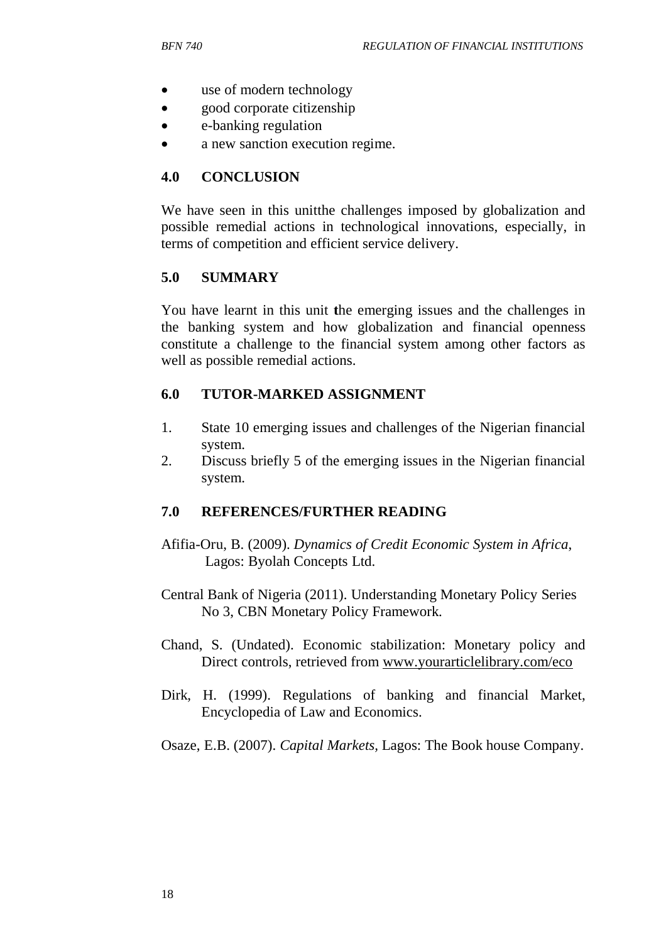- use of modern technology
- good corporate citizenship
- e-banking regulation
- a new sanction execution regime.

#### **4.0 CONCLUSION**

We have seen in this unitthe challenges imposed by globalization and possible remedial actions in technological innovations, especially, in terms of competition and efficient service delivery.

#### **5.0 SUMMARY**

You have learnt in this unit **t**he emerging issues and the challenges in the banking system and how globalization and financial openness constitute a challenge to the financial system among other factors as well as possible remedial actions.

#### **6.0 TUTOR-MARKED ASSIGNMENT**

- 1. State 10 emerging issues and challenges of the Nigerian financial system.
- 2. Discuss briefly 5 of the emerging issues in the Nigerian financial system.

#### **7.0 REFERENCES/FURTHER READING**

- Afifia-Oru, B. (2009). *Dynamics of Credit Economic System in Africa*, Lagos: Byolah Concepts Ltd.
- Central Bank of Nigeria (2011). Understanding Monetary Policy Series No 3, CBN Monetary Policy Framework.
- Chand, S. (Undated). Economic stabilization: Monetary policy and Direct controls, retrieved from www.yourarticlelibrary.com/eco
- Dirk, H. (1999). Regulations of banking and financial Market, Encyclopedia of Law and Economics.

Osaze, E.B. (2007). *Capital Markets,* Lagos: The Book house Company.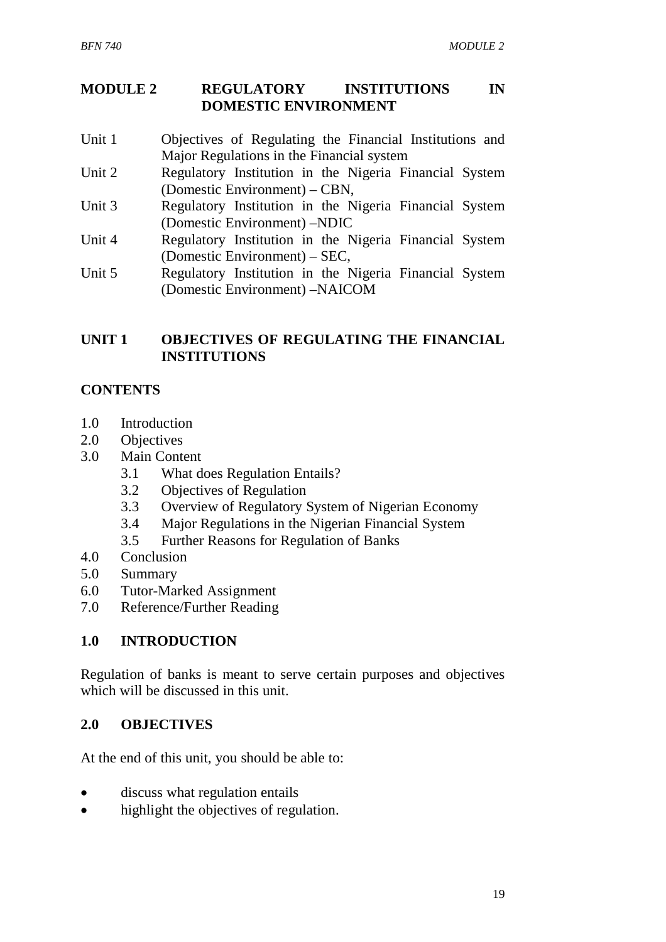#### **MODULE 2 REGULATORY INSTITUTIONS IN DOMESTIC ENVIRONMENT**

- Unit 1 Objectives of Regulating the Financial Institutions and Major Regulations in the Financial system
- Unit 2 Regulatory Institution in the Nigeria Financial System (Domestic Environment) – CBN,
- Unit 3 Regulatory Institution in the Nigeria Financial System (Domestic Environment) –NDIC
- Unit 4 Regulatory Institution in the Nigeria Financial System (Domestic Environment) – SEC,
- Unit 5 Regulatory Institution in the Nigeria Financial System (Domestic Environment) –NAICOM

## **UNIT 1 OBJECTIVES OF REGULATING THE FINANCIAL INSTITUTIONS**

## **CONTENTS**

- 1.0 Introduction
- 2.0 Objectives
- 3.0 Main Content
	- 3.1 What does Regulation Entails?
	- 3.2 Objectives of Regulation
	- 3.3 Overview of Regulatory System of Nigerian Economy
	- 3.4 Major Regulations in the Nigerian Financial System
	- 3.5 Further Reasons for Regulation of Banks
- 4.0 Conclusion
- 5.0 Summary
- 6.0 Tutor-Marked Assignment
- 7.0 Reference/Further Reading

## **1.0 INTRODUCTION**

Regulation of banks is meant to serve certain purposes and objectives which will be discussed in this unit.

#### **2.0 OBJECTIVES**

At the end of this unit, you should be able to:

- discuss what regulation entails
- highlight the objectives of regulation.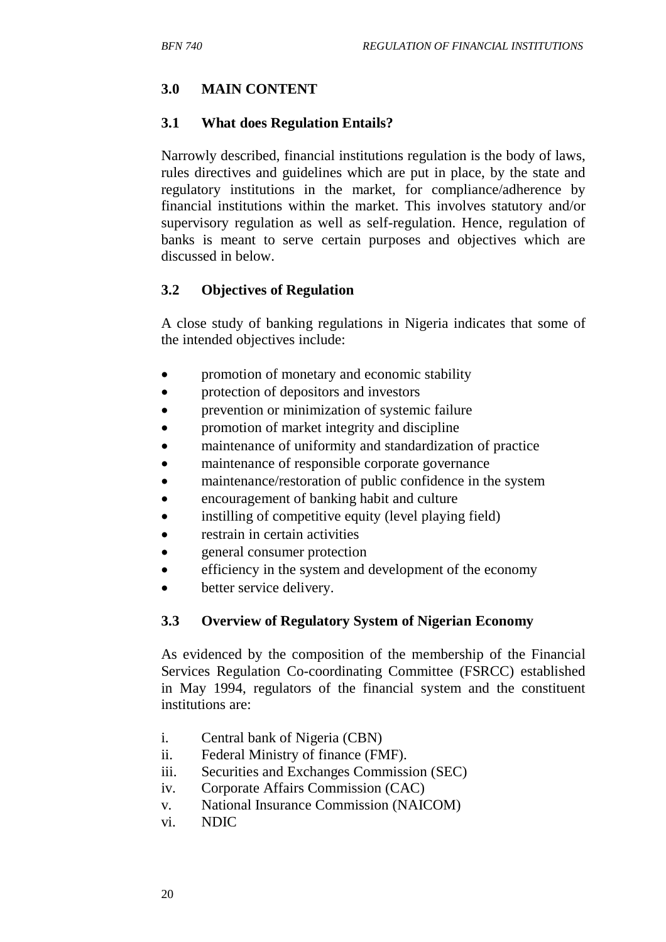## **3.0 MAIN CONTENT**

#### **3.1 What does Regulation Entails?**

Narrowly described, financial institutions regulation is the body of laws, rules directives and guidelines which are put in place, by the state and regulatory institutions in the market, for compliance/adherence by financial institutions within the market. This involves statutory and/or supervisory regulation as well as self-regulation. Hence, regulation of banks is meant to serve certain purposes and objectives which are discussed in below.

#### **3.2 Objectives of Regulation**

A close study of banking regulations in Nigeria indicates that some of the intended objectives include:

- promotion of monetary and economic stability
- protection of depositors and investors
- prevention or minimization of systemic failure
- promotion of market integrity and discipline
- maintenance of uniformity and standardization of practice
- maintenance of responsible corporate governance
- maintenance/restoration of public confidence in the system
- encouragement of banking habit and culture
- instilling of competitive equity (level playing field)
- restrain in certain activities
- general consumer protection
- efficiency in the system and development of the economy
- better service delivery.

#### **3.3 Overview of Regulatory System of Nigerian Economy**

As evidenced by the composition of the membership of the Financial Services Regulation Co-coordinating Committee (FSRCC) established in May 1994, regulators of the financial system and the constituent institutions are:

- i. Central bank of Nigeria (CBN)
- ii. Federal Ministry of finance (FMF).
- iii. Securities and Exchanges Commission (SEC)
- iv. Corporate Affairs Commission (CAC)
- v. National Insurance Commission (NAICOM)
- vi. NDIC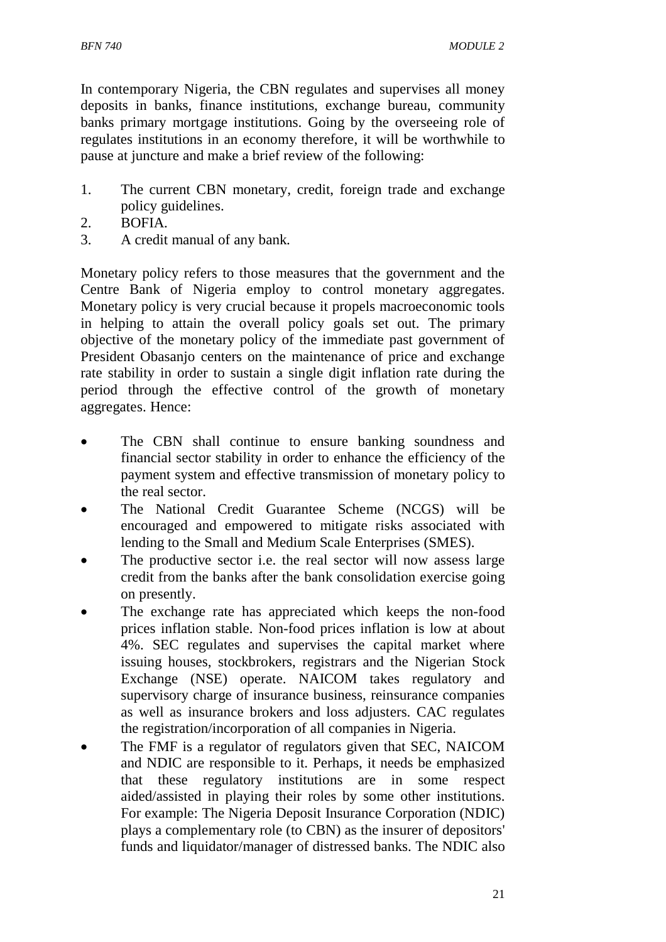In contemporary Nigeria, the CBN regulates and supervises all money deposits in banks, finance institutions, exchange bureau, community banks primary mortgage institutions. Going by the overseeing role of regulates institutions in an economy therefore, it will be worthwhile to pause at juncture and make a brief review of the following:

- 1. The current CBN monetary, credit, foreign trade and exchange policy guidelines.
- 2. BOFIA.
- 3. A credit manual of any bank.

Monetary policy refers to those measures that the government and the Centre Bank of Nigeria employ to control monetary aggregates. Monetary policy is very crucial because it propels macroeconomic tools in helping to attain the overall policy goals set out. The primary objective of the monetary policy of the immediate past government of President Obasanjo centers on the maintenance of price and exchange rate stability in order to sustain a single digit inflation rate during the period through the effective control of the growth of monetary aggregates. Hence:

- The CBN shall continue to ensure banking soundness and financial sector stability in order to enhance the efficiency of the payment system and effective transmission of monetary policy to the real sector.
- The National Credit Guarantee Scheme (NCGS) will be encouraged and empowered to mitigate risks associated with lending to the Small and Medium Scale Enterprises (SMES).
- The productive sector i.e. the real sector will now assess large credit from the banks after the bank consolidation exercise going on presently.
- The exchange rate has appreciated which keeps the non-food prices inflation stable. Non-food prices inflation is low at about 4%. SEC regulates and supervises the capital market where issuing houses, stockbrokers, registrars and the Nigerian Stock Exchange (NSE) operate. NAICOM takes regulatory and supervisory charge of insurance business, reinsurance companies as well as insurance brokers and loss adjusters. CAC regulates the registration/incorporation of all companies in Nigeria.
- The FMF is a regulator of regulators given that SEC, NAICOM and NDIC are responsible to it. Perhaps, it needs be emphasized that these regulatory institutions are in some respect aided/assisted in playing their roles by some other institutions. For example: The Nigeria Deposit Insurance Corporation (NDIC) plays a complementary role (to CBN) as the insurer of depositors' funds and liquidator/manager of distressed banks. The NDIC also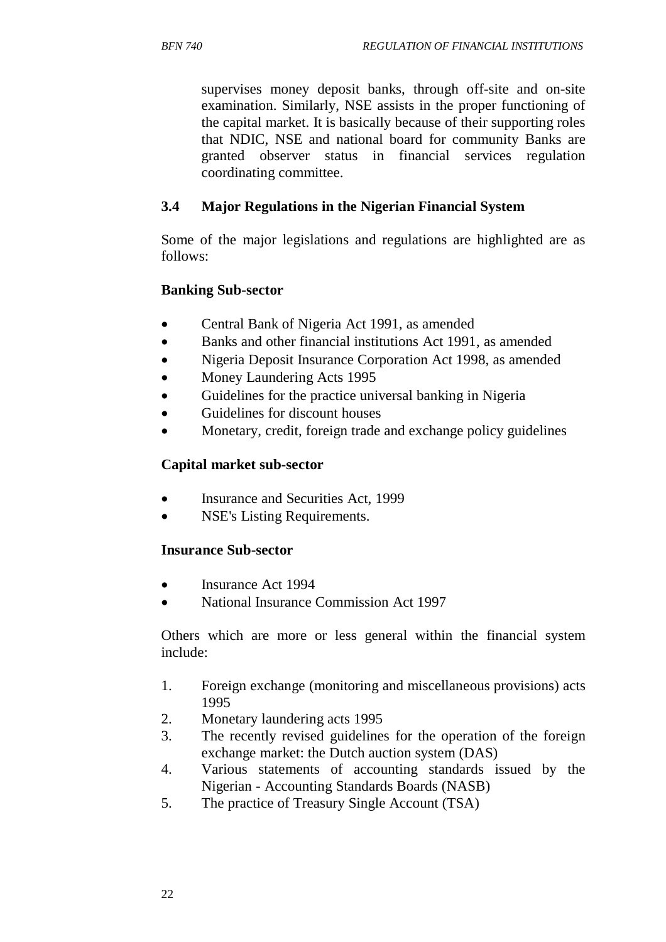supervises money deposit banks, through off-site and on-site examination. Similarly, NSE assists in the proper functioning of the capital market. It is basically because of their supporting roles that NDIC, NSE and national board for community Banks are granted observer status in financial services regulation coordinating committee.

# **3.4 Major Regulations in the Nigerian Financial System**

Some of the major legislations and regulations are highlighted are as follows:

### **Banking Sub-sector**

- Central Bank of Nigeria Act 1991, as amended
- Banks and other financial institutions Act 1991, as amended
- Nigeria Deposit Insurance Corporation Act 1998, as amended
- Money Laundering Acts 1995
- Guidelines for the practice universal banking in Nigeria
- Guidelines for discount houses
- Monetary, credit, foreign trade and exchange policy guidelines

## **Capital market sub-sector**

- Insurance and Securities Act, 1999
- NSE's Listing Requirements.

### **Insurance Sub-sector**

- Insurance Act 1994
- National Insurance Commission Act 1997

Others which are more or less general within the financial system include:

- 1. Foreign exchange (monitoring and miscellaneous provisions) acts 1995
- 2. Monetary laundering acts 1995
- 3. The recently revised guidelines for the operation of the foreign exchange market: the Dutch auction system (DAS)
- 4. Various statements of accounting standards issued by the Nigerian - Accounting Standards Boards (NASB)
- 5. The practice of Treasury Single Account (TSA)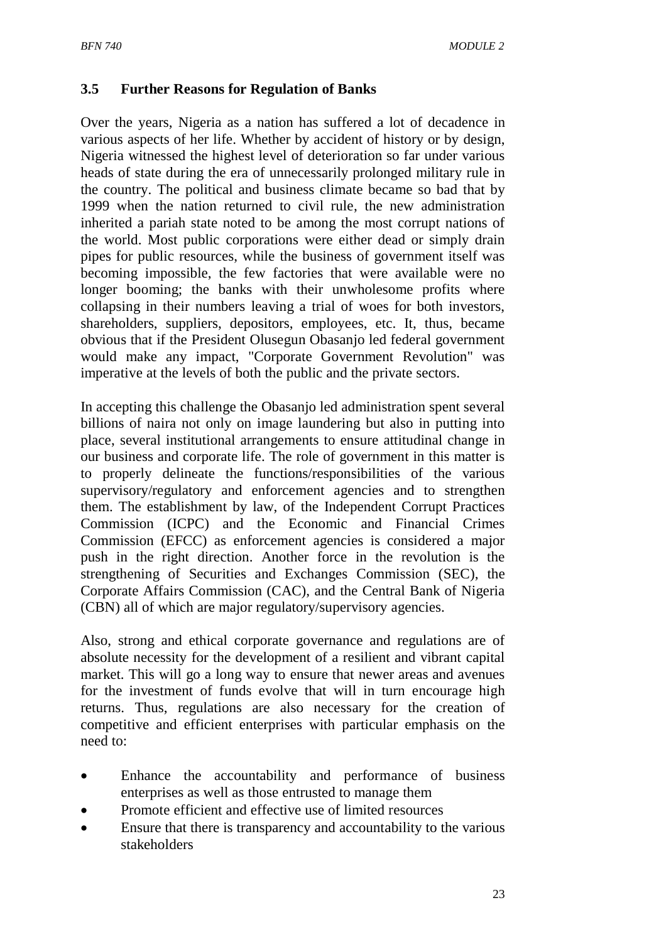### **3.5 Further Reasons for Regulation of Banks**

Over the years, Nigeria as a nation has suffered a lot of decadence in various aspects of her life. Whether by accident of history or by design, Nigeria witnessed the highest level of deterioration so far under various heads of state during the era of unnecessarily prolonged military rule in the country. The political and business climate became so bad that by 1999 when the nation returned to civil rule, the new administration inherited a pariah state noted to be among the most corrupt nations of the world. Most public corporations were either dead or simply drain pipes for public resources, while the business of government itself was becoming impossible, the few factories that were available were no longer booming; the banks with their unwholesome profits where collapsing in their numbers leaving a trial of woes for both investors, shareholders, suppliers, depositors, employees, etc. It, thus, became obvious that if the President Olusegun Obasanjo led federal government would make any impact, "Corporate Government Revolution" was imperative at the levels of both the public and the private sectors.

In accepting this challenge the Obasanjo led administration spent several billions of naira not only on image laundering but also in putting into place, several institutional arrangements to ensure attitudinal change in our business and corporate life. The role of government in this matter is to properly delineate the functions/responsibilities of the various supervisory/regulatory and enforcement agencies and to strengthen them. The establishment by law, of the Independent Corrupt Practices Commission (ICPC) and the Economic and Financial Crimes Commission (EFCC) as enforcement agencies is considered a major push in the right direction. Another force in the revolution is the strengthening of Securities and Exchanges Commission (SEC), the Corporate Affairs Commission (CAC), and the Central Bank of Nigeria (CBN) all of which are major regulatory/supervisory agencies.

Also, strong and ethical corporate governance and regulations are of absolute necessity for the development of a resilient and vibrant capital market. This will go a long way to ensure that newer areas and avenues for the investment of funds evolve that will in turn encourage high returns. Thus, regulations are also necessary for the creation of competitive and efficient enterprises with particular emphasis on the need to:

- Enhance the accountability and performance of business enterprises as well as those entrusted to manage them
- Promote efficient and effective use of limited resources
- Ensure that there is transparency and accountability to the various stakeholders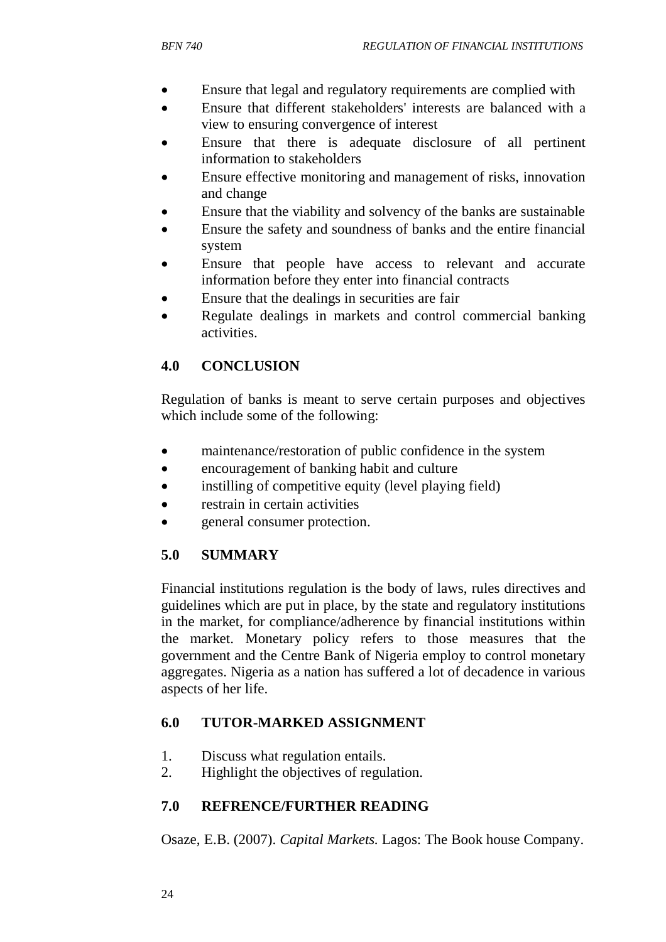- Ensure that legal and regulatory requirements are complied with
- Ensure that different stakeholders' interests are balanced with a view to ensuring convergence of interest
- Ensure that there is adequate disclosure of all pertinent information to stakeholders
- Ensure effective monitoring and management of risks, innovation and change
- Ensure that the viability and solvency of the banks are sustainable
- Ensure the safety and soundness of banks and the entire financial system
- Ensure that people have access to relevant and accurate information before they enter into financial contracts
- Ensure that the dealings in securities are fair
- Regulate dealings in markets and control commercial banking activities.

# **4.0 CONCLUSION**

Regulation of banks is meant to serve certain purposes and objectives which include some of the following:

- maintenance/restoration of public confidence in the system
- encouragement of banking habit and culture
- instilling of competitive equity (level playing field)
- restrain in certain activities
- general consumer protection.

# **5.0 SUMMARY**

Financial institutions regulation is the body of laws, rules directives and guidelines which are put in place, by the state and regulatory institutions in the market, for compliance/adherence by financial institutions within the market. Monetary policy refers to those measures that the government and the Centre Bank of Nigeria employ to control monetary aggregates. Nigeria as a nation has suffered a lot of decadence in various aspects of her life.

### **6.0 TUTOR-MARKED ASSIGNMENT**

- 1. Discuss what regulation entails.
- 2. Highlight the objectives of regulation.

### **7.0 REFRENCE/FURTHER READING**

Osaze, E.B. (2007). *Capital Markets.* Lagos: The Book house Company.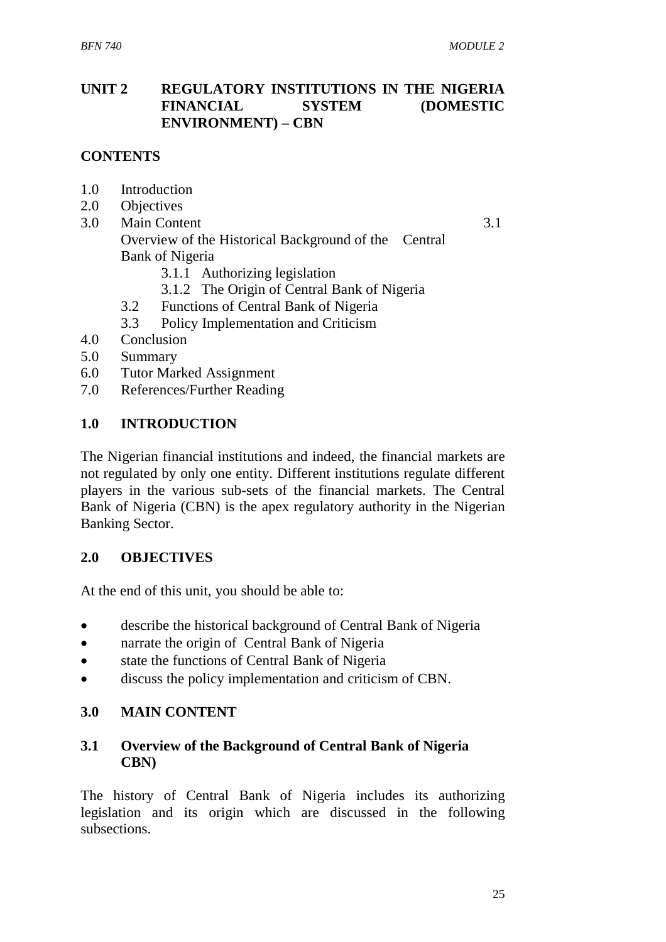## **UNIT 2 REGULATORY INSTITUTIONS IN THE NIGERIA FINANCIAL SYSTEM (DOMESTIC ENVIRONMENT) – CBN**

#### **CONTENTS**

- 1.0 Introduction
- 2.0 Objectives
- 3.0 Main Content 3.1 Overview of the Historical Background of the Central Bank of Nigeria
	- 3.1.1 Authorizing legislation
	- 3.1.2 The Origin of Central Bank of Nigeria
	- 3.2 Functions of Central Bank of Nigeria
	- 3.3 Policy Implementation and Criticism
- 4.0 Conclusion
- 5.0 Summary
- 6.0 Tutor Marked Assignment
- 7.0 References/Further Reading

#### **1.0 INTRODUCTION**

The Nigerian financial institutions and indeed, the financial markets are not regulated by only one entity. Different institutions regulate different players in the various sub-sets of the financial markets. The Central Bank of Nigeria (CBN) is the apex regulatory authority in the Nigerian Banking Sector.

#### **2.0 OBJECTIVES**

At the end of this unit, you should be able to:

- describe the historical background of Central Bank of Nigeria
- narrate the origin of Central Bank of Nigeria
- state the functions of Central Bank of Nigeria
- discuss the policy implementation and criticism of CBN.

#### **3.0 MAIN CONTENT**

### **3.1 Overview of the Background of Central Bank of Nigeria CBN)**

The history of Central Bank of Nigeria includes its authorizing legislation and its origin which are discussed in the following subsections.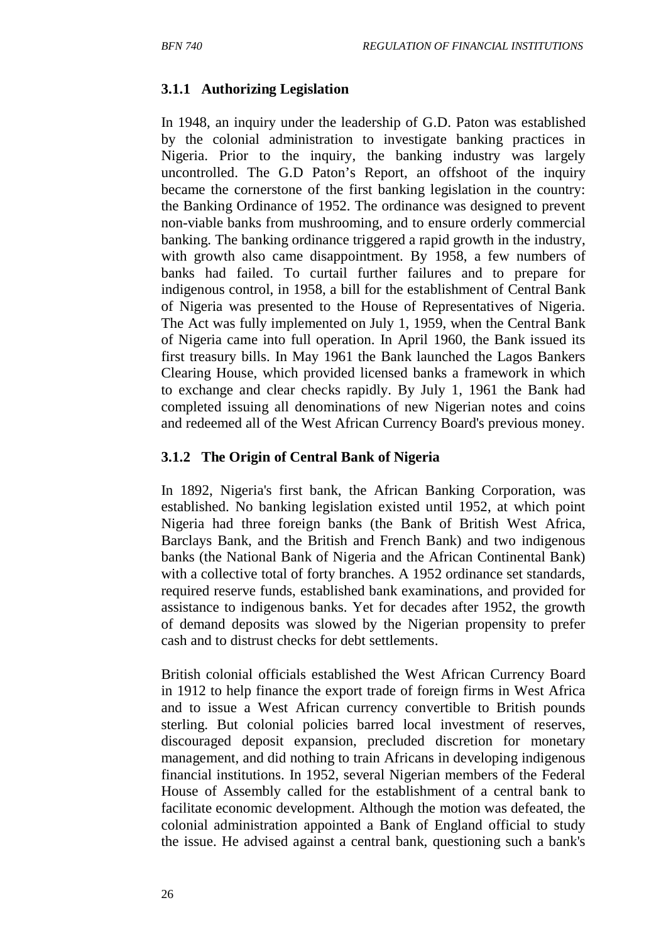# **3.1.1 Authorizing Legislation**

In 1948, an inquiry under the leadership of G.D. Paton was established by the colonial administration to investigate banking practices in Nigeria. Prior to the inquiry, the banking industry was largely uncontrolled. The G.D Paton's Report, an offshoot of the inquiry became the cornerstone of the first banking legislation in the country: the Banking Ordinance of 1952. The ordinance was designed to prevent non-viable banks from mushrooming, and to ensure orderly commercial banking. The banking ordinance triggered a rapid growth in the industry, with growth also came disappointment. By 1958, a few numbers of banks had failed. To curtail further failures and to prepare for indigenous control, in 1958, a bill for the establishment of Central Bank of Nigeria was presented to the House of Representatives of Nigeria. The Act was fully implemented on July 1, 1959, when the Central Bank of Nigeria came into full operation. In April 1960, the Bank issued its first treasury bills. In May 1961 the Bank launched the Lagos Bankers Clearing House, which provided licensed banks a framework in which to exchange and clear checks rapidly. By July 1, 1961 the Bank had completed issuing all denominations of new Nigerian notes and coins and redeemed all of the West African Currency Board's previous money.

# **3.1.2 The Origin of Central Bank of Nigeria**

In 1892, Nigeria's first bank, the African Banking Corporation, was established. No banking legislation existed until 1952, at which point Nigeria had three foreign banks (the Bank of British West Africa, Barclays Bank, and the British and French Bank) and two indigenous banks (the National Bank of Nigeria and the African Continental Bank) with a collective total of forty branches. A 1952 ordinance set standards, required reserve funds, established bank examinations, and provided for assistance to indigenous banks. Yet for decades after 1952, the growth of demand deposits was slowed by the Nigerian propensity to prefer cash and to distrust checks for debt settlements.

British colonial officials established the West African Currency Board in 1912 to help finance the export trade of foreign firms in West Africa and to issue a West African currency convertible to British pounds sterling. But colonial policies barred local investment of reserves, discouraged deposit expansion, precluded discretion for monetary management, and did nothing to train Africans in developing indigenous financial institutions. In 1952, several Nigerian members of the Federal House of Assembly called for the establishment of a central bank to facilitate economic development. Although the motion was defeated, the colonial administration appointed a Bank of England official to study the issue. He advised against a central bank, questioning such a bank's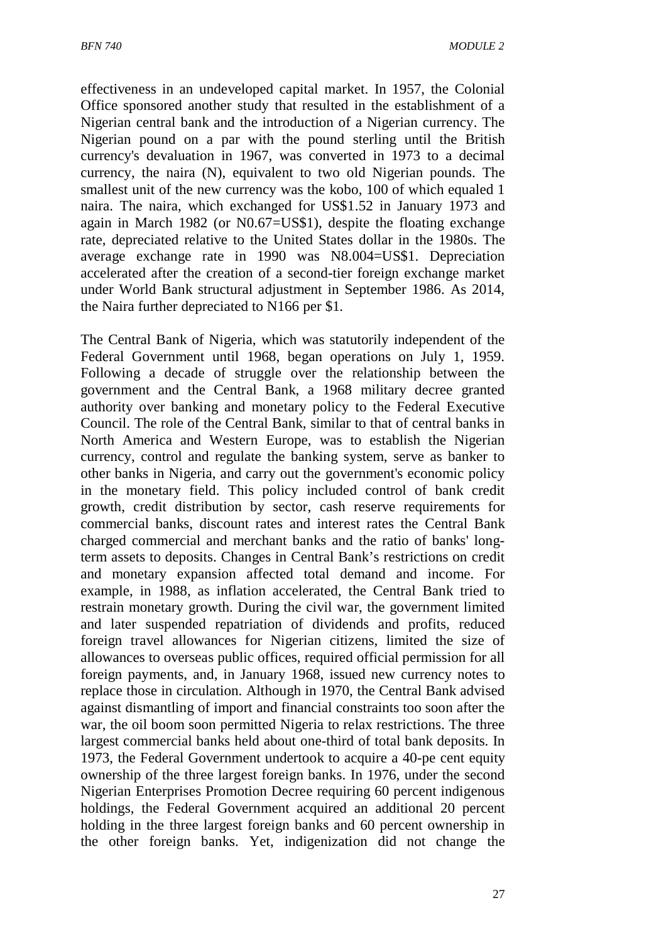effectiveness in an undeveloped capital market. In 1957, the Colonial Office sponsored another study that resulted in the establishment of a Nigerian central bank and the introduction of a Nigerian currency. The Nigerian pound on a par with the pound sterling until the British currency's devaluation in 1967, was converted in 1973 to a decimal currency, the naira (N), equivalent to two old Nigerian pounds. The smallest unit of the new currency was the kobo, 100 of which equaled 1 naira. The naira, which exchanged for US\$1.52 in January 1973 and again in March 1982 (or N0.67=US\$1), despite the floating exchange rate, depreciated relative to the United States dollar in the 1980s. The average exchange rate in 1990 was N8.004=US\$1. Depreciation accelerated after the creation of a second-tier foreign exchange market under World Bank structural adjustment in September 1986. As 2014, the Naira further depreciated to N166 per \$1.

The Central Bank of Nigeria, which was statutorily independent of the Federal Government until 1968, began operations on July 1, 1959. Following a decade of struggle over the relationship between the government and the Central Bank, a 1968 military decree granted authority over banking and monetary policy to the Federal Executive Council. The role of the Central Bank, similar to that of central banks in North America and Western Europe, was to establish the Nigerian currency, control and regulate the banking system, serve as banker to other banks in Nigeria, and carry out the government's economic policy in the monetary field. This policy included control of bank credit growth, credit distribution by sector, cash reserve requirements for commercial banks, discount rates and interest rates the Central Bank charged commercial and merchant banks and the ratio of banks' longterm assets to deposits. Changes in Central Bank's restrictions on credit and monetary expansion affected total demand and income. For example, in 1988, as inflation accelerated, the Central Bank tried to restrain monetary growth. During the civil war, the government limited and later suspended repatriation of dividends and profits, reduced foreign travel allowances for Nigerian citizens, limited the size of allowances to overseas public offices, required official permission for all foreign payments, and, in January 1968, issued new currency notes to replace those in circulation. Although in 1970, the Central Bank advised against dismantling of import and financial constraints too soon after the war, the oil boom soon permitted Nigeria to relax restrictions. The three largest commercial banks held about one-third of total bank deposits. In 1973, the Federal Government undertook to acquire a 40-pe cent equity ownership of the three largest foreign banks. In 1976, under the second Nigerian Enterprises Promotion Decree requiring 60 percent indigenous holdings, the Federal Government acquired an additional 20 percent holding in the three largest foreign banks and 60 percent ownership in the other foreign banks. Yet, indigenization did not change the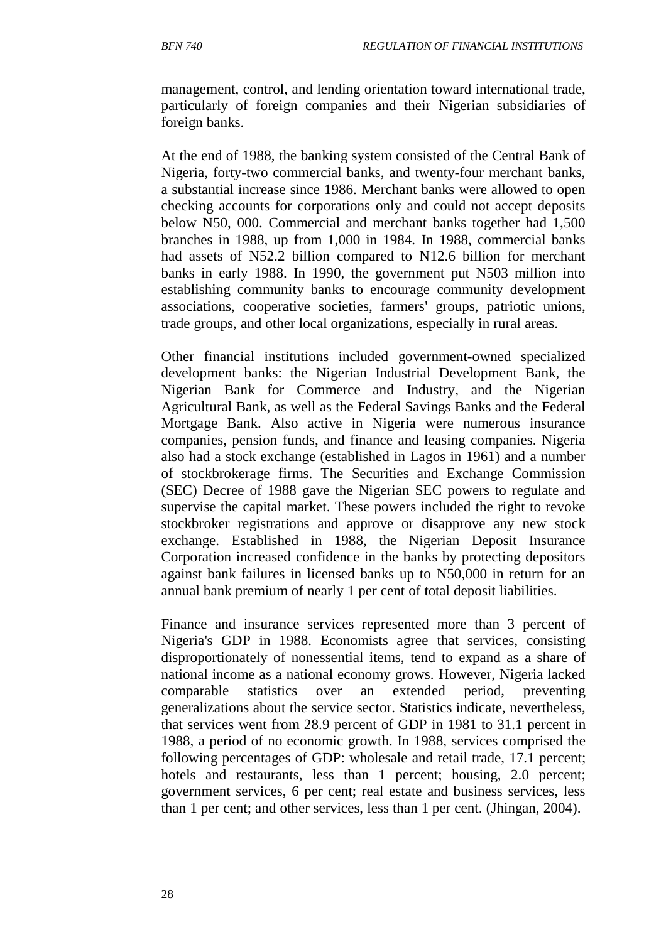management, control, and lending orientation toward international trade, particularly of foreign companies and their Nigerian subsidiaries of foreign banks.

At the end of 1988, the banking system consisted of the Central Bank of Nigeria, forty-two commercial banks, and twenty-four merchant banks, a substantial increase since 1986. Merchant banks were allowed to open checking accounts for corporations only and could not accept deposits below N50, 000. Commercial and merchant banks together had 1,500 branches in 1988, up from 1,000 in 1984. In 1988, commercial banks had assets of N52.2 billion compared to N12.6 billion for merchant banks in early 1988. In 1990, the government put N503 million into establishing community banks to encourage community development associations, cooperative societies, farmers' groups, patriotic unions, trade groups, and other local organizations, especially in rural areas.

Other financial institutions included government-owned specialized development banks: the Nigerian Industrial Development Bank, the Nigerian Bank for Commerce and Industry, and the Nigerian Agricultural Bank, as well as the Federal Savings Banks and the Federal Mortgage Bank. Also active in Nigeria were numerous insurance companies, pension funds, and finance and leasing companies. Nigeria also had a stock exchange (established in Lagos in 1961) and a number of stockbrokerage firms. The Securities and Exchange Commission (SEC) Decree of 1988 gave the Nigerian SEC powers to regulate and supervise the capital market. These powers included the right to revoke stockbroker registrations and approve or disapprove any new stock exchange. Established in 1988, the Nigerian Deposit Insurance Corporation increased confidence in the banks by protecting depositors against bank failures in licensed banks up to N50,000 in return for an annual bank premium of nearly 1 per cent of total deposit liabilities.

Finance and insurance services represented more than 3 percent of Nigeria's GDP in 1988. Economists agree that services, consisting disproportionately of nonessential items, tend to expand as a share of national income as a national economy grows. However, Nigeria lacked comparable statistics over an extended period, preventing generalizations about the service sector. Statistics indicate, nevertheless, that services went from 28.9 percent of GDP in 1981 to 31.1 percent in 1988, a period of no economic growth. In 1988, services comprised the following percentages of GDP: wholesale and retail trade, 17.1 percent; hotels and restaurants, less than 1 percent; housing, 2.0 percent; government services, 6 per cent; real estate and business services, less than 1 per cent; and other services, less than 1 per cent. (Jhingan, 2004).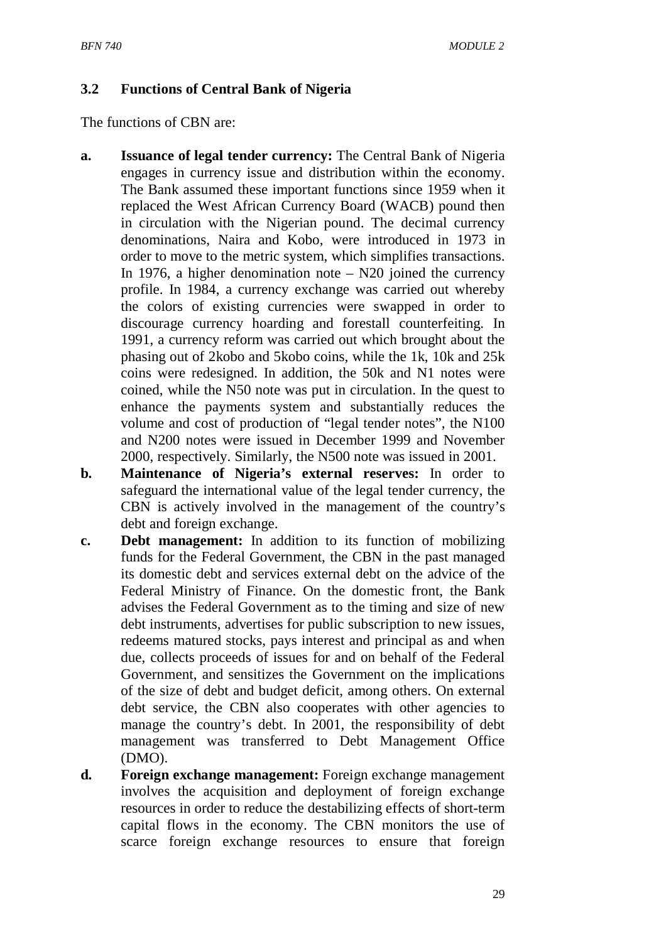# **3.2 Functions of Central Bank of Nigeria**

The functions of CBN are:

- **a. Issuance of legal tender currency:** The Central Bank of Nigeria engages in currency issue and distribution within the economy. The Bank assumed these important functions since 1959 when it replaced the West African Currency Board (WACB) pound then in circulation with the Nigerian pound. The decimal currency denominations, Naira and Kobo, were introduced in 1973 in order to move to the metric system, which simplifies transactions. In 1976, a higher denomination note  $-$  N20 joined the currency profile. In 1984, a currency exchange was carried out whereby the colors of existing currencies were swapped in order to discourage currency hoarding and forestall counterfeiting. In 1991, a currency reform was carried out which brought about the phasing out of 2kobo and 5kobo coins, while the 1k, 10k and 25k coins were redesigned. In addition, the 50k and N1 notes were coined, while the N50 note was put in circulation. In the quest to enhance the payments system and substantially reduces the volume and cost of production of "legal tender notes", the N100 and N200 notes were issued in December 1999 and November 2000, respectively. Similarly, the N500 note was issued in 2001.
- **b. Maintenance of Nigeria's external reserves:** In order to safeguard the international value of the legal tender currency, the CBN is actively involved in the management of the country's debt and foreign exchange.
- **c. Debt management:** In addition to its function of mobilizing funds for the Federal Government, the CBN in the past managed its domestic debt and services external debt on the advice of the Federal Ministry of Finance. On the domestic front, the Bank advises the Federal Government as to the timing and size of new debt instruments, advertises for public subscription to new issues, redeems matured stocks, pays interest and principal as and when due, collects proceeds of issues for and on behalf of the Federal Government, and sensitizes the Government on the implications of the size of debt and budget deficit, among others. On external debt service, the CBN also cooperates with other agencies to manage the country's debt. In 2001, the responsibility of debt management was transferred to Debt Management Office (DMO).
- **d. Foreign exchange management:** Foreign exchange management involves the acquisition and deployment of foreign exchange resources in order to reduce the destabilizing effects of short-term capital flows in the economy. The CBN monitors the use of scarce foreign exchange resources to ensure that foreign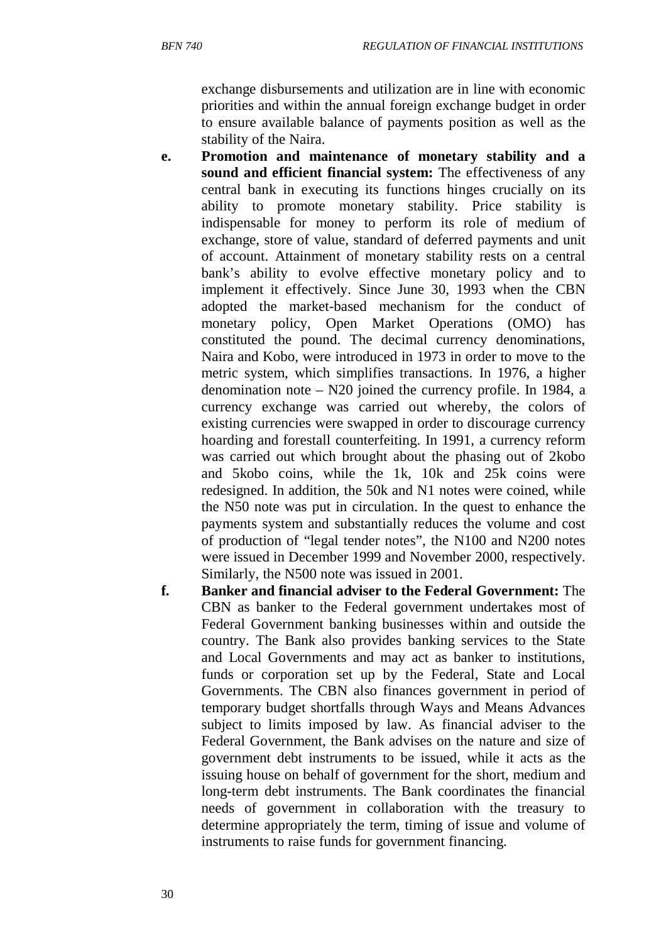exchange disbursements and utilization are in line with economic priorities and within the annual foreign exchange budget in order to ensure available balance of payments position as well as the stability of the Naira.

- **e. Promotion and maintenance of monetary stability and a sound and efficient financial system:** The effectiveness of any central bank in executing its functions hinges crucially on its ability to promote monetary stability. Price stability is indispensable for money to perform its role of medium of exchange, store of value, standard of deferred payments and unit of account. Attainment of monetary stability rests on a central bank's ability to evolve effective monetary policy and to implement it effectively. Since June 30, 1993 when the CBN adopted the market-based mechanism for the conduct of monetary policy, Open Market Operations (OMO) has constituted the pound. The decimal currency denominations, Naira and Kobo, were introduced in 1973 in order to move to the metric system, which simplifies transactions. In 1976, a higher denomination note – N20 joined the currency profile. In 1984, a currency exchange was carried out whereby, the colors of existing currencies were swapped in order to discourage currency hoarding and forestall counterfeiting. In 1991, a currency reform was carried out which brought about the phasing out of 2kobo and 5kobo coins, while the 1k, 10k and 25k coins were redesigned. In addition, the 50k and N1 notes were coined, while the N50 note was put in circulation. In the quest to enhance the payments system and substantially reduces the volume and cost of production of "legal tender notes", the N100 and N200 notes were issued in December 1999 and November 2000, respectively. Similarly, the N500 note was issued in 2001.
- **f. Banker and financial adviser to the Federal Government:** The CBN as banker to the Federal government undertakes most of Federal Government banking businesses within and outside the country. The Bank also provides banking services to the State and Local Governments and may act as banker to institutions, funds or corporation set up by the Federal, State and Local Governments. The CBN also finances government in period of temporary budget shortfalls through Ways and Means Advances subject to limits imposed by law. As financial adviser to the Federal Government, the Bank advises on the nature and size of government debt instruments to be issued, while it acts as the issuing house on behalf of government for the short, medium and long-term debt instruments. The Bank coordinates the financial needs of government in collaboration with the treasury to determine appropriately the term, timing of issue and volume of instruments to raise funds for government financing.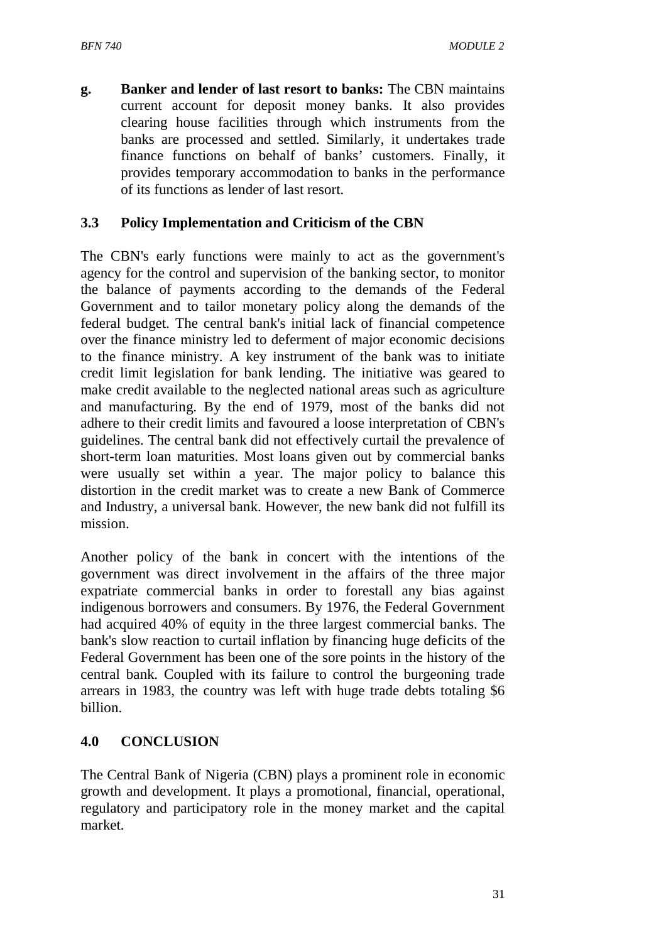**g. Banker and lender of last resort to banks:** The CBN maintains current account for deposit money banks. It also provides clearing house facilities through which instruments from the banks are processed and settled. Similarly, it undertakes trade finance functions on behalf of banks' customers. Finally, it provides temporary accommodation to banks in the performance of its functions as lender of last resort.

## **3.3 Policy Implementation and Criticism of the CBN**

The CBN's early functions were mainly to act as the government's agency for the control and supervision of the banking sector, to monitor the balance of payments according to the demands of the Federal Government and to tailor monetary policy along the demands of the federal budget. The central bank's initial lack of financial competence over the finance ministry led to deferment of major economic decisions to the finance ministry. A key instrument of the bank was to initiate credit limit legislation for bank lending. The initiative was geared to make credit available to the neglected national areas such as agriculture and manufacturing. By the end of 1979, most of the banks did not adhere to their credit limits and favoured a loose interpretation of CBN's guidelines. The central bank did not effectively curtail the prevalence of short-term loan maturities. Most loans given out by commercial banks were usually set within a year. The major policy to balance this distortion in the credit market was to create a new Bank of Commerce and Industry, a universal bank. However, the new bank did not fulfill its mission.

Another policy of the bank in concert with the intentions of the government was direct involvement in the affairs of the three major expatriate commercial banks in order to forestall any bias against indigenous borrowers and consumers. By 1976, the Federal Government had acquired 40% of equity in the three largest commercial banks. The bank's slow reaction to curtail inflation by financing huge deficits of the Federal Government has been one of the sore points in the history of the central bank. Coupled with its failure to control the burgeoning trade arrears in 1983, the country was left with huge trade debts totaling \$6 billion.

### **4.0 CONCLUSION**

The Central Bank of Nigeria (CBN) plays a prominent role in economic growth and development. It plays a promotional, financial, operational, regulatory and participatory role in the money market and the capital market.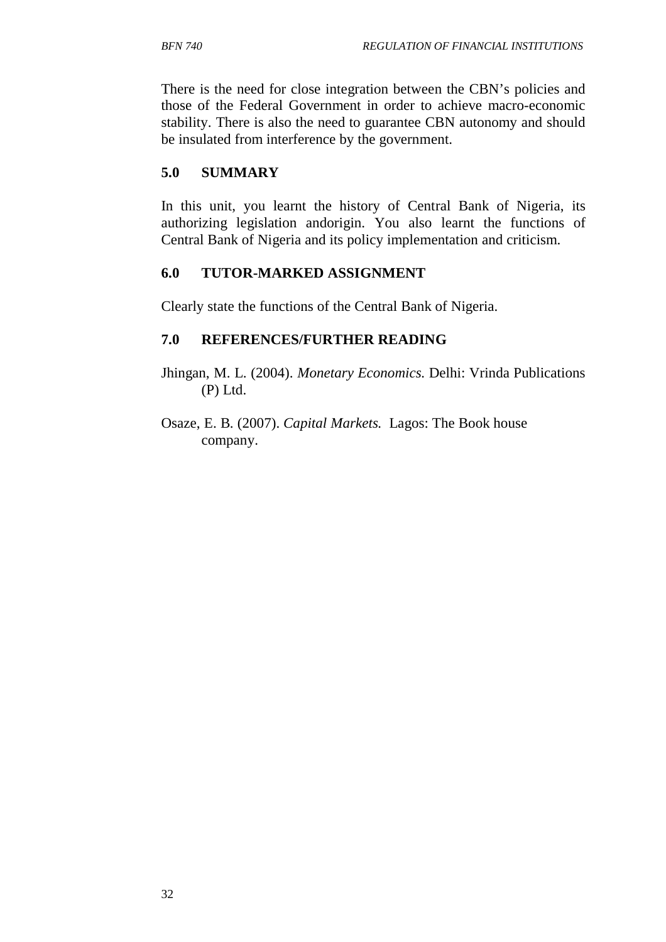There is the need for close integration between the CBN's policies and those of the Federal Government in order to achieve macro-economic stability. There is also the need to guarantee CBN autonomy and should be insulated from interference by the government.

## **5.0 SUMMARY**

In this unit, you learnt the history of Central Bank of Nigeria, its authorizing legislation andorigin. You also learnt the functions of Central Bank of Nigeria and its policy implementation and criticism.

# **6.0 TUTOR-MARKED ASSIGNMENT**

Clearly state the functions of the Central Bank of Nigeria.

### **7.0 REFERENCES/FURTHER READING**

- Jhingan, M. L. (2004). *Monetary Economics.* Delhi: Vrinda Publications (P) Ltd.
- Osaze, E. B. (2007). *Capital Markets.* Lagos: The Book house company.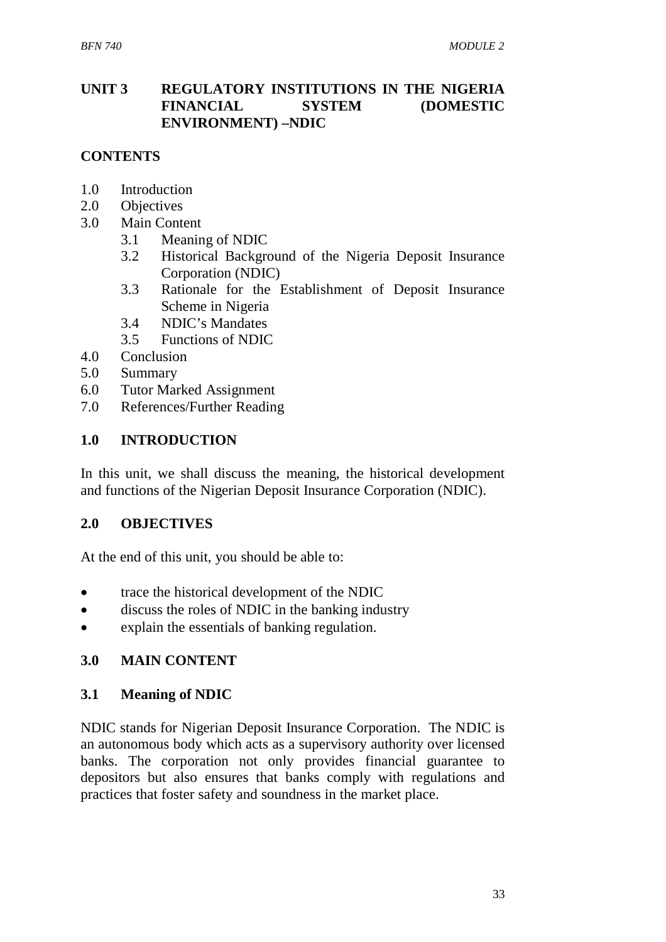### **UNIT 3 REGULATORY INSTITUTIONS IN THE NIGERIA FINANCIAL SYSTEM (DOMESTIC ENVIRONMENT) –NDIC**

#### **CONTENTS**

- 1.0 Introduction
- 2.0 Objectives
- 3.0 Main Content
	- 3.1 Meaning of NDIC
	- 3.2 Historical Background of the Nigeria Deposit Insurance Corporation (NDIC)
	- 3.3 Rationale for the Establishment of Deposit Insurance Scheme in Nigeria
	- 3.4 NDIC's Mandates
	- 3.5 Functions of NDIC
- 4.0 Conclusion
- 5.0 Summary
- 6.0 Tutor Marked Assignment
- 7.0 References/Further Reading

#### **1.0 INTRODUCTION**

In this unit, we shall discuss the meaning, the historical development and functions of the Nigerian Deposit Insurance Corporation (NDIC).

#### **2.0 OBJECTIVES**

At the end of this unit, you should be able to:

- trace the historical development of the NDIC
- discuss the roles of NDIC in the banking industry
- explain the essentials of banking regulation.

#### **3.0 MAIN CONTENT**

#### **3.1 Meaning of NDIC**

NDIC stands for Nigerian Deposit Insurance Corporation. The NDIC is an autonomous body which acts as a supervisory authority over licensed banks. The corporation not only provides financial guarantee to depositors but also ensures that banks comply with regulations and practices that foster safety and soundness in the market place.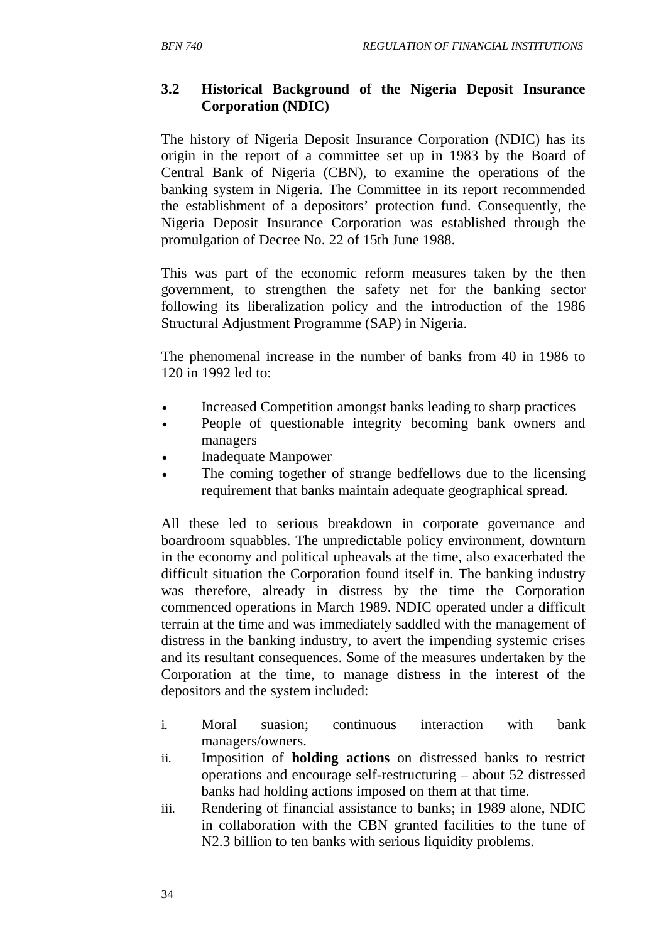# **3.2 Historical Background of the Nigeria Deposit Insurance Corporation (NDIC)**

The history of Nigeria Deposit Insurance Corporation (NDIC) has its origin in the report of a committee set up in 1983 by the Board of Central Bank of Nigeria (CBN), to examine the operations of the banking system in Nigeria. The Committee in its report recommended the establishment of a depositors' protection fund. Consequently, the Nigeria Deposit Insurance Corporation was established through the promulgation of Decree No. 22 of 15th June 1988.

This was part of the economic reform measures taken by the then government, to strengthen the safety net for the banking sector following its liberalization policy and the introduction of the 1986 Structural Adjustment Programme (SAP) in Nigeria.

The phenomenal increase in the number of banks from 40 in 1986 to 120 in 1992 led to:

- Increased Competition amongst banks leading to sharp practices
- People of questionable integrity becoming bank owners and managers
- Inadequate Manpower
- The coming together of strange bedfellows due to the licensing requirement that banks maintain adequate geographical spread.

All these led to serious breakdown in corporate governance and boardroom squabbles. The unpredictable policy environment, downturn in the economy and political upheavals at the time, also exacerbated the difficult situation the Corporation found itself in. The banking industry was therefore, already in distress by the time the Corporation commenced operations in March 1989. NDIC operated under a difficult terrain at the time and was immediately saddled with the management of distress in the banking industry, to avert the impending systemic crises and its resultant consequences. Some of the measures undertaken by the Corporation at the time, to manage distress in the interest of the depositors and the system included:

- i. Moral suasion; continuous interaction with bank managers/owners.
- ii. Imposition of **holding actions** on distressed banks to restrict operations and encourage self-restructuring – about 52 distressed banks had holding actions imposed on them at that time.
- iii. Rendering of financial assistance to banks; in 1989 alone, NDIC in collaboration with the CBN granted facilities to the tune of N2.3 billion to ten banks with serious liquidity problems.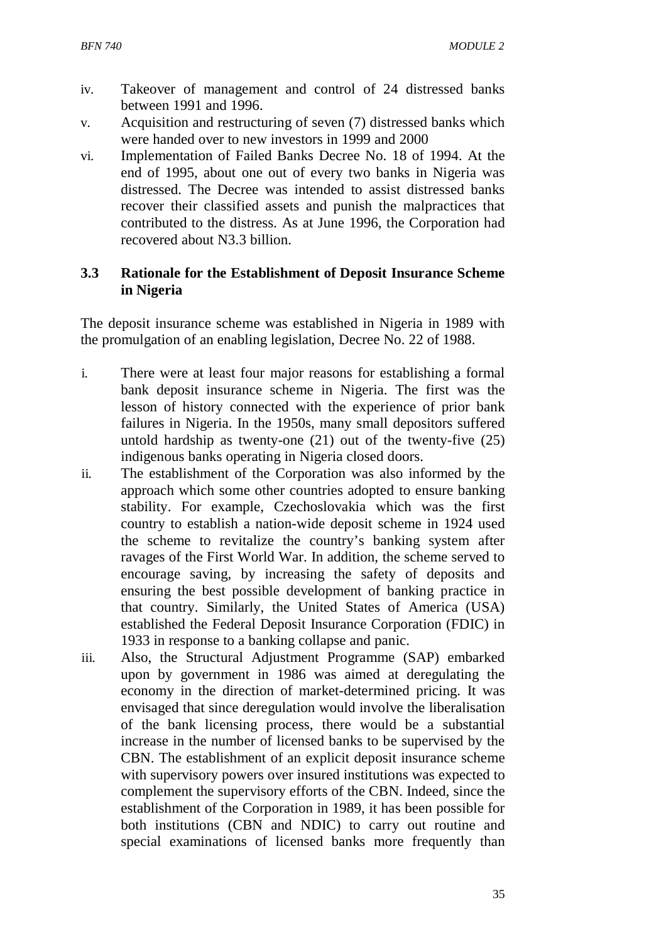- iv. Takeover of management and control of 24 distressed banks between 1991 and 1996.
- v. Acquisition and restructuring of seven (7) distressed banks which were handed over to new investors in 1999 and 2000
- vi. Implementation of Failed Banks Decree No. 18 of 1994. At the end of 1995, about one out of every two banks in Nigeria was distressed. The Decree was intended to assist distressed banks recover their classified assets and punish the malpractices that contributed to the distress. As at June 1996, the Corporation had recovered about N3.3 billion.

#### **3.3 Rationale for the Establishment of Deposit Insurance Scheme in Nigeria**

The deposit insurance scheme was established in Nigeria in 1989 with the promulgation of an enabling legislation, Decree No. 22 of 1988.

- i. There were at least four major reasons for establishing a formal bank deposit insurance scheme in Nigeria. The first was the lesson of history connected with the experience of prior bank failures in Nigeria. In the 1950s, many small depositors suffered untold hardship as twenty-one (21) out of the twenty-five (25) indigenous banks operating in Nigeria closed doors.
- ii. The establishment of the Corporation was also informed by the approach which some other countries adopted to ensure banking stability. For example, Czechoslovakia which was the first country to establish a nation-wide deposit scheme in 1924 used the scheme to revitalize the country's banking system after ravages of the First World War. In addition, the scheme served to encourage saving, by increasing the safety of deposits and ensuring the best possible development of banking practice in that country. Similarly, the United States of America (USA) established the Federal Deposit Insurance Corporation (FDIC) in 1933 in response to a banking collapse and panic.
- iii. Also, the Structural Adjustment Programme (SAP) embarked upon by government in 1986 was aimed at deregulating the economy in the direction of market-determined pricing. It was envisaged that since deregulation would involve the liberalisation of the bank licensing process, there would be a substantial increase in the number of licensed banks to be supervised by the CBN. The establishment of an explicit deposit insurance scheme with supervisory powers over insured institutions was expected to complement the supervisory efforts of the CBN. Indeed, since the establishment of the Corporation in 1989, it has been possible for both institutions (CBN and NDIC) to carry out routine and special examinations of licensed banks more frequently than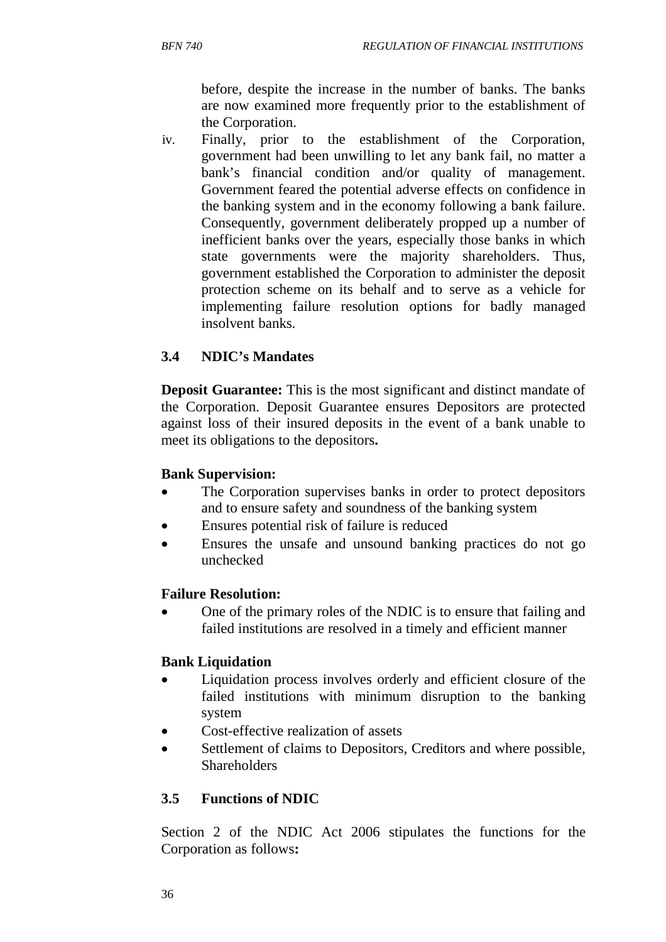before, despite the increase in the number of banks. The banks are now examined more frequently prior to the establishment of the Corporation.

iv. Finally, prior to the establishment of the Corporation, government had been unwilling to let any bank fail, no matter a bank's financial condition and/or quality of management. Government feared the potential adverse effects on confidence in the banking system and in the economy following a bank failure. Consequently, government deliberately propped up a number of inefficient banks over the years, especially those banks in which state governments were the majority shareholders. Thus, government established the Corporation to administer the deposit protection scheme on its behalf and to serve as a vehicle for implementing failure resolution options for badly managed insolvent banks.

# **3.4 NDIC's Mandates**

**Deposit Guarantee:** This is the most significant and distinct mandate of the Corporation. Deposit Guarantee ensures Depositors are protected against loss of their insured deposits in the event of a bank unable to meet its obligations to the depositors**.** 

## **Bank Supervision:**

- The Corporation supervises banks in order to protect depositors and to ensure safety and soundness of the banking system
- Ensures potential risk of failure is reduced
- Ensures the unsafe and unsound banking practices do not go unchecked

# **Failure Resolution:**

• One of the primary roles of the NDIC is to ensure that failing and failed institutions are resolved in a timely and efficient manner

# **Bank Liquidation**

- Liquidation process involves orderly and efficient closure of the failed institutions with minimum disruption to the banking system
- Cost-effective realization of assets
- Settlement of claims to Depositors, Creditors and where possible, Shareholders

# **3.5 Functions of NDIC**

Section 2 of the NDIC Act 2006 stipulates the functions for the Corporation as follows**:**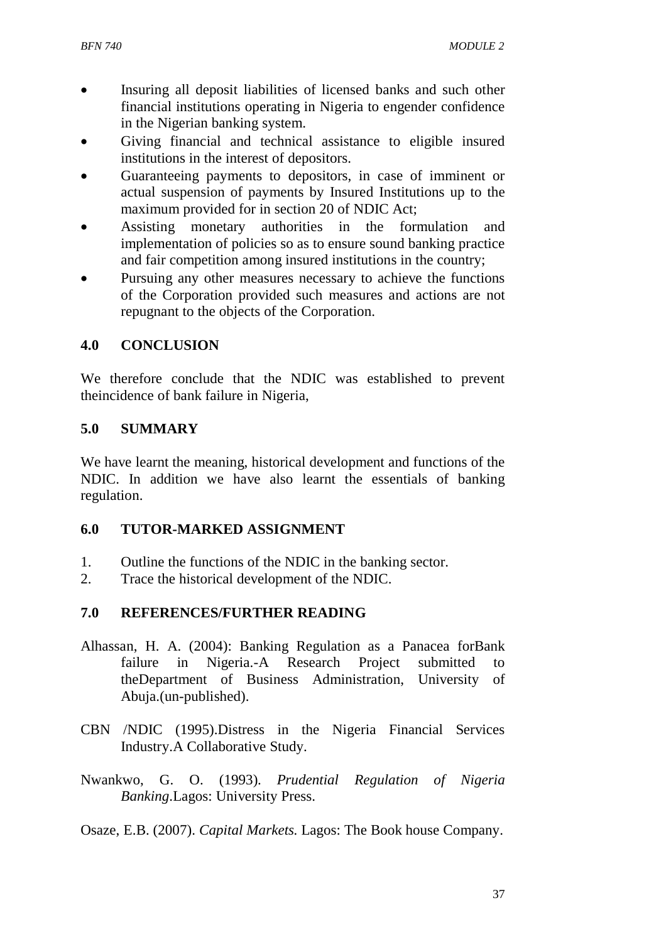- Insuring all deposit liabilities of licensed banks and such other financial institutions operating in Nigeria to engender confidence in the Nigerian banking system.
- Giving financial and technical assistance to eligible insured institutions in the interest of depositors.
- Guaranteeing payments to depositors, in case of imminent or actual suspension of payments by Insured Institutions up to the maximum provided for in section 20 of NDIC Act;
- Assisting monetary authorities in the formulation and implementation of policies so as to ensure sound banking practice and fair competition among insured institutions in the country;
- Pursuing any other measures necessary to achieve the functions of the Corporation provided such measures and actions are not repugnant to the objects of the Corporation.

#### **4.0 CONCLUSION**

We therefore conclude that the NDIC was established to prevent theincidence of bank failure in Nigeria,

### **5.0 SUMMARY**

We have learnt the meaning, historical development and functions of the NDIC. In addition we have also learnt the essentials of banking regulation.

#### **6.0 TUTOR-MARKED ASSIGNMENT**

- 1. Outline the functions of the NDIC in the banking sector.
- 2. Trace the historical development of the NDIC.

### **7.0 REFERENCES/FURTHER READING**

- Alhassan, H. A. (2004): Banking Regulation as a Panacea forBank failure in Nigeria.-A Research Project submitted to theDepartment of Business Administration, University of Abuja.(un-published).
- CBN /NDIC (1995).Distress in the Nigeria Financial Services Industry.A Collaborative Study.
- Nwankwo, G. O. (1993). *Prudential Regulation of Nigeria Banking*.Lagos: University Press.
- Osaze, E.B. (2007). *Capital Markets.* Lagos: The Book house Company.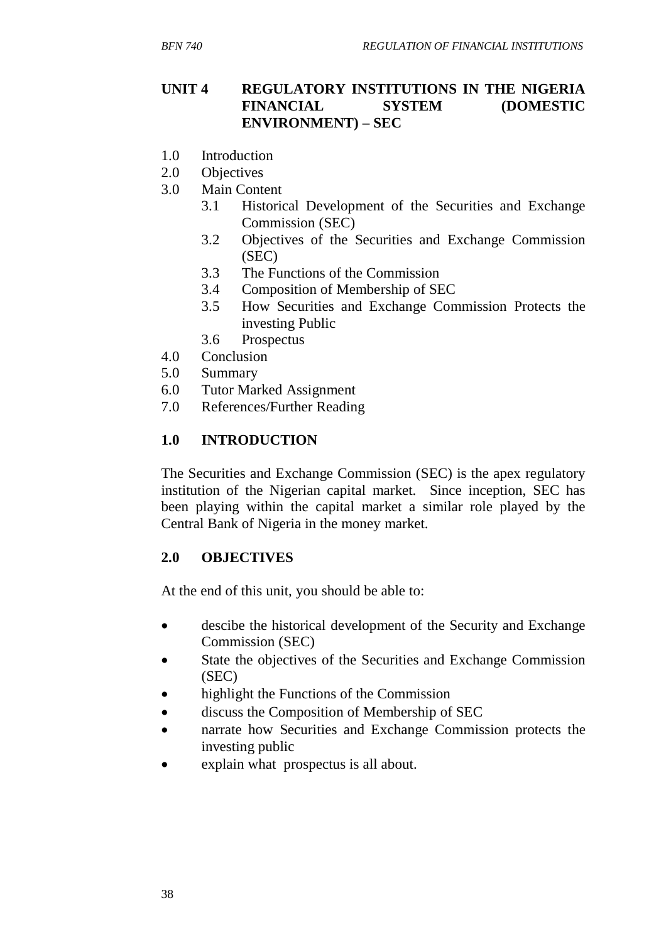## **UNIT 4 REGULATORY INSTITUTIONS IN THE NIGERIA FINANCIAL SYSTEM (DOMESTIC ENVIRONMENT) – SEC**

- 1.0 Introduction
- 2.0 Objectives
- 3.0 Main Content
	- 3.1 Historical Development of the Securities and Exchange Commission (SEC)
	- 3.2 Objectives of the Securities and Exchange Commission (SEC)
	- 3.3 The Functions of the Commission
	- 3.4 Composition of Membership of SEC
	- 3.5 How Securities and Exchange Commission Protects the investing Public
	- 3.6 Prospectus
- 4.0 Conclusion
- 5.0 Summary
- 6.0 Tutor Marked Assignment
- 7.0 References/Further Reading

# **1.0 INTRODUCTION**

The Securities and Exchange Commission (SEC) is the apex regulatory institution of the Nigerian capital market. Since inception, SEC has been playing within the capital market a similar role played by the Central Bank of Nigeria in the money market.

### **2.0 OBJECTIVES**

At the end of this unit, you should be able to:

- descibe the historical development of the Security and Exchange Commission (SEC)
- State the objectives of the Securities and Exchange Commission (SEC)
- highlight the Functions of the Commission
- discuss the Composition of Membership of SEC
- narrate how Securities and Exchange Commission protects the investing public
- explain what prospectus is all about.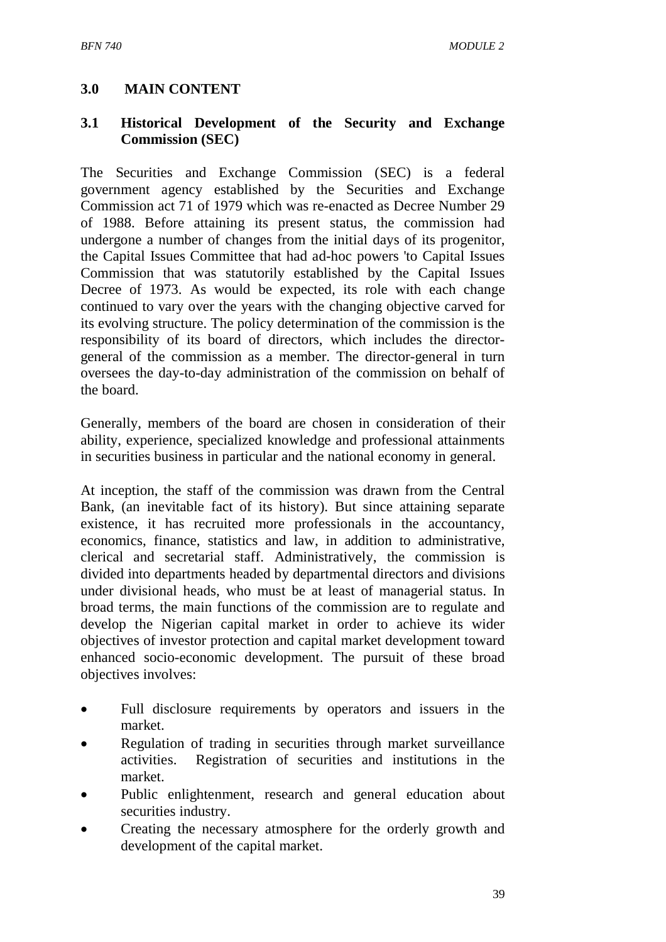# **3.0 MAIN CONTENT**

## **3.1 Historical Development of the Security and Exchange Commission (SEC)**

The Securities and Exchange Commission (SEC) is a federal government agency established by the Securities and Exchange Commission act 71 of 1979 which was re-enacted as Decree Number 29 of 1988. Before attaining its present status, the commission had undergone a number of changes from the initial days of its progenitor, the Capital Issues Committee that had ad-hoc powers 'to Capital Issues Commission that was statutorily established by the Capital Issues Decree of 1973. As would be expected, its role with each change continued to vary over the years with the changing objective carved for its evolving structure. The policy determination of the commission is the responsibility of its board of directors, which includes the directorgeneral of the commission as a member. The director-general in turn oversees the day-to-day administration of the commission on behalf of the board.

Generally, members of the board are chosen in consideration of their ability, experience, specialized knowledge and professional attainments in securities business in particular and the national economy in general.

At inception, the staff of the commission was drawn from the Central Bank, (an inevitable fact of its history). But since attaining separate existence, it has recruited more professionals in the accountancy, economics, finance, statistics and law, in addition to administrative, clerical and secretarial staff. Administratively, the commission is divided into departments headed by departmental directors and divisions under divisional heads, who must be at least of managerial status. In broad terms, the main functions of the commission are to regulate and develop the Nigerian capital market in order to achieve its wider objectives of investor protection and capital market development toward enhanced socio-economic development. The pursuit of these broad objectives involves:

- Full disclosure requirements by operators and issuers in the market.
- Regulation of trading in securities through market surveillance activities. Registration of securities and institutions in the market.
- Public enlightenment, research and general education about securities industry.
- Creating the necessary atmosphere for the orderly growth and development of the capital market.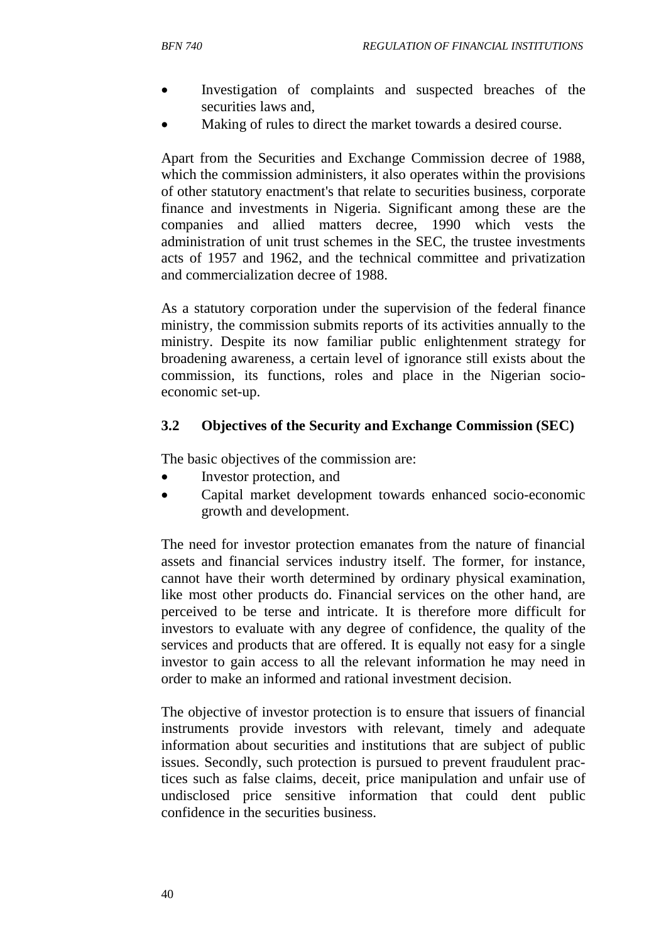- Investigation of complaints and suspected breaches of the securities laws and,
- Making of rules to direct the market towards a desired course.

Apart from the Securities and Exchange Commission decree of 1988, which the commission administers, it also operates within the provisions of other statutory enactment's that relate to securities business, corporate finance and investments in Nigeria. Significant among these are the companies and allied matters decree, 1990 which vests the administration of unit trust schemes in the SEC, the trustee investments acts of 1957 and 1962, and the technical committee and privatization and commercialization decree of 1988.

As a statutory corporation under the supervision of the federal finance ministry, the commission submits reports of its activities annually to the ministry. Despite its now familiar public enlightenment strategy for broadening awareness, a certain level of ignorance still exists about the commission, its functions, roles and place in the Nigerian socioeconomic set-up.

# **3.2 Objectives of the Security and Exchange Commission (SEC)**

The basic objectives of the commission are:

- Investor protection, and
- Capital market development towards enhanced socio-economic growth and development.

The need for investor protection emanates from the nature of financial assets and financial services industry itself. The former, for instance, cannot have their worth determined by ordinary physical examination, like most other products do. Financial services on the other hand, are perceived to be terse and intricate. It is therefore more difficult for investors to evaluate with any degree of confidence, the quality of the services and products that are offered. It is equally not easy for a single investor to gain access to all the relevant information he may need in order to make an informed and rational investment decision.

The objective of investor protection is to ensure that issuers of financial instruments provide investors with relevant, timely and adequate information about securities and institutions that are subject of public issues. Secondly, such protection is pursued to prevent fraudulent practices such as false claims, deceit, price manipulation and unfair use of undisclosed price sensitive information that could dent public confidence in the securities business.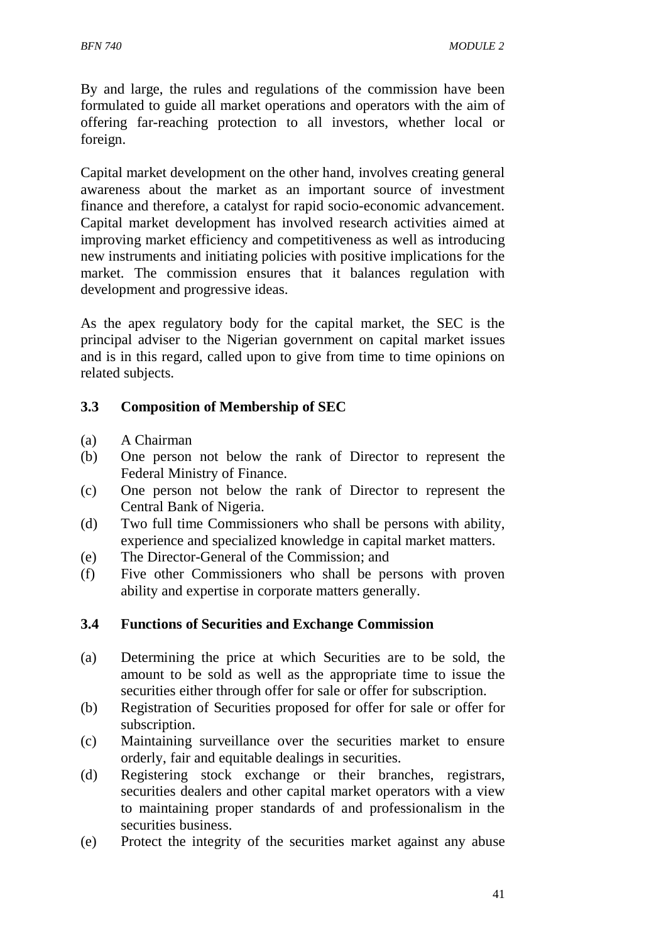By and large, the rules and regulations of the commission have been formulated to guide all market operations and operators with the aim of offering far-reaching protection to all investors, whether local or foreign.

Capital market development on the other hand, involves creating general awareness about the market as an important source of investment finance and therefore, a catalyst for rapid socio-economic advancement. Capital market development has involved research activities aimed at improving market efficiency and competitiveness as well as introducing new instruments and initiating policies with positive implications for the market. The commission ensures that it balances regulation with development and progressive ideas.

As the apex regulatory body for the capital market, the SEC is the principal adviser to the Nigerian government on capital market issues and is in this regard, called upon to give from time to time opinions on related subjects.

# **3.3 Composition of Membership of SEC**

- (a) A Chairman
- (b) One person not below the rank of Director to represent the Federal Ministry of Finance.
- (c) One person not below the rank of Director to represent the Central Bank of Nigeria.
- (d) Two full time Commissioners who shall be persons with ability, experience and specialized knowledge in capital market matters.
- (e) The Director-General of the Commission; and
- (f) Five other Commissioners who shall be persons with proven ability and expertise in corporate matters generally.

### **3.4 Functions of Securities and Exchange Commission**

- (a) Determining the price at which Securities are to be sold, the amount to be sold as well as the appropriate time to issue the securities either through offer for sale or offer for subscription.
- (b) Registration of Securities proposed for offer for sale or offer for subscription.
- (c) Maintaining surveillance over the securities market to ensure orderly, fair and equitable dealings in securities.
- (d) Registering stock exchange or their branches, registrars, securities dealers and other capital market operators with a view to maintaining proper standards of and professionalism in the securities business.
- (e) Protect the integrity of the securities market against any abuse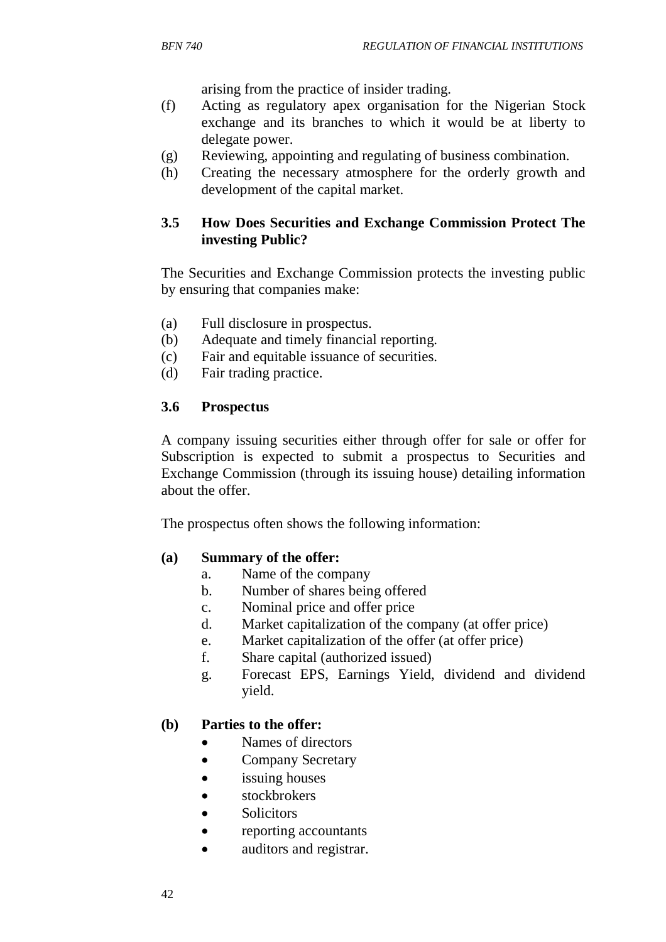arising from the practice of insider trading.

- (f) Acting as regulatory apex organisation for the Nigerian Stock exchange and its branches to which it would be at liberty to delegate power.
- (g) Reviewing, appointing and regulating of business combination.
- (h) Creating the necessary atmosphere for the orderly growth and development of the capital market.

# **3.5 How Does Securities and Exchange Commission Protect The investing Public?**

The Securities and Exchange Commission protects the investing public by ensuring that companies make:

- (a) Full disclosure in prospectus.
- (b) Adequate and timely financial reporting.
- (c) Fair and equitable issuance of securities.
- (d) Fair trading practice.

#### **3.6 Prospectus**

A company issuing securities either through offer for sale or offer for Subscription is expected to submit a prospectus to Securities and Exchange Commission (through its issuing house) detailing information about the offer.

The prospectus often shows the following information:

### **(a) Summary of the offer:**

- a. Name of the company
- b. Number of shares being offered
- c. Nominal price and offer price
- d. Market capitalization of the company (at offer price)
- e. Market capitalization of the offer (at offer price)
- f. Share capital (authorized issued)
- g. Forecast EPS, Earnings Yield, dividend and dividend yield.

#### **(b) Parties to the offer:**

- Names of directors
- Company Secretary
- issuing houses
- stockbrokers
- Solicitors
- reporting accountants
- auditors and registrar.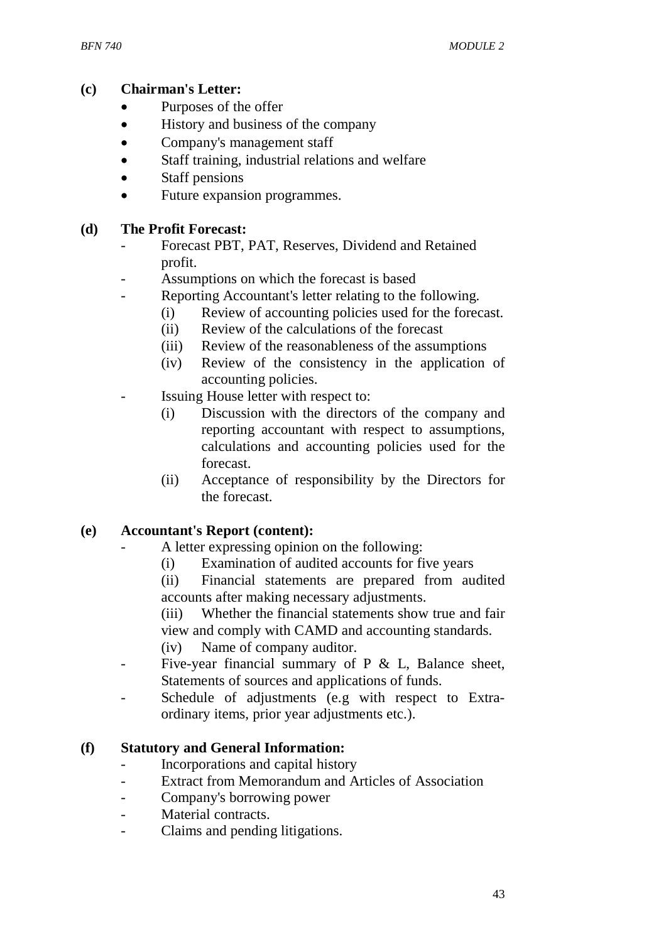### **(c) Chairman's Letter:**

- Purposes of the offer
- History and business of the company
- Company's management staff
- Staff training, industrial relations and welfare
- Staff pensions
- Future expansion programmes.

# **(d) The Profit Forecast:**

- Forecast PBT, PAT, Reserves, Dividend and Retained profit.
- Assumptions on which the forecast is based
- Reporting Accountant's letter relating to the following.
	- (i) Review of accounting policies used for the forecast.
	- (ii) Review of the calculations of the forecast
	- (iii) Review of the reasonableness of the assumptions
	- (iv) Review of the consistency in the application of accounting policies.
- Issuing House letter with respect to:
	- (i) Discussion with the directors of the company and reporting accountant with respect to assumptions, calculations and accounting policies used for the forecast.
	- (ii) Acceptance of responsibility by the Directors for the forecast.

### **(e) Accountant's Report (content):**

- A letter expressing opinion on the following:
	- (i) Examination of audited accounts for five years

 (ii) Financial statements are prepared from audited accounts after making necessary adjustments.

 (iii) Whether the financial statements show true and fair view and comply with CAMD and accounting standards. (iv) Name of company auditor.

- Five-year financial summary of P & L, Balance sheet, Statements of sources and applications of funds.
- Schedule of adjustments (e.g with respect to Extraordinary items, prior year adjustments etc.).

# **(f) Statutory and General Information:**

- Incorporations and capital history
- Extract from Memorandum and Articles of Association
- Company's borrowing power
- Material contracts.
- Claims and pending litigations.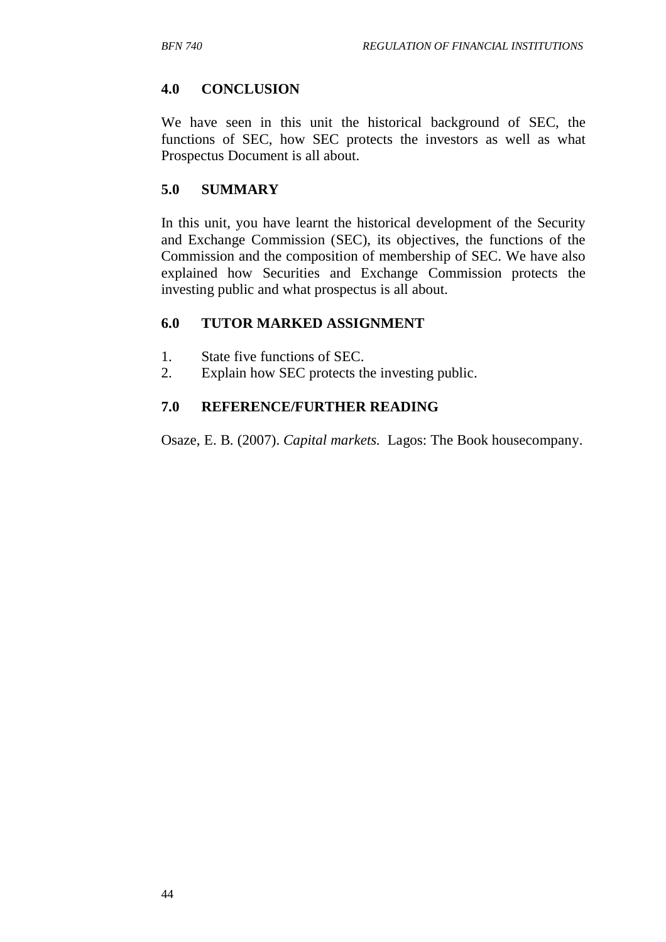# **4.0 CONCLUSION**

We have seen in this unit the historical background of SEC, the functions of SEC, how SEC protects the investors as well as what Prospectus Document is all about.

# **5.0 SUMMARY**

In this unit, you have learnt the historical development of the Security and Exchange Commission (SEC), its objectives, the functions of the Commission and the composition of membership of SEC. We have also explained how Securities and Exchange Commission protects the investing public and what prospectus is all about.

### **6.0 TUTOR MARKED ASSIGNMENT**

- 1. State five functions of SEC.
- 2. Explain how SEC protects the investing public.

# **7.0 REFERENCE/FURTHER READING**

Osaze, E. B. (2007). *Capital markets.* Lagos: The Book housecompany.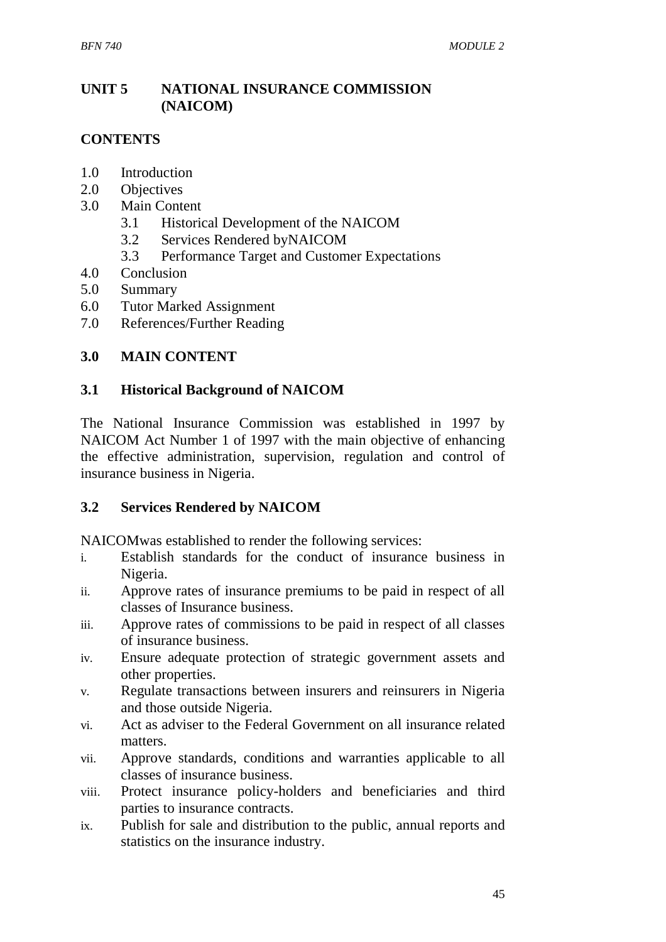# **UNIT 5 NATIONAL INSURANCE COMMISSION (NAICOM)**

# **CONTENTS**

- 1.0 Introduction
- 2.0 Objectives
- 3.0 Main Content
	- 3.1 Historical Development of the NAICOM
	- 3.2 Services Rendered byNAICOM
	- 3.3 Performance Target and Customer Expectations
- 4.0 Conclusion
- 5.0 Summary
- 6.0 Tutor Marked Assignment
- 7.0 References/Further Reading

#### **3.0 MAIN CONTENT**

#### **3.1 Historical Background of NAICOM**

The National Insurance Commission was established in 1997 by NAICOM Act Number 1 of 1997 with the main objective of enhancing the effective administration, supervision, regulation and control of insurance business in Nigeria.

#### **3.2 Services Rendered by NAICOM**

NAICOMwas established to render the following services:

- i. Establish standards for the conduct of insurance business in Nigeria.
- ii. Approve rates of insurance premiums to be paid in respect of all classes of Insurance business.
- iii. Approve rates of commissions to be paid in respect of all classes of insurance business.
- iv. Ensure adequate protection of strategic government assets and other properties.
- v. Regulate transactions between insurers and reinsurers in Nigeria and those outside Nigeria.
- vi. Act as adviser to the Federal Government on all insurance related matters.
- vii. Approve standards, conditions and warranties applicable to all classes of insurance business.
- viii. Protect insurance policy-holders and beneficiaries and third parties to insurance contracts.
- ix. Publish for sale and distribution to the public, annual reports and statistics on the insurance industry.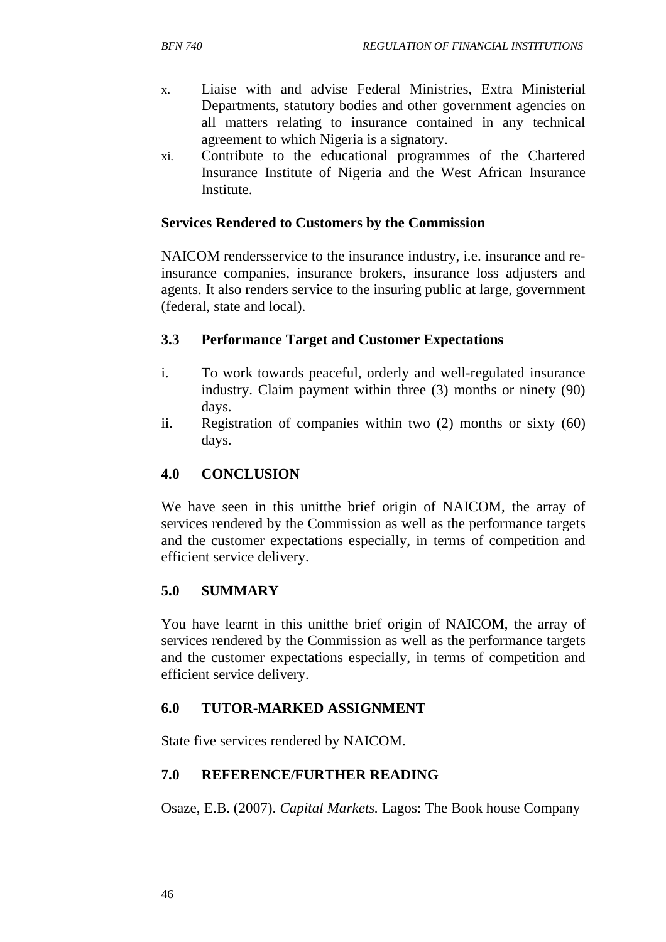- x. Liaise with and advise Federal Ministries, Extra Ministerial Departments, statutory bodies and other government agencies on all matters relating to insurance contained in any technical agreement to which Nigeria is a signatory.
- xi. Contribute to the educational programmes of the Chartered Insurance Institute of Nigeria and the West African Insurance **Institute**

#### **Services Rendered to Customers by the Commission**

NAICOM rendersservice to the insurance industry, i.e. insurance and reinsurance companies, insurance brokers, insurance loss adjusters and agents. It also renders service to the insuring public at large, government (federal, state and local).

### **3.3 Performance Target and Customer Expectations**

- i. To work towards peaceful, orderly and well-regulated insurance industry. Claim payment within three (3) months or ninety (90) days.
- ii. Registration of companies within two (2) months or sixty (60) days.

### **4.0 CONCLUSION**

We have seen in this unitthe brief origin of NAICOM, the array of services rendered by the Commission as well as the performance targets and the customer expectations especially, in terms of competition and efficient service delivery.

### **5.0 SUMMARY**

You have learnt in this unitthe brief origin of NAICOM, the array of services rendered by the Commission as well as the performance targets and the customer expectations especially, in terms of competition and efficient service delivery.

### **6.0 TUTOR-MARKED ASSIGNMENT**

State five services rendered by NAICOM.

### **7.0 REFERENCE/FURTHER READING**

Osaze, E.B. (2007). *Capital Markets.* Lagos: The Book house Company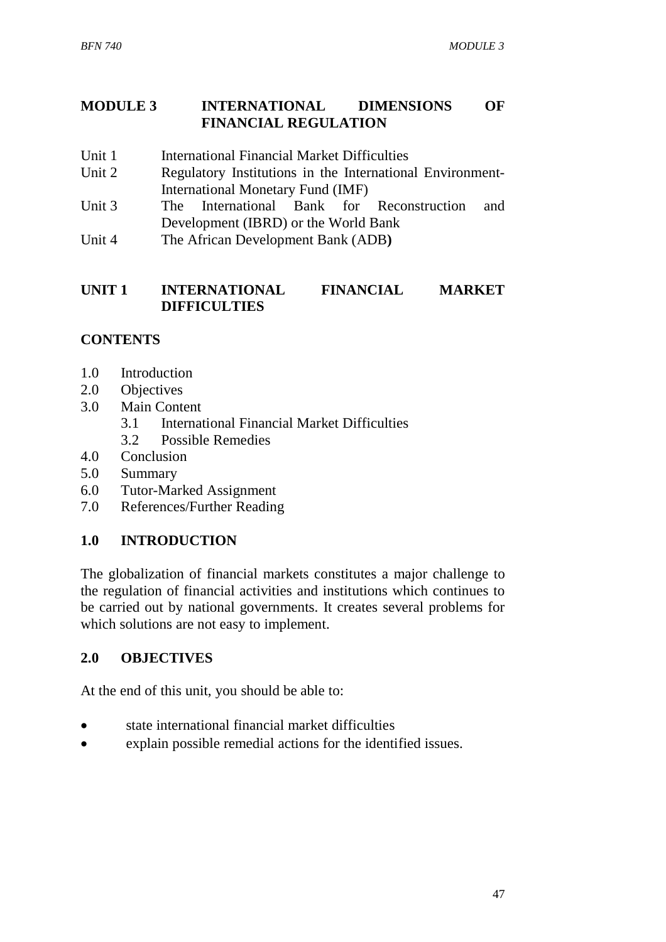# **MODULE 3 INTERNATIONAL DIMENSIONS OF FINANCIAL REGULATION**

- Unit 1 International Financial Market Difficulties
- Unit 2 Regulatory Institutions in the International Environment-International Monetary Fund (IMF)
- Unit 3 The International Bank for Reconstruction and Development (IBRD) or the World Bank
- Unit 4 The African Development Bank (ADB**)**

# **UNIT 1 INTERNATIONAL FINANCIAL MARKET DIFFICULTIES**

# **CONTENTS**

- 1.0 Introduction
- 2.0 Objectives
- 3.0 Main Content
	- 3.1 International Financial Market Difficulties
	- 3.2 Possible Remedies
- 4.0 Conclusion
- 5.0 Summary
- 6.0 Tutor-Marked Assignment
- 7.0 References/Further Reading

# **1.0 INTRODUCTION**

The globalization of financial markets constitutes a major challenge to the regulation of financial activities and institutions which continues to be carried out by national governments. It creates several problems for which solutions are not easy to implement.

# **2.0 OBJECTIVES**

At the end of this unit, you should be able to:

- state international financial market difficulties
- explain possible remedial actions for the identified issues.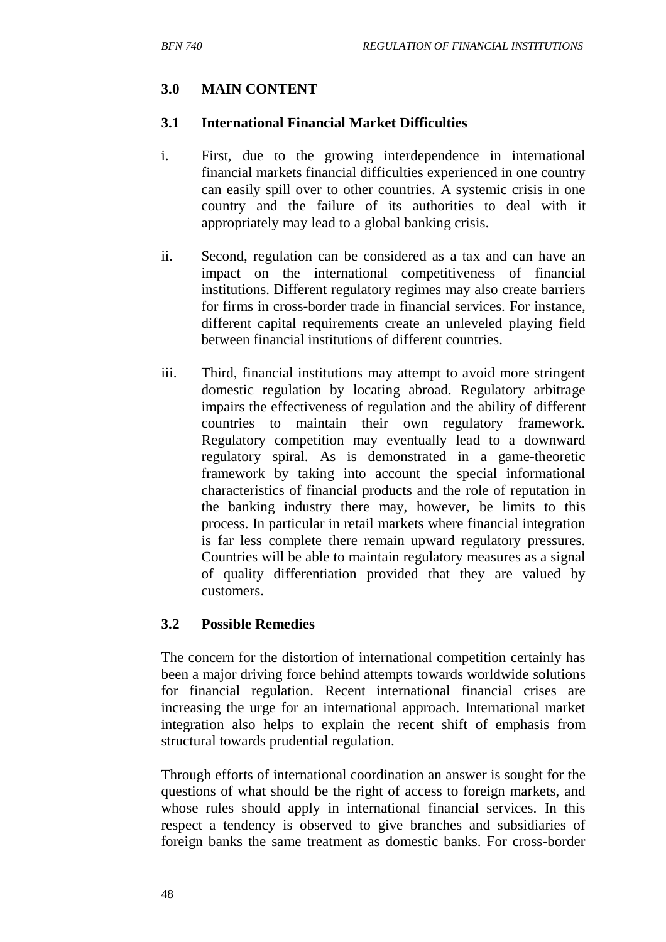# **3.0 MAIN CONTENT**

### **3.1 International Financial Market Difficulties**

- i. First, due to the growing interdependence in international financial markets financial difficulties experienced in one country can easily spill over to other countries. A systemic crisis in one country and the failure of its authorities to deal with it appropriately may lead to a global banking crisis.
- ii. Second, regulation can be considered as a tax and can have an impact on the international competitiveness of financial institutions. Different regulatory regimes may also create barriers for firms in cross-border trade in financial services. For instance, different capital requirements create an unleveled playing field between financial institutions of different countries.
- iii. Third, financial institutions may attempt to avoid more stringent domestic regulation by locating abroad. Regulatory arbitrage impairs the effectiveness of regulation and the ability of different countries to maintain their own regulatory framework. Regulatory competition may eventually lead to a downward regulatory spiral. As is demonstrated in a game-theoretic framework by taking into account the special informational characteristics of financial products and the role of reputation in the banking industry there may, however, be limits to this process. In particular in retail markets where financial integration is far less complete there remain upward regulatory pressures. Countries will be able to maintain regulatory measures as a signal of quality differentiation provided that they are valued by customers.

# **3.2 Possible Remedies**

The concern for the distortion of international competition certainly has been a major driving force behind attempts towards worldwide solutions for financial regulation. Recent international financial crises are increasing the urge for an international approach. International market integration also helps to explain the recent shift of emphasis from structural towards prudential regulation.

Through efforts of international coordination an answer is sought for the questions of what should be the right of access to foreign markets, and whose rules should apply in international financial services. In this respect a tendency is observed to give branches and subsidiaries of foreign banks the same treatment as domestic banks. For cross-border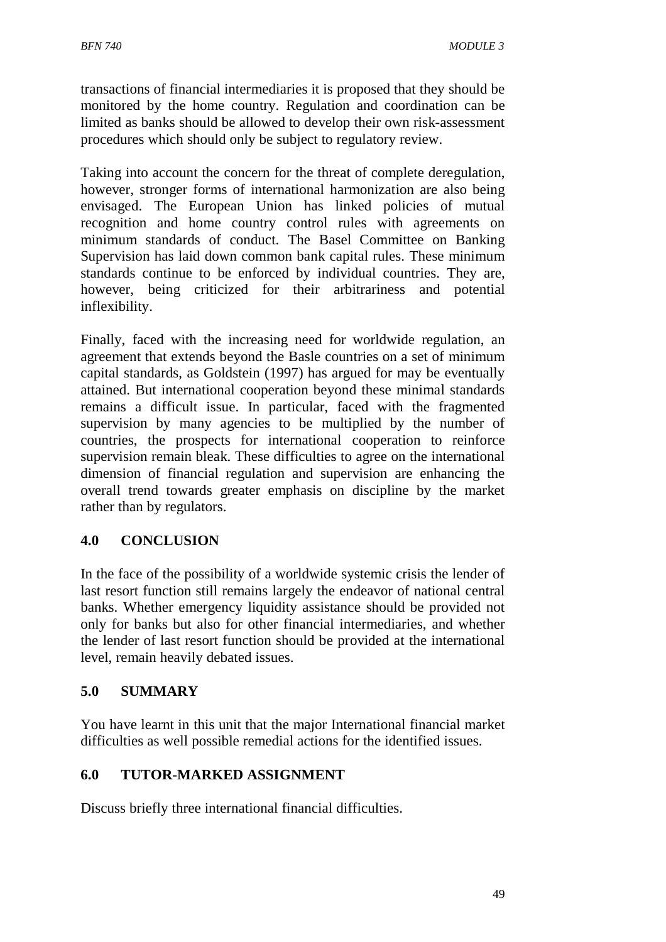transactions of financial intermediaries it is proposed that they should be monitored by the home country. Regulation and coordination can be limited as banks should be allowed to develop their own risk-assessment procedures which should only be subject to regulatory review.

Taking into account the concern for the threat of complete deregulation, however, stronger forms of international harmonization are also being envisaged. The European Union has linked policies of mutual recognition and home country control rules with agreements on minimum standards of conduct. The Basel Committee on Banking Supervision has laid down common bank capital rules. These minimum standards continue to be enforced by individual countries. They are, however, being criticized for their arbitrariness and potential inflexibility.

Finally, faced with the increasing need for worldwide regulation, an agreement that extends beyond the Basle countries on a set of minimum capital standards, as Goldstein (1997) has argued for may be eventually attained. But international cooperation beyond these minimal standards remains a difficult issue. In particular, faced with the fragmented supervision by many agencies to be multiplied by the number of countries, the prospects for international cooperation to reinforce supervision remain bleak. These difficulties to agree on the international dimension of financial regulation and supervision are enhancing the overall trend towards greater emphasis on discipline by the market rather than by regulators.

### **4.0 CONCLUSION**

In the face of the possibility of a worldwide systemic crisis the lender of last resort function still remains largely the endeavor of national central banks. Whether emergency liquidity assistance should be provided not only for banks but also for other financial intermediaries, and whether the lender of last resort function should be provided at the international level, remain heavily debated issues.

### **5.0 SUMMARY**

You have learnt in this unit that the major International financial market difficulties as well possible remedial actions for the identified issues.

#### **6.0 TUTOR-MARKED ASSIGNMENT**

Discuss briefly three international financial difficulties.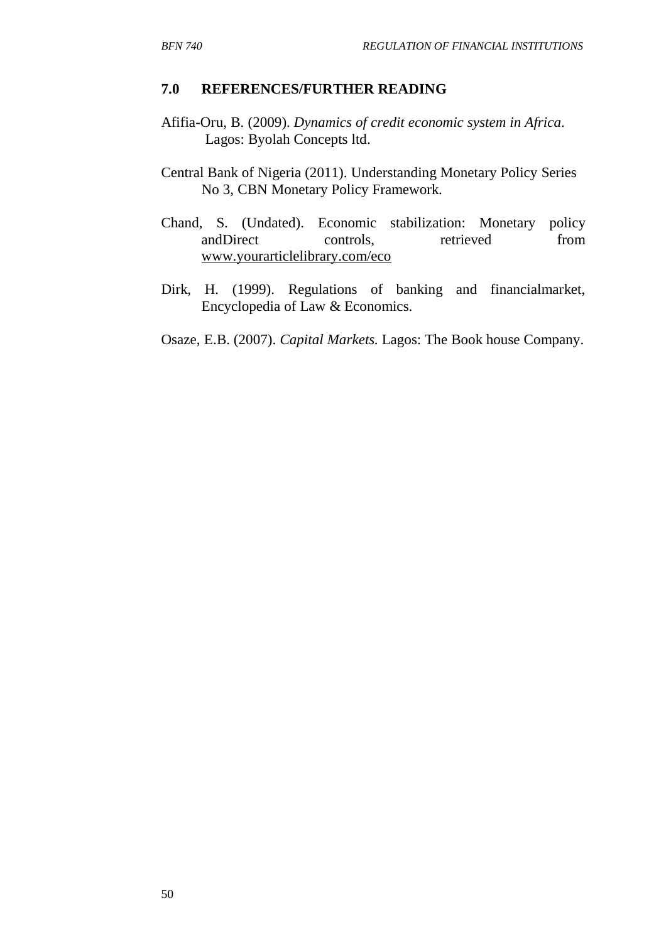#### **7.0 REFERENCES/FURTHER READING**

- Afifia-Oru, B. (2009). *Dynamics of credit economic system in Africa*. Lagos: Byolah Concepts ltd.
- Central Bank of Nigeria (2011). Understanding Monetary Policy Series No 3, CBN Monetary Policy Framework.
- Chand, S. (Undated). Economic stabilization: Monetary policy andDirect controls, retrieved from www.yourarticlelibrary.com/eco
- Dirk, H. (1999). Regulations of banking and financialmarket, Encyclopedia of Law & Economics.
- Osaze, E.B. (2007). *Capital Markets.* Lagos: The Book house Company.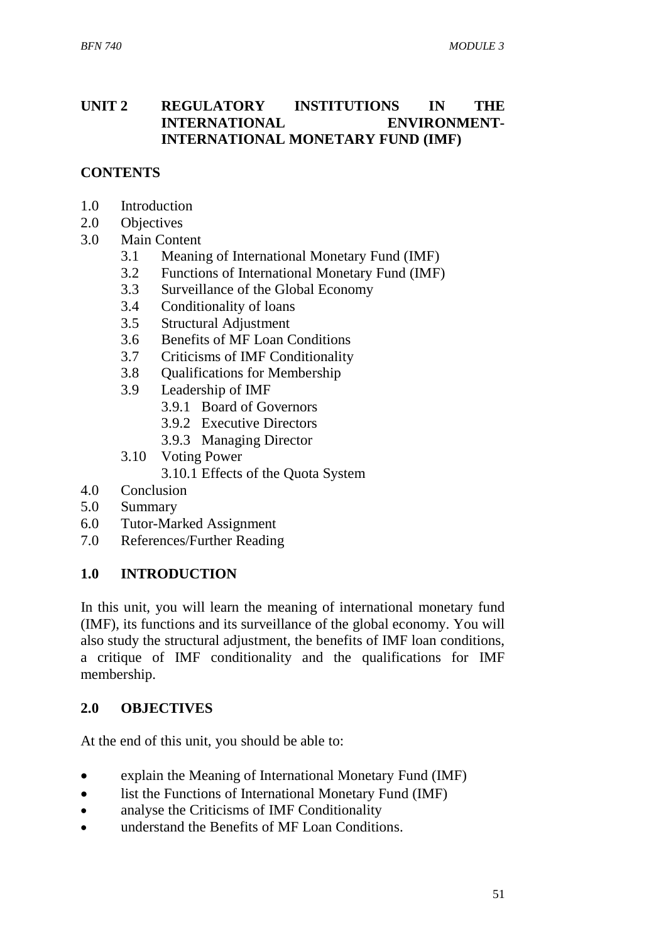## **UNIT 2 REGULATORY INSTITUTIONS IN THE INTERNATIONAL ENVIRONMENT-INTERNATIONAL MONETARY FUND (IMF)**

## **CONTENTS**

- 1.0 Introduction
- 2.0 Objectives
- 3.0 Main Content
	- 3.1 Meaning of International Monetary Fund (IMF)
	- 3.2 Functions of International Monetary Fund (IMF)
	- 3.3 Surveillance of the Global Economy
	- 3.4 Conditionality of loans
	- 3.5 Structural Adjustment
	- 3.6 Benefits of MF Loan Conditions
	- 3.7 Criticisms of IMF Conditionality
	- 3.8 Qualifications for Membership
	- 3.9 Leadership of IMF
		- 3.9.1 Board of Governors
		- 3.9.2 Executive Directors
		- 3.9.3 Managing Director
	- 3.10 Voting Power

3.10.1 Effects of the Quota System

- 4.0 Conclusion
- 5.0 Summary
- 6.0 Tutor-Marked Assignment
- 7.0 References/Further Reading

#### **1.0 INTRODUCTION**

In this unit, you will learn the meaning of international monetary fund (IMF), its functions and its surveillance of the global economy. You will also study the structural adjustment, the benefits of IMF loan conditions, a critique of IMF conditionality and the qualifications for IMF membership.

#### **2.0 OBJECTIVES**

At the end of this unit, you should be able to:

- explain the Meaning of International Monetary Fund (IMF)
- list the Functions of International Monetary Fund (IMF)
- analyse the Criticisms of IMF Conditionality
- understand the Benefits of MF Loan Conditions.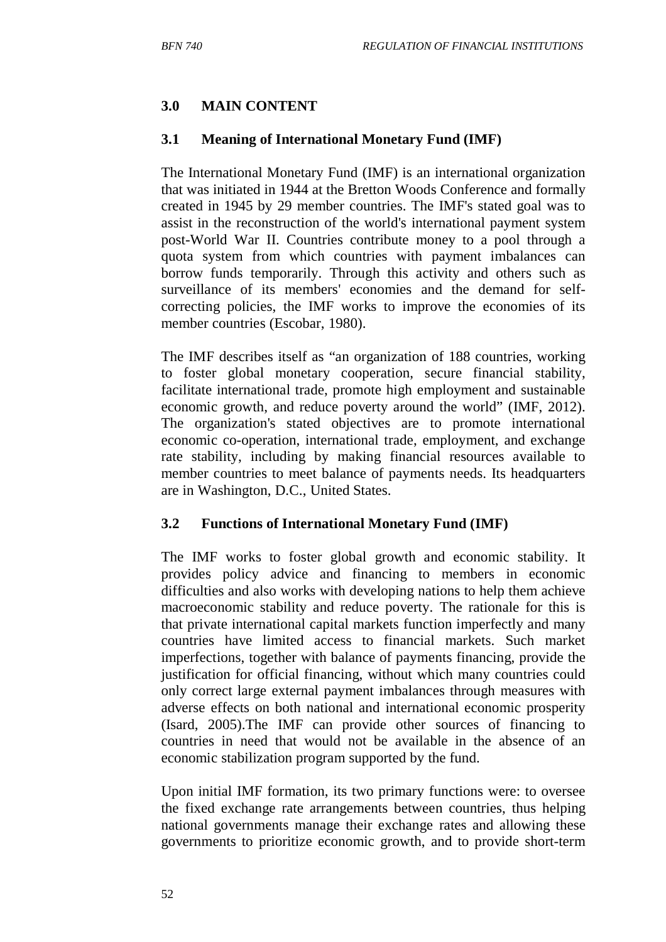# **3.0 MAIN CONTENT**

## **3.1 Meaning of International Monetary Fund (IMF)**

The International Monetary Fund (IMF) is an international organization that was initiated in 1944 at the Bretton Woods Conference and formally created in 1945 by 29 member countries. The IMF's stated goal was to assist in the reconstruction of the world's international payment system post-World War II. Countries contribute money to a pool through a quota system from which countries with payment imbalances can borrow funds temporarily. Through this activity and others such as surveillance of its members' economies and the demand for selfcorrecting policies, the IMF works to improve the economies of its member countries (Escobar, 1980).

The IMF describes itself as "an organization of 188 countries, working to foster global monetary cooperation, secure financial stability, facilitate international trade, promote high employment and sustainable economic growth, and reduce poverty around the world" (IMF, 2012). The organization's stated objectives are to promote international economic co-operation, international trade, employment, and exchange rate stability, including by making financial resources available to member countries to meet balance of payments needs. Its headquarters are in Washington, D.C., United States.

### **3.2 Functions of International Monetary Fund (IMF)**

The IMF works to foster global growth and economic stability. It provides policy advice and financing to members in economic difficulties and also works with developing nations to help them achieve macroeconomic stability and reduce poverty. The rationale for this is that private international capital markets function imperfectly and many countries have limited access to financial markets. Such market imperfections, together with balance of payments financing, provide the justification for official financing, without which many countries could only correct large external payment imbalances through measures with adverse effects on both national and international economic prosperity (Isard, 2005).The IMF can provide other sources of financing to countries in need that would not be available in the absence of an economic stabilization program supported by the fund.

Upon initial IMF formation, its two primary functions were: to oversee the fixed exchange rate arrangements between countries, thus helping national governments manage their exchange rates and allowing these governments to prioritize economic growth, and to provide short-term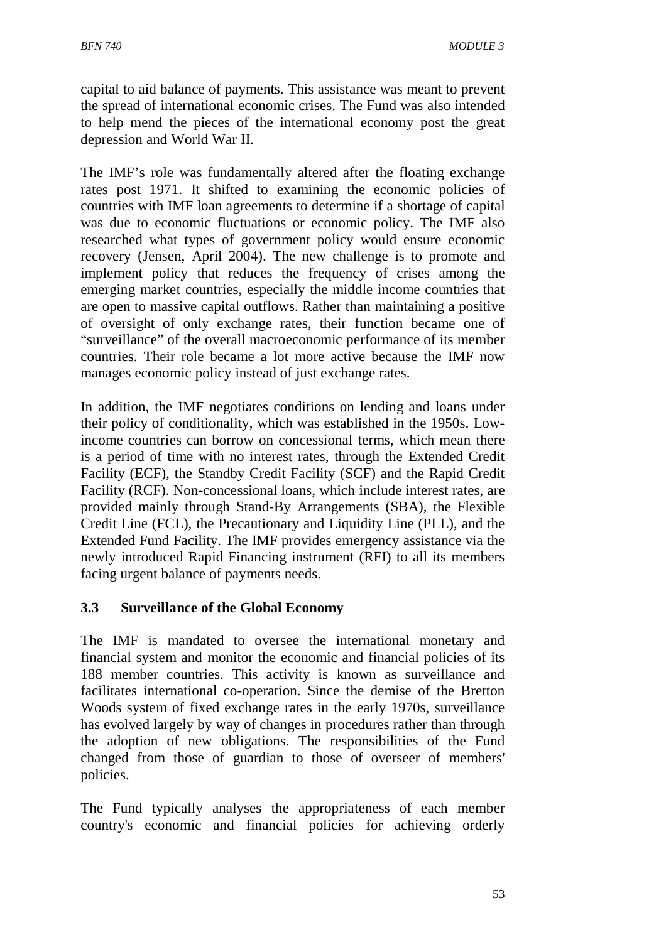capital to aid balance of payments. This assistance was meant to prevent the spread of international economic crises. The Fund was also intended to help mend the pieces of the international economy post the great depression and World War II.

The IMF's role was fundamentally altered after the floating exchange rates post 1971. It shifted to examining the economic policies of countries with IMF loan agreements to determine if a shortage of capital was due to economic fluctuations or economic policy. The IMF also researched what types of government policy would ensure economic recovery (Jensen, April 2004). The new challenge is to promote and implement policy that reduces the frequency of crises among the emerging market countries, especially the middle income countries that are open to massive capital outflows. Rather than maintaining a positive of oversight of only exchange rates, their function became one of "surveillance" of the overall macroeconomic performance of its member countries. Their role became a lot more active because the IMF now manages economic policy instead of just exchange rates.

In addition, the IMF negotiates conditions on lending and loans under their policy of conditionality, which was established in the 1950s. Lowincome countries can borrow on concessional terms, which mean there is a period of time with no interest rates, through the Extended Credit Facility (ECF), the Standby Credit Facility (SCF) and the Rapid Credit Facility (RCF). Non-concessional loans, which include interest rates, are provided mainly through Stand-By Arrangements (SBA), the Flexible Credit Line (FCL), the Precautionary and Liquidity Line (PLL), and the Extended Fund Facility. The IMF provides emergency assistance via the newly introduced Rapid Financing instrument (RFI) to all its members facing urgent balance of payments needs.

### **3.3 Surveillance of the Global Economy**

The IMF is mandated to oversee the international monetary and financial system and monitor the economic and financial policies of its 188 member countries. This activity is known as surveillance and facilitates international co-operation. Since the demise of the Bretton Woods system of fixed exchange rates in the early 1970s, surveillance has evolved largely by way of changes in procedures rather than through the adoption of new obligations. The responsibilities of the Fund changed from those of guardian to those of overseer of members' policies.

The Fund typically analyses the appropriateness of each member country's economic and financial policies for achieving orderly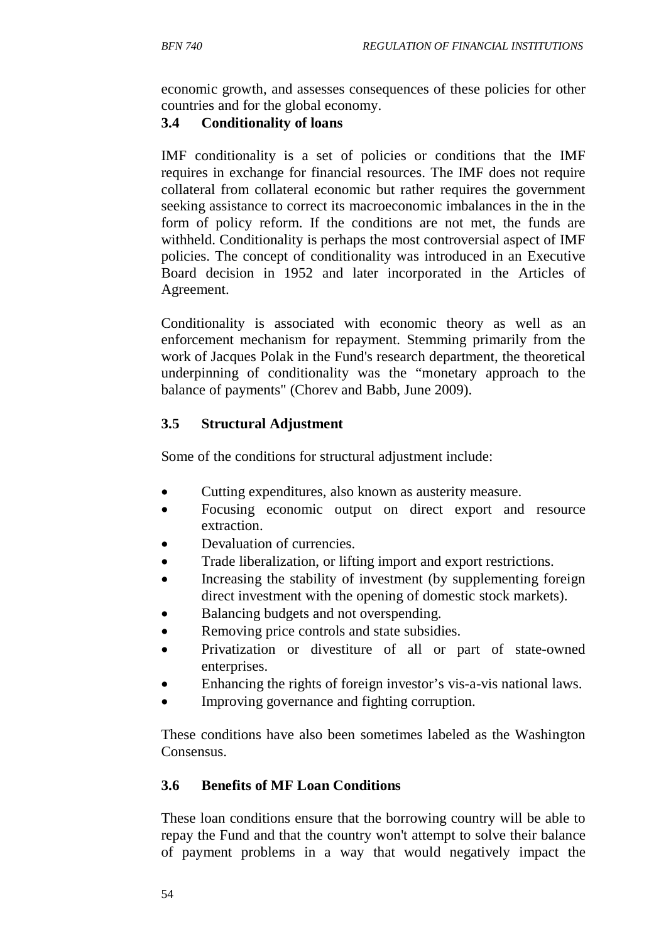economic growth, and assesses consequences of these policies for other countries and for the global economy.

# **3.4 Conditionality of loans**

IMF conditionality is a set of policies or conditions that the IMF requires in exchange for financial resources. The IMF does not require collateral from collateral economic but rather requires the government seeking assistance to correct its macroeconomic imbalances in the in the form of policy reform. If the conditions are not met, the funds are withheld. Conditionality is perhaps the most controversial aspect of IMF policies. The concept of conditionality was introduced in an Executive Board decision in 1952 and later incorporated in the Articles of Agreement.

Conditionality is associated with economic theory as well as an enforcement mechanism for repayment. Stemming primarily from the work of Jacques Polak in the Fund's research department, the theoretical underpinning of conditionality was the "monetary approach to the balance of payments" (Chorev and Babb, June 2009).

# **3.5 Structural Adjustment**

Some of the conditions for structural adjustment include:

- Cutting expenditures, also known as austerity measure.
- Focusing economic output on direct export and resource extraction.
- Devaluation of currencies.
- Trade liberalization, or lifting import and export restrictions.
- Increasing the stability of investment (by supplementing foreign direct investment with the opening of domestic stock markets).
- Balancing budgets and not overspending.
- Removing price controls and state subsidies.
- Privatization or divestiture of all or part of state-owned enterprises.
- Enhancing the rights of foreign investor's vis-a-vis national laws.
- Improving governance and fighting corruption.

These conditions have also been sometimes labeled as the Washington Consensus.

# **3.6 Benefits of MF Loan Conditions**

These loan conditions ensure that the borrowing country will be able to repay the Fund and that the country won't attempt to solve their balance of payment problems in a way that would negatively impact the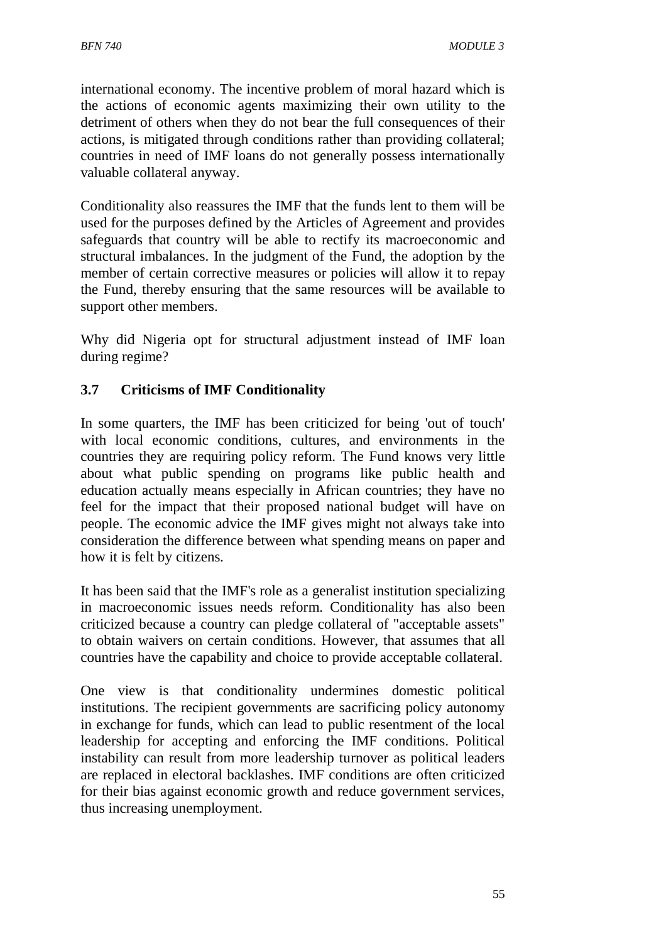international economy. The incentive problem of moral hazard which is the actions of economic agents maximizing their own utility to the detriment of others when they do not bear the full consequences of their actions, is mitigated through conditions rather than providing collateral; countries in need of IMF loans do not generally possess internationally valuable collateral anyway.

Conditionality also reassures the IMF that the funds lent to them will be used for the purposes defined by the Articles of Agreement and provides safeguards that country will be able to rectify its macroeconomic and structural imbalances. In the judgment of the Fund, the adoption by the member of certain corrective measures or policies will allow it to repay the Fund, thereby ensuring that the same resources will be available to support other members.

Why did Nigeria opt for structural adjustment instead of IMF loan during regime?

# **3.7 Criticisms of IMF Conditionality**

In some quarters, the IMF has been criticized for being 'out of touch' with local economic conditions, cultures, and environments in the countries they are requiring policy reform. The Fund knows very little about what public spending on programs like public health and education actually means especially in African countries; they have no feel for the impact that their proposed national budget will have on people. The economic advice the IMF gives might not always take into consideration the difference between what spending means on paper and how it is felt by citizens.

It has been said that the IMF's role as a generalist institution specializing in macroeconomic issues needs reform. Conditionality has also been criticized because a country can pledge collateral of "acceptable assets" to obtain waivers on certain conditions. However, that assumes that all countries have the capability and choice to provide acceptable collateral.

One view is that conditionality undermines domestic political institutions. The recipient governments are sacrificing policy autonomy in exchange for funds, which can lead to public resentment of the local leadership for accepting and enforcing the IMF conditions. Political instability can result from more leadership turnover as political leaders are replaced in electoral backlashes. IMF conditions are often criticized for their bias against economic growth and reduce government services, thus increasing unemployment.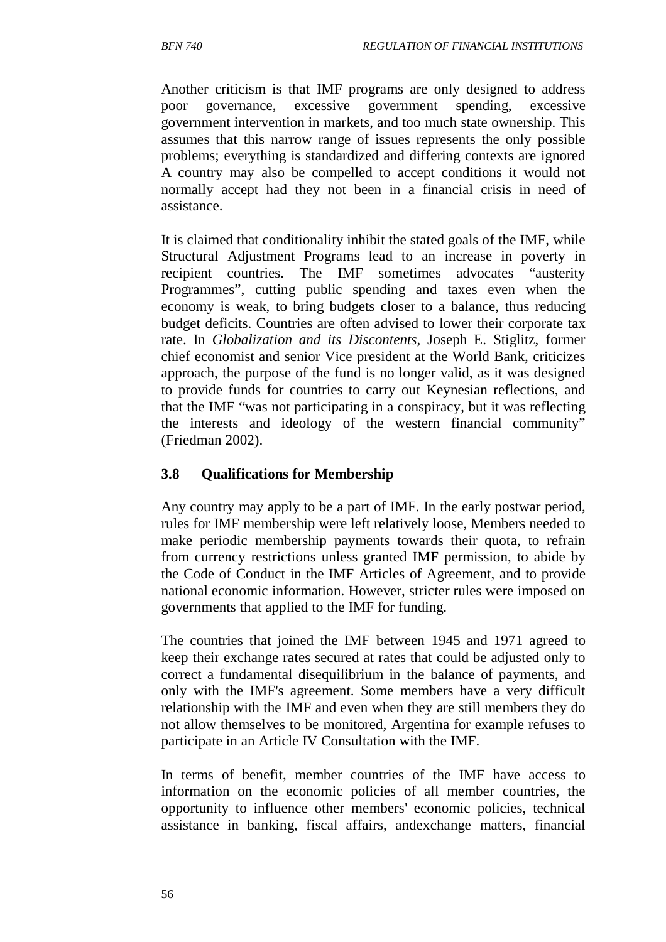Another criticism is that IMF programs are only designed to address poor governance, excessive government spending, excessive government intervention in markets, and too much state ownership. This assumes that this narrow range of issues represents the only possible problems; everything is standardized and differing contexts are ignored A country may also be compelled to accept conditions it would not normally accept had they not been in a financial crisis in need of assistance.

It is claimed that conditionality inhibit the stated goals of the IMF, while Structural Adjustment Programs lead to an increase in poverty in recipient countries. The IMF sometimes advocates "austerity Programmes", cutting public spending and taxes even when the economy is weak, to bring budgets closer to a balance, thus reducing budget deficits. Countries are often advised to lower their corporate tax rate. In *Globalization and its Discontents*, Joseph E. Stiglitz, former chief economist and senior Vice president at the World Bank, criticizes approach, the purpose of the fund is no longer valid, as it was designed to provide funds for countries to carry out Keynesian reflections, and that the IMF "was not participating in a conspiracy, but it was reflecting the interests and ideology of the western financial community" (Friedman 2002).

# **3.8 Qualifications for Membership**

Any country may apply to be a part of IMF. In the early postwar period, rules for IMF membership were left relatively loose, Members needed to make periodic membership payments towards their quota, to refrain from currency restrictions unless granted IMF permission, to abide by the Code of Conduct in the IMF Articles of Agreement, and to provide national economic information. However, stricter rules were imposed on governments that applied to the IMF for funding.

The countries that joined the IMF between 1945 and 1971 agreed to keep their exchange rates secured at rates that could be adjusted only to correct a fundamental disequilibrium in the balance of payments, and only with the IMF's agreement. Some members have a very difficult relationship with the IMF and even when they are still members they do not allow themselves to be monitored, Argentina for example refuses to participate in an Article IV Consultation with the IMF.

In terms of benefit, member countries of the IMF have access to information on the economic policies of all member countries, the opportunity to influence other members' economic policies, technical assistance in banking, fiscal affairs, andexchange matters, financial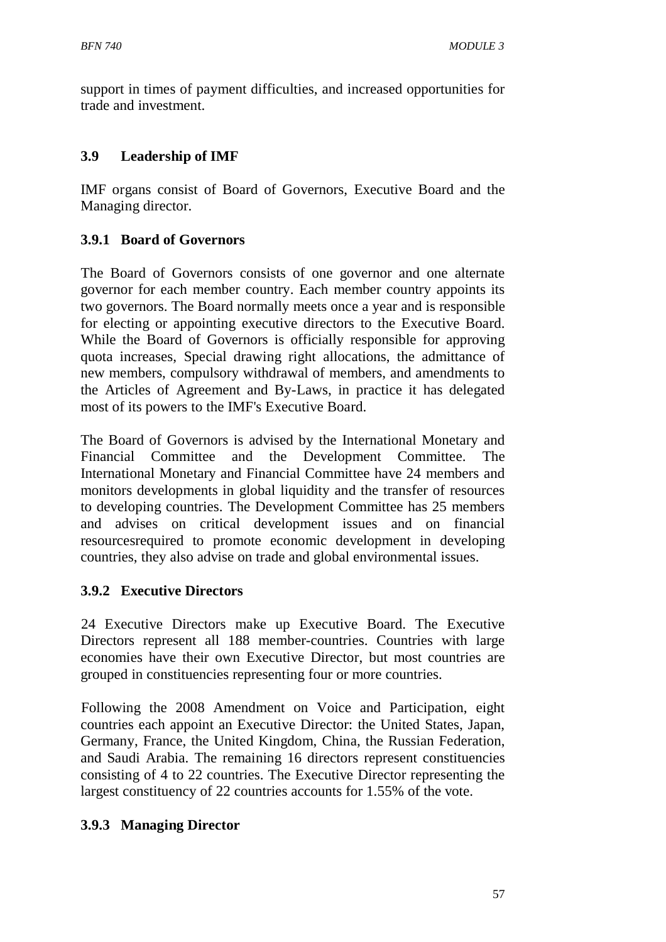support in times of payment difficulties, and increased opportunities for trade and investment.

## **3.9 Leadership of IMF**

IMF organs consist of Board of Governors, Executive Board and the Managing director.

# **3.9.1 Board of Governors**

The Board of Governors consists of one governor and one alternate governor for each member country. Each member country appoints its two governors. The Board normally meets once a year and is responsible for electing or appointing executive directors to the Executive Board. While the Board of Governors is officially responsible for approving quota increases, Special drawing right allocations, the admittance of new members, compulsory withdrawal of members, and amendments to the Articles of Agreement and By-Laws, in practice it has delegated most of its powers to the IMF's Executive Board.

The Board of Governors is advised by the International Monetary and Financial Committee and the Development Committee. The International Monetary and Financial Committee have 24 members and monitors developments in global liquidity and the transfer of resources to developing countries. The Development Committee has 25 members and advises on critical development issues and on financial resourcesrequired to promote economic development in developing countries, they also advise on trade and global environmental issues.

### **3.9.2 Executive Directors**

24 Executive Directors make up Executive Board. The Executive Directors represent all 188 member-countries. Countries with large economies have their own Executive Director, but most countries are grouped in constituencies representing four or more countries.

Following the 2008 Amendment on Voice and Participation, eight countries each appoint an Executive Director: the United States, Japan, Germany, France, the United Kingdom, China, the Russian Federation, and Saudi Arabia. The remaining 16 directors represent constituencies consisting of 4 to 22 countries. The Executive Director representing the largest constituency of 22 countries accounts for 1.55% of the vote.

### **3.9.3 Managing Director**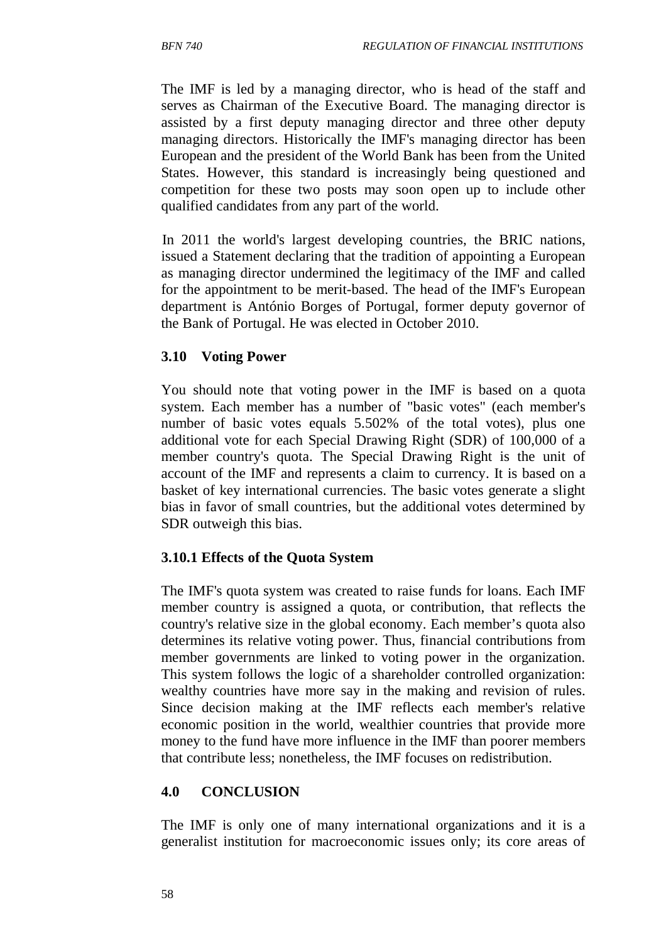The IMF is led by a managing director, who is head of the staff and serves as Chairman of the Executive Board. The managing director is assisted by a first deputy managing director and three other deputy managing directors. Historically the IMF's managing director has been European and the president of the World Bank has been from the United States. However, this standard is increasingly being questioned and competition for these two posts may soon open up to include other qualified candidates from any part of the world.

In 2011 the world's largest developing countries, the BRIC nations, issued a Statement declaring that the tradition of appointing a European as managing director undermined the legitimacy of the IMF and called for the appointment to be merit-based. The head of the IMF's European department is António Borges of Portugal, former deputy governor of the Bank of Portugal. He was elected in October 2010.

## **3.10 Voting Power**

You should note that voting power in the IMF is based on a quota system. Each member has a number of "basic votes" (each member's number of basic votes equals 5.502% of the total votes), plus one additional vote for each Special Drawing Right (SDR) of 100,000 of a member country's quota. The Special Drawing Right is the unit of account of the IMF and represents a claim to currency. It is based on a basket of key international currencies. The basic votes generate a slight bias in favor of small countries, but the additional votes determined by SDR outweigh this bias.

### **3.10.1 Effects of the Quota System**

The IMF's quota system was created to raise funds for loans. Each IMF member country is assigned a quota, or contribution, that reflects the country's relative size in the global economy. Each member's quota also determines its relative voting power. Thus, financial contributions from member governments are linked to voting power in the organization. This system follows the logic of a shareholder controlled organization: wealthy countries have more say in the making and revision of rules. Since decision making at the IMF reflects each member's relative economic position in the world, wealthier countries that provide more money to the fund have more influence in the IMF than poorer members that contribute less; nonetheless, the IMF focuses on redistribution.

### **4.0 CONCLUSION**

The IMF is only one of many international organizations and it is a generalist institution for macroeconomic issues only; its core areas of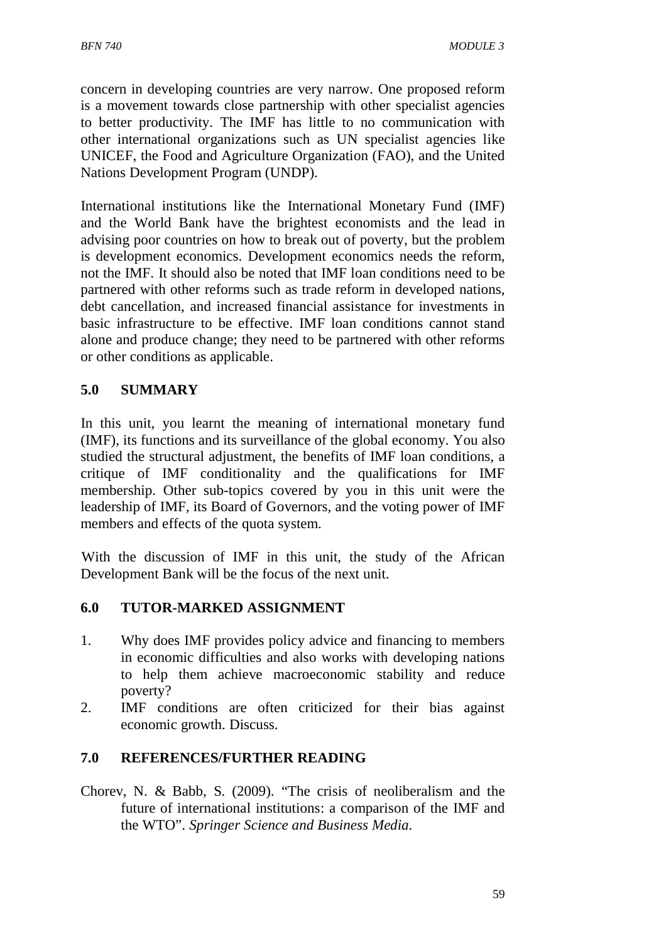concern in developing countries are very narrow. One proposed reform is a movement towards close partnership with other specialist agencies to better productivity. The IMF has little to no communication with other international organizations such as UN specialist agencies like UNICEF, the Food and Agriculture Organization (FAO), and the United Nations Development Program (UNDP).

International institutions like the International Monetary Fund (IMF) and the World Bank have the brightest economists and the lead in advising poor countries on how to break out of poverty, but the problem is development economics. Development economics needs the reform, not the IMF. It should also be noted that IMF loan conditions need to be partnered with other reforms such as trade reform in developed nations, debt cancellation, and increased financial assistance for investments in basic infrastructure to be effective. IMF loan conditions cannot stand alone and produce change; they need to be partnered with other reforms or other conditions as applicable.

# **5.0 SUMMARY**

In this unit, you learnt the meaning of international monetary fund (IMF), its functions and its surveillance of the global economy. You also studied the structural adjustment, the benefits of IMF loan conditions, a critique of IMF conditionality and the qualifications for IMF membership. Other sub-topics covered by you in this unit were the leadership of IMF, its Board of Governors, and the voting power of IMF members and effects of the quota system.

With the discussion of IMF in this unit, the study of the African Development Bank will be the focus of the next unit.

# **6.0 TUTOR-MARKED ASSIGNMENT**

- 1. Why does IMF provides policy advice and financing to members in economic difficulties and also works with developing nations to help them achieve macroeconomic stability and reduce poverty?
- 2. IMF conditions are often criticized for their bias against economic growth. Discuss.

# **7.0 REFERENCES/FURTHER READING**

Chorev, N. & Babb, S. (2009). "The crisis of neoliberalism and the future of international institutions: a comparison of the IMF and the WTO". *Springer Science and Business Media*.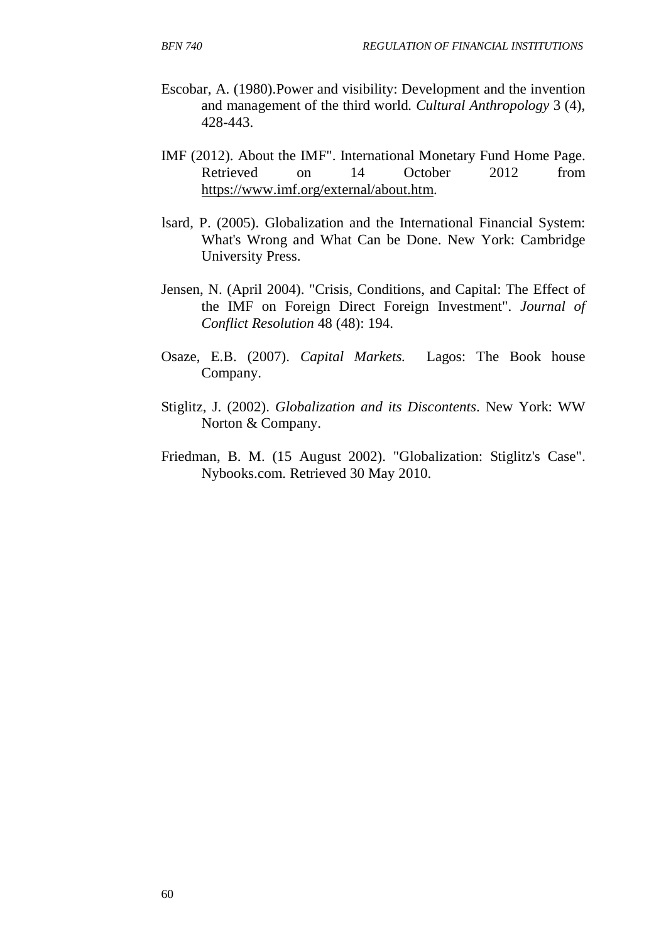- Escobar, A. (1980).Power and visibility: Development and the invention and management of the third world*. Cultural Anthropology* 3 (4), 428-443.
- IMF (2012). About the IMF". International Monetary Fund Home Page. Retrieved on 14 October 2012 from https://www.imf.org/external/about.htm.
- lsard, P. (2005). Globalization and the International Financial System: What's Wrong and What Can be Done. New York: Cambridge University Press.
- Jensen, N. (April 2004). "Crisis, Conditions, and Capital: The Effect of the IMF on Foreign Direct Foreign Investment". *Journal of Conflict Resolution* 48 (48): 194.
- Osaze, E.B. (2007). *Capital Markets.* Lagos: The Book house Company.
- Stiglitz, J. (2002). *Globalization and its Discontents*. New York: WW Norton & Company.
- Friedman, B. M. (15 August 2002). "Globalization: Stiglitz's Case". Nybooks.com. Retrieved 30 May 2010.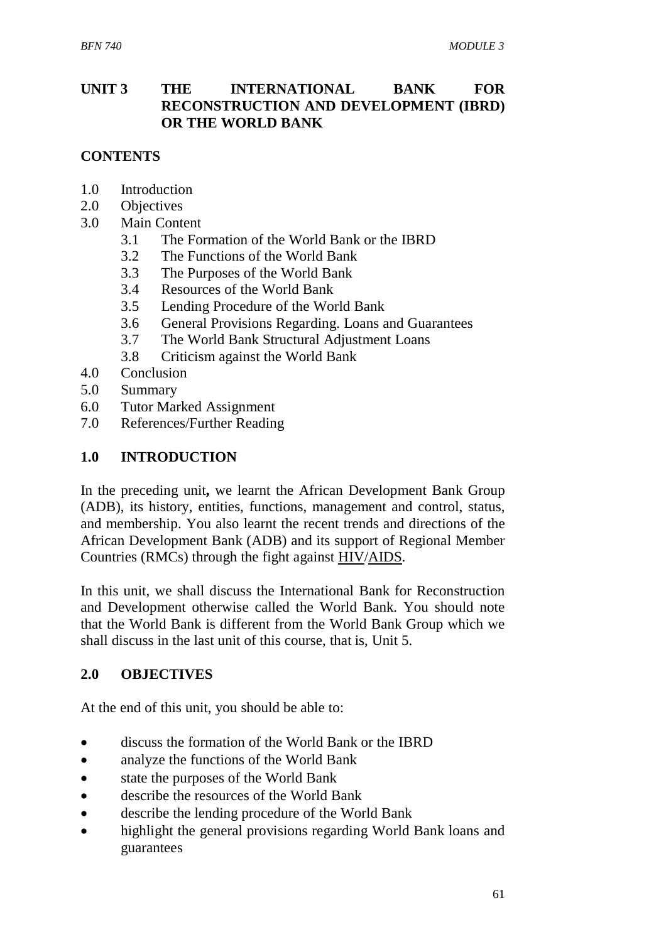## **UNIT 3 THE INTERNATIONAL BANK FOR RECONSTRUCTION AND DEVELOPMENT (IBRD) OR THE WORLD BANK**

## **CONTENTS**

- 1.0 Introduction
- 2.0 Objectives
- 3.0 Main Content
	- 3.1 The Formation of the World Bank or the IBRD
	- 3.2 The Functions of the World Bank
	- 3.3 The Purposes of the World Bank
	- 3.4 Resources of the World Bank
	- 3.5 Lending Procedure of the World Bank
	- 3.6 General Provisions Regarding. Loans and Guarantees
	- 3.7 The World Bank Structural Adjustment Loans
	- 3.8 Criticism against the World Bank
- 4.0 Conclusion
- 5.0 Summary
- 6.0 Tutor Marked Assignment
- 7.0 References/Further Reading

## **1.0 INTRODUCTION**

In the preceding unit**,** we learnt the African Development Bank Group (ADB), its history, entities, functions, management and control, status, and membership. You also learnt the recent trends and directions of the African Development Bank (ADB) and its support of Regional Member Countries (RMCs) through the fight against HIV/AIDS.

In this unit, we shall discuss the International Bank for Reconstruction and Development otherwise called the World Bank. You should note that the World Bank is different from the World Bank Group which we shall discuss in the last unit of this course, that is, Unit 5.

# **2.0 OBJECTIVES**

At the end of this unit, you should be able to:

- discuss the formation of the World Bank or the IBRD
- analyze the functions of the World Bank
- state the purposes of the World Bank
- describe the resources of the World Bank
- describe the lending procedure of the World Bank
- highlight the general provisions regarding World Bank loans and guarantees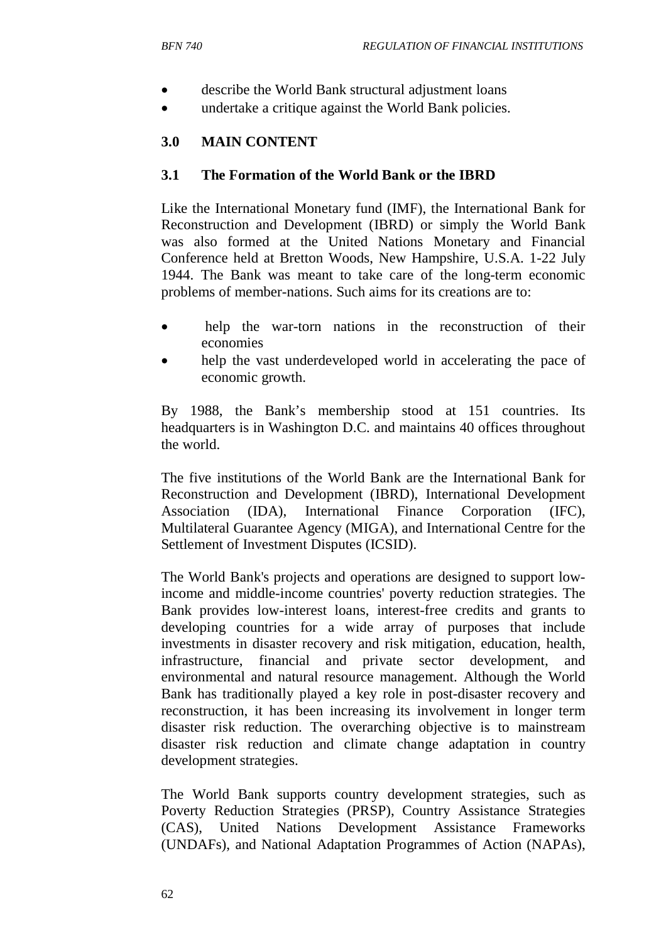- describe the World Bank structural adjustment loans
- undertake a critique against the World Bank policies.

## **3.0 MAIN CONTENT**

### **3.1 The Formation of the World Bank or the IBRD**

Like the International Monetary fund (IMF), the International Bank for Reconstruction and Development (IBRD) or simply the World Bank was also formed at the United Nations Monetary and Financial Conference held at Bretton Woods, New Hampshire, U.S.A. 1-22 July 1944. The Bank was meant to take care of the long-term economic problems of member-nations. Such aims for its creations are to:

- help the war-torn nations in the reconstruction of their economies
- help the vast underdeveloped world in accelerating the pace of economic growth.

By 1988, the Bank's membership stood at 151 countries. Its headquarters is in Washington D.C. and maintains 40 offices throughout the world.

The five institutions of the World Bank are the International Bank for Reconstruction and Development (IBRD), International Development Association (IDA), International Finance Corporation (IFC), Multilateral Guarantee Agency (MIGA), and International Centre for the Settlement of Investment Disputes (ICSID).

The World Bank's projects and operations are designed to support lowincome and middle-income countries' poverty reduction strategies. The Bank provides low-interest loans, interest-free credits and grants to developing countries for a wide array of purposes that include investments in disaster recovery and risk mitigation, education, health, infrastructure, financial and private sector development, and environmental and natural resource management. Although the World Bank has traditionally played a key role in post-disaster recovery and reconstruction, it has been increasing its involvement in longer term disaster risk reduction. The overarching objective is to mainstream disaster risk reduction and climate change adaptation in country development strategies.

The World Bank supports country development strategies, such as Poverty Reduction Strategies (PRSP), Country Assistance Strategies (CAS), United Nations Development Assistance Frameworks (UNDAFs), and National Adaptation Programmes of Action (NAPAs),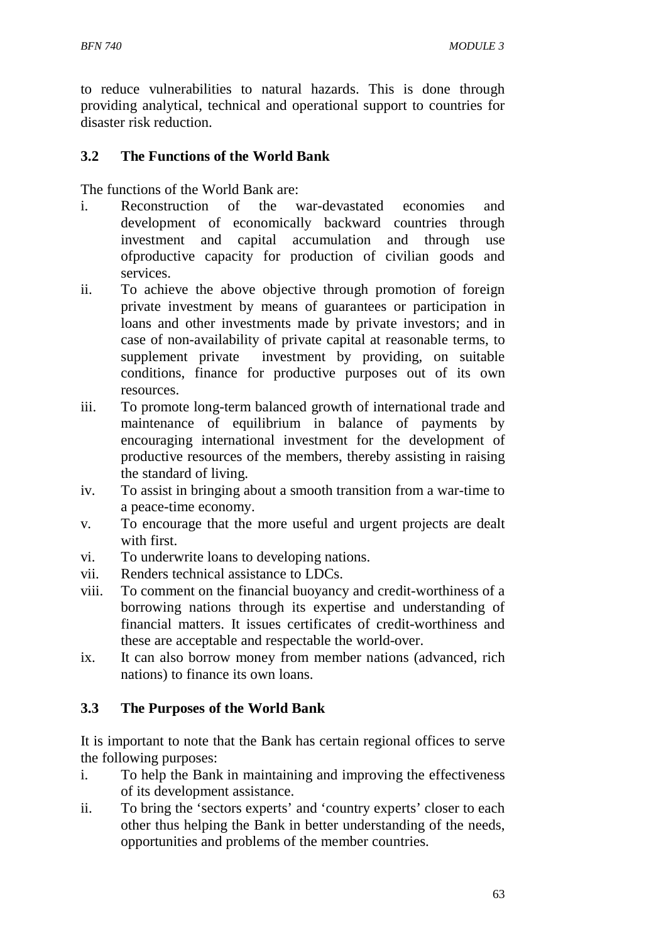to reduce vulnerabilities to natural hazards. This is done through providing analytical, technical and operational support to countries for disaster risk reduction.

## **3.2 The Functions of the World Bank**

The functions of the World Bank are:

- i. Reconstruction of the war-devastated economies and development of economically backward countries through investment and capital accumulation and through use ofproductive capacity for production of civilian goods and services.
- ii. To achieve the above objective through promotion of foreign private investment by means of guarantees or participation in loans and other investments made by private investors; and in case of non-availability of private capital at reasonable terms, to supplement private investment by providing, on suitable conditions, finance for productive purposes out of its own resources.
- iii. To promote long-term balanced growth of international trade and maintenance of equilibrium in balance of payments by encouraging international investment for the development of productive resources of the members, thereby assisting in raising the standard of living.
- iv. To assist in bringing about a smooth transition from a war-time to a peace-time economy.
- v. To encourage that the more useful and urgent projects are dealt with first.
- vi. To underwrite loans to developing nations.
- vii. Renders technical assistance to LDCs.
- viii. To comment on the financial buoyancy and credit-worthiness of a borrowing nations through its expertise and understanding of financial matters. It issues certificates of credit-worthiness and these are acceptable and respectable the world-over.
- ix. It can also borrow money from member nations (advanced, rich nations) to finance its own loans.

# **3.3 The Purposes of the World Bank**

It is important to note that the Bank has certain regional offices to serve the following purposes:

- i. To help the Bank in maintaining and improving the effectiveness of its development assistance.
- ii. To bring the 'sectors experts' and 'country experts' closer to each other thus helping the Bank in better understanding of the needs, opportunities and problems of the member countries.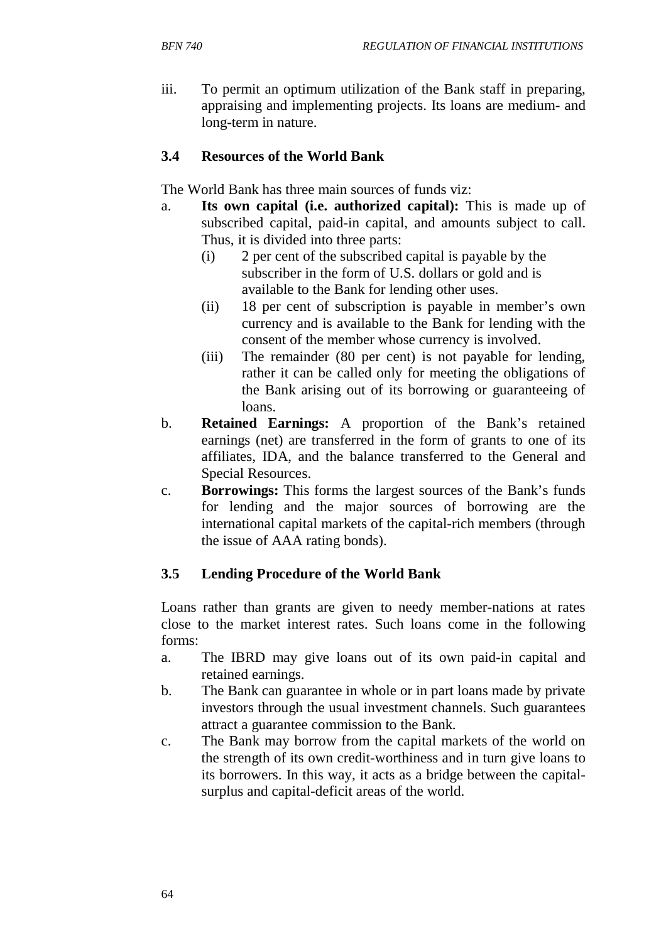iii. To permit an optimum utilization of the Bank staff in preparing, appraising and implementing projects. Its loans are medium- and long-term in nature.

## **3.4 Resources of the World Bank**

The World Bank has three main sources of funds viz:

- a. **Its own capital (i.e. authorized capital):** This is made up of subscribed capital, paid-in capital, and amounts subject to call. Thus, it is divided into three parts:
	- (i) 2 per cent of the subscribed capital is payable by the subscriber in the form of U.S. dollars or gold and is available to the Bank for lending other uses.
	- (ii) 18 per cent of subscription is payable in member's own currency and is available to the Bank for lending with the consent of the member whose currency is involved.
	- (iii) The remainder (80 per cent) is not payable for lending, rather it can be called only for meeting the obligations of the Bank arising out of its borrowing or guaranteeing of loans.
- b. **Retained Earnings:** A proportion of the Bank's retained earnings (net) are transferred in the form of grants to one of its affiliates, IDA, and the balance transferred to the General and Special Resources.
- c. **Borrowings:** This forms the largest sources of the Bank's funds for lending and the major sources of borrowing are the international capital markets of the capital-rich members (through the issue of AAA rating bonds).

# **3.5 Lending Procedure of the World Bank**

Loans rather than grants are given to needy member-nations at rates close to the market interest rates. Such loans come in the following forms:

- a. The IBRD may give loans out of its own paid-in capital and retained earnings.
- b. The Bank can guarantee in whole or in part loans made by private investors through the usual investment channels. Such guarantees attract a guarantee commission to the Bank.
- c. The Bank may borrow from the capital markets of the world on the strength of its own credit-worthiness and in turn give loans to its borrowers. In this way, it acts as a bridge between the capitalsurplus and capital-deficit areas of the world.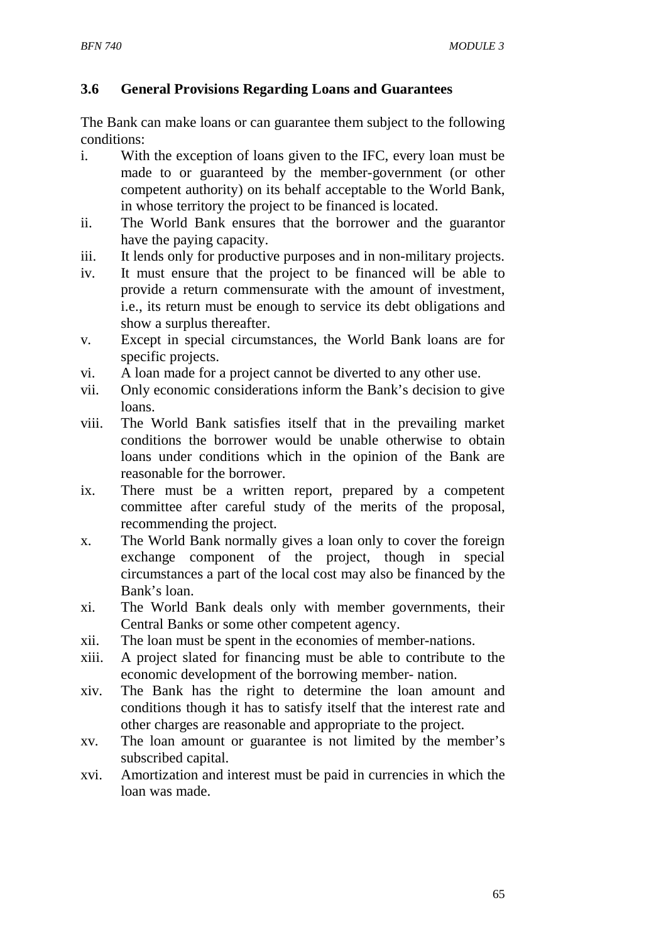### **3.6 General Provisions Regarding Loans and Guarantees**

The Bank can make loans or can guarantee them subject to the following conditions:

- i. With the exception of loans given to the IFC, every loan must be made to or guaranteed by the member-government (or other competent authority) on its behalf acceptable to the World Bank, in whose territory the project to be financed is located.
- ii. The World Bank ensures that the borrower and the guarantor have the paying capacity.
- iii. It lends only for productive purposes and in non-military projects.
- iv. It must ensure that the project to be financed will be able to provide a return commensurate with the amount of investment, i.e., its return must be enough to service its debt obligations and show a surplus thereafter.
- v. Except in special circumstances, the World Bank loans are for specific projects.
- vi. A loan made for a project cannot be diverted to any other use.
- vii. Only economic considerations inform the Bank's decision to give loans.
- viii. The World Bank satisfies itself that in the prevailing market conditions the borrower would be unable otherwise to obtain loans under conditions which in the opinion of the Bank are reasonable for the borrower.
- ix. There must be a written report, prepared by a competent committee after careful study of the merits of the proposal, recommending the project.
- x. The World Bank normally gives a loan only to cover the foreign exchange component of the project, though in special circumstances a part of the local cost may also be financed by the Bank's loan.
- xi. The World Bank deals only with member governments, their Central Banks or some other competent agency.
- xii. The loan must be spent in the economies of member-nations.
- xiii. A project slated for financing must be able to contribute to the economic development of the borrowing member- nation.
- xiv. The Bank has the right to determine the loan amount and conditions though it has to satisfy itself that the interest rate and other charges are reasonable and appropriate to the project.
- xv. The loan amount or guarantee is not limited by the member's subscribed capital.
- xvi. Amortization and interest must be paid in currencies in which the loan was made.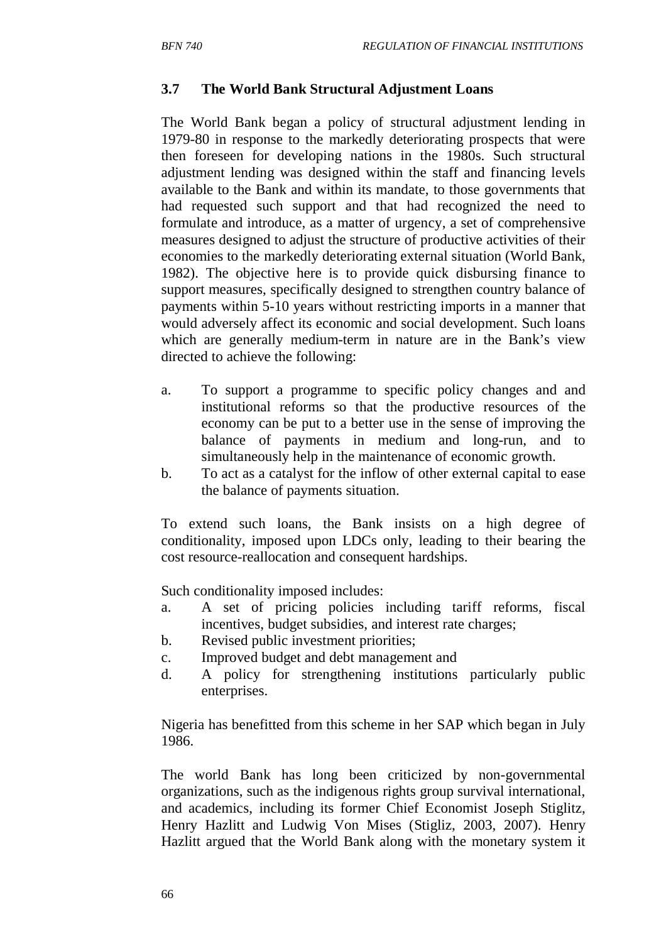# **3.7 The World Bank Structural Adjustment Loans**

The World Bank began a policy of structural adjustment lending in 1979-80 in response to the markedly deteriorating prospects that were then foreseen for developing nations in the 1980s. Such structural adjustment lending was designed within the staff and financing levels available to the Bank and within its mandate, to those governments that had requested such support and that had recognized the need to formulate and introduce, as a matter of urgency, a set of comprehensive measures designed to adjust the structure of productive activities of their economies to the markedly deteriorating external situation (World Bank, 1982). The objective here is to provide quick disbursing finance to support measures, specifically designed to strengthen country balance of payments within 5-10 years without restricting imports in a manner that would adversely affect its economic and social development. Such loans which are generally medium-term in nature are in the Bank's view directed to achieve the following:

- a. To support a programme to specific policy changes and and institutional reforms so that the productive resources of the economy can be put to a better use in the sense of improving the balance of payments in medium and long-run, and to simultaneously help in the maintenance of economic growth.
- b. To act as a catalyst for the inflow of other external capital to ease the balance of payments situation.

To extend such loans, the Bank insists on a high degree of conditionality, imposed upon LDCs only, leading to their bearing the cost resource-reallocation and consequent hardships.

Such conditionality imposed includes:

- a. A set of pricing policies including tariff reforms, fiscal incentives, budget subsidies, and interest rate charges;
- b. Revised public investment priorities;
- c. Improved budget and debt management and
- d. A policy for strengthening institutions particularly public enterprises.

Nigeria has benefitted from this scheme in her SAP which began in July 1986.

The world Bank has long been criticized by non-governmental organizations, such as the indigenous rights group survival international, and academics, including its former Chief Economist Joseph Stiglitz, Henry Hazlitt and Ludwig Von Mises (Stigliz, 2003, 2007). Henry Hazlitt argued that the World Bank along with the monetary system it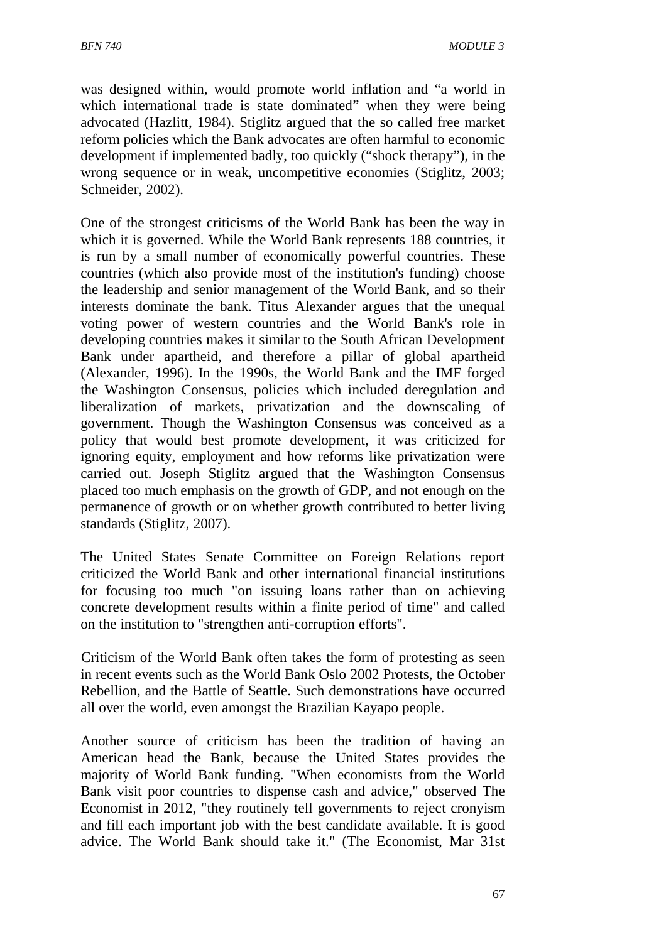was designed within, would promote world inflation and "a world in which international trade is state dominated" when they were being advocated (Hazlitt, 1984). Stiglitz argued that the so called free market reform policies which the Bank advocates are often harmful to economic development if implemented badly, too quickly ("shock therapy"), in the wrong sequence or in weak, uncompetitive economies (Stiglitz, 2003; Schneider, 2002).

One of the strongest criticisms of the World Bank has been the way in which it is governed. While the World Bank represents 188 countries, it is run by a small number of economically powerful countries. These countries (which also provide most of the institution's funding) choose the leadership and senior management of the World Bank, and so their interests dominate the bank. Titus Alexander argues that the unequal voting power of western countries and the World Bank's role in developing countries makes it similar to the South African Development Bank under apartheid, and therefore a pillar of global apartheid (Alexander, 1996). In the 1990s, the World Bank and the IMF forged the Washington Consensus, policies which included deregulation and liberalization of markets, privatization and the downscaling of government. Though the Washington Consensus was conceived as a policy that would best promote development, it was criticized for ignoring equity, employment and how reforms like privatization were carried out. Joseph Stiglitz argued that the Washington Consensus placed too much emphasis on the growth of GDP, and not enough on the permanence of growth or on whether growth contributed to better living standards (Stiglitz, 2007).

The United States Senate Committee on Foreign Relations report criticized the World Bank and other international financial institutions for focusing too much "on issuing loans rather than on achieving concrete development results within a finite period of time" and called on the institution to "strengthen anti-corruption efforts".

Criticism of the World Bank often takes the form of protesting as seen in recent events such as the World Bank Oslo 2002 Protests, the October Rebellion, and the Battle of Seattle. Such demonstrations have occurred all over the world, even amongst the Brazilian Kayapo people.

Another source of criticism has been the tradition of having an American head the Bank, because the United States provides the majority of World Bank funding. "When economists from the World Bank visit poor countries to dispense cash and advice," observed The Economist in 2012, "they routinely tell governments to reject cronyism and fill each important job with the best candidate available. It is good advice. The World Bank should take it." (The Economist, Mar 31st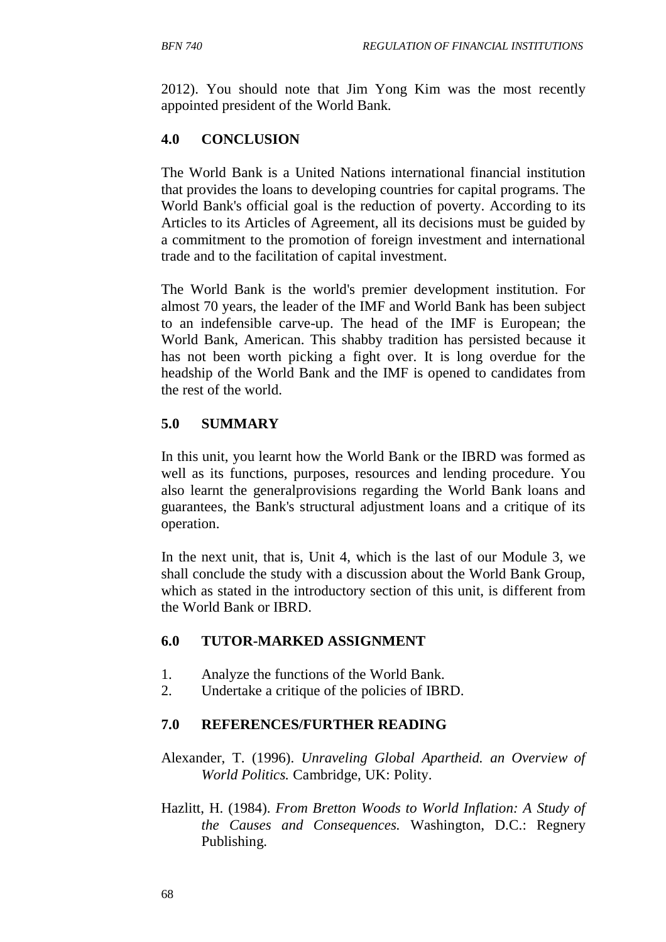2012). You should note that Jim Yong Kim was the most recently appointed president of the World Bank.

## **4.0 CONCLUSION**

The World Bank is a United Nations international financial institution that provides the loans to developing countries for capital programs. The World Bank's official goal is the reduction of poverty. According to its Articles to its Articles of Agreement, all its decisions must be guided by a commitment to the promotion of foreign investment and international trade and to the facilitation of capital investment.

The World Bank is the world's premier development institution. For almost 70 years, the leader of the IMF and World Bank has been subject to an indefensible carve-up. The head of the IMF is European; the World Bank, American. This shabby tradition has persisted because it has not been worth picking a fight over. It is long overdue for the headship of the World Bank and the IMF is opened to candidates from the rest of the world.

## **5.0 SUMMARY**

In this unit, you learnt how the World Bank or the IBRD was formed as well as its functions, purposes, resources and lending procedure. You also learnt the generalprovisions regarding the World Bank loans and guarantees, the Bank's structural adjustment loans and a critique of its operation.

In the next unit, that is, Unit 4, which is the last of our Module 3, we shall conclude the study with a discussion about the World Bank Group, which as stated in the introductory section of this unit, is different from the World Bank or IBRD.

### **6.0 TUTOR-MARKED ASSIGNMENT**

- 1. Analyze the functions of the World Bank.
- 2. Undertake a critique of the policies of IBRD.

### **7.0 REFERENCES/FURTHER READING**

Alexander, T. (1996). *Unraveling Global Apartheid. an Overview of World Politics.* Cambridge, UK: Polity.

Hazlitt, H. (1984). *From Bretton Woods to World Inflation: A Study of the Causes and Consequences.* Washington, D.C.: Regnery Publishing.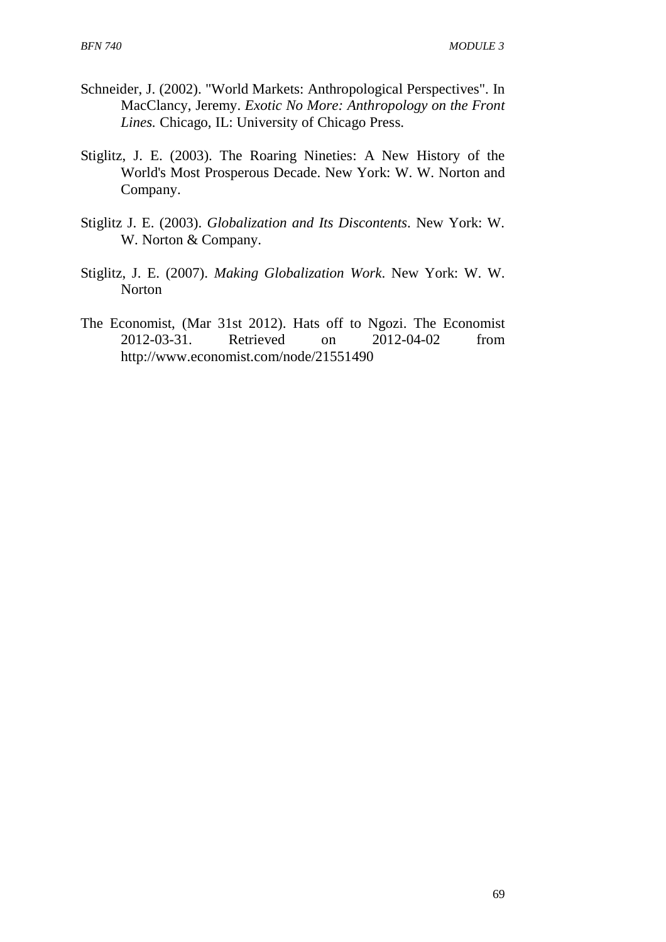- Schneider, J. (2002). "World Markets: Anthropological Perspectives". In MacClancy, Jeremy. *Exotic No More: Anthropology on the Front Lines.* Chicago, IL: University of Chicago Press.
- Stiglitz, J. E. (2003). The Roaring Nineties: A New History of the World's Most Prosperous Decade. New York: W. W. Norton and Company.
- Stiglitz J. E. (2003). *Globalization and Its Discontents*. New York: W. W. Norton & Company.
- Stiglitz, J. E. (2007). *Making Globalization Work*. New York: W. W. **Norton**
- The Economist, (Mar 31st 2012). Hats off to Ngozi. The Economist 2012-03-31. Retrieved on 2012-04-02 from http://www.economist.com/node/21551490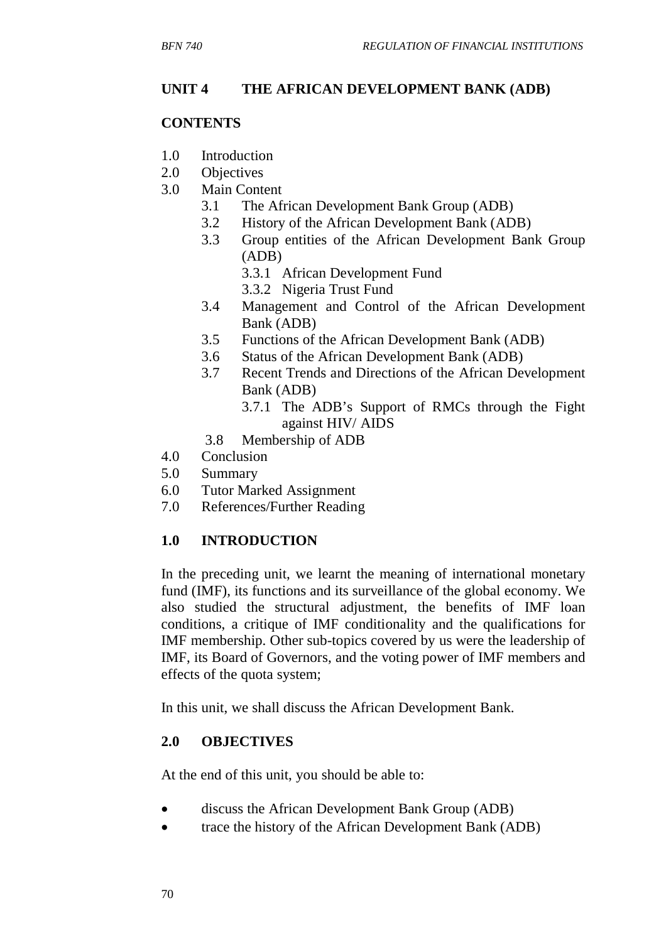# **UNIT 4 THE AFRICAN DEVELOPMENT BANK (ADB)**

#### **CONTENTS**

- 1.0 Introduction
- 2.0 Objectives
- 3.0 Main Content
	- 3.1 The African Development Bank Group (ADB)
	- 3.2 History of the African Development Bank (ADB)
	- 3.3 Group entities of the African Development Bank Group (ADB)
		- 3.3.1 African Development Fund
		- 3.3.2 Nigeria Trust Fund
	- 3.4 Management and Control of the African Development Bank (ADB)
	- 3.5 Functions of the African Development Bank (ADB)
	- 3.6 Status of the African Development Bank (ADB)
	- 3.7 Recent Trends and Directions of the African Development Bank (ADB)
		- 3.7.1 The ADB's Support of RMCs through the Fight against HIV/ AIDS
	- 3.8 Membership of ADB
- 4.0 Conclusion
- 5.0 Summary
- 6.0 Tutor Marked Assignment
- 7.0 References/Further Reading

# **1.0 INTRODUCTION**

In the preceding unit, we learnt the meaning of international monetary fund (IMF), its functions and its surveillance of the global economy. We also studied the structural adjustment, the benefits of IMF loan conditions, a critique of IMF conditionality and the qualifications for IMF membership. Other sub-topics covered by us were the leadership of IMF, its Board of Governors, and the voting power of IMF members and effects of the quota system;

In this unit, we shall discuss the African Development Bank.

# **2.0 OBJECTIVES**

At the end of this unit, you should be able to:

- discuss the African Development Bank Group (ADB)
- trace the history of the African Development Bank (ADB)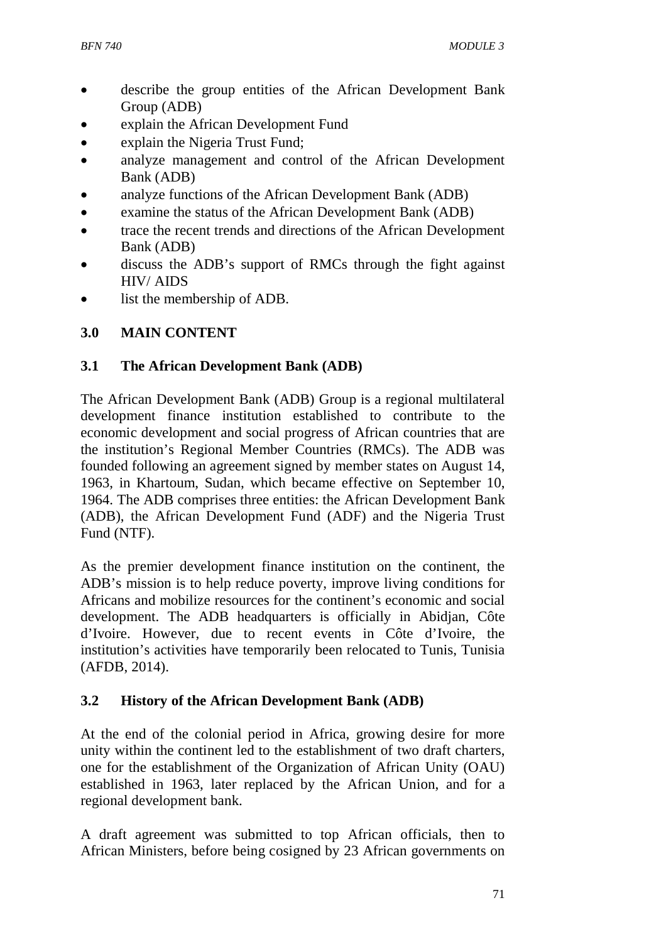- describe the group entities of the African Development Bank Group (ADB)
- explain the African Development Fund
- explain the Nigeria Trust Fund:
- analyze management and control of the African Development Bank (ADB)
- analyze functions of the African Development Bank (ADB)
- examine the status of the African Development Bank (ADB)
- trace the recent trends and directions of the African Development Bank (ADB)
- discuss the ADB's support of RMCs through the fight against HIV/ AIDS
- list the membership of ADB.

# **3.0 MAIN CONTENT**

# **3.1 The African Development Bank (ADB)**

The African Development Bank (ADB) Group is a regional multilateral development finance institution established to contribute to the economic development and social progress of African countries that are the institution's Regional Member Countries (RMCs). The ADB was founded following an agreement signed by member states on August 14, 1963, in Khartoum, Sudan, which became effective on September 10, 1964. The ADB comprises three entities: the African Development Bank (ADB), the African Development Fund (ADF) and the Nigeria Trust Fund (NTF).

As the premier development finance institution on the continent, the ADB's mission is to help reduce poverty, improve living conditions for Africans and mobilize resources for the continent's economic and social development. The ADB headquarters is officially in Abidjan, Côte d'Ivoire. However, due to recent events in Côte d'Ivoire, the institution's activities have temporarily been relocated to Tunis, Tunisia (AFDB, 2014).

# **3.2 History of the African Development Bank (ADB)**

At the end of the colonial period in Africa, growing desire for more unity within the continent led to the establishment of two draft charters, one for the establishment of the Organization of African Unity (OAU) established in 1963, later replaced by the African Union, and for a regional development bank.

A draft agreement was submitted to top African officials, then to African Ministers, before being cosigned by 23 African governments on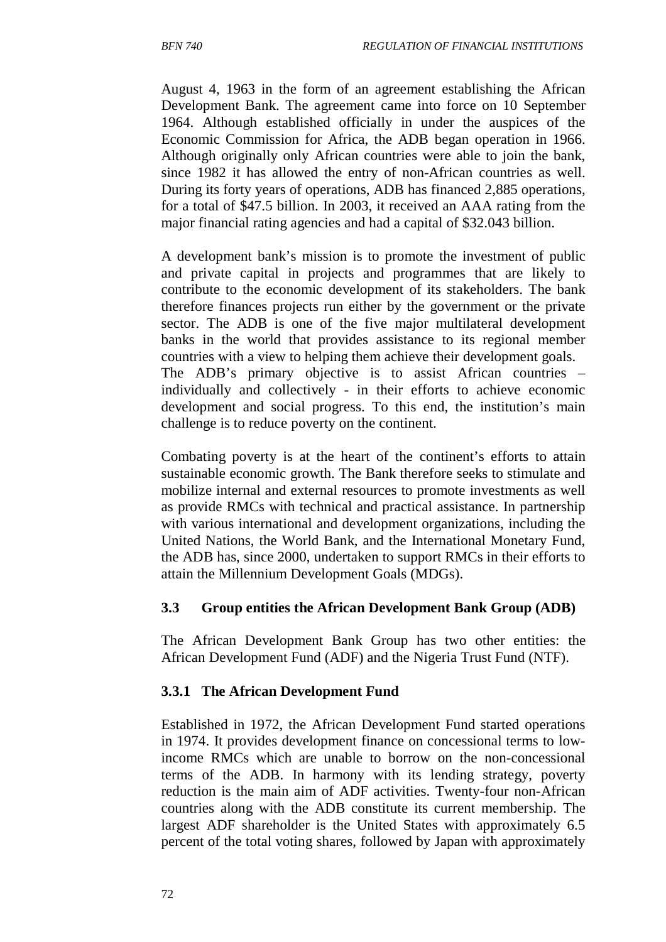August 4, 1963 in the form of an agreement establishing the African Development Bank. The agreement came into force on 10 September 1964. Although established officially in under the auspices of the Economic Commission for Africa, the ADB began operation in 1966. Although originally only African countries were able to join the bank, since 1982 it has allowed the entry of non-African countries as well. During its forty years of operations, ADB has financed 2,885 operations, for a total of \$47.5 billion. In 2003, it received an AAA rating from the major financial rating agencies and had a capital of \$32.043 billion.

A development bank's mission is to promote the investment of public and private capital in projects and programmes that are likely to contribute to the economic development of its stakeholders. The bank therefore finances projects run either by the government or the private sector. The ADB is one of the five major multilateral development banks in the world that provides assistance to its regional member countries with a view to helping them achieve their development goals. The ADB's primary objective is to assist African countries – individually and collectively - in their efforts to achieve economic development and social progress. To this end, the institution's main challenge is to reduce poverty on the continent.

Combating poverty is at the heart of the continent's efforts to attain sustainable economic growth. The Bank therefore seeks to stimulate and mobilize internal and external resources to promote investments as well as provide RMCs with technical and practical assistance. In partnership with various international and development organizations, including the United Nations, the World Bank, and the International Monetary Fund, the ADB has, since 2000, undertaken to support RMCs in their efforts to attain the Millennium Development Goals (MDGs).

### **3.3 Group entities the African Development Bank Group (ADB)**

The African Development Bank Group has two other entities: the African Development Fund (ADF) and the Nigeria Trust Fund (NTF).

### **3.3.1 The African Development Fund**

Established in 1972, the African Development Fund started operations in 1974. It provides development finance on concessional terms to lowincome RMCs which are unable to borrow on the non-concessional terms of the ADB. In harmony with its lending strategy, poverty reduction is the main aim of ADF activities. Twenty-four non-African countries along with the ADB constitute its current membership. The largest ADF shareholder is the United States with approximately 6.5 percent of the total voting shares, followed by Japan with approximately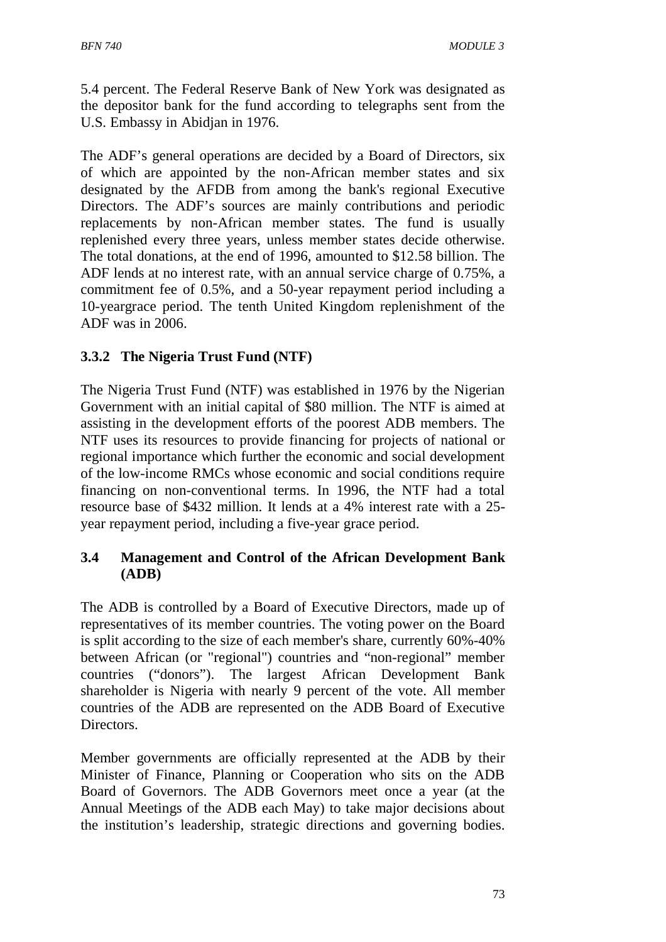5.4 percent. The Federal Reserve Bank of New York was designated as the depositor bank for the fund according to telegraphs sent from the U.S. Embassy in Abidjan in 1976.

The ADF's general operations are decided by a Board of Directors, six of which are appointed by the non-African member states and six designated by the AFDB from among the bank's regional Executive Directors. The ADF's sources are mainly contributions and periodic replacements by non-African member states. The fund is usually replenished every three years, unless member states decide otherwise. The total donations, at the end of 1996, amounted to \$12.58 billion. The ADF lends at no interest rate, with an annual service charge of 0.75%, a commitment fee of 0.5%, and a 50-year repayment period including a 10-yeargrace period. The tenth United Kingdom replenishment of the ADF was in 2006.

# **3.3.2 The Nigeria Trust Fund (NTF)**

The Nigeria Trust Fund (NTF) was established in 1976 by the Nigerian Government with an initial capital of \$80 million. The NTF is aimed at assisting in the development efforts of the poorest ADB members. The NTF uses its resources to provide financing for projects of national or regional importance which further the economic and social development of the low-income RMCs whose economic and social conditions require financing on non-conventional terms. In 1996, the NTF had a total resource base of \$432 million. It lends at a 4% interest rate with a 25 year repayment period, including a five-year grace period.

## **3.4 Management and Control of the African Development Bank (ADB)**

The ADB is controlled by a Board of Executive Directors, made up of representatives of its member countries. The voting power on the Board is split according to the size of each member's share, currently 60%-40% between African (or "regional") countries and "non-regional" member countries ("donors"). The largest African Development Bank shareholder is Nigeria with nearly 9 percent of the vote. All member countries of the ADB are represented on the ADB Board of Executive Directors.

Member governments are officially represented at the ADB by their Minister of Finance, Planning or Cooperation who sits on the ADB Board of Governors. The ADB Governors meet once a year (at the Annual Meetings of the ADB each May) to take major decisions about the institution's leadership, strategic directions and governing bodies.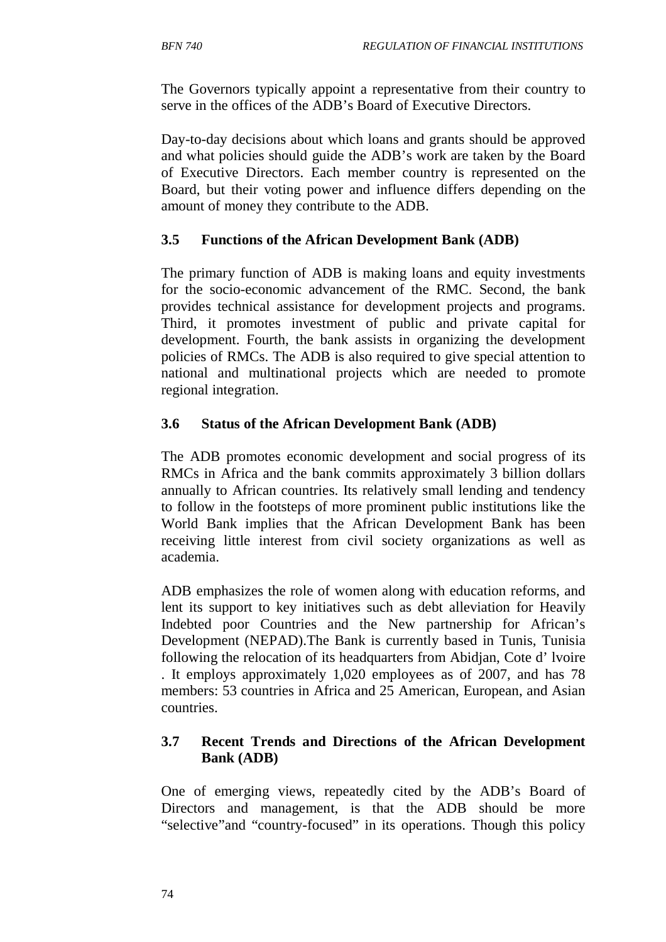The Governors typically appoint a representative from their country to serve in the offices of the ADB's Board of Executive Directors.

Day-to-day decisions about which loans and grants should be approved and what policies should guide the ADB's work are taken by the Board of Executive Directors. Each member country is represented on the Board, but their voting power and influence differs depending on the amount of money they contribute to the ADB.

# **3.5 Functions of the African Development Bank (ADB)**

The primary function of ADB is making loans and equity investments for the socio-economic advancement of the RMC. Second, the bank provides technical assistance for development projects and programs. Third, it promotes investment of public and private capital for development. Fourth, the bank assists in organizing the development policies of RMCs. The ADB is also required to give special attention to national and multinational projects which are needed to promote regional integration.

## **3.6 Status of the African Development Bank (ADB)**

The ADB promotes economic development and social progress of its RMCs in Africa and the bank commits approximately 3 billion dollars annually to African countries. Its relatively small lending and tendency to follow in the footsteps of more prominent public institutions like the World Bank implies that the African Development Bank has been receiving little interest from civil society organizations as well as academia.

ADB emphasizes the role of women along with education reforms, and lent its support to key initiatives such as debt alleviation for Heavily Indebted poor Countries and the New partnership for African's Development (NEPAD).The Bank is currently based in Tunis, Tunisia following the relocation of its headquarters from Abidjan, Cote d' lvoire . It employs approximately 1,020 employees as of 2007, and has 78 members: 53 countries in Africa and 25 American, European, and Asian countries.

### **3.7 Recent Trends and Directions of the African Development Bank (ADB)**

One of emerging views, repeatedly cited by the ADB's Board of Directors and management, is that the ADB should be more "selective"and "country-focused" in its operations. Though this policy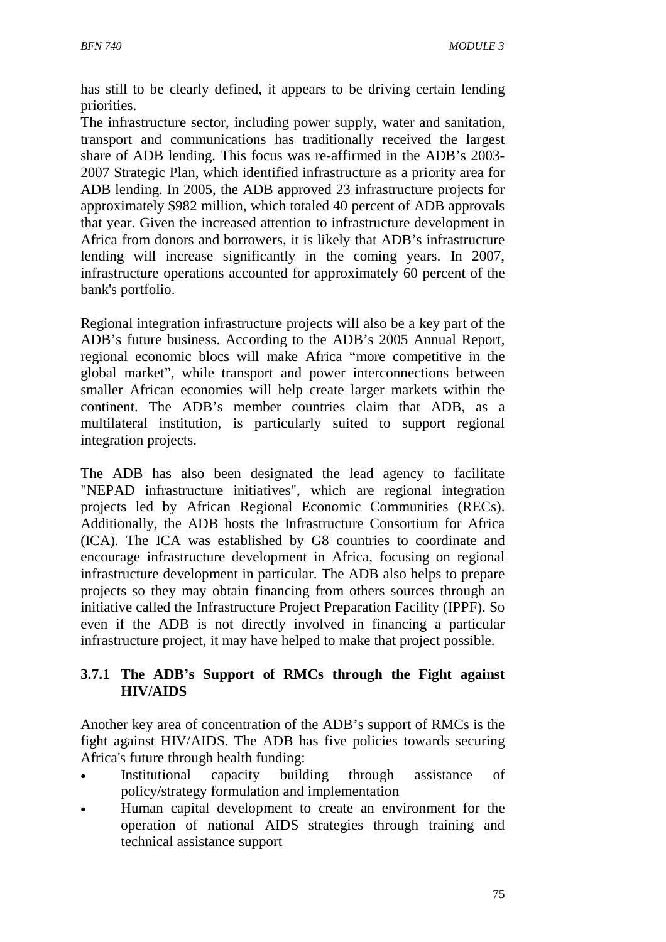has still to be clearly defined, it appears to be driving certain lending priorities.

The infrastructure sector, including power supply, water and sanitation, transport and communications has traditionally received the largest share of ADB lending. This focus was re-affirmed in the ADB's 2003- 2007 Strategic Plan, which identified infrastructure as a priority area for ADB lending. In 2005, the ADB approved 23 infrastructure projects for approximately \$982 million, which totaled 40 percent of ADB approvals that year. Given the increased attention to infrastructure development in Africa from donors and borrowers, it is likely that ADB's infrastructure lending will increase significantly in the coming years. In 2007, infrastructure operations accounted for approximately 60 percent of the bank's portfolio.

Regional integration infrastructure projects will also be a key part of the ADB's future business. According to the ADB's 2005 Annual Report, regional economic blocs will make Africa "more competitive in the global market", while transport and power interconnections between smaller African economies will help create larger markets within the continent. The ADB's member countries claim that ADB, as a multilateral institution, is particularly suited to support regional integration projects.

The ADB has also been designated the lead agency to facilitate "NEPAD infrastructure initiatives", which are regional integration projects led by African Regional Economic Communities (RECs). Additionally, the ADB hosts the Infrastructure Consortium for Africa (ICA). The ICA was established by G8 countries to coordinate and encourage infrastructure development in Africa, focusing on regional infrastructure development in particular. The ADB also helps to prepare projects so they may obtain financing from others sources through an initiative called the Infrastructure Project Preparation Facility (IPPF). So even if the ADB is not directly involved in financing a particular infrastructure project, it may have helped to make that project possible.

### **3.7.1 The ADB's Support of RMCs through the Fight against HIV/AIDS**

Another key area of concentration of the ADB's support of RMCs is the fight against HIV/AIDS. The ADB has five policies towards securing Africa's future through health funding:

- Institutional capacity building through assistance of policy/strategy formulation and implementation
- Human capital development to create an environment for the operation of national AIDS strategies through training and technical assistance support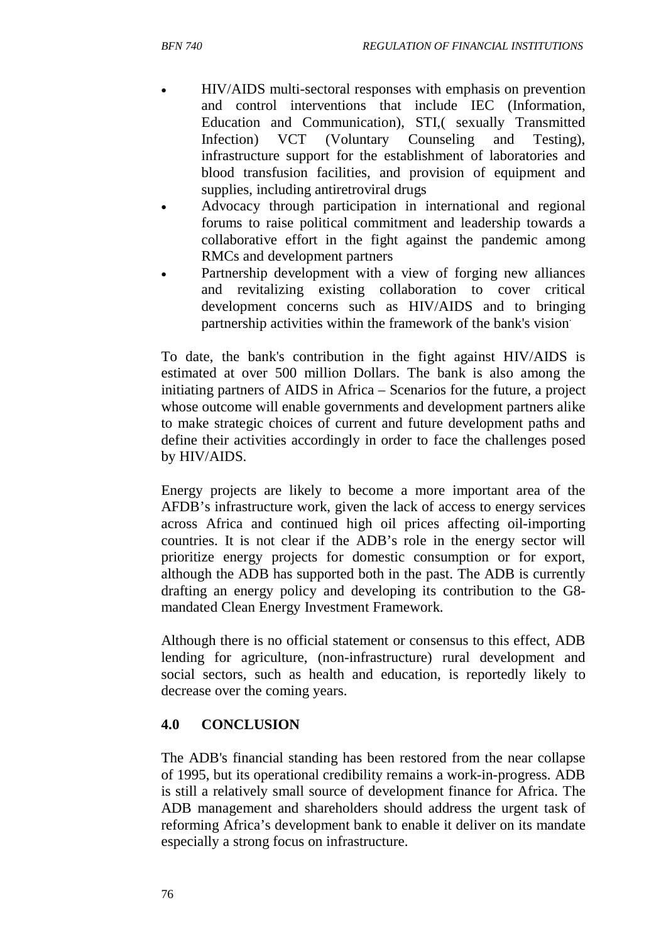- HIV/AIDS multi-sectoral responses with emphasis on prevention and control interventions that include IEC (Information, Education and Communication), STI,( sexually Transmitted Infection) VCT (Voluntary Counseling and Testing), infrastructure support for the establishment of laboratories and blood transfusion facilities, and provision of equipment and supplies, including antiretroviral drugs
- Advocacy through participation in international and regional forums to raise political commitment and leadership towards a collaborative effort in the fight against the pandemic among RMCs and development partners
- Partnership development with a view of forging new alliances and revitalizing existing collaboration to cover critical development concerns such as HIV/AIDS and to bringing partnership activities within the framework of the bank's vision.

To date, the bank's contribution in the fight against HIV/AIDS is estimated at over 500 million Dollars. The bank is also among the initiating partners of AIDS in Africa – Scenarios for the future, a project whose outcome will enable governments and development partners alike to make strategic choices of current and future development paths and define their activities accordingly in order to face the challenges posed by HIV/AIDS.

Energy projects are likely to become a more important area of the AFDB's infrastructure work, given the lack of access to energy services across Africa and continued high oil prices affecting oil-importing countries. It is not clear if the ADB's role in the energy sector will prioritize energy projects for domestic consumption or for export, although the ADB has supported both in the past. The ADB is currently drafting an energy policy and developing its contribution to the G8 mandated Clean Energy Investment Framework.

Although there is no official statement or consensus to this effect, ADB lending for agriculture, (non-infrastructure) rural development and social sectors, such as health and education, is reportedly likely to decrease over the coming years.

# **4.0 CONCLUSION**

The ADB's financial standing has been restored from the near collapse of 1995, but its operational credibility remains a work-in-progress. ADB is still a relatively small source of development finance for Africa. The ADB management and shareholders should address the urgent task of reforming Africa's development bank to enable it deliver on its mandate especially a strong focus on infrastructure.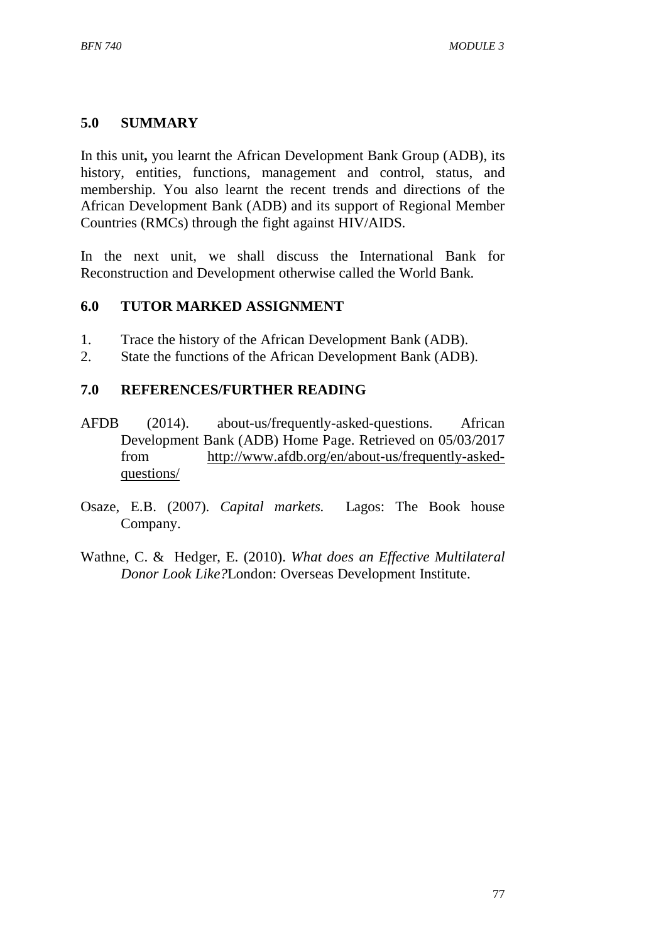#### **5.0 SUMMARY**

In this unit**,** you learnt the African Development Bank Group (ADB), its history, entities, functions, management and control, status, and membership. You also learnt the recent trends and directions of the African Development Bank (ADB) and its support of Regional Member Countries (RMCs) through the fight against HIV/AIDS.

In the next unit, we shall discuss the International Bank for Reconstruction and Development otherwise called the World Bank.

#### **6.0 TUTOR MARKED ASSIGNMENT**

- 1. Trace the history of the African Development Bank (ADB).
- 2. State the functions of the African Development Bank (ADB).

#### **7.0 REFERENCES/FURTHER READING**

- AFDB (2014). about-us/frequently-asked-questions. African Development Bank (ADB) Home Page. Retrieved on 05/03/2017 from http://www.afdb.org/en/about-us/frequently-askedquestions/
- Osaze, E.B. (2007). *Capital markets.* Lagos: The Book house Company.
- Wathne, C. & Hedger, E. (2010). *What does an Effective Multilateral Donor Look Like?*London: Overseas Development Institute.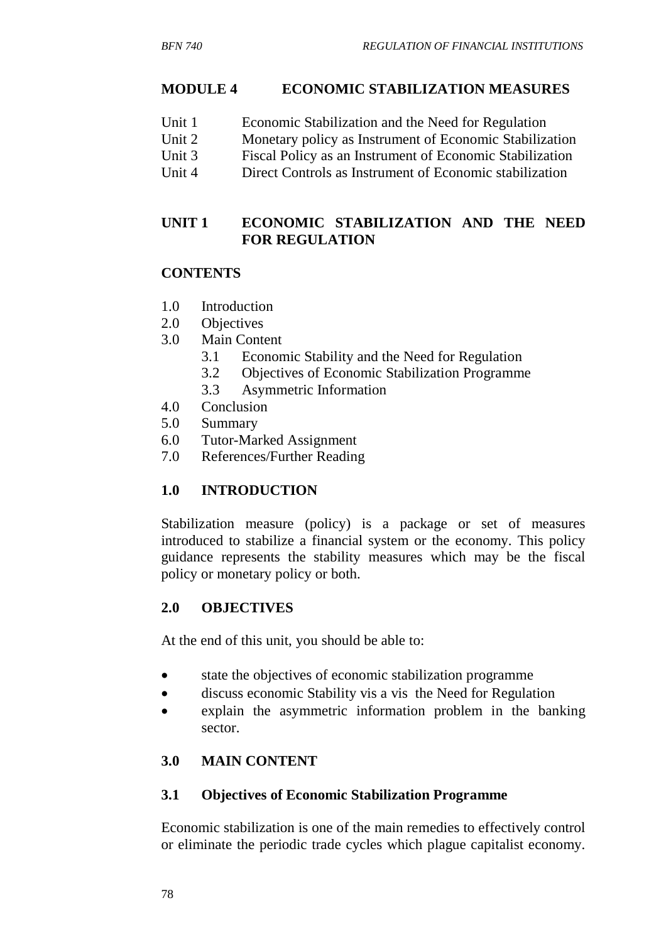## **MODULE 4 ECONOMIC STABILIZATION MEASURES**

- Unit 1 Economic Stabilization and the Need for Regulation
- Unit 2 Monetary policy as Instrument of Economic Stabilization
- Unit 3 Fiscal Policy as an Instrument of Economic Stabilization
- Unit 4 Direct Controls as Instrument of Economic stabilization

# **UNIT 1 ECONOMIC STABILIZATION AND THE NEED FOR REGULATION**

# **CONTENTS**

- 1.0 Introduction
- 2.0 Objectives
- 3.0 Main Content
	- 3.1 Economic Stability and the Need for Regulation
	- 3.2 Objectives of Economic Stabilization Programme
	- 3.3 Asymmetric Information
- 4.0 Conclusion
- 5.0 Summary
- 6.0 Tutor-Marked Assignment
- 7.0 References/Further Reading

# **1.0 INTRODUCTION**

Stabilization measure (policy) is a package or set of measures introduced to stabilize a financial system or the economy. This policy guidance represents the stability measures which may be the fiscal policy or monetary policy or both.

# **2.0 OBJECTIVES**

At the end of this unit, you should be able to:

- state the objectives of economic stabilization programme
- discuss economic Stability vis a vis the Need for Regulation
- explain the asymmetric information problem in the banking sector.

# **3.0 MAIN CONTENT**

# **3.1 Objectives of Economic Stabilization Programme**

Economic stabilization is one of the main remedies to effectively control or eliminate the periodic trade cycles which plague capitalist economy.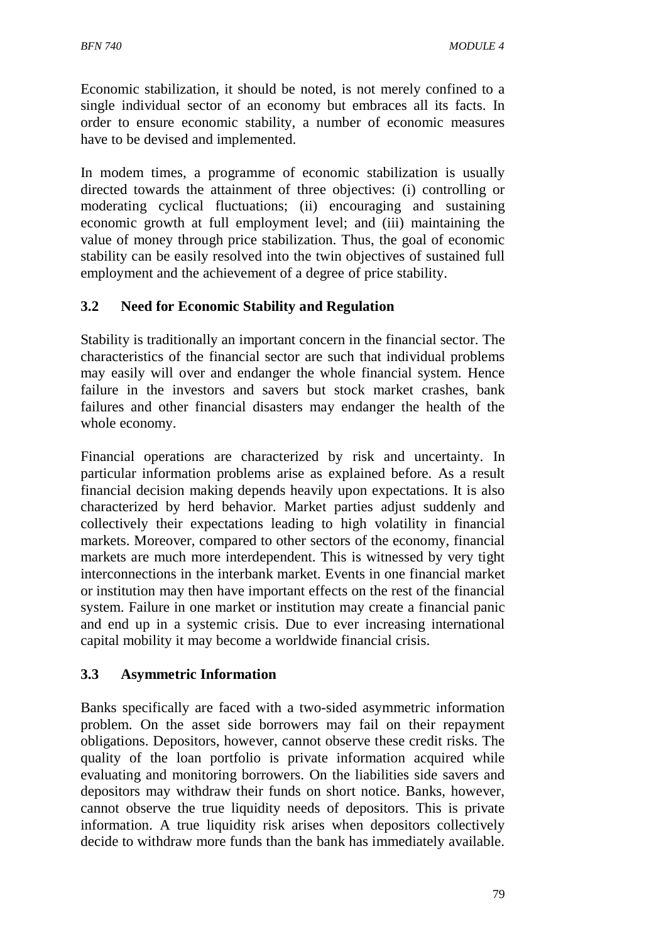Economic stabilization, it should be noted, is not merely confined to a single individual sector of an economy but embraces all its facts. In order to ensure economic stability, a number of economic measures have to be devised and implemented.

In modem times, a programme of economic stabilization is usually directed towards the attainment of three objectives: (i) controlling or moderating cyclical fluctuations; (ii) encouraging and sustaining economic growth at full employment level; and (iii) maintaining the value of money through price stabilization. Thus, the goal of economic stability can be easily resolved into the twin objectives of sustained full employment and the achievement of a degree of price stability.

# **3.2 Need for Economic Stability and Regulation**

Stability is traditionally an important concern in the financial sector. The characteristics of the financial sector are such that individual problems may easily will over and endanger the whole financial system. Hence failure in the investors and savers but stock market crashes, bank failures and other financial disasters may endanger the health of the whole economy.

Financial operations are characterized by risk and uncertainty. In particular information problems arise as explained before. As a result financial decision making depends heavily upon expectations. It is also characterized by herd behavior. Market parties adjust suddenly and collectively their expectations leading to high volatility in financial markets. Moreover, compared to other sectors of the economy, financial markets are much more interdependent. This is witnessed by very tight interconnections in the interbank market. Events in one financial market or institution may then have important effects on the rest of the financial system. Failure in one market or institution may create a financial panic and end up in a systemic crisis. Due to ever increasing international capital mobility it may become a worldwide financial crisis.

# **3.3 Asymmetric Information**

Banks specifically are faced with a two-sided asymmetric information problem. On the asset side borrowers may fail on their repayment obligations. Depositors, however, cannot observe these credit risks. The quality of the loan portfolio is private information acquired while evaluating and monitoring borrowers. On the liabilities side savers and depositors may withdraw their funds on short notice. Banks, however, cannot observe the true liquidity needs of depositors. This is private information. A true liquidity risk arises when depositors collectively decide to withdraw more funds than the bank has immediately available.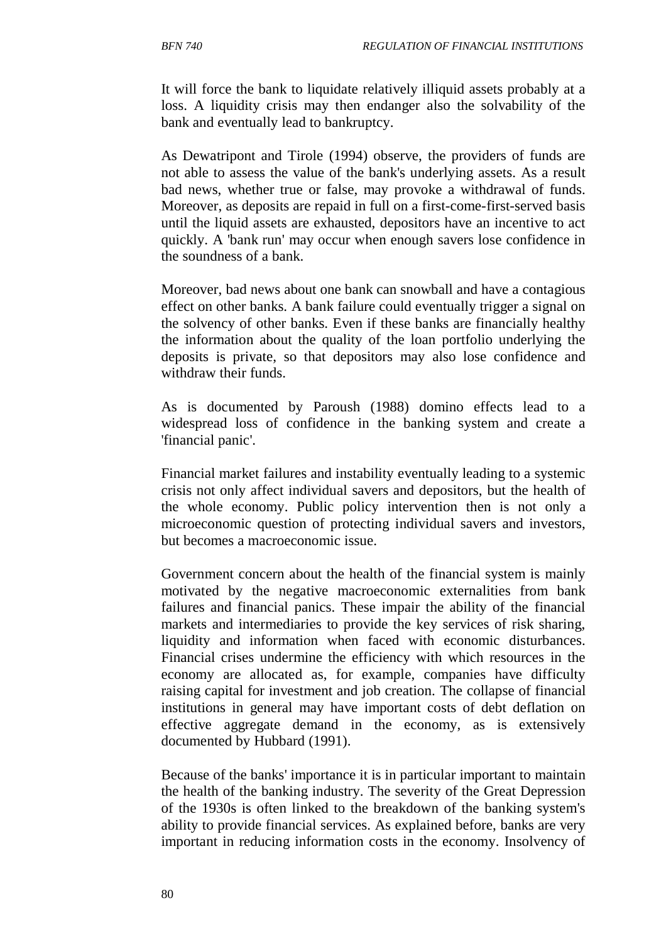It will force the bank to liquidate relatively illiquid assets probably at a loss. A liquidity crisis may then endanger also the solvability of the bank and eventually lead to bankruptcy.

As Dewatripont and Tirole (1994) observe, the providers of funds are not able to assess the value of the bank's underlying assets. As a result bad news, whether true or false, may provoke a withdrawal of funds. Moreover, as deposits are repaid in full on a first-come-first-served basis until the liquid assets are exhausted, depositors have an incentive to act quickly. A 'bank run' may occur when enough savers lose confidence in the soundness of a bank.

Moreover, bad news about one bank can snowball and have a contagious effect on other banks. A bank failure could eventually trigger a signal on the solvency of other banks. Even if these banks are financially healthy the information about the quality of the loan portfolio underlying the deposits is private, so that depositors may also lose confidence and withdraw their funds.

As is documented by Paroush (1988) domino effects lead to a widespread loss of confidence in the banking system and create a 'financial panic'.

Financial market failures and instability eventually leading to a systemic crisis not only affect individual savers and depositors, but the health of the whole economy. Public policy intervention then is not only a microeconomic question of protecting individual savers and investors, but becomes a macroeconomic issue.

Government concern about the health of the financial system is mainly motivated by the negative macroeconomic externalities from bank failures and financial panics. These impair the ability of the financial markets and intermediaries to provide the key services of risk sharing, liquidity and information when faced with economic disturbances. Financial crises undermine the efficiency with which resources in the economy are allocated as, for example, companies have difficulty raising capital for investment and job creation. The collapse of financial institutions in general may have important costs of debt deflation on effective aggregate demand in the economy, as is extensively documented by Hubbard (1991).

Because of the banks' importance it is in particular important to maintain the health of the banking industry. The severity of the Great Depression of the 1930s is often linked to the breakdown of the banking system's ability to provide financial services. As explained before, banks are very important in reducing information costs in the economy. Insolvency of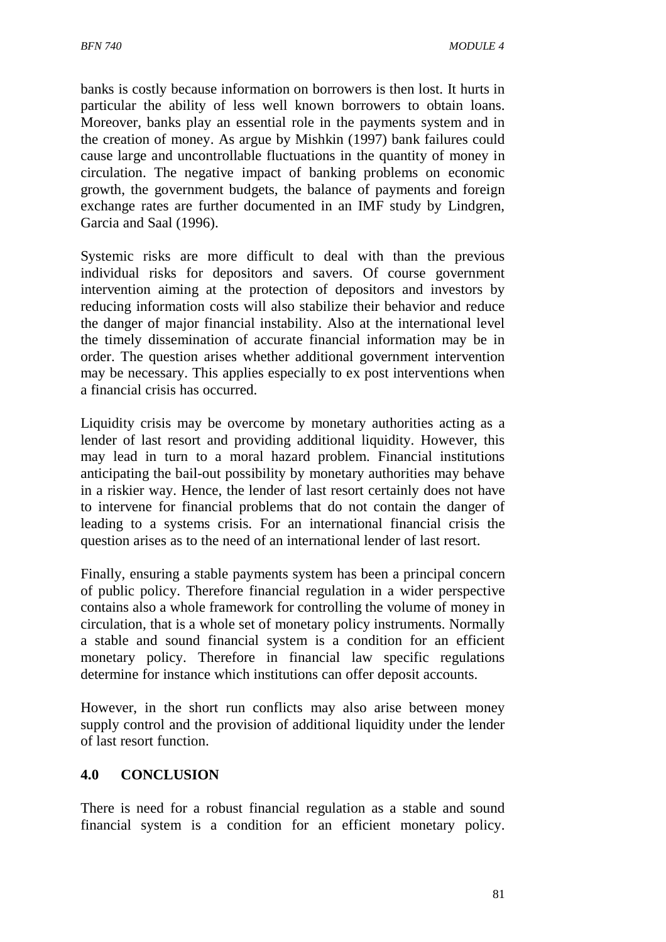banks is costly because information on borrowers is then lost. It hurts in particular the ability of less well known borrowers to obtain loans. Moreover, banks play an essential role in the payments system and in the creation of money. As argue by Mishkin (1997) bank failures could cause large and uncontrollable fluctuations in the quantity of money in circulation. The negative impact of banking problems on economic growth, the government budgets, the balance of payments and foreign exchange rates are further documented in an IMF study by Lindgren, Garcia and Saal (1996).

Systemic risks are more difficult to deal with than the previous individual risks for depositors and savers. Of course government intervention aiming at the protection of depositors and investors by reducing information costs will also stabilize their behavior and reduce the danger of major financial instability. Also at the international level the timely dissemination of accurate financial information may be in order. The question arises whether additional government intervention may be necessary. This applies especially to ex post interventions when a financial crisis has occurred.

Liquidity crisis may be overcome by monetary authorities acting as a lender of last resort and providing additional liquidity. However, this may lead in turn to a moral hazard problem. Financial institutions anticipating the bail-out possibility by monetary authorities may behave in a riskier way. Hence, the lender of last resort certainly does not have to intervene for financial problems that do not contain the danger of leading to a systems crisis. For an international financial crisis the question arises as to the need of an international lender of last resort.

Finally, ensuring a stable payments system has been a principal concern of public policy. Therefore financial regulation in a wider perspective contains also a whole framework for controlling the volume of money in circulation, that is a whole set of monetary policy instruments. Normally a stable and sound financial system is a condition for an efficient monetary policy. Therefore in financial law specific regulations determine for instance which institutions can offer deposit accounts.

However, in the short run conflicts may also arise between money supply control and the provision of additional liquidity under the lender of last resort function.

### **4.0 CONCLUSION**

There is need for a robust financial regulation as a stable and sound financial system is a condition for an efficient monetary policy.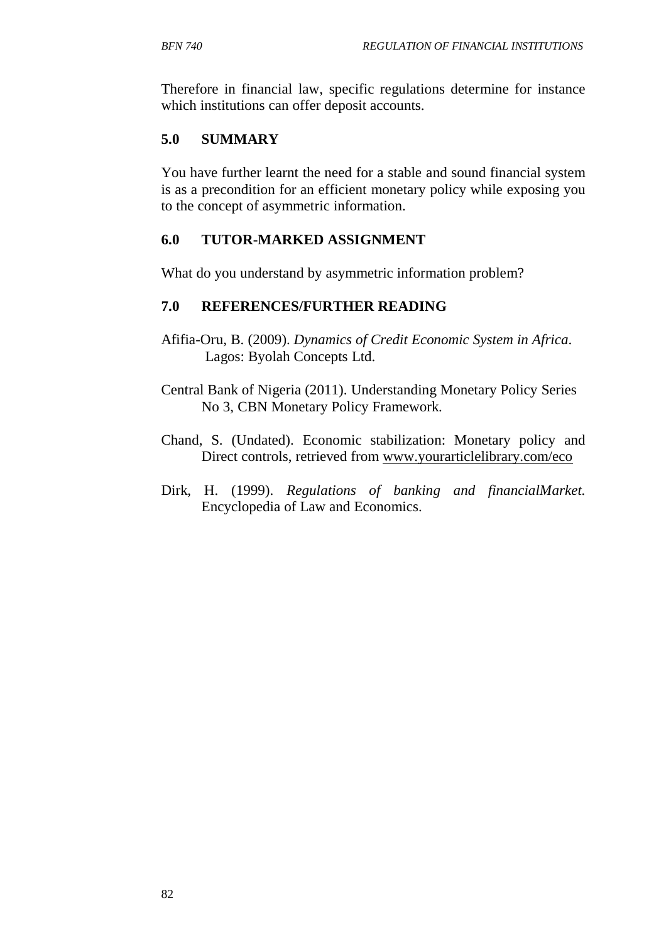Therefore in financial law, specific regulations determine for instance which institutions can offer deposit accounts.

# **5.0 SUMMARY**

You have further learnt the need for a stable and sound financial system is as a precondition for an efficient monetary policy while exposing you to the concept of asymmetric information.

# **6.0 TUTOR-MARKED ASSIGNMENT**

What do you understand by asymmetric information problem?

# **7.0 REFERENCES/FURTHER READING**

- Afifia-Oru, B. (2009). *Dynamics of Credit Economic System in Africa*. Lagos: Byolah Concepts Ltd.
- Central Bank of Nigeria (2011). Understanding Monetary Policy Series No 3, CBN Monetary Policy Framework.
- Chand, S. (Undated). Economic stabilization: Monetary policy and Direct controls, retrieved from www.yourarticlelibrary.com/eco
- Dirk, H. (1999). *Regulations of banking and financialMarket.*  Encyclopedia of Law and Economics.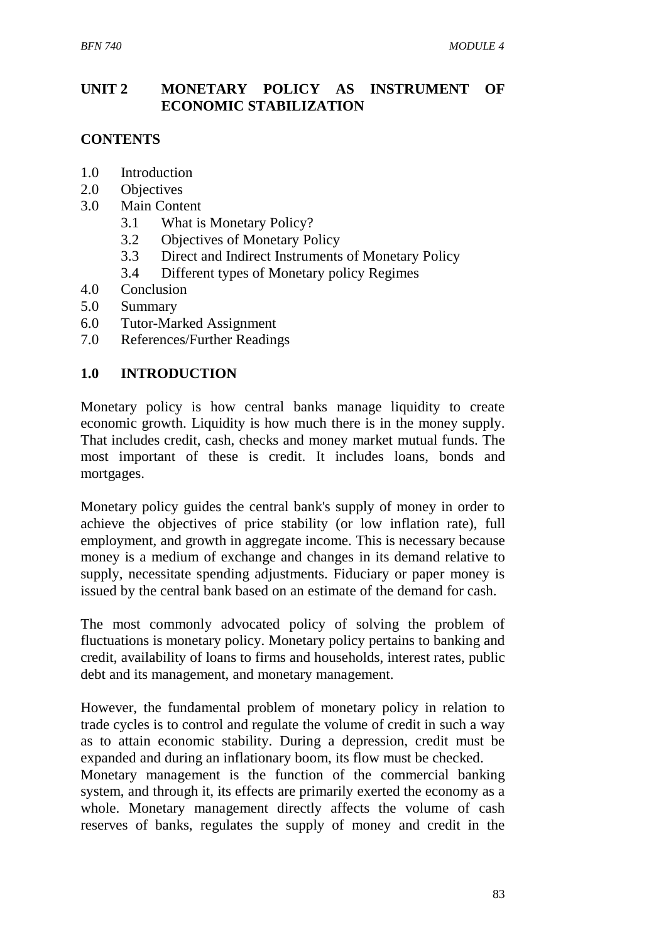## **UNIT 2 MONETARY POLICY AS INSTRUMENT OF ECONOMIC STABILIZATION**

## **CONTENTS**

- 1.0 Introduction
- 2.0 Objectives
- 3.0 Main Content
	- 3.1 What is Monetary Policy?
	- 3.2 Objectives of Monetary Policy
	- 3.3 Direct and Indirect Instruments of Monetary Policy
	- 3.4 Different types of Monetary policy Regimes
- 4.0 Conclusion
- 5.0 Summary
- 6.0 Tutor-Marked Assignment
- 7.0 References/Further Readings

### **1.0 INTRODUCTION**

Monetary policy is how central banks manage liquidity to create economic growth. Liquidity is how much there is in the money supply. That includes credit, cash, checks and money market mutual funds. The most important of these is credit. It includes loans, bonds and mortgages.

Monetary policy guides the central bank's supply of money in order to achieve the objectives of price stability (or low inflation rate), full employment, and growth in aggregate income. This is necessary because money is a medium of exchange and changes in its demand relative to supply, necessitate spending adjustments. Fiduciary or paper money is issued by the central bank based on an estimate of the demand for cash.

The most commonly advocated policy of solving the problem of fluctuations is monetary policy. Monetary policy pertains to banking and credit, availability of loans to firms and households, interest rates, public debt and its management, and monetary management.

However, the fundamental problem of monetary policy in relation to trade cycles is to control and regulate the volume of credit in such a way as to attain economic stability. During a depression, credit must be expanded and during an inflationary boom, its flow must be checked.

Monetary management is the function of the commercial banking system, and through it, its effects are primarily exerted the economy as a whole. Monetary management directly affects the volume of cash reserves of banks, regulates the supply of money and credit in the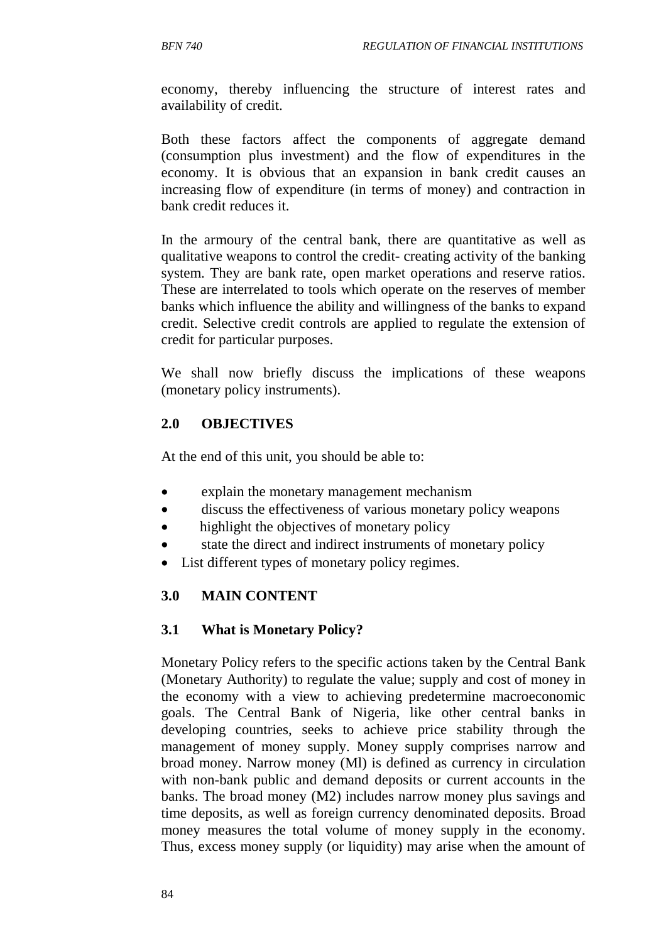economy, thereby influencing the structure of interest rates and availability of credit.

Both these factors affect the components of aggregate demand (consumption plus investment) and the flow of expenditures in the economy. It is obvious that an expansion in bank credit causes an increasing flow of expenditure (in terms of money) and contraction in bank credit reduces it.

In the armoury of the central bank, there are quantitative as well as qualitative weapons to control the credit- creating activity of the banking system. They are bank rate, open market operations and reserve ratios. These are interrelated to tools which operate on the reserves of member banks which influence the ability and willingness of the banks to expand credit. Selective credit controls are applied to regulate the extension of credit for particular purposes.

We shall now briefly discuss the implications of these weapons (monetary policy instruments).

# **2.0 OBJECTIVES**

At the end of this unit, you should be able to:

- explain the monetary management mechanism
- discuss the effectiveness of various monetary policy weapons
- highlight the objectives of monetary policy
- state the direct and indirect instruments of monetary policy
- List different types of monetary policy regimes.

# **3.0 MAIN CONTENT**

# **3.1 What is Monetary Policy?**

Monetary Policy refers to the specific actions taken by the Central Bank (Monetary Authority) to regulate the value; supply and cost of money in the economy with a view to achieving predetermine macroeconomic goals. The Central Bank of Nigeria, like other central banks in developing countries, seeks to achieve price stability through the management of money supply. Money supply comprises narrow and broad money. Narrow money (Ml) is defined as currency in circulation with non-bank public and demand deposits or current accounts in the banks. The broad money (M2) includes narrow money plus savings and time deposits, as well as foreign currency denominated deposits. Broad money measures the total volume of money supply in the economy. Thus, excess money supply (or liquidity) may arise when the amount of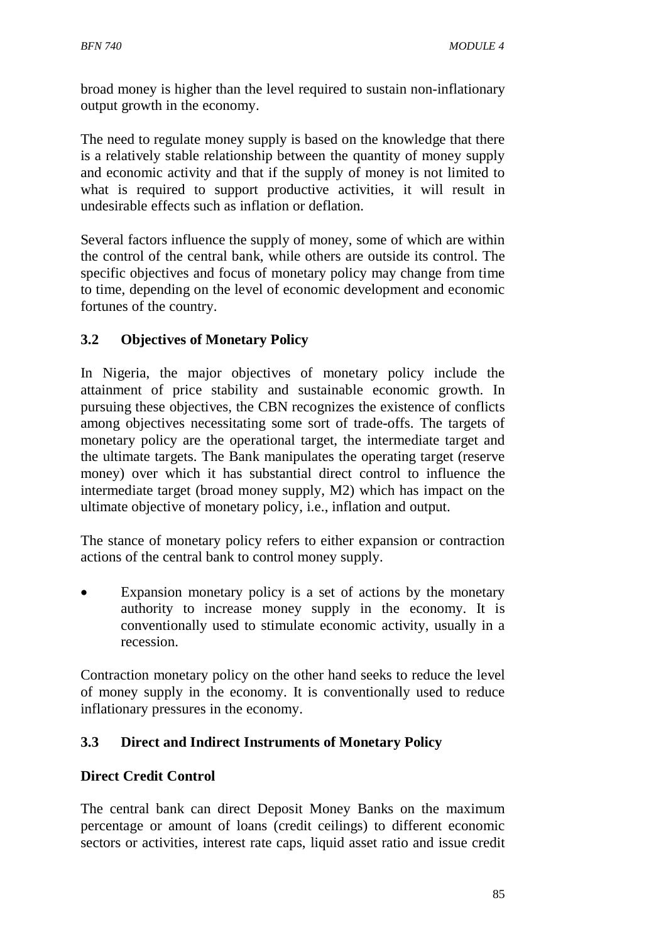broad money is higher than the level required to sustain non-inflationary output growth in the economy.

The need to regulate money supply is based on the knowledge that there is a relatively stable relationship between the quantity of money supply and economic activity and that if the supply of money is not limited to what is required to support productive activities, it will result in undesirable effects such as inflation or deflation.

Several factors influence the supply of money, some of which are within the control of the central bank, while others are outside its control. The specific objectives and focus of monetary policy may change from time to time, depending on the level of economic development and economic fortunes of the country.

## **3.2 Objectives of Monetary Policy**

In Nigeria, the major objectives of monetary policy include the attainment of price stability and sustainable economic growth. In pursuing these objectives, the CBN recognizes the existence of conflicts among objectives necessitating some sort of trade-offs. The targets of monetary policy are the operational target, the intermediate target and the ultimate targets. The Bank manipulates the operating target (reserve money) over which it has substantial direct control to influence the intermediate target (broad money supply, M2) which has impact on the ultimate objective of monetary policy, i.e., inflation and output.

The stance of monetary policy refers to either expansion or contraction actions of the central bank to control money supply.

Expansion monetary policy is a set of actions by the monetary authority to increase money supply in the economy. It is conventionally used to stimulate economic activity, usually in a recession.

Contraction monetary policy on the other hand seeks to reduce the level of money supply in the economy. It is conventionally used to reduce inflationary pressures in the economy.

### **3.3 Direct and Indirect Instruments of Monetary Policy**

### **Direct Credit Control**

The central bank can direct Deposit Money Banks on the maximum percentage or amount of loans (credit ceilings) to different economic sectors or activities, interest rate caps, liquid asset ratio and issue credit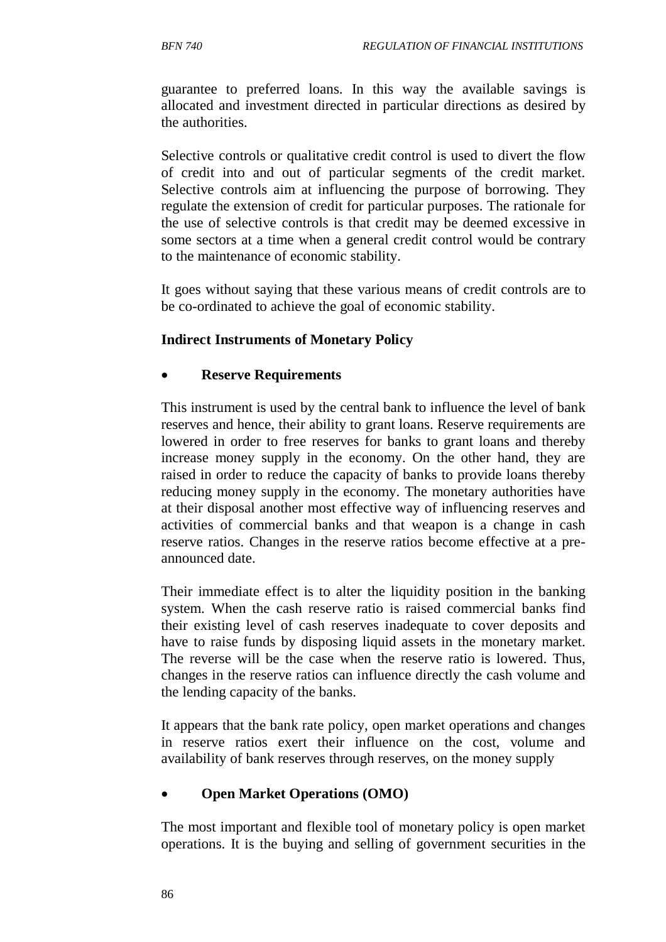guarantee to preferred loans. In this way the available savings is allocated and investment directed in particular directions as desired by the authorities.

Selective controls or qualitative credit control is used to divert the flow of credit into and out of particular segments of the credit market. Selective controls aim at influencing the purpose of borrowing. They regulate the extension of credit for particular purposes. The rationale for the use of selective controls is that credit may be deemed excessive in some sectors at a time when a general credit control would be contrary to the maintenance of economic stability.

It goes without saying that these various means of credit controls are to be co-ordinated to achieve the goal of economic stability.

### **Indirect Instruments of Monetary Policy**

### • **Reserve Requirements**

This instrument is used by the central bank to influence the level of bank reserves and hence, their ability to grant loans. Reserve requirements are lowered in order to free reserves for banks to grant loans and thereby increase money supply in the economy. On the other hand, they are raised in order to reduce the capacity of banks to provide loans thereby reducing money supply in the economy. The monetary authorities have at their disposal another most effective way of influencing reserves and activities of commercial banks and that weapon is a change in cash reserve ratios. Changes in the reserve ratios become effective at a preannounced date.

Their immediate effect is to alter the liquidity position in the banking system. When the cash reserve ratio is raised commercial banks find their existing level of cash reserves inadequate to cover deposits and have to raise funds by disposing liquid assets in the monetary market. The reverse will be the case when the reserve ratio is lowered. Thus, changes in the reserve ratios can influence directly the cash volume and the lending capacity of the banks.

It appears that the bank rate policy, open market operations and changes in reserve ratios exert their influence on the cost, volume and availability of bank reserves through reserves, on the money supply

### • **Open Market Operations (OMO)**

The most important and flexible tool of monetary policy is open market operations. It is the buying and selling of government securities in the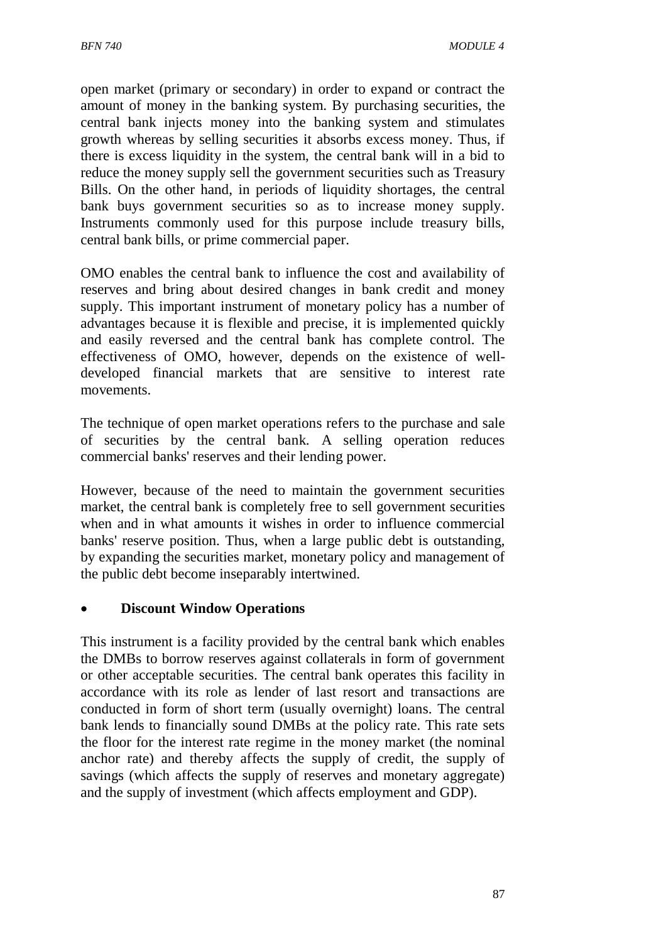open market (primary or secondary) in order to expand or contract the amount of money in the banking system. By purchasing securities, the central bank injects money into the banking system and stimulates growth whereas by selling securities it absorbs excess money. Thus, if there is excess liquidity in the system, the central bank will in a bid to reduce the money supply sell the government securities such as Treasury Bills. On the other hand, in periods of liquidity shortages, the central bank buys government securities so as to increase money supply. Instruments commonly used for this purpose include treasury bills, central bank bills, or prime commercial paper.

OMO enables the central bank to influence the cost and availability of reserves and bring about desired changes in bank credit and money supply. This important instrument of monetary policy has a number of advantages because it is flexible and precise, it is implemented quickly and easily reversed and the central bank has complete control. The effectiveness of OMO, however, depends on the existence of welldeveloped financial markets that are sensitive to interest rate movements.

The technique of open market operations refers to the purchase and sale of securities by the central bank. A selling operation reduces commercial banks' reserves and their lending power.

However, because of the need to maintain the government securities market, the central bank is completely free to sell government securities when and in what amounts it wishes in order to influence commercial banks' reserve position. Thus, when a large public debt is outstanding, by expanding the securities market, monetary policy and management of the public debt become inseparably intertwined.

### • **Discount Window Operations**

This instrument is a facility provided by the central bank which enables the DMBs to borrow reserves against collaterals in form of government or other acceptable securities. The central bank operates this facility in accordance with its role as lender of last resort and transactions are conducted in form of short term (usually overnight) loans. The central bank lends to financially sound DMBs at the policy rate. This rate sets the floor for the interest rate regime in the money market (the nominal anchor rate) and thereby affects the supply of credit, the supply of savings (which affects the supply of reserves and monetary aggregate) and the supply of investment (which affects employment and GDP).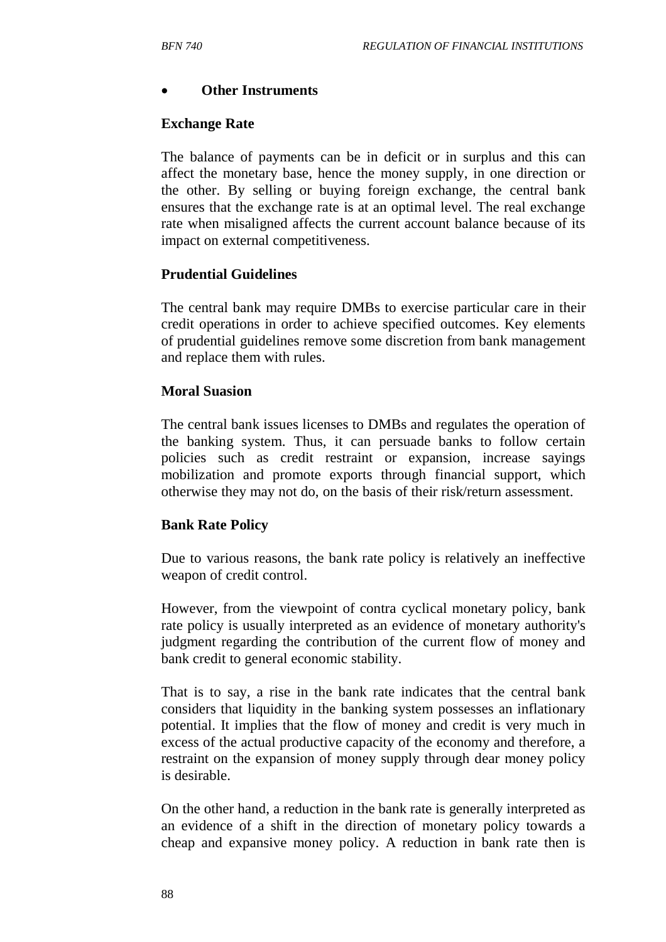#### • **Other Instruments**

#### **Exchange Rate**

The balance of payments can be in deficit or in surplus and this can affect the monetary base, hence the money supply, in one direction or the other. By selling or buying foreign exchange, the central bank ensures that the exchange rate is at an optimal level. The real exchange rate when misaligned affects the current account balance because of its impact on external competitiveness.

#### **Prudential Guidelines**

The central bank may require DMBs to exercise particular care in their credit operations in order to achieve specified outcomes. Key elements of prudential guidelines remove some discretion from bank management and replace them with rules.

#### **Moral Suasion**

The central bank issues licenses to DMBs and regulates the operation of the banking system. Thus, it can persuade banks to follow certain policies such as credit restraint or expansion, increase sayings mobilization and promote exports through financial support, which otherwise they may not do, on the basis of their risk/return assessment.

#### **Bank Rate Policy**

Due to various reasons, the bank rate policy is relatively an ineffective weapon of credit control.

However, from the viewpoint of contra cyclical monetary policy, bank rate policy is usually interpreted as an evidence of monetary authority's judgment regarding the contribution of the current flow of money and bank credit to general economic stability.

That is to say, a rise in the bank rate indicates that the central bank considers that liquidity in the banking system possesses an inflationary potential. It implies that the flow of money and credit is very much in excess of the actual productive capacity of the economy and therefore, a restraint on the expansion of money supply through dear money policy is desirable.

On the other hand, a reduction in the bank rate is generally interpreted as an evidence of a shift in the direction of monetary policy towards a cheap and expansive money policy. A reduction in bank rate then is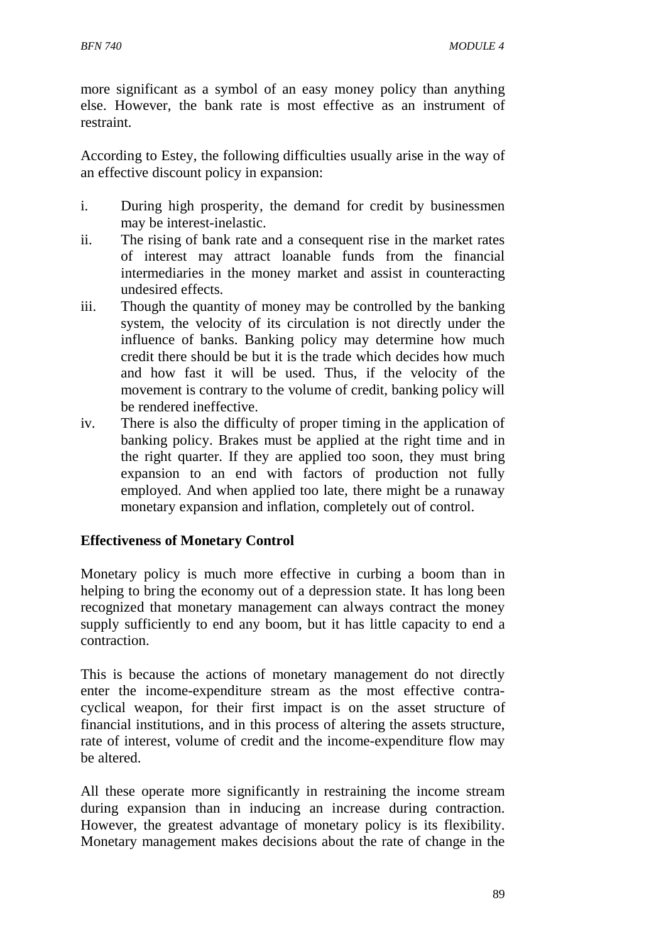more significant as a symbol of an easy money policy than anything else. However, the bank rate is most effective as an instrument of restraint.

According to Estey, the following difficulties usually arise in the way of an effective discount policy in expansion:

- i. During high prosperity, the demand for credit by businessmen may be interest-inelastic.
- ii. The rising of bank rate and a consequent rise in the market rates of interest may attract loanable funds from the financial intermediaries in the money market and assist in counteracting undesired effects.
- iii. Though the quantity of money may be controlled by the banking system, the velocity of its circulation is not directly under the influence of banks. Banking policy may determine how much credit there should be but it is the trade which decides how much and how fast it will be used. Thus, if the velocity of the movement is contrary to the volume of credit, banking policy will be rendered ineffective.
- iv. There is also the difficulty of proper timing in the application of banking policy. Brakes must be applied at the right time and in the right quarter. If they are applied too soon, they must bring expansion to an end with factors of production not fully employed. And when applied too late, there might be a runaway monetary expansion and inflation, completely out of control.

# **Effectiveness of Monetary Control**

Monetary policy is much more effective in curbing a boom than in helping to bring the economy out of a depression state. It has long been recognized that monetary management can always contract the money supply sufficiently to end any boom, but it has little capacity to end a contraction.

This is because the actions of monetary management do not directly enter the income-expenditure stream as the most effective contracyclical weapon, for their first impact is on the asset structure of financial institutions, and in this process of altering the assets structure, rate of interest, volume of credit and the income-expenditure flow may be altered.

All these operate more significantly in restraining the income stream during expansion than in inducing an increase during contraction. However, the greatest advantage of monetary policy is its flexibility. Monetary management makes decisions about the rate of change in the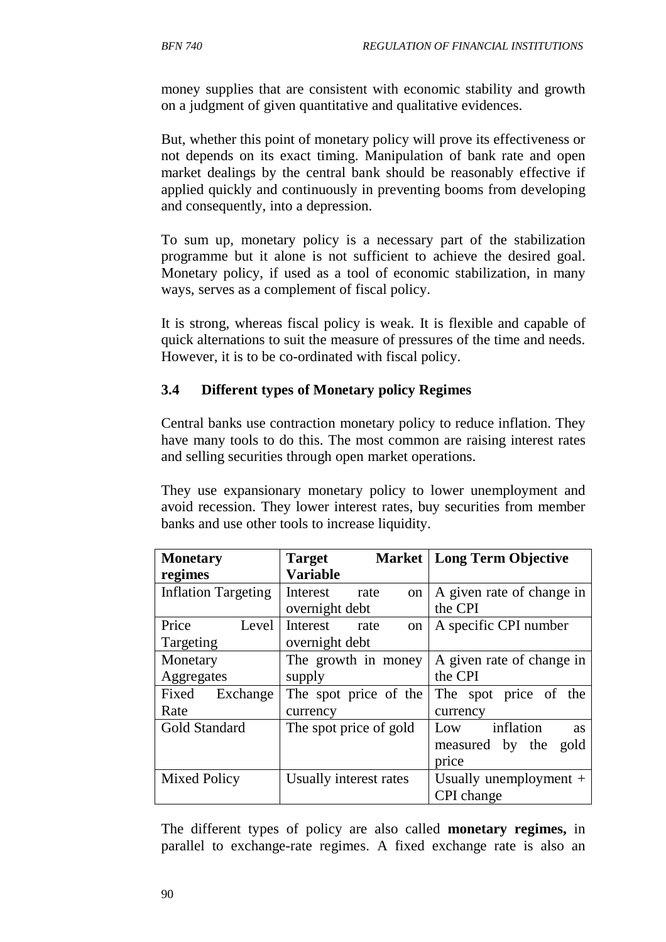money supplies that are consistent with economic stability and growth on a judgment of given quantitative and qualitative evidences.

But, whether this point of monetary policy will prove its effectiveness or not depends on its exact timing. Manipulation of bank rate and open market dealings by the central bank should be reasonably effective if applied quickly and continuously in preventing booms from developing and consequently, into a depression.

To sum up, monetary policy is a necessary part of the stabilization programme but it alone is not sufficient to achieve the desired goal. Monetary policy, if used as a tool of economic stabilization, in many ways, serves as a complement of fiscal policy.

It is strong, whereas fiscal policy is weak. It is flexible and capable of quick alternations to suit the measure of pressures of the time and needs. However, it is to be co-ordinated with fiscal policy.

## **3.4 Different types of Monetary policy Regimes**

Central banks use contraction monetary policy to reduce inflation. They have many tools to do this. The most common are raising interest rates and selling securities through open market operations.

They use expansionary monetary policy to lower unemployment and avoid recession. They lower interest rates, buy securities from member banks and use other tools to increase liquidity.

| <b>Monetary</b>            | <b>Target</b><br>Market           | <b>Long Term Objective</b> |
|----------------------------|-----------------------------------|----------------------------|
| regimes                    | <b>Variable</b>                   |                            |
| <b>Inflation Targeting</b> | Interest<br>rate<br><sub>on</sub> | A given rate of change in  |
|                            | overnight debt                    | the CPI                    |
| Price<br>Level             | Interest<br>rate<br><sub>on</sub> | A specific CPI number      |
| Targeting                  | overnight debt                    |                            |
| Monetary                   | The growth in money               | A given rate of change in  |
| Aggregates                 | supply                            | the CPI                    |
| Fixed<br>Exchange          | The spot price of the             | The spot price of the      |
| Rate                       | currency                          | currency                   |
| Gold Standard              | The spot price of gold            | inflation<br>Low<br>as     |
|                            |                                   | measured by the<br>gold    |
|                            |                                   | price                      |
| Mixed Policy               | Usually interest rates            | Usually unemployment $+$   |
|                            |                                   | CPI change                 |

The different types of policy are also called **monetary regimes,** in parallel to exchange-rate regimes. A fixed exchange rate is also an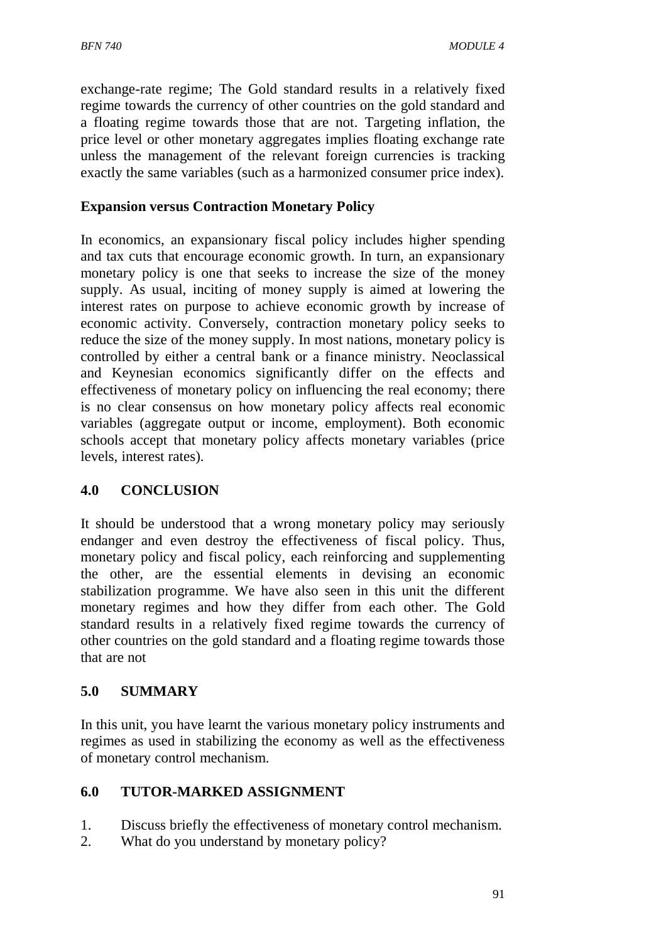exchange-rate regime; The Gold standard results in a relatively fixed regime towards the currency of other countries on the gold standard and a floating regime towards those that are not. Targeting inflation, the price level or other monetary aggregates implies floating exchange rate unless the management of the relevant foreign currencies is tracking exactly the same variables (such as a harmonized consumer price index).

## **Expansion versus Contraction Monetary Policy**

In economics, an expansionary fiscal policy includes higher spending and tax cuts that encourage economic growth. In turn, an expansionary monetary policy is one that seeks to increase the size of the money supply. As usual, inciting of money supply is aimed at lowering the interest rates on purpose to achieve economic growth by increase of economic activity. Conversely, contraction monetary policy seeks to reduce the size of the money supply. In most nations, monetary policy is controlled by either a central bank or a finance ministry. Neoclassical and Keynesian economics significantly differ on the effects and effectiveness of monetary policy on influencing the real economy; there is no clear consensus on how monetary policy affects real economic variables (aggregate output or income, employment). Both economic schools accept that monetary policy affects monetary variables (price levels, interest rates).

### **4.0 CONCLUSION**

It should be understood that a wrong monetary policy may seriously endanger and even destroy the effectiveness of fiscal policy. Thus, monetary policy and fiscal policy, each reinforcing and supplementing the other, are the essential elements in devising an economic stabilization programme. We have also seen in this unit the different monetary regimes and how they differ from each other. The Gold standard results in a relatively fixed regime towards the currency of other countries on the gold standard and a floating regime towards those that are not

### **5.0 SUMMARY**

In this unit, you have learnt the various monetary policy instruments and regimes as used in stabilizing the economy as well as the effectiveness of monetary control mechanism.

### **6.0 TUTOR-MARKED ASSIGNMENT**

- 1. Discuss briefly the effectiveness of monetary control mechanism.
- 2. What do you understand by monetary policy?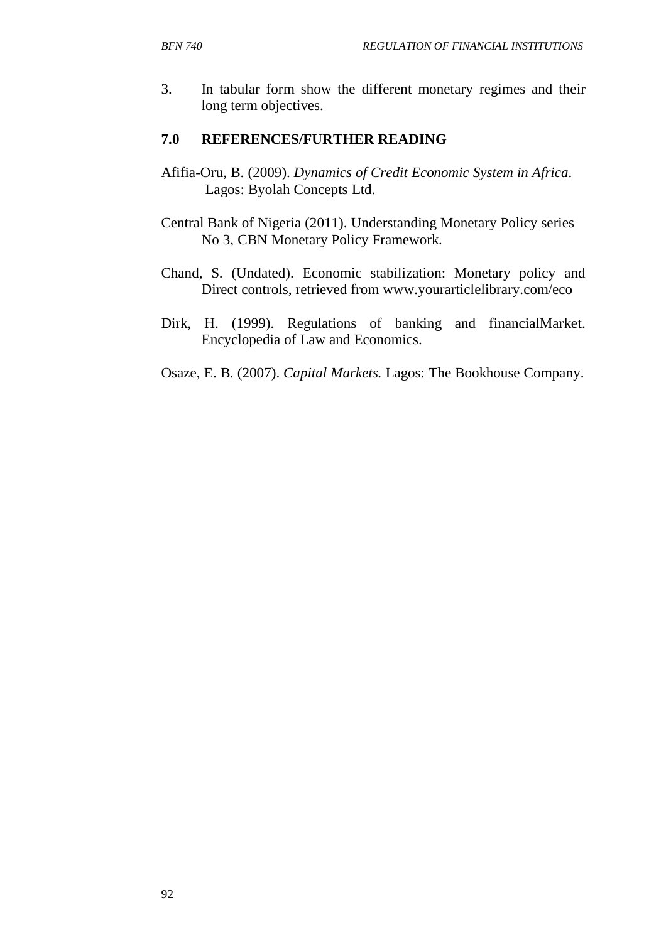3. In tabular form show the different monetary regimes and their long term objectives.

## **7.0 REFERENCES/FURTHER READING**

- Afifia-Oru, B. (2009). *Dynamics of Credit Economic System in Africa*. Lagos: Byolah Concepts Ltd.
- Central Bank of Nigeria (2011). Understanding Monetary Policy series No 3, CBN Monetary Policy Framework.
- Chand, S. (Undated). Economic stabilization: Monetary policy and Direct controls, retrieved from www.yourarticlelibrary.com/eco
- Dirk, H. (1999). Regulations of banking and financialMarket. Encyclopedia of Law and Economics.
- Osaze, E. B. (2007). *Capital Markets.* Lagos: The Bookhouse Company.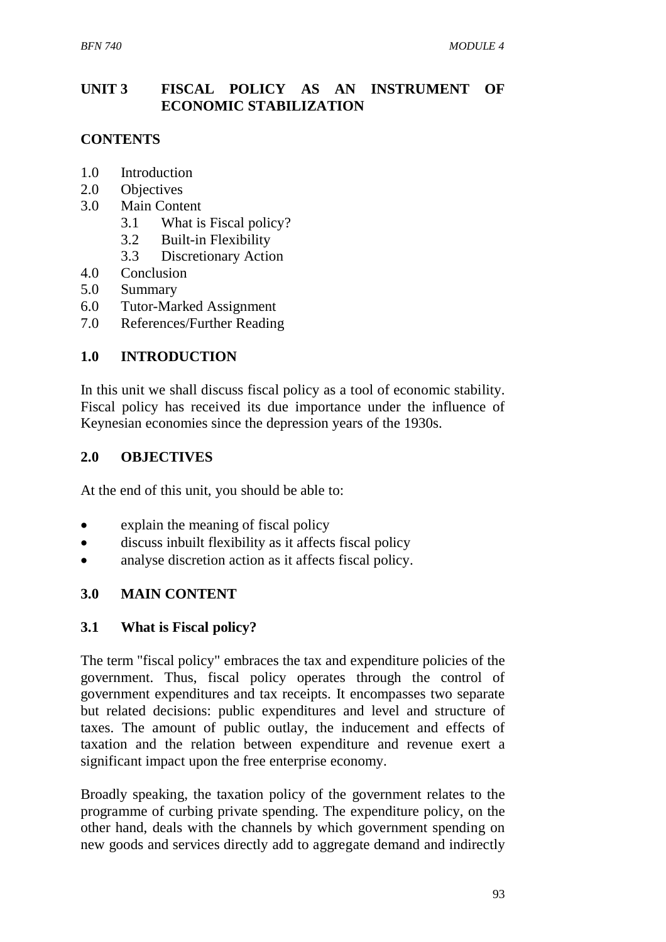## **UNIT 3 FISCAL POLICY AS AN INSTRUMENT OF ECONOMIC STABILIZATION**

## **CONTENTS**

- 1.0 Introduction
- 2.0 Objectives
- 3.0 Main Content
	- 3.1 What is Fiscal policy?
	- 3.2 Built-in Flexibility
	- 3.3 Discretionary Action
- 4.0 Conclusion
- 5.0 Summary
- 6.0 Tutor-Marked Assignment
- 7.0 References/Further Reading

#### **1.0 INTRODUCTION**

In this unit we shall discuss fiscal policy as a tool of economic stability. Fiscal policy has received its due importance under the influence of Keynesian economies since the depression years of the 1930s.

#### **2.0 OBJECTIVES**

At the end of this unit, you should be able to:

- explain the meaning of fiscal policy
- discuss inbuilt flexibility as it affects fiscal policy
- analyse discretion action as it affects fiscal policy.

### **3.0 MAIN CONTENT**

#### **3.1 What is Fiscal policy?**

The term "fiscal policy" embraces the tax and expenditure policies of the government. Thus, fiscal policy operates through the control of government expenditures and tax receipts. It encompasses two separate but related decisions: public expenditures and level and structure of taxes. The amount of public outlay, the inducement and effects of taxation and the relation between expenditure and revenue exert a significant impact upon the free enterprise economy.

Broadly speaking, the taxation policy of the government relates to the programme of curbing private spending. The expenditure policy, on the other hand, deals with the channels by which government spending on new goods and services directly add to aggregate demand and indirectly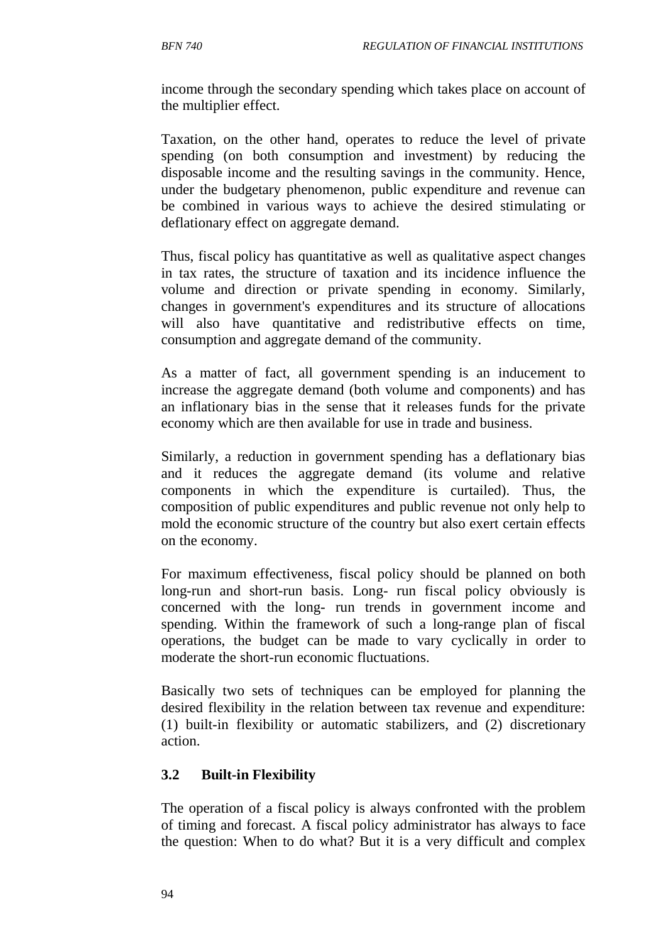income through the secondary spending which takes place on account of the multiplier effect.

Taxation, on the other hand, operates to reduce the level of private spending (on both consumption and investment) by reducing the disposable income and the resulting savings in the community. Hence, under the budgetary phenomenon, public expenditure and revenue can be combined in various ways to achieve the desired stimulating or deflationary effect on aggregate demand.

Thus, fiscal policy has quantitative as well as qualitative aspect changes in tax rates, the structure of taxation and its incidence influence the volume and direction or private spending in economy. Similarly, changes in government's expenditures and its structure of allocations will also have quantitative and redistributive effects on time, consumption and aggregate demand of the community.

As a matter of fact, all government spending is an inducement to increase the aggregate demand (both volume and components) and has an inflationary bias in the sense that it releases funds for the private economy which are then available for use in trade and business.

Similarly, a reduction in government spending has a deflationary bias and it reduces the aggregate demand (its volume and relative components in which the expenditure is curtailed). Thus, the composition of public expenditures and public revenue not only help to mold the economic structure of the country but also exert certain effects on the economy.

For maximum effectiveness, fiscal policy should be planned on both long-run and short-run basis. Long- run fiscal policy obviously is concerned with the long- run trends in government income and spending. Within the framework of such a long-range plan of fiscal operations, the budget can be made to vary cyclically in order to moderate the short-run economic fluctuations.

Basically two sets of techniques can be employed for planning the desired flexibility in the relation between tax revenue and expenditure: (1) built-in flexibility or automatic stabilizers, and (2) discretionary action.

## **3.2 Built-in Flexibility**

The operation of a fiscal policy is always confronted with the problem of timing and forecast. A fiscal policy administrator has always to face the question: When to do what? But it is a very difficult and complex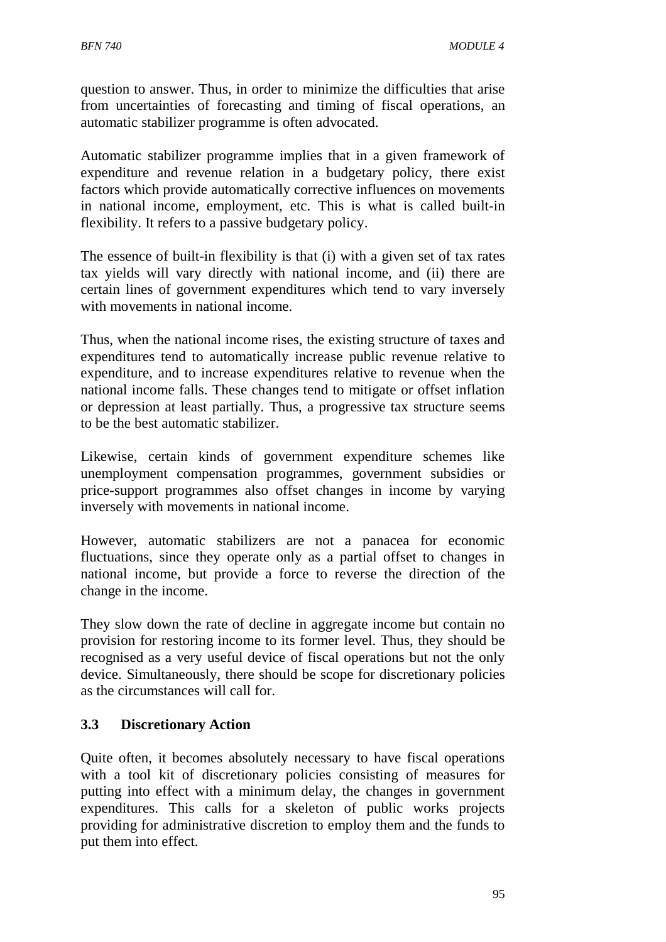question to answer. Thus, in order to minimize the difficulties that arise from uncertainties of forecasting and timing of fiscal operations, an automatic stabilizer programme is often advocated.

Automatic stabilizer programme implies that in a given framework of expenditure and revenue relation in a budgetary policy, there exist factors which provide automatically corrective influences on movements in national income, employment, etc. This is what is called built-in flexibility. It refers to a passive budgetary policy.

The essence of built-in flexibility is that (i) with a given set of tax rates tax yields will vary directly with national income, and (ii) there are certain lines of government expenditures which tend to vary inversely with movements in national income.

Thus, when the national income rises, the existing structure of taxes and expenditures tend to automatically increase public revenue relative to expenditure, and to increase expenditures relative to revenue when the national income falls. These changes tend to mitigate or offset inflation or depression at least partially. Thus, a progressive tax structure seems to be the best automatic stabilizer.

Likewise, certain kinds of government expenditure schemes like unemployment compensation programmes, government subsidies or price-support programmes also offset changes in income by varying inversely with movements in national income.

However, automatic stabilizers are not a panacea for economic fluctuations, since they operate only as a partial offset to changes in national income, but provide a force to reverse the direction of the change in the income.

They slow down the rate of decline in aggregate income but contain no provision for restoring income to its former level. Thus, they should be recognised as a very useful device of fiscal operations but not the only device. Simultaneously, there should be scope for discretionary policies as the circumstances will call for.

#### **3.3 Discretionary Action**

Quite often, it becomes absolutely necessary to have fiscal operations with a tool kit of discretionary policies consisting of measures for putting into effect with a minimum delay, the changes in government expenditures. This calls for a skeleton of public works projects providing for administrative discretion to employ them and the funds to put them into effect.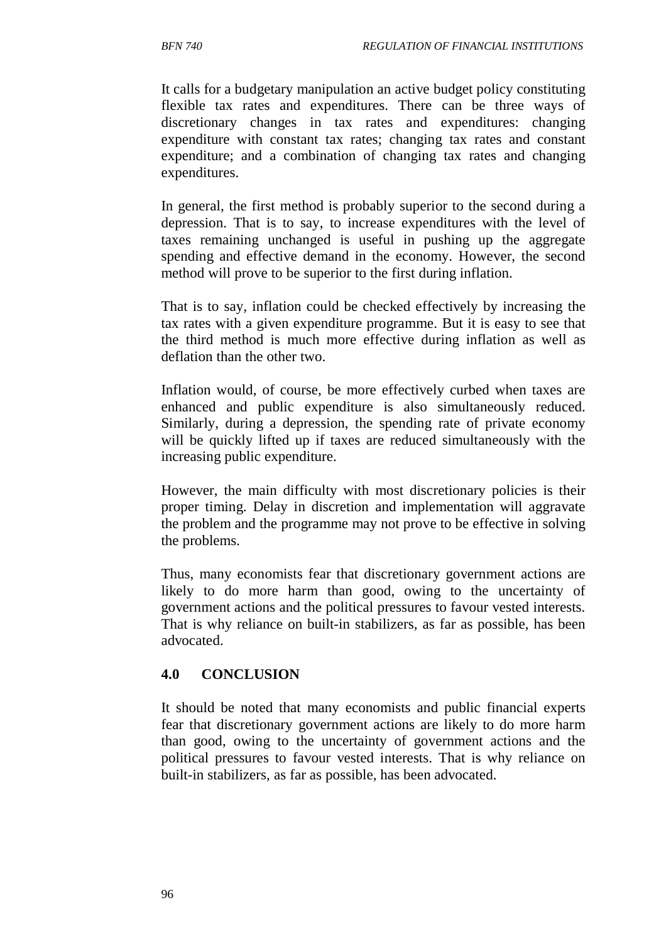It calls for a budgetary manipulation an active budget policy constituting flexible tax rates and expenditures. There can be three ways of discretionary changes in tax rates and expenditures: changing expenditure with constant tax rates; changing tax rates and constant expenditure; and a combination of changing tax rates and changing expenditures.

In general, the first method is probably superior to the second during a depression. That is to say, to increase expenditures with the level of taxes remaining unchanged is useful in pushing up the aggregate spending and effective demand in the economy. However, the second method will prove to be superior to the first during inflation.

That is to say, inflation could be checked effectively by increasing the tax rates with a given expenditure programme. But it is easy to see that the third method is much more effective during inflation as well as deflation than the other two.

Inflation would, of course, be more effectively curbed when taxes are enhanced and public expenditure is also simultaneously reduced. Similarly, during a depression, the spending rate of private economy will be quickly lifted up if taxes are reduced simultaneously with the increasing public expenditure.

However, the main difficulty with most discretionary policies is their proper timing. Delay in discretion and implementation will aggravate the problem and the programme may not prove to be effective in solving the problems.

Thus, many economists fear that discretionary government actions are likely to do more harm than good, owing to the uncertainty of government actions and the political pressures to favour vested interests. That is why reliance on built-in stabilizers, as far as possible, has been advocated.

# **4.0 CONCLUSION**

It should be noted that many economists and public financial experts fear that discretionary government actions are likely to do more harm than good, owing to the uncertainty of government actions and the political pressures to favour vested interests. That is why reliance on built-in stabilizers, as far as possible, has been advocated.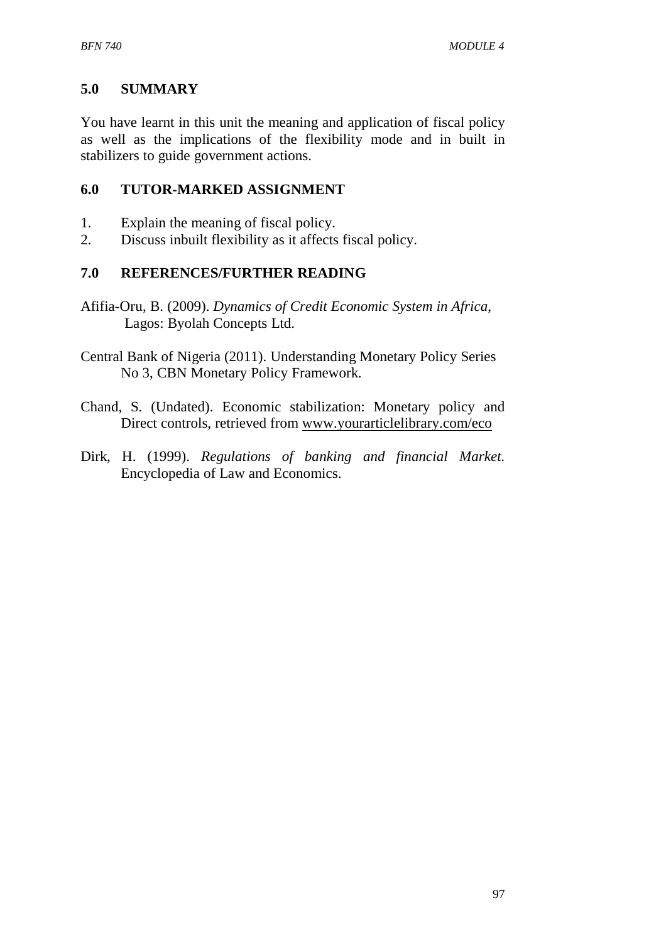# **5.0 SUMMARY**

You have learnt in this unit the meaning and application of fiscal policy as well as the implications of the flexibility mode and in built in stabilizers to guide government actions.

## **6.0 TUTOR-MARKED ASSIGNMENT**

- 1. Explain the meaning of fiscal policy.
- 2. Discuss inbuilt flexibility as it affects fiscal policy.

## **7.0 REFERENCES/FURTHER READING**

- Afifia-Oru, B. (2009). *Dynamics of Credit Economic System in Africa*, Lagos: Byolah Concepts Ltd.
- Central Bank of Nigeria (2011). Understanding Monetary Policy Series No 3, CBN Monetary Policy Framework.
- Chand, S. (Undated). Economic stabilization: Monetary policy and Direct controls, retrieved from www.yourarticlelibrary.com/eco
- Dirk, H. (1999). *Regulations of banking and financial Market.* Encyclopedia of Law and Economics.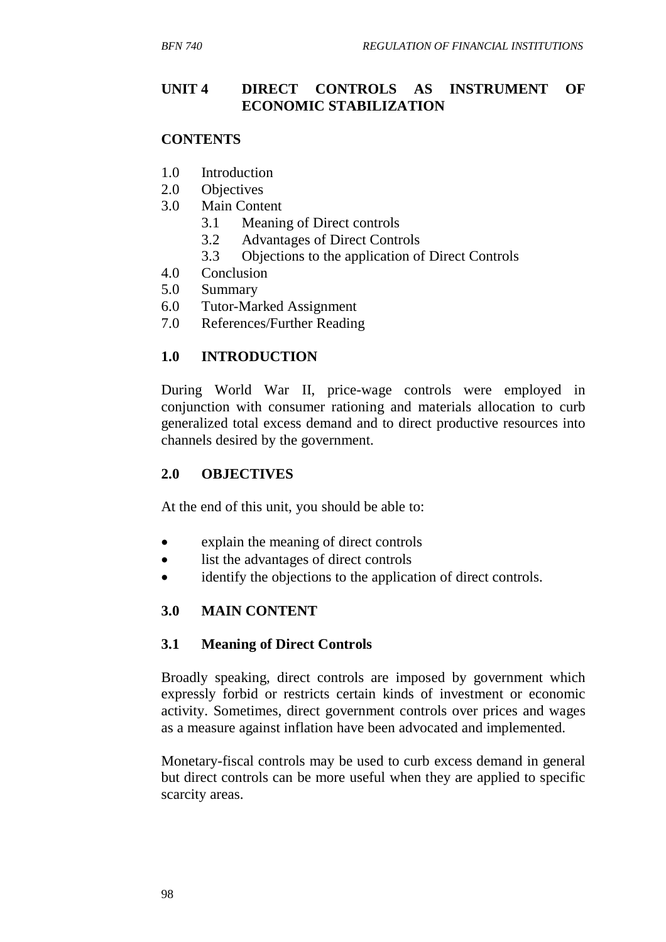## **UNIT 4 DIRECT CONTROLS AS INSTRUMENT OF ECONOMIC STABILIZATION**

#### **CONTENTS**

- 1.0 Introduction
- 2.0 Objectives
- 3.0 Main Content
	- 3.1 Meaning of Direct controls
	- 3.2 Advantages of Direct Controls
	- 3.3 Objections to the application of Direct Controls
- 4.0 Conclusion
- 5.0 Summary
- 6.0 Tutor-Marked Assignment
- 7.0 References/Further Reading

#### **1.0 INTRODUCTION**

During World War II, price-wage controls were employed in conjunction with consumer rationing and materials allocation to curb generalized total excess demand and to direct productive resources into channels desired by the government.

#### **2.0 OBJECTIVES**

At the end of this unit, you should be able to:

- explain the meaning of direct controls
- list the advantages of direct controls
- identify the objections to the application of direct controls.

#### **3.0 MAIN CONTENT**

#### **3.1 Meaning of Direct Controls**

Broadly speaking, direct controls are imposed by government which expressly forbid or restricts certain kinds of investment or economic activity. Sometimes, direct government controls over prices and wages as a measure against inflation have been advocated and implemented.

Monetary-fiscal controls may be used to curb excess demand in general but direct controls can be more useful when they are applied to specific scarcity areas.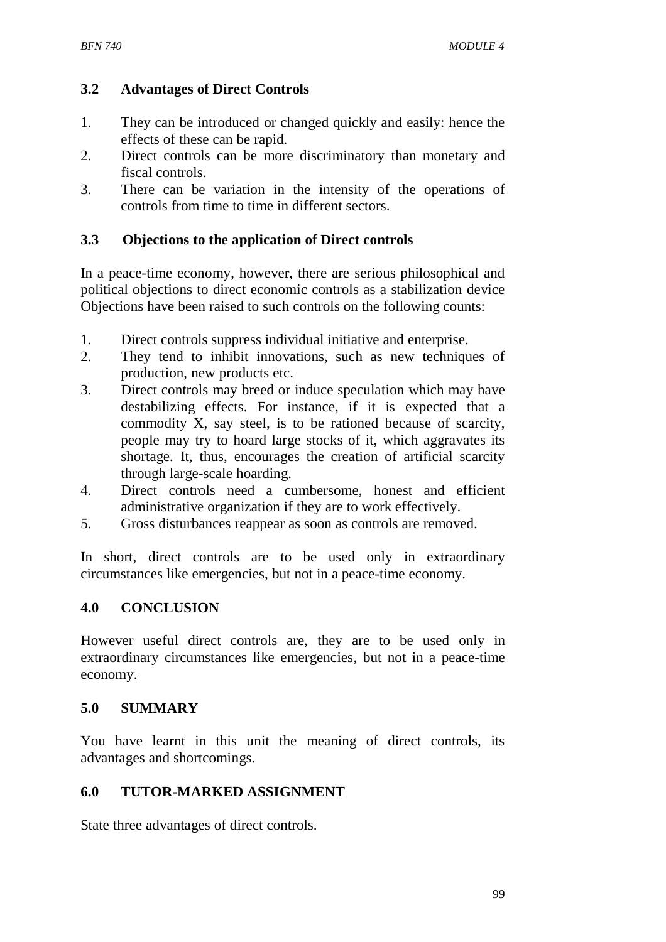## **3.2 Advantages of Direct Controls**

- 1. They can be introduced or changed quickly and easily: hence the effects of these can be rapid.
- 2. Direct controls can be more discriminatory than monetary and fiscal controls.
- 3. There can be variation in the intensity of the operations of controls from time to time in different sectors.

# **3.3 Objections to the application of Direct controls**

In a peace-time economy, however, there are serious philosophical and political objections to direct economic controls as a stabilization device Objections have been raised to such controls on the following counts:

- 1. Direct controls suppress individual initiative and enterprise.
- 2. They tend to inhibit innovations, such as new techniques of production, new products etc.
- 3. Direct controls may breed or induce speculation which may have destabilizing effects. For instance, if it is expected that a commodity X, say steel, is to be rationed because of scarcity, people may try to hoard large stocks of it, which aggravates its shortage. It, thus, encourages the creation of artificial scarcity through large-scale hoarding.
- 4. Direct controls need a cumbersome, honest and efficient administrative organization if they are to work effectively.
- 5. Gross disturbances reappear as soon as controls are removed.

In short, direct controls are to be used only in extraordinary circumstances like emergencies, but not in a peace-time economy.

## **4.0 CONCLUSION**

However useful direct controls are, they are to be used only in extraordinary circumstances like emergencies, but not in a peace-time economy.

## **5.0 SUMMARY**

You have learnt in this unit the meaning of direct controls, its advantages and shortcomings.

## **6.0 TUTOR-MARKED ASSIGNMENT**

State three advantages of direct controls.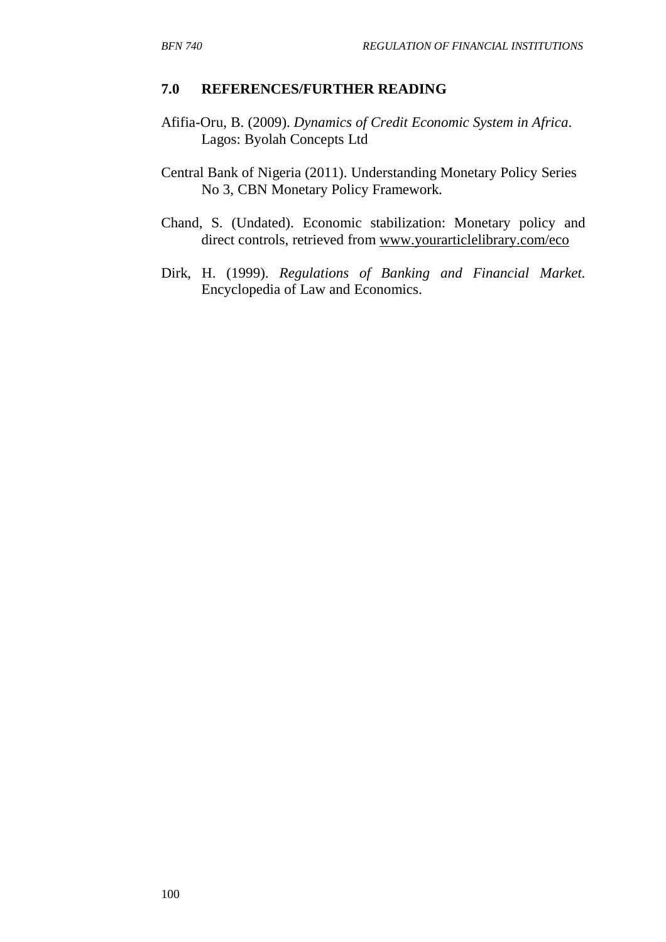#### **7.0 REFERENCES/FURTHER READING**

- Afifia-Oru, B. (2009). *Dynamics of Credit Economic System in Africa*. Lagos: Byolah Concepts Ltd
- Central Bank of Nigeria (2011). Understanding Monetary Policy Series No 3, CBN Monetary Policy Framework.
- Chand, S. (Undated). Economic stabilization: Monetary policy and direct controls, retrieved from www.yourarticlelibrary.com/eco
- Dirk, H. (1999). *Regulations of Banking and Financial Market.*  Encyclopedia of Law and Economics.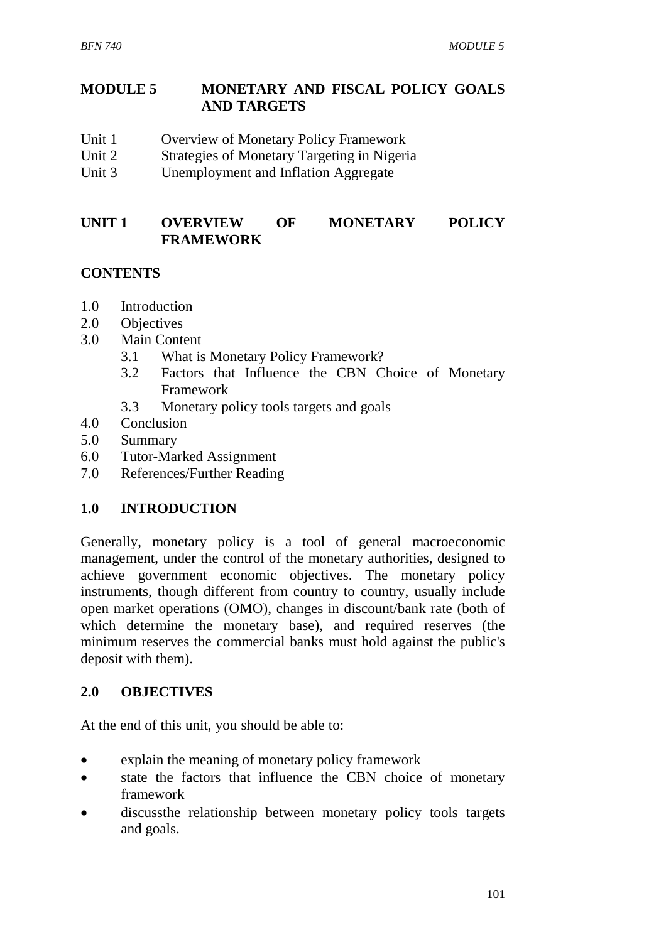#### **MODULE 5 MONETARY AND FISCAL POLICY GOALS AND TARGETS**

- Unit 1 Overview of Monetary Policy Framework
- Unit 2 Strategies of Monetary Targeting in Nigeria
- Unit 3 Unemployment and Inflation Aggregate

# **UNIT 1 OVERVIEW OF MONETARY POLICY FRAMEWORK**

## **CONTENTS**

- 1.0 Introduction
- 2.0 Objectives
- 3.0 Main Content
	- 3.1 What is Monetary Policy Framework?
	- 3.2 Factors that Influence the CBN Choice of Monetary Framework
	- 3.3 Monetary policy tools targets and goals
- 4.0 Conclusion
- 5.0 Summary
- 6.0 Tutor-Marked Assignment
- 7.0 References/Further Reading

## **1.0 INTRODUCTION**

Generally, monetary policy is a tool of general macroeconomic management, under the control of the monetary authorities, designed to achieve government economic objectives. The monetary policy instruments, though different from country to country, usually include open market operations (OMO), changes in discount/bank rate (both of which determine the monetary base), and required reserves (the minimum reserves the commercial banks must hold against the public's deposit with them).

## **2.0 OBJECTIVES**

At the end of this unit, you should be able to:

- explain the meaning of monetary policy framework
- state the factors that influence the CBN choice of monetary framework
- discussthe relationship between monetary policy tools targets and goals.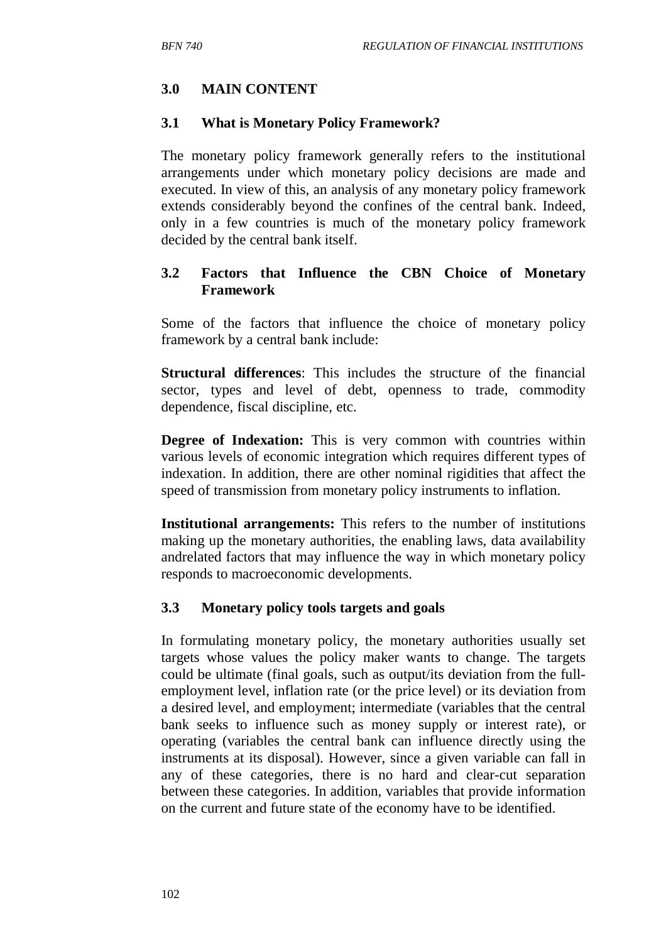# **3.0 MAIN CONTENT**

## **3.1 What is Monetary Policy Framework?**

The monetary policy framework generally refers to the institutional arrangements under which monetary policy decisions are made and executed. In view of this, an analysis of any monetary policy framework extends considerably beyond the confines of the central bank. Indeed, only in a few countries is much of the monetary policy framework decided by the central bank itself.

## **3.2 Factors that Influence the CBN Choice of Monetary Framework**

Some of the factors that influence the choice of monetary policy framework by a central bank include:

**Structural differences**: This includes the structure of the financial sector, types and level of debt, openness to trade, commodity dependence, fiscal discipline, etc.

**Degree of Indexation:** This is very common with countries within various levels of economic integration which requires different types of indexation. In addition, there are other nominal rigidities that affect the speed of transmission from monetary policy instruments to inflation.

**Institutional arrangements:** This refers to the number of institutions making up the monetary authorities, the enabling laws, data availability andrelated factors that may influence the way in which monetary policy responds to macroeconomic developments.

## **3.3 Monetary policy tools targets and goals**

In formulating monetary policy, the monetary authorities usually set targets whose values the policy maker wants to change. The targets could be ultimate (final goals, such as output/its deviation from the fullemployment level, inflation rate (or the price level) or its deviation from a desired level, and employment; intermediate (variables that the central bank seeks to influence such as money supply or interest rate), or operating (variables the central bank can influence directly using the instruments at its disposal). However, since a given variable can fall in any of these categories, there is no hard and clear-cut separation between these categories. In addition, variables that provide information on the current and future state of the economy have to be identified.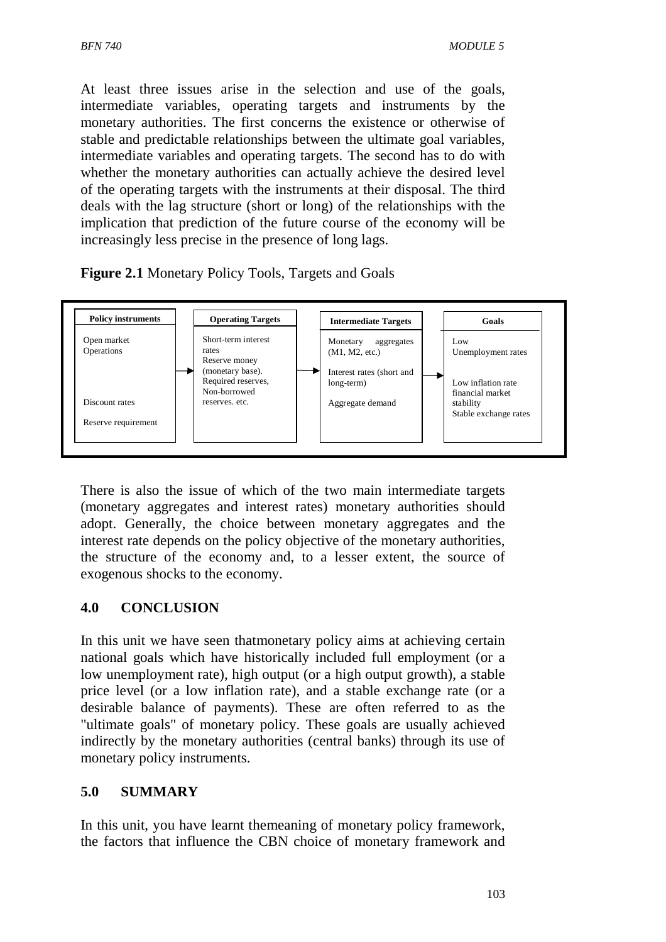At least three issues arise in the selection and use of the goals, intermediate variables, operating targets and instruments by the monetary authorities. The first concerns the existence or otherwise of stable and predictable relationships between the ultimate goal variables, intermediate variables and operating targets. The second has to do with whether the monetary authorities can actually achieve the desired level of the operating targets with the instruments at their disposal. The third deals with the lag structure (short or long) of the relationships with the implication that prediction of the future course of the economy will be increasingly less precise in the presence of long lags.

**Figure 2.1** Monetary Policy Tools, Targets and Goals



There is also the issue of which of the two main intermediate targets (monetary aggregates and interest rates) monetary authorities should adopt. Generally, the choice between monetary aggregates and the interest rate depends on the policy objective of the monetary authorities, the structure of the economy and, to a lesser extent, the source of exogenous shocks to the economy.

## **4.0 CONCLUSION**

In this unit we have seen thatmonetary policy aims at achieving certain national goals which have historically included full employment (or a low unemployment rate), high output (or a high output growth), a stable price level (or a low inflation rate), and a stable exchange rate (or a desirable balance of payments). These are often referred to as the "ultimate goals" of monetary policy. These goals are usually achieved indirectly by the monetary authorities (central banks) through its use of monetary policy instruments.

# **5.0 SUMMARY**

In this unit, you have learnt themeaning of monetary policy framework, the factors that influence the CBN choice of monetary framework and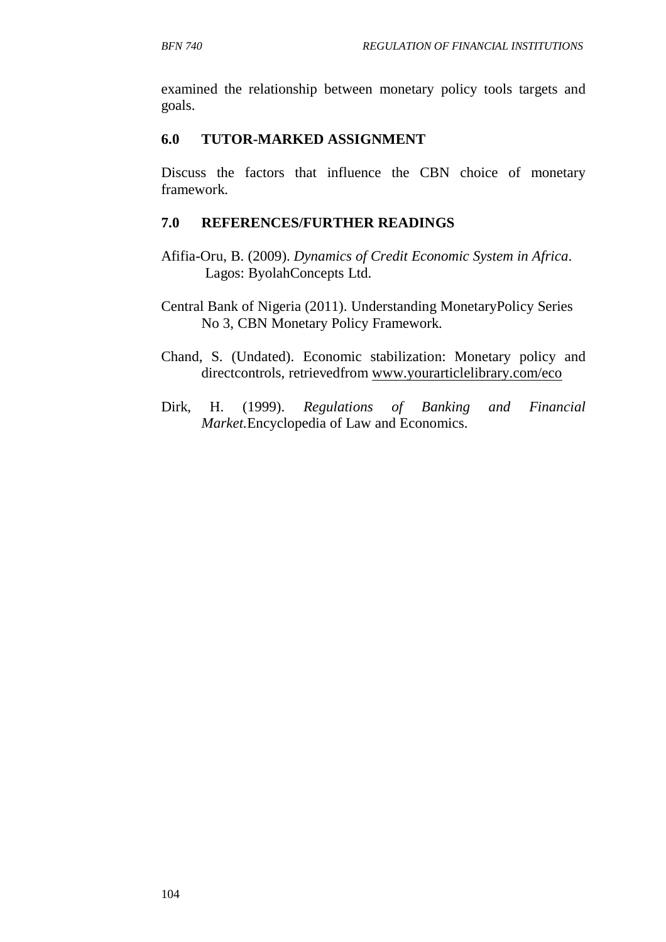examined the relationship between monetary policy tools targets and goals.

# **6.0 TUTOR-MARKED ASSIGNMENT**

Discuss the factors that influence the CBN choice of monetary framework.

## **7.0 REFERENCES/FURTHER READINGS**

- Afifia-Oru, B. (2009). *Dynamics of Credit Economic System in Africa*. Lagos: ByolahConcepts Ltd.
- Central Bank of Nigeria (2011). Understanding MonetaryPolicy Series No 3, CBN Monetary Policy Framework.
- Chand, S. (Undated). Economic stabilization: Monetary policy and directcontrols, retrievedfrom www.yourarticlelibrary.com/eco
- Dirk, H. (1999). *Regulations of Banking and Financial Market.*Encyclopedia of Law and Economics.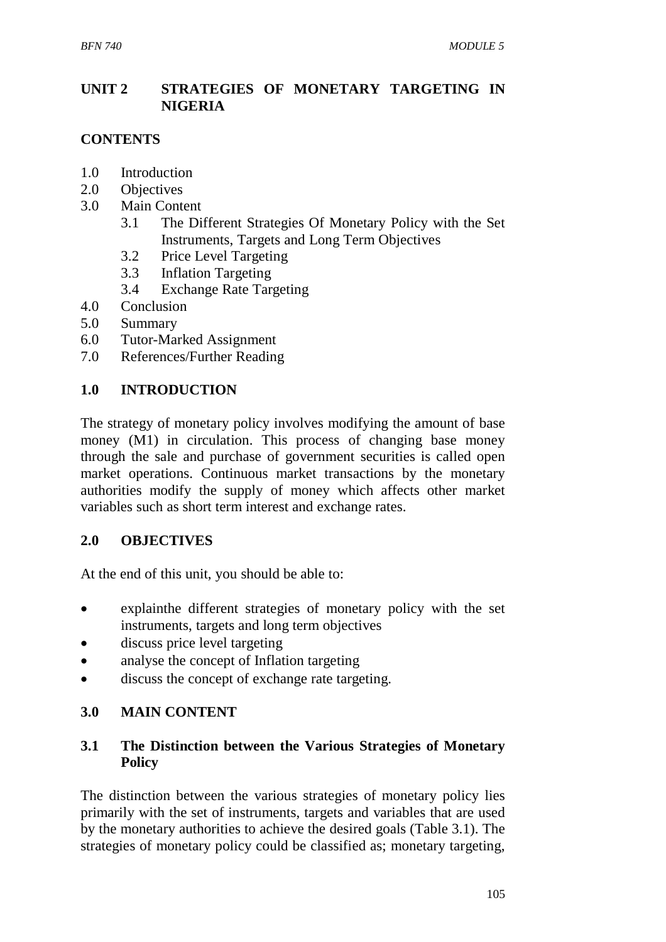# **UNIT 2 STRATEGIES OF MONETARY TARGETING IN NIGERIA**

## **CONTENTS**

- 1.0 Introduction
- 2.0 Objectives
- 3.0 Main Content
	- 3.1 The Different Strategies Of Monetary Policy with the Set Instruments, Targets and Long Term Objectives
	- 3.2 Price Level Targeting
	- 3.3 Inflation Targeting
	- 3.4 Exchange Rate Targeting
- 4.0 Conclusion
- 5.0 Summary
- 6.0 Tutor-Marked Assignment
- 7.0 References/Further Reading

#### **1.0 INTRODUCTION**

The strategy of monetary policy involves modifying the amount of base money (M1) in circulation. This process of changing base money through the sale and purchase of government securities is called open market operations. Continuous market transactions by the monetary authorities modify the supply of money which affects other market variables such as short term interest and exchange rates.

## **2.0 OBJECTIVES**

At the end of this unit, you should be able to:

- explainthe different strategies of monetary policy with the set instruments, targets and long term objectives
- discuss price level targeting
- analyse the concept of Inflation targeting
- discuss the concept of exchange rate targeting.

## **3.0 MAIN CONTENT**

## **3.1 The Distinction between the Various Strategies of Monetary Policy**

The distinction between the various strategies of monetary policy lies primarily with the set of instruments, targets and variables that are used by the monetary authorities to achieve the desired goals (Table 3.1). The strategies of monetary policy could be classified as; monetary targeting,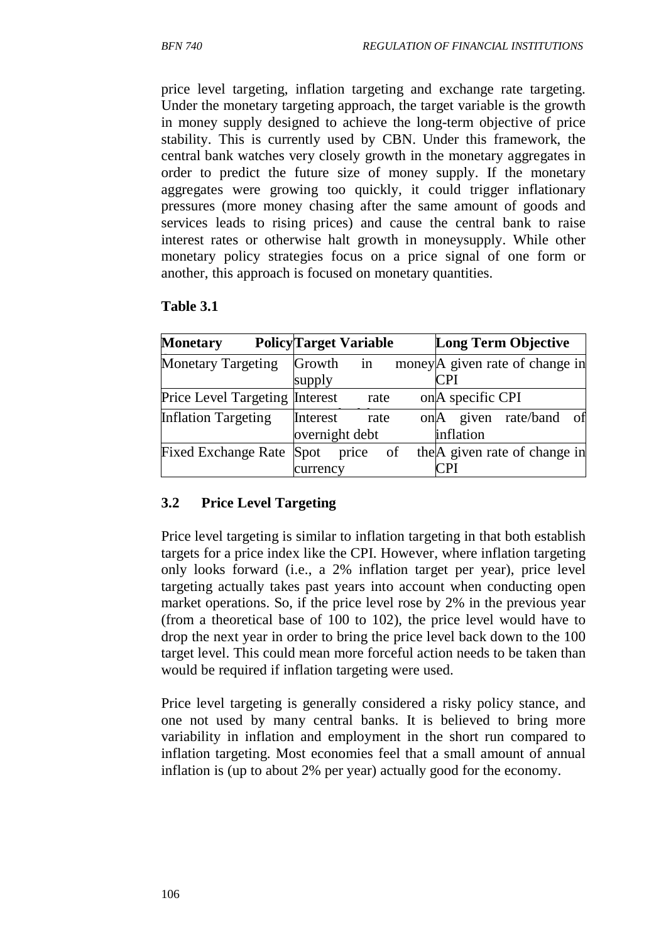price level targeting, inflation targeting and exchange rate targeting. Under the monetary targeting approach, the target variable is the growth in money supply designed to achieve the long-term objective of price stability. This is currently used by CBN. Under this framework, the central bank watches very closely growth in the monetary aggregates in order to predict the future size of money supply. If the monetary aggregates were growing too quickly, it could trigger inflationary pressures (more money chasing after the same amount of goods and services leads to rising prices) and cause the central bank to raise interest rates or otherwise halt growth in moneysupply. While other monetary policy strategies focus on a price signal of one form or another, this approach is focused on monetary quantities.

| <b>Monetary</b>                       | <b>Policy Target Variable</b>      | <b>Long Term Objective</b>                              |
|---------------------------------------|------------------------------------|---------------------------------------------------------|
| <b>Monetary Targeting</b>             | in<br>Growth<br>supply             | money A given rate of change in<br>$\bigcap\mathsf{PI}$ |
| <b>Price Level Targeting Interest</b> | rate                               | on <sup>A</sup> specific CPI                            |
| <b>Inflation Targeting</b>            | Interest<br>rate<br>overnight debt | on <sup>A</sup> given rate/band of<br>inflation         |
| <b>Fixed Exchange Rate</b>            | price<br>Spot<br>of<br>currency    | the A given rate of change in                           |

#### **Table 3.1**

# **3.2 Price Level Targeting**

Price level targeting is similar to inflation targeting in that both establish targets for a price index like the CPI. However, where inflation targeting only looks forward (i.e., a 2% inflation target per year), price level targeting actually takes past years into account when conducting open market operations. So, if the price level rose by 2% in the previous year (from a theoretical base of 100 to 102), the price level would have to drop the next year in order to bring the price level back down to the 100 target level. This could mean more forceful action needs to be taken than would be required if inflation targeting were used.

Price level targeting is generally considered a risky policy stance, and one not used by many central banks. It is believed to bring more variability in inflation and employment in the short run compared to inflation targeting. Most economies feel that a small amount of annual inflation is (up to about 2% per year) actually good for the economy.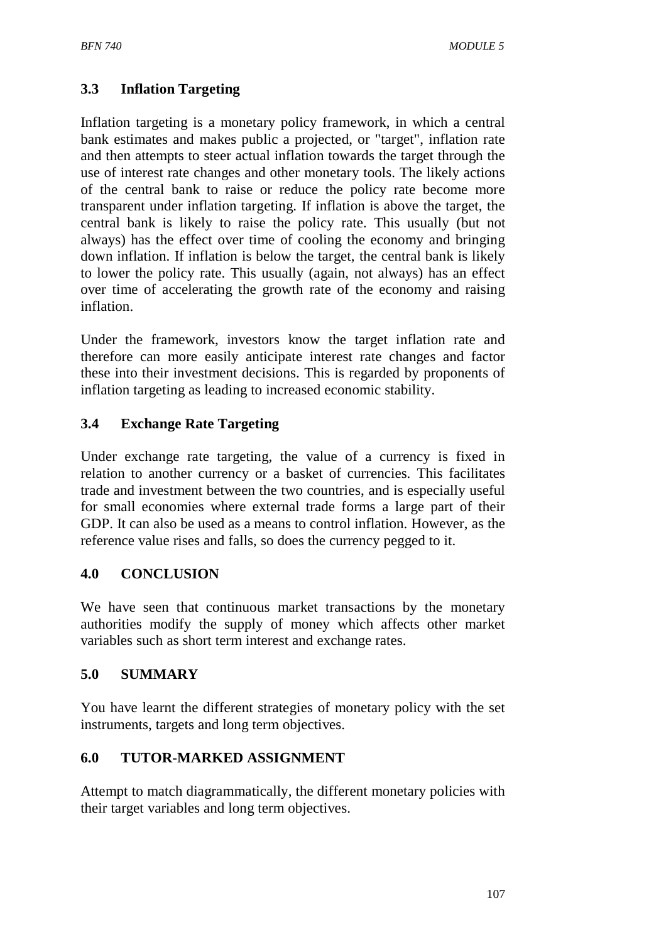# **3.3 Inflation Targeting**

Inflation targeting is a monetary policy framework, in which a central bank estimates and makes public a projected, or "target", inflation rate and then attempts to steer actual inflation towards the target through the use of interest rate changes and other monetary tools. The likely actions of the central bank to raise or reduce the policy rate become more transparent under inflation targeting. If inflation is above the target, the central bank is likely to raise the policy rate. This usually (but not always) has the effect over time of cooling the economy and bringing down inflation. If inflation is below the target, the central bank is likely to lower the policy rate. This usually (again, not always) has an effect over time of accelerating the growth rate of the economy and raising inflation.

Under the framework, investors know the target inflation rate and therefore can more easily anticipate interest rate changes and factor these into their investment decisions. This is regarded by proponents of inflation targeting as leading to increased economic stability.

## **3.4 Exchange Rate Targeting**

Under exchange rate targeting, the value of a currency is fixed in relation to another currency or a basket of currencies. This facilitates trade and investment between the two countries, and is especially useful for small economies where external trade forms a large part of their GDP. It can also be used as a means to control inflation. However, as the reference value rises and falls, so does the currency pegged to it.

## **4.0 CONCLUSION**

We have seen that continuous market transactions by the monetary authorities modify the supply of money which affects other market variables such as short term interest and exchange rates.

## **5.0 SUMMARY**

You have learnt the different strategies of monetary policy with the set instruments, targets and long term objectives.

## **6.0 TUTOR-MARKED ASSIGNMENT**

Attempt to match diagrammatically, the different monetary policies with their target variables and long term objectives.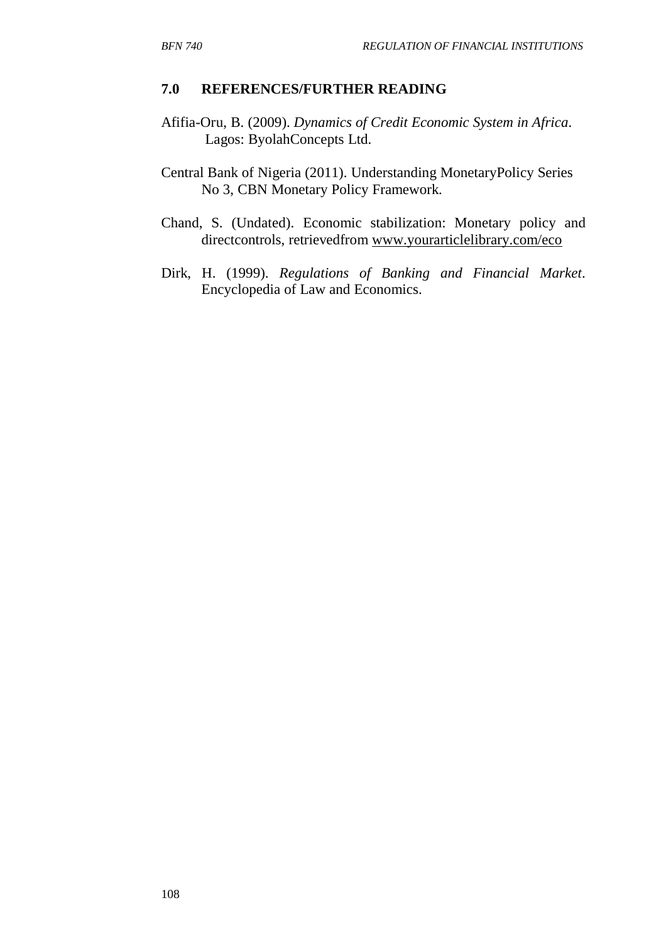#### **7.0 REFERENCES/FURTHER READING**

- Afifia-Oru, B. (2009). *Dynamics of Credit Economic System in Africa*. Lagos: ByolahConcepts Ltd.
- Central Bank of Nigeria (2011). Understanding MonetaryPolicy Series No 3, CBN Monetary Policy Framework.
- Chand, S. (Undated). Economic stabilization: Monetary policy and directcontrols, retrievedfrom www.yourarticlelibrary.com/eco
- Dirk, H. (1999). *Regulations of Banking and Financial Market*. Encyclopedia of Law and Economics.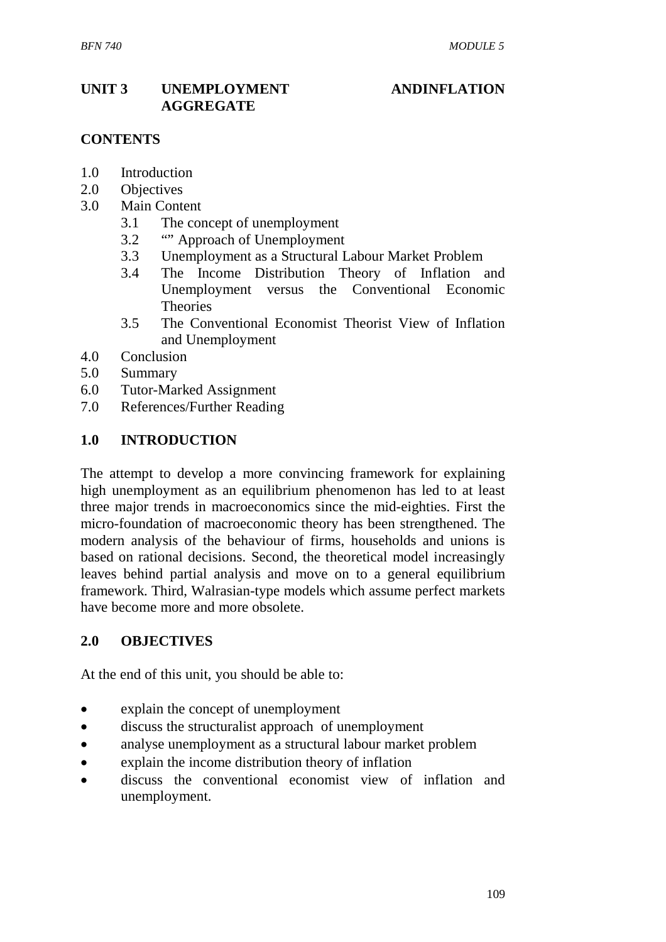# UNIT 3 UNEMPLOYMENT ANDINFLATION **AGGREGATE**

# **CONTENTS**

- 1.0 Introduction
- 2.0 Objectives
- 3.0 Main Content
	- 3.1 The concept of unemployment
	- 3.2 "" Approach of Unemployment
	- 3.3 Unemployment as a Structural Labour Market Problem
	- 3.4 The Income Distribution Theory of Inflation and Unemployment versus the Conventional Economic **Theories**
	- 3.5 The Conventional Economist Theorist View of Inflation and Unemployment
- 4.0 Conclusion
- 5.0 Summary
- 6.0 Tutor-Marked Assignment
- 7.0 References/Further Reading

#### **1.0 INTRODUCTION**

The attempt to develop a more convincing framework for explaining high unemployment as an equilibrium phenomenon has led to at least three major trends in macroeconomics since the mid-eighties. First the micro-foundation of macroeconomic theory has been strengthened. The modern analysis of the behaviour of firms, households and unions is based on rational decisions. Second, the theoretical model increasingly leaves behind partial analysis and move on to a general equilibrium framework. Third, Walrasian-type models which assume perfect markets have become more and more obsolete.

## **2.0 OBJECTIVES**

At the end of this unit, you should be able to:

- explain the concept of unemployment
- discuss the structuralist approach of unemployment
- analyse unemployment as a structural labour market problem
- explain the income distribution theory of inflation
- discuss the conventional economist view of inflation and unemployment.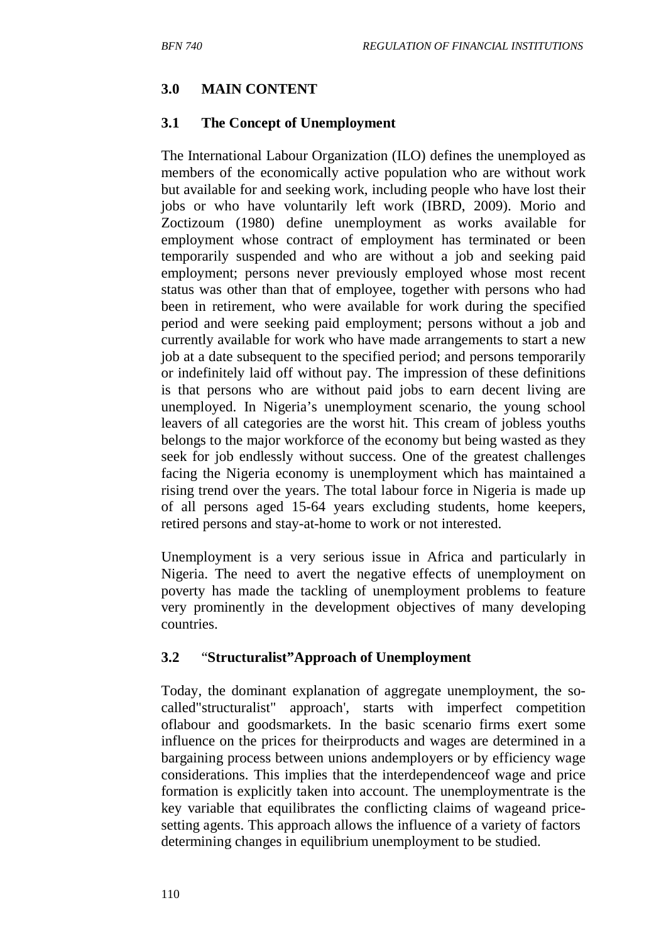# **3.0 MAIN CONTENT**

# **3.1 The Concept of Unemployment**

The International Labour Organization (ILO) defines the unemployed as members of the economically active population who are without work but available for and seeking work, including people who have lost their jobs or who have voluntarily left work (IBRD, 2009). Morio and Zoctizoum (1980) define unemployment as works available for employment whose contract of employment has terminated or been temporarily suspended and who are without a job and seeking paid employment; persons never previously employed whose most recent status was other than that of employee, together with persons who had been in retirement, who were available for work during the specified period and were seeking paid employment; persons without a job and currently available for work who have made arrangements to start a new job at a date subsequent to the specified period; and persons temporarily or indefinitely laid off without pay. The impression of these definitions is that persons who are without paid jobs to earn decent living are unemployed. In Nigeria's unemployment scenario, the young school leavers of all categories are the worst hit. This cream of jobless youths belongs to the major workforce of the economy but being wasted as they seek for job endlessly without success. One of the greatest challenges facing the Nigeria economy is unemployment which has maintained a rising trend over the years. The total labour force in Nigeria is made up of all persons aged 15-64 years excluding students, home keepers, retired persons and stay-at-home to work or not interested.

Unemployment is a very serious issue in Africa and particularly in Nigeria. The need to avert the negative effects of unemployment on poverty has made the tackling of unemployment problems to feature very prominently in the development objectives of many developing countries.

## **3.2** "**Structuralist"Approach of Unemployment**

Today, the dominant explanation of aggregate unemployment, the socalled"structuralist" approach', starts with imperfect competition oflabour and goodsmarkets. In the basic scenario firms exert some influence on the prices for theirproducts and wages are determined in a bargaining process between unions andemployers or by efficiency wage considerations. This implies that the interdependenceof wage and price formation is explicitly taken into account. The unemploymentrate is the key variable that equilibrates the conflicting claims of wageand pricesetting agents. This approach allows the influence of a variety of factors determining changes in equilibrium unemployment to be studied.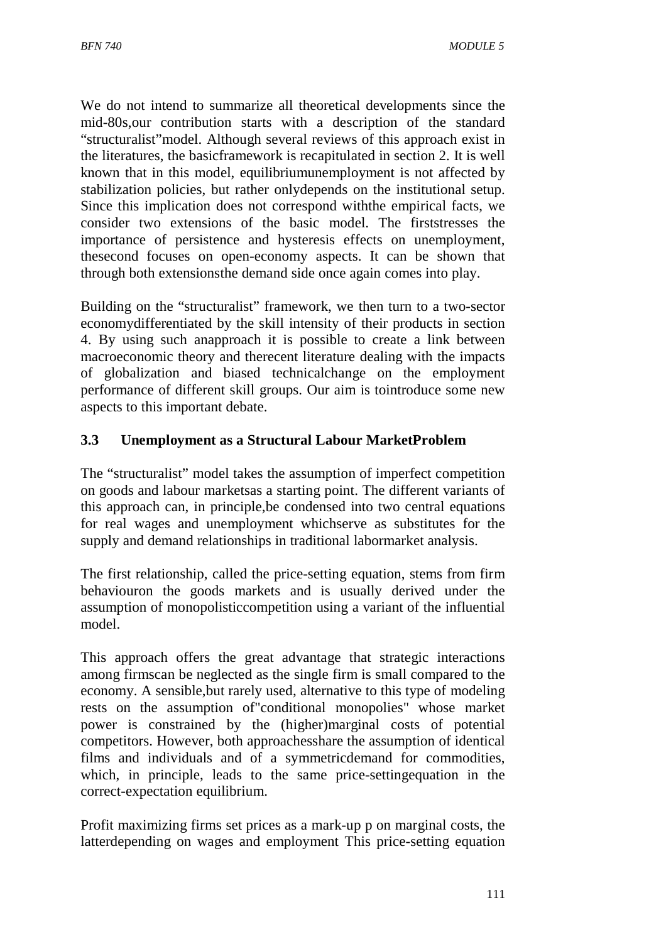We do not intend to summarize all theoretical developments since the mid-80s,our contribution starts with a description of the standard "structuralist"model. Although several reviews of this approach exist in the literatures, the basicframework is recapitulated in section 2. It is well known that in this model, equilibriumunemployment is not affected by stabilization policies, but rather onlydepends on the institutional setup. Since this implication does not correspond withthe empirical facts, we consider two extensions of the basic model. The firststresses the importance of persistence and hysteresis effects on unemployment, thesecond focuses on open-economy aspects. It can be shown that through both extensionsthe demand side once again comes into play.

Building on the "structuralist" framework, we then turn to a two-sector economydifferentiated by the skill intensity of their products in section 4. By using such anapproach it is possible to create a link between macroeconomic theory and therecent literature dealing with the impacts of globalization and biased technicalchange on the employment performance of different skill groups. Our aim is tointroduce some new aspects to this important debate.

## **3.3 Unemployment as a Structural Labour MarketProblem**

The "structuralist" model takes the assumption of imperfect competition on goods and labour marketsas a starting point. The different variants of this approach can, in principle,be condensed into two central equations for real wages and unemployment whichserve as substitutes for the supply and demand relationships in traditional labormarket analysis.

The first relationship, called the price-setting equation, stems from firm behaviouron the goods markets and is usually derived under the assumption of monopolisticcompetition using a variant of the influential model.

This approach offers the great advantage that strategic interactions among firmscan be neglected as the single firm is small compared to the economy. A sensible,but rarely used, alternative to this type of modeling rests on the assumption of"conditional monopolies" whose market power is constrained by the (higher)marginal costs of potential competitors. However, both approachesshare the assumption of identical films and individuals and of a symmetricdemand for commodities, which, in principle, leads to the same price-settingequation in the correct-expectation equilibrium.

Profit maximizing firms set prices as a mark-up p on marginal costs, the latterdepending on wages and employment This price-setting equation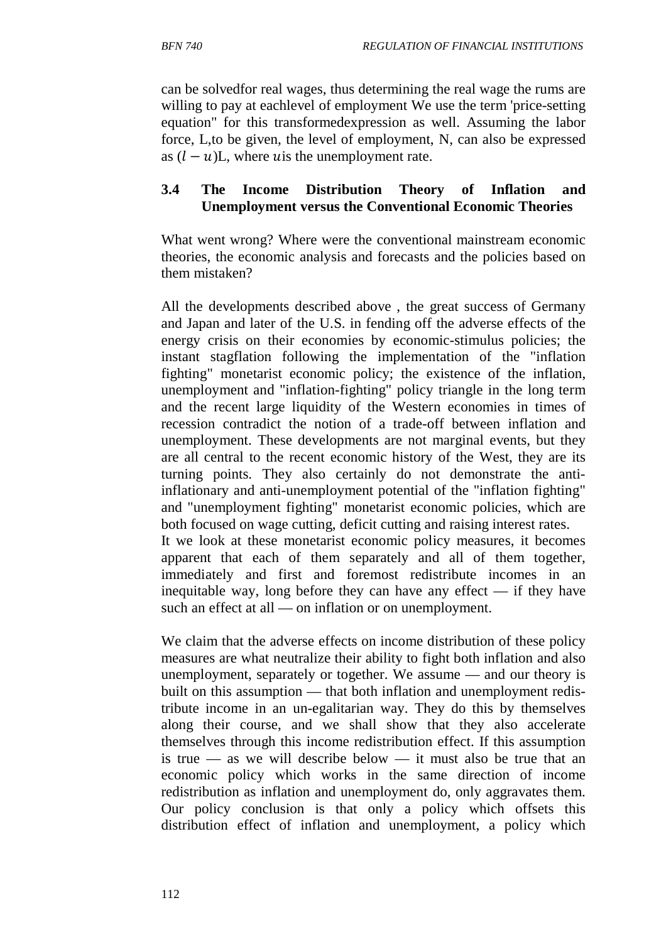can be solvedfor real wages, thus determining the real wage the rums are willing to pay at eachlevel of employment We use the term 'price-setting equation" for this transformedexpression as well. Assuming the labor force, L,to be given, the level of employment, N, can also be expressed as  $(l - u)L$ , where us the unemployment rate.

# **3.4 The Income Distribution Theory of Inflation and Unemployment versus the Conventional Economic Theories**

What went wrong? Where were the conventional mainstream economic theories, the economic analysis and forecasts and the policies based on them mistaken?

All the developments described above , the great success of Germany and Japan and later of the U.S. in fending off the adverse effects of the energy crisis on their economies by economic-stimulus policies; the instant stagflation following the implementation of the "inflation fighting" monetarist economic policy; the existence of the inflation, unemployment and "inflation-fighting" policy triangle in the long term and the recent large liquidity of the Western economies in times of recession contradict the notion of a trade-off between inflation and unemployment. These developments are not marginal events, but they are all central to the recent economic history of the West, they are its turning points. They also certainly do not demonstrate the antiinflationary and anti-unemployment potential of the "inflation fighting" and "unemployment fighting" monetarist economic policies, which are both focused on wage cutting, deficit cutting and raising interest rates. It we look at these monetarist economic policy measures, it becomes apparent that each of them separately and all of them together, immediately and first and foremost redistribute incomes in an inequitable way, long before they can have any effect — if they have such an effect at all — on inflation or on unemployment.

We claim that the adverse effects on income distribution of these policy measures are what neutralize their ability to fight both inflation and also unemployment, separately or together. We assume — and our theory is built on this assumption — that both inflation and unemployment redistribute income in an un-egalitarian way. They do this by themselves along their course, and we shall show that they also accelerate themselves through this income redistribution effect. If this assumption is true — as we will describe below — it must also be true that an economic policy which works in the same direction of income redistribution as inflation and unemployment do, only aggravates them. Our policy conclusion is that only a policy which offsets this distribution effect of inflation and unemployment, a policy which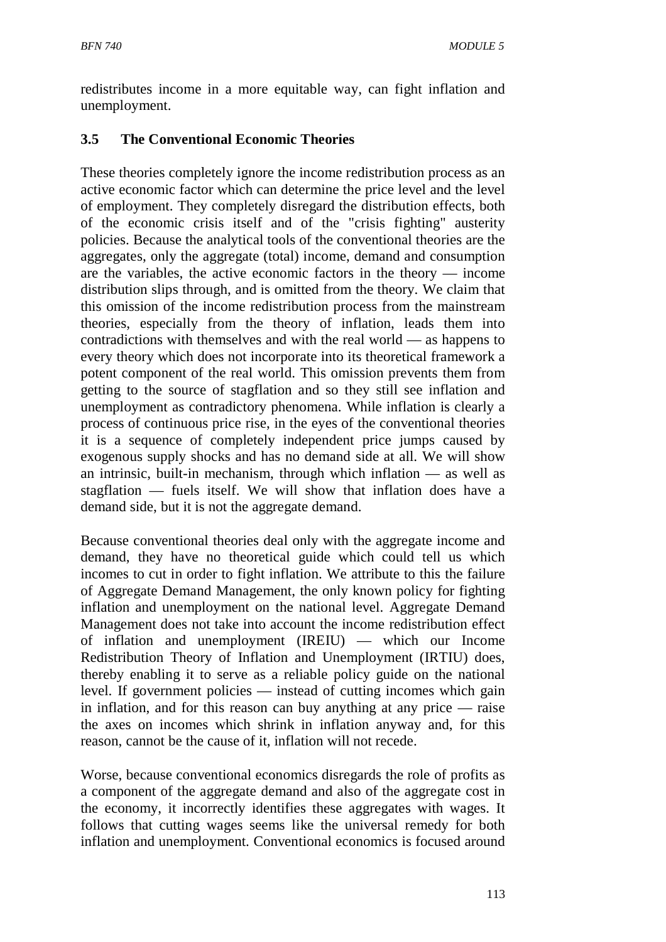redistributes income in a more equitable way, can fight inflation and unemployment.

# **3.5 The Conventional Economic Theories**

These theories completely ignore the income redistribution process as an active economic factor which can determine the price level and the level of employment. They completely disregard the distribution effects, both of the economic crisis itself and of the "crisis fighting" austerity policies. Because the analytical tools of the conventional theories are the aggregates, only the aggregate (total) income, demand and consumption are the variables, the active economic factors in the theory — income distribution slips through, and is omitted from the theory. We claim that this omission of the income redistribution process from the mainstream theories, especially from the theory of inflation, leads them into contradictions with themselves and with the real world — as happens to every theory which does not incorporate into its theoretical framework a potent component of the real world. This omission prevents them from getting to the source of stagflation and so they still see inflation and unemployment as contradictory phenomena. While inflation is clearly a process of continuous price rise, in the eyes of the conventional theories it is a sequence of completely independent price jumps caused by exogenous supply shocks and has no demand side at all. We will show an intrinsic, built-in mechanism, through which inflation — as well as stagflation — fuels itself. We will show that inflation does have a demand side, but it is not the aggregate demand.

Because conventional theories deal only with the aggregate income and demand, they have no theoretical guide which could tell us which incomes to cut in order to fight inflation. We attribute to this the failure of Aggregate Demand Management, the only known policy for fighting inflation and unemployment on the national level. Aggregate Demand Management does not take into account the income redistribution effect of inflation and unemployment (IREIU) — which our Income Redistribution Theory of Inflation and Unemployment (IRTIU) does, thereby enabling it to serve as a reliable policy guide on the national level. If government policies — instead of cutting incomes which gain in inflation, and for this reason can buy anything at any price — raise the axes on incomes which shrink in inflation anyway and, for this reason, cannot be the cause of it, inflation will not recede.

Worse, because conventional economics disregards the role of profits as a component of the aggregate demand and also of the aggregate cost in the economy, it incorrectly identifies these aggregates with wages. It follows that cutting wages seems like the universal remedy for both inflation and unemployment. Conventional economics is focused around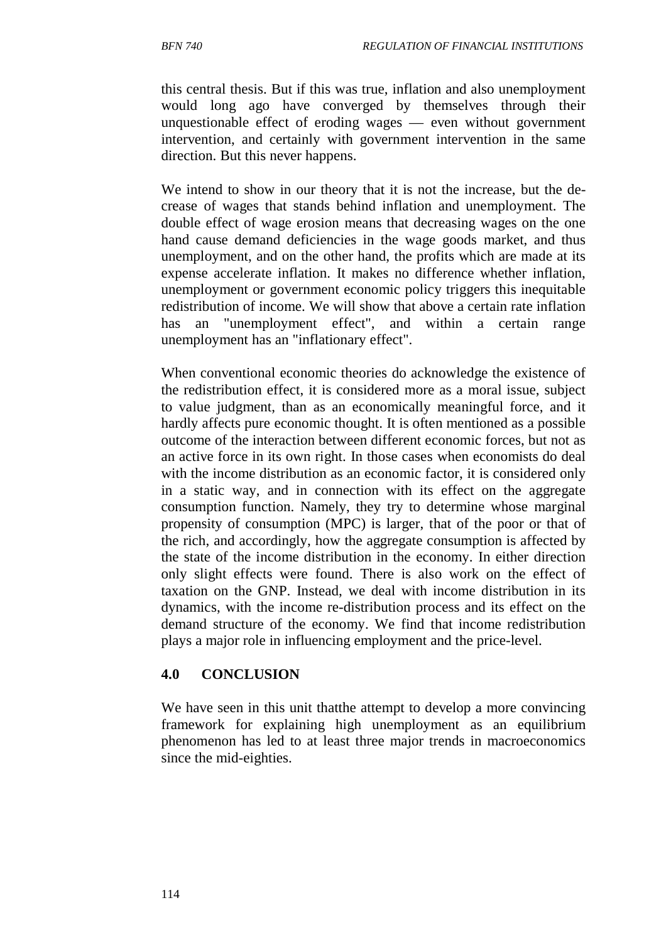this central thesis. But if this was true, inflation and also unemployment would long ago have converged by themselves through their unquestionable effect of eroding wages — even without government intervention, and certainly with government intervention in the same direction. But this never happens.

We intend to show in our theory that it is not the increase, but the decrease of wages that stands behind inflation and unemployment. The double effect of wage erosion means that decreasing wages on the one hand cause demand deficiencies in the wage goods market, and thus unemployment, and on the other hand, the profits which are made at its expense accelerate inflation. It makes no difference whether inflation, unemployment or government economic policy triggers this inequitable redistribution of income. We will show that above a certain rate inflation has an "unemployment effect", and within a certain range unemployment has an "inflationary effect".

When conventional economic theories do acknowledge the existence of the redistribution effect, it is considered more as a moral issue, subject to value judgment, than as an economically meaningful force, and it hardly affects pure economic thought. It is often mentioned as a possible outcome of the interaction between different economic forces, but not as an active force in its own right. In those cases when economists do deal with the income distribution as an economic factor, it is considered only in a static way, and in connection with its effect on the aggregate consumption function. Namely, they try to determine whose marginal propensity of consumption (MPC) is larger, that of the poor or that of the rich, and accordingly, how the aggregate consumption is affected by the state of the income distribution in the economy. In either direction only slight effects were found. There is also work on the effect of taxation on the GNP. Instead, we deal with income distribution in its dynamics, with the income re-distribution process and its effect on the demand structure of the economy. We find that income redistribution plays a major role in influencing employment and the price-level.

## **4.0 CONCLUSION**

We have seen in this unit thatthe attempt to develop a more convincing framework for explaining high unemployment as an equilibrium phenomenon has led to at least three major trends in macroeconomics since the mid-eighties.